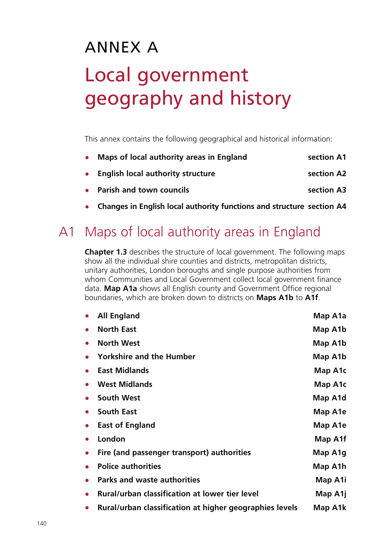# ANNEX A Local government geography and history

This annex contains the following geographical and historical information:

| • Maps of local authority areas in England | section A1 |
|--------------------------------------------|------------|
| • English local authority structure        | section A2 |
| • Parish and town councils                 | section A3 |

• **Changes in English local authority functions and structure section A4**

## A1 Maps of local authority areas in England

**Chapter 1.3** describes the structure of local government. The following maps show all the individual shire counties and districts, metropolitan districts, unitary authorities, London boroughs and single purpose authorities from whom Communities and Local Government collect local government finance data. **Map A1a** shows all English county and Government Office regional boundaries, which are broken down to districts on **Maps A1b** to **A1f**.

|           | <b>All England</b>                                      | Map A1a |
|-----------|---------------------------------------------------------|---------|
|           | <b>North East</b>                                       | Map A1b |
|           | <b>North West</b>                                       | Map A1b |
|           | <b>Yorkshire and the Humber</b>                         | Map A1b |
|           | <b>East Midlands</b>                                    | Map A1c |
|           | <b>West Midlands</b>                                    | Map A1c |
|           | <b>South West</b>                                       | Map A1d |
|           | <b>South East</b>                                       | Map A1e |
| $\bullet$ | <b>East of England</b>                                  | Map A1e |
|           | London                                                  | Map A1f |
|           | Fire (and passenger transport) authorities              | Map A1g |
|           | <b>Police authorities</b>                               | Map A1h |
|           | <b>Parks and waste authorities</b>                      | Map A1i |
|           | Rural/urban classification at lower tier level          | Map A1j |
|           | Rural/urban classification at higher geographies levels | Map A1k |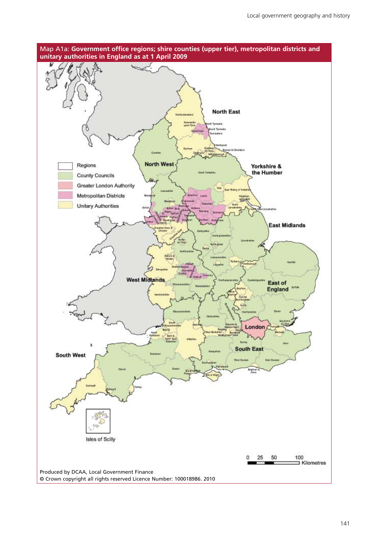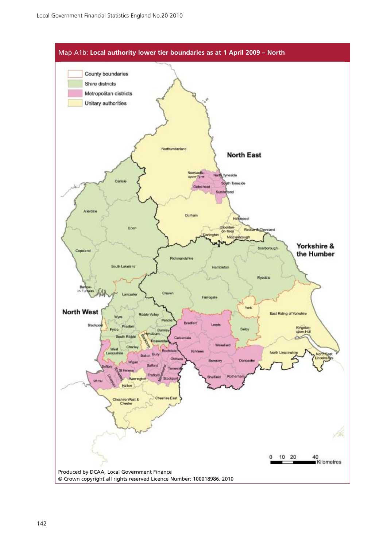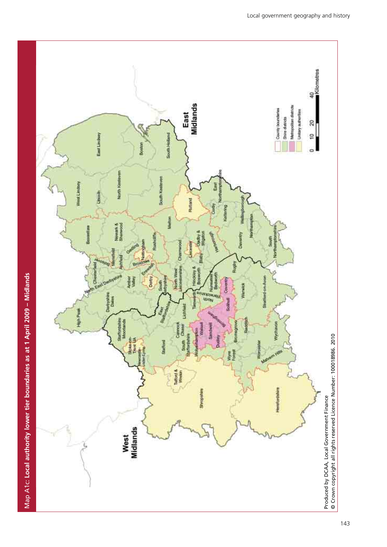



143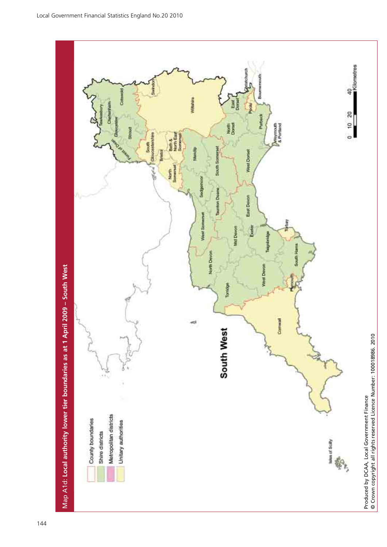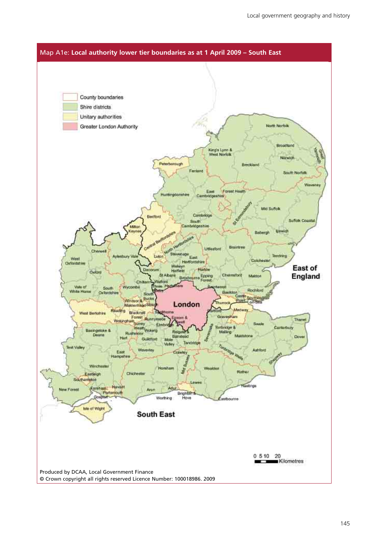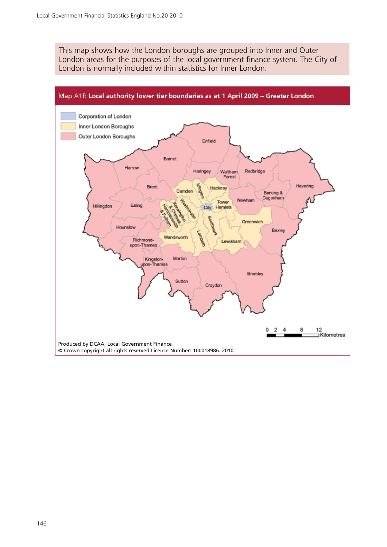This map shows how the London boroughs are grouped into Inner and Outer London areas for the purposes of the local government finance system. The City of London is normally included within statistics for Inner London.

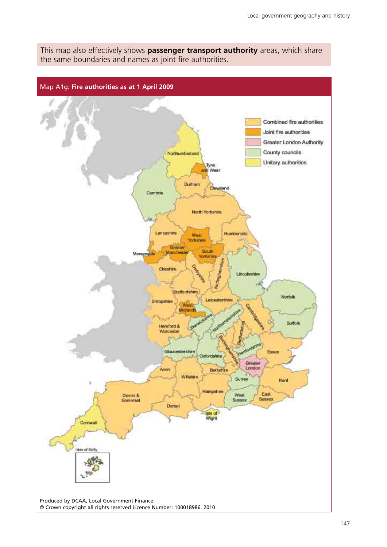This map also effectively shows **passenger transport authority** areas, which share the same boundaries and names as joint fire authorities.

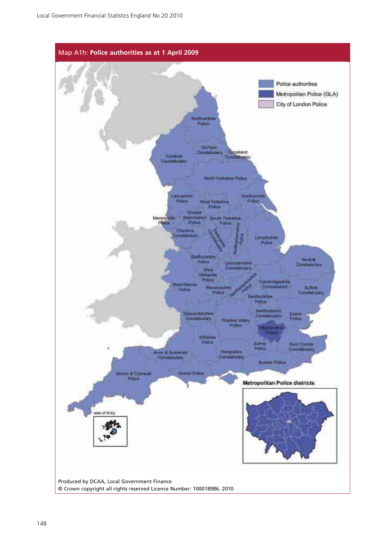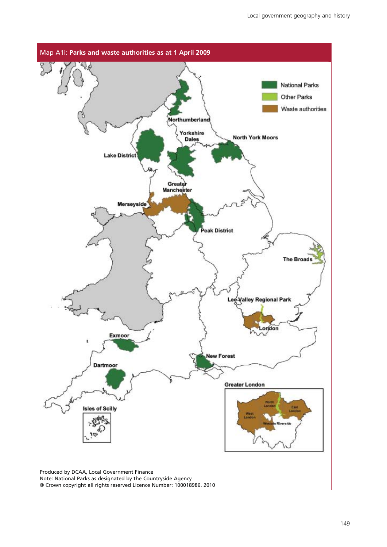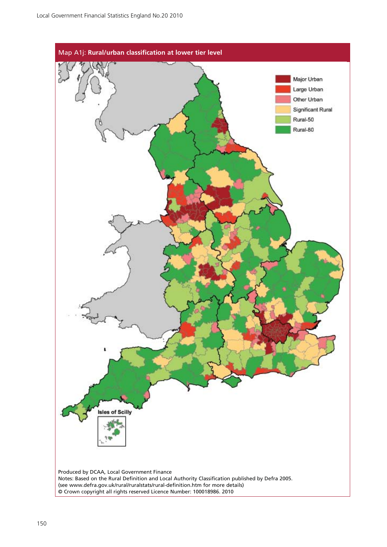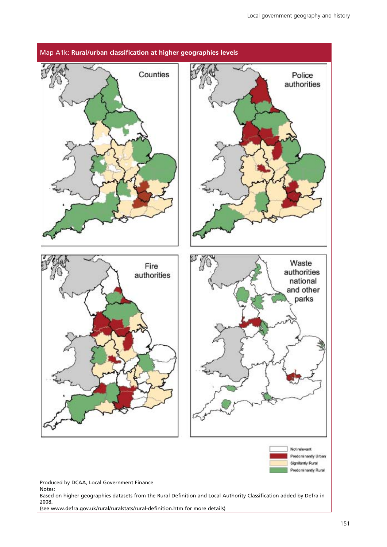

(see [www.defra.gov.uk/rural/ruralstats/rural-definition.htm fo](http://www.defra.gov.uk/rural/ruralstats/rural-definition.htm)r more details)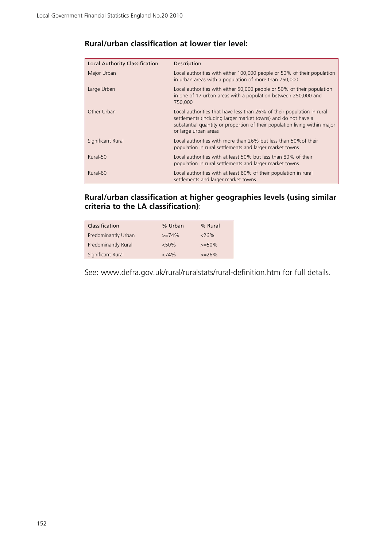| Local Authority Classification | Description                                                                                                                                                                                                                                   |
|--------------------------------|-----------------------------------------------------------------------------------------------------------------------------------------------------------------------------------------------------------------------------------------------|
| Major Urban                    | Local authorities with either 100,000 people or 50% of their population<br>in urban areas with a population of more than 750,000                                                                                                              |
| Large Urban                    | Local authorities with either 50,000 people or 50% of their population<br>in one of 17 urban areas with a population between 250,000 and<br>750,000                                                                                           |
| Other Urban                    | Local authorities that have less than 26% of their population in rural<br>settlements (including larger market towns) and do not have a<br>substantial quantity or proportion of their population living within major<br>or large urban areas |
| Significant Rural              | Local authorities with more than 26% but less than 50% of their<br>population in rural settlements and larger market towns                                                                                                                    |
| Rural-50                       | Local authorities with at least 50% but less than 80% of their<br>population in rural settlements and larger market towns                                                                                                                     |
| Rural-80                       | Local authorities with at least 80% of their population in rural<br>settlements and larger market towns                                                                                                                                       |

#### **Rural/urban classification at lower tier level:**

#### **Rural/urban classification at higher geographies levels (using similar criteria to the LA classification)**:

| Classification             | % Urban  | % Rural   |
|----------------------------|----------|-----------|
| Predominantly Urban        | $>=74%$  | 26%       |
| <b>Predominantly Rural</b> | $< 50\%$ | $>= 50\%$ |
| Significant Rural          | <74%     | $>=26%$   |

See: [www.defra.gov.uk/rural/ruralstats/rural-definition.htm fo](http://www.defra.gov.uk/rural/ruralstats/rural-definition.htm)r full details.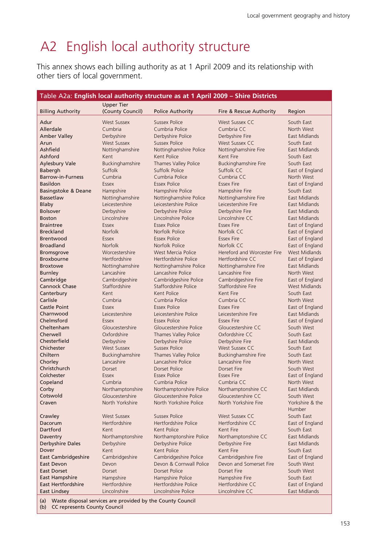## A2 English local authority structure

This annex shows each billing authority as at 1 April 2009 and its relationship with other tiers of local government.

|                                  |                             | Table A2a: English local authority structure as at 1 April 2009 - Shire Districts |                                                |                                    |
|----------------------------------|-----------------------------|-----------------------------------------------------------------------------------|------------------------------------------------|------------------------------------|
|                                  | <b>Upper Tier</b>           |                                                                                   |                                                |                                    |
| <b>Billing Authority</b>         | (County Council)            | <b>Police Authority</b>                                                           | Fire & Rescue Authority                        | Region                             |
| Adur                             | <b>West Sussex</b>          | Sussex Police                                                                     | <b>West Sussex CC</b>                          | South East                         |
| Allerdale                        | Cumbria                     | Cumbria Police                                                                    | Cumbria CC                                     | North West                         |
| <b>Amber Valley</b>              | Derbyshire                  | Derbyshire Police                                                                 | Derbyshire Fire                                | East Midlands                      |
| Arun                             | <b>West Sussex</b>          | <b>Sussex Police</b>                                                              | <b>West Sussex CC</b>                          | South East                         |
| Ashfield                         | Nottinghamshire             | Nottinghamshire Police                                                            | Nottinghamshire Fire                           | East Midlands                      |
| Ashford                          | Kent                        | Kent Police                                                                       | Kent Fire                                      | South East                         |
| <b>Aylesbury Vale</b>            | Buckinghamshire             | Thames Valley Police                                                              | <b>Buckinghamshire Fire</b>                    | South East                         |
| Babergh                          | Suffolk                     | Suffolk Police                                                                    | Suffolk CC                                     | East of England                    |
| <b>Barrow-in-Furness</b>         | Cumbria                     | Cumbria Police                                                                    | Cumbria CC                                     | North West                         |
| <b>Basildon</b>                  | Essex                       | <b>Essex Police</b>                                                               | <b>Essex Fire</b>                              | East of England                    |
| Basingstoke & Deane              | Hampshire                   | Hampshire Police                                                                  | Hampshire Fire                                 | South East                         |
| Bassetlaw                        | Nottinghamshire             | Nottinghamshire Police                                                            | Nottinghamshire Fire                           | East Midlands                      |
| Blaby                            | Leicestershire              | Leicestershire Police                                                             | Leicestershire Fire                            | East Midlands                      |
| <b>Bolsover</b>                  | Derbyshire                  | Derbyshire Police                                                                 | Derbyshire Fire                                | East Midlands                      |
| <b>Boston</b>                    | Lincolnshire                | Lincolnshire Police                                                               | Lincolnshire CC                                | East Midlands                      |
| <b>Braintree</b>                 | Essex                       | <b>Essex Police</b>                                                               | <b>Essex Fire</b>                              | East of England                    |
| <b>Breckland</b>                 | <b>Norfolk</b>              | Norfolk Police                                                                    | Norfolk CC                                     | East of England                    |
| Brentwood<br><b>Broadland</b>    | Essex<br>Norfolk            | <b>Essex Police</b><br>Norfolk Police                                             | <b>Essex Fire</b><br>Norfolk CC                | East of England<br>East of England |
| <b>Bromsgrove</b>                | Worcestershire              | West Mercia Police                                                                | Hereford and Worcester Fire                    | West Midlands                      |
| <b>Broxbourne</b>                | Hertfordshire               | Hertfordshire Police                                                              | Hertfordshire CC                               | East of England                    |
| <b>Broxtowe</b>                  | Nottinghamshire             | Nottinghamshire Police                                                            | Nottinghamshire Fire                           | East Midlands                      |
| <b>Burnley</b>                   | Lancashire                  | Lancashire Police                                                                 | Lancashire Fire                                | North West                         |
| Cambridge                        | Cambridgeshire              | Cambridgeshire Police                                                             | Cambridgeshire Fire                            | East of England                    |
| <b>Cannock Chase</b>             | Staffordshire               | Staffordshire Police                                                              | Staffordshire Fire                             | West Midlands                      |
| Canterbury                       | Kent                        | Kent Police                                                                       | Kent Fire                                      | South East                         |
| Carlisle                         | Cumbria                     | Cumbria Police                                                                    | Cumbria CC                                     | North West                         |
| <b>Castle Point</b>              | Essex                       | <b>Essex Police</b>                                                               | <b>Essex Fire</b>                              | East of England                    |
| Charnwood                        | Leicestershire              | Leicestershire Police                                                             | Leicestershire Fire                            | East Midlands                      |
| Chelmsford                       | Essex                       | <b>Essex Police</b>                                                               | <b>Essex Fire</b>                              | East of England                    |
| Cheltenham                       | Gloucestershire             | Gloucestershire Police                                                            | Gloucestershire CC                             | South West                         |
| Cherwell                         | Oxfordshire                 | Thames Valley Police                                                              | Oxfordshire CC                                 | South East                         |
| Chesterfield                     | Derbyshire                  | Derbyshire Police                                                                 | Derbyshire Fire                                | East Midlands                      |
| Chichester                       | <b>West Sussex</b>          | <b>Sussex Police</b>                                                              | West Sussex CC                                 | South East                         |
| Chiltern                         | Buckinghamshire             | Thames Valley Police                                                              | <b>Buckinghamshire Fire</b>                    | South East                         |
| Chorley                          | Lancashire                  | Lancashire Police                                                                 | Lancashire Fire                                | North West                         |
| Christchurch                     | Dorset                      | <b>Dorset Police</b>                                                              | <b>Dorset Fire</b>                             | South West                         |
| Colchester                       | Essex                       | <b>Essex Police</b>                                                               | <b>Essex Fire</b>                              | East of England                    |
| Copeland<br>Corby                | Cumbria<br>Northamptonshire | Cumbria Police<br>Northamptonshire Police                                         | Cumbria CC<br>Northamptonshire CC              | North West<br>East Midlands        |
| Cotswold                         | Gloucestershire             | Gloucestershire Police                                                            | Gloucestershire CC                             | South West                         |
| Craven                           | North Yorkshire             | North Yorkshire Police                                                            | North Yorkshire Fire                           | Yorkshire & the                    |
|                                  |                             |                                                                                   |                                                | Humber                             |
| Crawley                          | <b>West Sussex</b>          | <b>Sussex Police</b>                                                              | <b>West Sussex CC</b>                          | South East                         |
| Dacorum                          | Hertfordshire               | Hertfordshire Police                                                              | Hertfordshire CC                               | East of England                    |
| Dartford                         | Kent                        | Kent Police                                                                       | Kent Fire                                      | South East                         |
| Daventry                         | Northamptonshire            | Northamptonshire Police                                                           | Northamptonshire CC                            | East Midlands                      |
| <b>Derbyshire Dales</b>          | Derbyshire                  | Derbyshire Police                                                                 | Derbyshire Fire                                | East Midlands                      |
| Dover                            | Kent                        | Kent Police                                                                       | Kent Fire                                      | South East                         |
| <b>East Cambridgeshire</b>       | Cambridgeshire              | Cambridgeshire Police                                                             | Cambridgeshire Fire<br>Devon and Somerset Fire | East of England                    |
| East Devon<br><b>East Dorset</b> | Devon<br>Dorset             | Devon & Cornwall Police<br>Dorset Police                                          | <b>Dorset Fire</b>                             | South West<br>South West           |
| <b>East Hampshire</b>            | Hampshire                   | Hampshire Police                                                                  | Hampshire Fire                                 | South East                         |
| East Hertfordshire               | Hertfordshire               | Hertfordshire Police                                                              | Hertfordshire CC                               | East of England                    |
| East Lindsey                     | Lincolnshire                | Lincolnshire Police                                                               | Lincolnshire CC                                | East Midlands                      |
|                                  |                             |                                                                                   |                                                |                                    |

(a) Waste disposal services are provided by the County Council

(b) CC represents County Council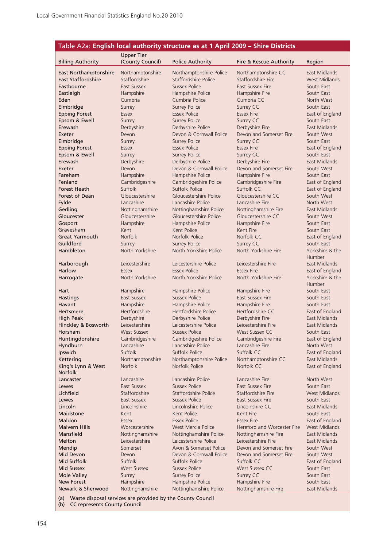| Table A2a: English local authority structure as at 1 April 2009 - Shire Districts |                                  |                                             |                                        |                               |  |
|-----------------------------------------------------------------------------------|----------------------------------|---------------------------------------------|----------------------------------------|-------------------------------|--|
|                                                                                   | <b>Upper Tier</b>                |                                             |                                        |                               |  |
| <b>Billing Authority</b>                                                          | (County Council)                 | <b>Police Authority</b>                     | Fire & Rescue Authority                | Region                        |  |
| <b>East Northamptonshire</b>                                                      | Northamptonshire                 | Northamptonshire Police                     | Northamptonshire CC                    | East Midlands                 |  |
| <b>East Staffordshire</b>                                                         | Staffordshire                    | Staffordshire Police                        | Staffordshire Fire                     | <b>West Midlands</b>          |  |
| Eastbourne                                                                        | East Sussex                      | Sussex Police                               | <b>East Sussex Fire</b>                | South East                    |  |
| Eastleigh                                                                         | Hampshire                        | Hampshire Police                            | Hampshire Fire                         | South East                    |  |
| Eden                                                                              | Cumbria                          | Cumbria Police                              | Cumbria CC                             | North West                    |  |
| Elmbridge<br><b>Epping Forest</b>                                                 | Surrey<br><b>Essex</b>           | <b>Surrey Police</b><br><b>Essex Police</b> | Surrey CC<br><b>Essex Fire</b>         | South East<br>East of England |  |
| Epsom & Ewell                                                                     | Surrey                           | <b>Surrey Police</b>                        | Surrey CC                              | South East                    |  |
| Erewash                                                                           | Derbyshire                       | Derbyshire Police                           | Derbyshire Fire                        | <b>East Midlands</b>          |  |
| Exeter                                                                            | Devon                            | Devon & Cornwall Police                     | Devon and Somerset Fire                | South West                    |  |
| Elmbridge                                                                         | Surrey                           | <b>Surrey Police</b>                        | Surrey CC                              | South East                    |  |
| <b>Epping Forest</b>                                                              | <b>Essex</b>                     | <b>Essex Police</b>                         | <b>Essex Fire</b>                      | East of England               |  |
| Epsom & Ewell                                                                     | Surrey                           | <b>Surrey Police</b>                        | Surrey CC                              | South East                    |  |
| Erewash                                                                           | Derbyshire                       | Derbyshire Police                           | Derbyshire Fire                        | East Midlands                 |  |
| Exeter                                                                            | Devon                            | Devon & Cornwall Police                     | Devon and Somerset Fire                | South West                    |  |
| Fareham                                                                           | Hampshire                        | Hampshire Police                            | Hampshire Fire                         | South East                    |  |
| Fenland<br><b>Forest Heath</b>                                                    | Cambridgeshire<br><b>Suffolk</b> | Cambridgeshire Police<br>Suffolk Police     | Cambridgeshire Fire<br>Suffolk CC      | East of England               |  |
| Forest of Dean                                                                    | Gloucestershire                  | Gloucestershire Police                      | Gloucestershire CC                     | East of England<br>South West |  |
| Fylde                                                                             | Lancashire                       | Lancashire Police                           | Lancashire Fire                        | North West                    |  |
| Gedling                                                                           | Nottinghamshire                  | Nottinghamshire Police                      | Nottinghamshire Fire                   | East Midlands                 |  |
| Gloucester                                                                        | Gloucestershire                  | Gloucestershire Police                      | Gloucestershire CC                     | South West                    |  |
| Gosport                                                                           | Hampshire                        | Hampshire Police                            | Hampshire Fire                         | South East                    |  |
| Gravesham                                                                         | Kent                             | Kent Police                                 | Kent Fire                              | South East                    |  |
| <b>Great Yarmouth</b>                                                             | <b>Norfolk</b>                   | Norfolk Police                              | Norfolk CC                             | East of England               |  |
| Guildford                                                                         | Surrey                           | <b>Surrey Police</b>                        | Surrey CC                              | South East                    |  |
| Hambleton                                                                         | North Yorkshire                  | North Yorkshire Police                      | North Yorkshire Fire                   | Yorkshire & the               |  |
| Harborough                                                                        | Leicestershire                   | Leicestershire Police                       | Leicestershire Fire                    | Humber<br>East Midlands       |  |
| Harlow                                                                            | <b>Essex</b>                     | <b>Essex Police</b>                         | <b>Essex Fire</b>                      | East of England               |  |
| Harrogate                                                                         | North Yorkshire                  | North Yorkshire Police                      | North Yorkshire Fire                   | Yorkshire & the<br>Humber     |  |
| Hart                                                                              | Hampshire                        | Hampshire Police                            | Hampshire Fire                         | South East                    |  |
| <b>Hastings</b>                                                                   | East Sussex                      | <b>Sussex Police</b>                        | <b>East Sussex Fire</b>                | South East                    |  |
| Havant                                                                            | Hampshire                        | Hampshire Police                            | Hampshire Fire                         | South East                    |  |
| <b>Hertsmere</b>                                                                  | Hertfordshire                    | Hertfordshire Police                        | Hertfordshire CC                       | East of England               |  |
| High Peak                                                                         | Derbyshire                       | Derbyshire Police                           | Derbyshire Fire                        | East Midlands                 |  |
| Hinckley & Bosworth                                                               | Leicestershire                   | Leicestershire Police                       | Leicestershire Fire                    | East Midlands                 |  |
| Horsham                                                                           | <b>West Sussex</b>               | <b>Sussex Police</b>                        | West Sussex CC                         | South East                    |  |
| Huntingdonshire<br>Hyndburn                                                       | Cambridgeshire<br>Lancashire     | Cambridgeshire Police<br>Lancashire Police  | Cambridgeshire Fire<br>Lancashire Fire | East of England<br>North West |  |
| Ipswich                                                                           | Suffolk                          | Suffolk Police                              | Suffolk CC                             | East of England               |  |
| Kettering                                                                         | Northamptonshire                 | Northamptonshire Police                     | Northamptonshire CC                    | East Midlands                 |  |
| King's Lynn & West<br><b>Norfolk</b>                                              | <b>Norfolk</b>                   | Norfolk Police                              | Norfolk CC                             | East of England               |  |
| Lancaster                                                                         | Lancashire                       | Lancashire Police                           | Lancashire Fire                        | North West                    |  |
| Lewes                                                                             | East Sussex                      | <b>Sussex Police</b>                        | <b>East Sussex Fire</b>                | South East                    |  |
| Lichfield                                                                         | Staffordshire                    | Staffordshire Police                        | Staffordshire Fire                     | <b>West Midlands</b>          |  |
| Lewes                                                                             | East Sussex                      | <b>Sussex Police</b>                        | <b>East Sussex Fire</b>                | South East                    |  |
| Lincoln                                                                           | Lincolnshire                     | Lincolnshire Police                         | Lincolnshire CC                        | East Midlands                 |  |
| Maidstone<br>Maldon                                                               | Kent<br><b>Essex</b>             | Kent Police<br><b>Essex Police</b>          | Kent Fire<br><b>Essex Fire</b>         | South East<br>East of England |  |
| <b>Malvern Hills</b>                                                              | Worcestershire                   | West Mercia Police                          | Hereford and Worcester Fire            | <b>West Midlands</b>          |  |
| Mansfield                                                                         | Nottinghamshire                  | Nottinghamshire Police                      | Nottinghamshire Fire                   | East Midlands                 |  |
| Melton                                                                            | Leicestershire                   | Leicestershire Police                       | Leicestershire Fire                    | East Midlands                 |  |
| Mendip                                                                            | Somerset                         | Avon & Somerset Police                      | Devon and Somerset Fire                | South West                    |  |
| Mid Devon                                                                         | Devon                            | Devon & Cornwall Police                     | Devon and Somerset Fire                | South West                    |  |
| Mid Suffolk                                                                       | Suffolk                          | Suffolk Police                              | Suffolk CC                             | East of England               |  |
| <b>Mid Sussex</b>                                                                 | <b>West Sussex</b>               | <b>Sussex Police</b>                        | <b>West Sussex CC</b>                  | South East                    |  |
| <b>Mole Valley</b>                                                                | Surrey                           | <b>Surrey Police</b>                        | Surrey CC                              | South East                    |  |
| <b>New Forest</b>                                                                 | Hampshire                        | Hampshire Police                            | Hampshire Fire                         | South East                    |  |
| Newark & Sherwood                                                                 | Nottinghamshire                  | Nottinghamshire Police                      | Nottinghamshire Fire                   | East Midlands                 |  |

(a) Waste disposal services are provided by the County Council

(b) CC represents County Council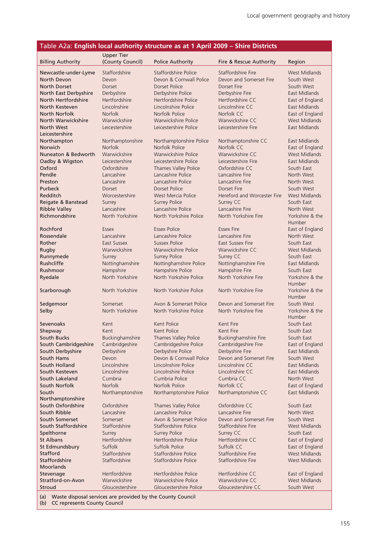#### Table A2a: **English local authority structure as at 1 April 2009 – Shire Districts**

|                                   | <b>Upper Tier</b>            |                                            |                                    |                                |
|-----------------------------------|------------------------------|--------------------------------------------|------------------------------------|--------------------------------|
| <b>Billing Authority</b>          | (County Council)             | <b>Police Authority</b>                    | Fire & Rescue Authority            | Region                         |
| Newcastle-under-Lyme              | Staffordshire                | Staffordshire Police                       | Staffordshire Fire                 | West Midlands                  |
| North Devon                       | Devon                        | Devon & Cornwall Police                    | Devon and Somerset Fire            | South West                     |
| <b>North Dorset</b>               | Dorset                       | Dorset Police                              | Dorset Fire                        | South West                     |
| North East Derbyshire             | Derbyshire                   | Derbyshire Police                          | Derbyshire Fire                    | East Midlands                  |
| North Hertfordshire               | Hertfordshire                | Hertfordshire Police                       | Hertfordshire CC                   | East of England                |
| North Kesteven                    | Lincolnshire                 | Lincolnshire Police                        | Lincolnshire CC                    | East Midlands                  |
| North Norfolk                     | <b>Norfolk</b>               | Norfolk Police                             | Norfolk CC                         | East of England                |
| North Warwickshire                | Warwickshire                 | Warwickshire Police                        | Warwickshire CC                    | West Midlands                  |
| North West                        | Leicestershire               | Leicestershire Police                      | Leicestershire Fire                | East Midlands                  |
| Leicestershire                    |                              |                                            |                                    |                                |
| Northampton                       | Northamptonshire             | Northamptonshire Police                    | Northamptonshire CC                | East Midlands                  |
| Norwich                           | <b>Norfolk</b>               | Norfolk Police                             | Norfolk CC                         | East of England                |
| Nuneaton & Bedworth               | Warwickshire                 | Warwickshire Police                        | Warwickshire CC                    | West Midlands                  |
| Oadby & Wigston                   | Leicestershire               | Leicestershire Police                      | Leicestershire Fire                | East Midlands                  |
| Oxford                            | Oxfordshire                  | Thames Valley Police                       | Oxfordshire CC                     | South East                     |
| Pendle<br>Preston                 | Lancashire<br>Lancashire     | Lancashire Police<br>Lancashire Police     | Lancashire Fire<br>Lancashire Fire | North West<br>North West       |
| Purbeck                           | Dorset                       | Dorset Police                              | Dorset Fire                        | South West                     |
| Redditch                          | Worcestershire               | West Mercia Police                         | Hereford and Worcester Fire        | <b>West Midlands</b>           |
| Reigate & Banstead                | Surrey                       | <b>Surrey Police</b>                       | Surrey CC                          | South East                     |
| <b>Ribble Valley</b>              | Lancashire                   | Lancashire Police                          | Lancashire Fire                    | North West                     |
| Richmondshire                     | North Yorkshire              | North Yorkshire Police                     | North Yorkshire Fire               | Yorkshire & the                |
|                                   |                              |                                            |                                    | Humber                         |
| Rochford                          | Essex                        | <b>Essex Police</b>                        | <b>Essex Fire</b>                  | East of England                |
| Rossendale                        | Lancashire                   | Lancashire Police                          | Lancashire Fire                    | North West                     |
| Rother                            | East Sussex                  | <b>Sussex Police</b>                       | East Sussex Fire                   | South East                     |
| Rugby                             | Warwickshire                 | <b>Warwickshire Police</b>                 | Warwickshire CC                    | <b>West Midlands</b>           |
| Runnymede                         | Surrey                       | <b>Surrey Police</b>                       | Surrey CC                          | South East                     |
| Rushcliffe                        | Nottinghamshire              | Nottinghamshire Police                     | Nottinghamshire Fire               | East Midlands                  |
| Rushmoor                          | Hampshire                    | Hampshire Police                           | Hampshire Fire                     | South East                     |
| Ryedale                           | North Yorkshire              | North Yorkshire Police                     | North Yorkshire Fire               | Yorkshire & the                |
| Scarborough                       | North Yorkshire              | North Yorkshire Police                     | North Yorkshire Fire               | Humber<br>Yorkshire & the      |
|                                   |                              |                                            |                                    | Humber                         |
| Sedgemoor                         | Somerset                     | Avon & Somerset Police                     | Devon and Somerset Fire            | South West                     |
| Selby                             | North Yorkshire              | North Yorkshire Police                     | North Yorkshire Fire               | Yorkshire & the                |
|                                   |                              |                                            |                                    | Humber                         |
| Sevenoaks                         | Kent                         | Kent Police                                | Kent Fire                          | South East                     |
| Shepway                           | Kent                         | Kent Police                                | Kent Fire                          | South East                     |
| South Bucks                       | Buckinghamshire              | Thames Valley Police                       | <b>Buckinghamshire Fire</b>        | South East                     |
| South Cambridgeshire              | Cambridgeshire               | Cambridgeshire Police                      | Cambridgeshire Fire                | East of England                |
| South Derbyshire                  | Derbyshire                   | Derbyshire Police                          | Derbyshire Fire                    | East Midlands                  |
| South Hams                        | Devon                        | Devon & Cornwall Police                    | Devon and Somerset Fire            | South West                     |
| South Holland<br>South Kesteven   | Lincolnshire<br>Lincolnshire | Lincolnshire Police<br>Lincolnshire Police | Lincolnshire CC<br>Lincolnshire CC | East Midlands<br>East Midlands |
| South Lakeland                    | Cumbria                      | Cumbria Police                             | Cumbria CC                         | North West                     |
| South Norfolk                     | <b>Norfolk</b>               | Norfolk Police                             | Norfolk CC                         | East of England                |
| South                             | Northamptonshire             | Northamptonshire Police                    | Northamptonshire CC                | East Midlands                  |
| Northamptonshire                  |                              |                                            |                                    |                                |
| South Oxfordshire                 | Oxfordshire                  | Thames Valley Police                       | Oxfordshire CC                     | South East                     |
| South Ribble                      | Lancashire                   | Lancashire Police                          | Lancashire Fire                    | North West                     |
| South Somerset                    | Somerset                     | Avon & Somerset Police                     | Devon and Somerset Fire            | South West                     |
| South Staffordshire               | Staffordshire                | Staffordshire Police                       | Staffordshire Fire                 | West Midlands                  |
| Spelthorne                        | Surrey                       | <b>Surrey Police</b>                       | Surrey CC                          | South East                     |
| St Albans                         | Hertfordshire                | Hertfordshire Police                       | Hertfordshire CC                   | East of England                |
| St Edmundsbury                    | Suffolk                      | Suffolk Police                             | Suffolk CC                         | East of England                |
| Stafford                          | Staffordshire                | Staffordshire Police                       | Staffordshire Fire                 | West Midlands                  |
| <b>Staffordshire</b><br>Moorlands | Staffordshire                | Staffordshire Police                       | Staffordshire Fire                 | <b>West Midlands</b>           |
| Stevenage                         | Hertfordshire                | Hertfordshire Police                       | Hertfordshire CC                   | East of England                |
| Stratford-on-Avon                 | Warwickshire                 | Warwickshire Police                        | Warwickshire CC                    | West Midlands                  |
| Stroud                            | Gloucestershire              | Gloucestershire Police                     | Gloucestershire CC                 | South West                     |
|                                   |                              |                                            |                                    |                                |

(a) Waste disposal services are provided by the County Council

(b) CC represents County Council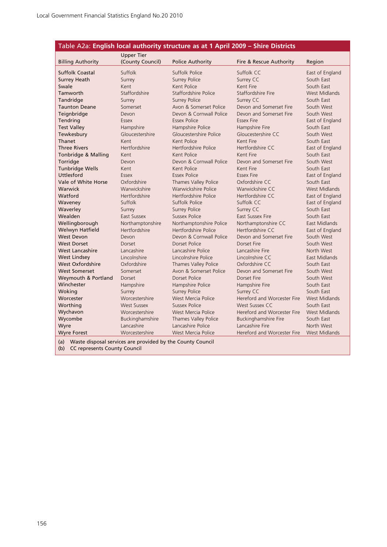| Table A2a: English local authority structure as at 1 April 2009 - Shire Districts |                                       |                            |                             |                      |  |
|-----------------------------------------------------------------------------------|---------------------------------------|----------------------------|-----------------------------|----------------------|--|
| <b>Billing Authority</b>                                                          | <b>Upper Tier</b><br>(County Council) | <b>Police Authority</b>    | Fire & Rescue Authority     | Region               |  |
| <b>Suffolk Coastal</b>                                                            | Suffolk                               | Suffolk Police             | Suffolk CC                  | East of England      |  |
| <b>Surrey Heath</b>                                                               | Surrey                                | <b>Surrey Police</b>       | Surrey CC                   | South East           |  |
| Swale                                                                             | Kent                                  | Kent Police                | Kent Fire                   | South East           |  |
| Tamworth                                                                          | Staffordshire                         | Staffordshire Police       | Staffordshire Fire          | <b>West Midlands</b> |  |
| Tandridge                                                                         | Surrey                                | <b>Surrey Police</b>       | Surrey CC                   | South East           |  |
| <b>Taunton Deane</b>                                                              | Somerset                              | Avon & Somerset Police     | Devon and Somerset Fire     | South West           |  |
| Teignbridge                                                                       | Devon                                 | Devon & Cornwall Police    | Devon and Somerset Fire     | South West           |  |
| Tendring                                                                          | <b>Essex</b>                          | Essex Police               | <b>Essex Fire</b>           | East of England      |  |
| <b>Test Valley</b>                                                                | Hampshire                             | Hampshire Police           | Hampshire Fire              | South East           |  |
| Tewkesbury                                                                        | Gloucestershire                       | Gloucestershire Police     | Gloucestershire CC          | South West           |  |
| Thanet                                                                            | Kent                                  | Kent Police                | Kent Fire                   | South East           |  |
| <b>Three Rivers</b>                                                               | Hertfordshire                         | Hertfordshire Police       | Hertfordshire CC            | East of England      |  |
| Tonbridge & Malling                                                               | Kent                                  | Kent Police                | Kent Fire                   | South East           |  |
| Torridge                                                                          | Devon                                 | Devon & Cornwall Police    | Devon and Somerset Fire     | South West           |  |
| <b>Tunbridge Wells</b>                                                            | Kent                                  | Kent Police                | Kent Fire                   | South East           |  |
| Uttlesford                                                                        | Essex                                 | Essex Police               | <b>Essex Fire</b>           | East of England      |  |
| Vale of White Horse                                                               | Oxfordshire                           | Thames Valley Police       | Oxfordshire CC              | South East           |  |
| Warwick                                                                           | Warwickshire                          | <b>Warwickshire Police</b> | Warwickshire CC             | <b>West Midlands</b> |  |
| Watford                                                                           | Hertfordshire                         | Hertfordshire Police       | Hertfordshire CC            | East of England      |  |
| Waveney                                                                           | Suffolk                               | Suffolk Police             | Suffolk CC                  | East of England      |  |
| Waverley                                                                          | Surrey                                | <b>Surrey Police</b>       | Surrey CC                   | South East           |  |
| Wealden                                                                           | East Sussex                           | Sussex Police              | <b>East Sussex Fire</b>     | South East           |  |
| Wellingborough                                                                    | Northamptonshire                      | Northamptonshire Police    | Northamptonshire CC         | East Midlands        |  |
| Welwyn Hatfield                                                                   | Hertfordshire                         | Hertfordshire Police       | Hertfordshire CC            | East of England      |  |
| <b>West Devon</b>                                                                 | Devon                                 | Devon & Cornwall Police    | Devon and Somerset Fire     | South West           |  |
| <b>West Dorset</b>                                                                | Dorset                                | Dorset Police              | Dorset Fire                 | South West           |  |
| <b>West Lancashire</b>                                                            | Lancashire                            | Lancashire Police          | Lancashire Fire             | North West           |  |
| <b>West Lindsey</b>                                                               | Lincolnshire                          | Lincolnshire Police        | Lincolnshire CC             | <b>East Midlands</b> |  |
| West Oxfordshire                                                                  | Oxfordshire                           | Thames Valley Police       | Oxfordshire CC              | South East           |  |
| <b>West Somerset</b>                                                              | Somerset                              | Avon & Somerset Police     | Devon and Somerset Fire     | South West           |  |
| Weymouth & Portland                                                               | Dorset                                | Dorset Police              | Dorset Fire                 | South West           |  |
| Winchester                                                                        | Hampshire                             | Hampshire Police           | Hampshire Fire              | South East           |  |
| Woking                                                                            | Surrey                                | <b>Surrey Police</b>       | Surrey CC                   | South East           |  |
| Worcester                                                                         | Worcestershire                        | West Mercia Police         | Hereford and Worcester Fire | <b>West Midlands</b> |  |
| Worthing                                                                          | <b>West Sussex</b>                    | Sussex Police              | West Sussex CC              | South East           |  |
| Wychavon                                                                          | Worcestershire                        | West Mercia Police         | Hereford and Worcester Fire | <b>West Midlands</b> |  |
| Wycombe                                                                           | Buckinghamshire                       | Thames Valley Police       | <b>Buckinghamshire Fire</b> | South East           |  |
| Wyre                                                                              | Lancashire                            | Lancashire Police          | Lancashire Fire             | North West           |  |
| <b>Wyre Forest</b>                                                                | Worcestershire                        | West Mercia Police         | Hereford and Worcester Fire | <b>West Midlands</b> |  |

(a) Waste disposal services are provided by the County Council (b) CC represents County Council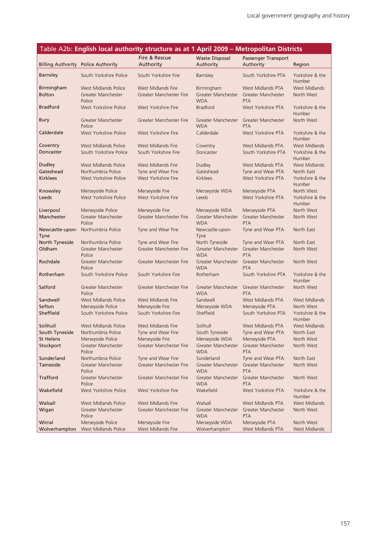### Table A2b: **English local authority structure as at 1 April 2009 – Metropolitan Districts**

|                                    |                                                   | Fire & Rescue                                 | <b>Waste Disposal</b>            | Passenger Transport                     |                                    |
|------------------------------------|---------------------------------------------------|-----------------------------------------------|----------------------------------|-----------------------------------------|------------------------------------|
|                                    | <b>Billing Authority Police Authority</b>         | Authority                                     | Authority                        | Authority                               | Region                             |
| <b>Barnsley</b>                    | South Yorkshire Police                            | South Yorkshire Fire                          | Barnsley                         | South Yorkshire PTA                     | Yorkshire & the<br><b>Humber</b>   |
| <b>Birmingham</b><br><b>Bolton</b> | <b>West Midlands Police</b><br>Greater Manchester | West Midlands Fire<br>Greater Manchester Fire | Birmingham<br>Greater Manchester | West Midlands PTA<br>Greater Manchester | <b>West Midlands</b><br>North West |
| <b>Bradford</b>                    | Police<br>West Yorkshire Police                   | West Yorkshire Fire                           | <b>WDA</b><br><b>Bradford</b>    | <b>PTA</b><br>West Yorkshire PTA        | Yorkshire & the                    |
|                                    |                                                   |                                               |                                  |                                         | Humber                             |
| <b>Bury</b>                        | Greater Manchester<br>Police                      | Greater Manchester Fire                       | Greater Manchester<br><b>WDA</b> | Greater Manchester<br><b>PTA</b>        | North West                         |
| Calderdale                         | West Yorkshire Police                             | West Yorkshire Fire                           | Calderdale                       | West Yorkshire PTA                      | Yorkshire & the<br>Humber          |
| Coventry                           | <b>West Midlands Police</b>                       | West Midlands Fire                            | Coventry                         | West Midlands PTA                       | <b>West Midlands</b>               |
| Doncaster                          | South Yorkshire Police                            | South Yorkshire Fire                          | Doncaster                        | South Yorkshire PTA                     | Yorkshire & the<br>Humber          |
| <b>Dudley</b>                      | <b>West Midlands Police</b>                       | <b>West Midlands Fire</b>                     | Dudley                           | West Midlands PTA                       | <b>West Midlands</b>               |
| Gateshead                          | Northumbria Police                                | Tyne and Wear Fire                            | Gateshead                        | Tyne and Wear PTA                       | North East                         |
| <b>Kirklees</b>                    | West Yorkshire Police                             | West Yorkshire Fire                           | <b>Kirklees</b>                  | West Yorkshire PTA                      | Yorkshire & the<br>Humber          |
| Knowsley                           | Merseyside Police                                 | Merseyside Fire                               | Merseyside WDA                   | Merseyside PTA                          | North West                         |
| Leeds                              | West Yorkshire Police                             | West Yorkshire Fire                           | Leeds                            | West Yorkshire PTA                      | Yorkshire & the<br>Humber          |
| Liverpool                          | Merseyside Police                                 | Merseyside Fire                               | Merseyside WDA                   | Merseyside PTA                          | North West                         |
| Manchester                         | Greater Manchester<br>Police                      | Greater Manchester Fire                       | Greater Manchester<br><b>WDA</b> | Greater Manchester<br><b>PTA</b>        | North West                         |
| Newcastle-upon-<br>Tyne            | Northumbria Police                                | Tyne and Wear Fire                            | Newcastle-upon-<br>Tyne          | Tyne and Wear PTA                       | North East                         |
| North Tyneside                     | Northumbria Police                                | Tyne and Wear Fire                            | North Tyneside                   | Tyne and Wear PTA                       | North East                         |
| Oldham                             | Greater Manchester<br>Police                      | Greater Manchester Fire                       | Greater Manchester<br><b>WDA</b> | Greater Manchester<br><b>PTA</b>        | North West                         |
| Rochdale                           | Greater Manchester<br>Police                      | Greater Manchester Fire                       | Greater Manchester<br><b>WDA</b> | Greater Manchester<br><b>PTA</b>        | North West                         |
| Rotherham                          | South Yorkshire Police                            | South Yorkshire Fire                          | Rotherham                        | South Yorkshire PTA                     | Yorkshire & the<br>Humber          |
| Salford                            | Greater Manchester<br>Police                      | Greater Manchester Fire                       | Greater Manchester<br><b>WDA</b> | Greater Manchester<br><b>PTA</b>        | North West                         |
| Sandwell                           | <b>West Midlands Police</b>                       | West Midlands Fire                            | Sandwell                         | West Midlands PTA                       | <b>West Midlands</b>               |
| Sefton                             | Merseyside Police                                 | Merseyside Fire                               | Merseyside WDA                   | Merseyside PTA                          | North West                         |
| Sheffield                          | South Yorkshire Police                            | South Yorkshire Fire                          | Sheffield                        | South Yorkshire PTA                     | Yorkshire & the<br>Humber          |
| Solihull                           | West Midlands Police                              | West Midlands Fire                            | Solihull                         | West Midlands PTA                       | <b>West Midlands</b>               |
| South Tyneside                     | Northumbria Police                                | Tyne and Wear Fire                            | South Tyneside                   | Tyne and Wear PTA                       | North East                         |
| <b>St Helens</b>                   | Merseyside Police                                 | Merseyside Fire                               | Merseyside WDA                   | Merseyside PTA                          | North West                         |
| Stockport                          | Greater Manchester<br>Police                      | Greater Manchester Fire                       | Greater Manchester<br><b>WDA</b> | Greater Manchester<br><b>PTA</b>        | North West                         |
| Sunderland                         | Northumbria Police                                | Tyne and Wear Fire                            | Sunderland                       | Tyne and Wear PTA                       | North East                         |
| Tameside                           | Greater Manchester<br>Police                      | Greater Manchester Fire                       | Greater Manchester<br><b>WDA</b> | Greater Manchester<br><b>PTA</b>        | North West                         |
| <b>Trafford</b>                    | Greater Manchester<br>Police                      | Greater Manchester Fire                       | Greater Manchester<br><b>WDA</b> | Greater Manchester<br><b>PTA</b>        | North West                         |
| Wakefield                          | West Yorkshire Police                             | West Yorkshire Fire                           | Wakefield                        | West Yorkshire PTA                      | Yorkshire & the<br>Humber          |
| Walsall                            | <b>West Midlands Police</b>                       | West Midlands Fire                            | Walsall                          | West Midlands PTA                       | <b>West Midlands</b>               |
| Wigan                              | Greater Manchester<br>Police                      | Greater Manchester Fire                       | Greater Manchester<br><b>WDA</b> | Greater Manchester<br>PTA               | North West                         |
| Wirral                             | Merseyside Police                                 | Merseyside Fire                               | Merseyside WDA                   | Merseyside PTA                          | North West                         |
| Wolverhampton                      | West Midlands Police                              | West Midlands Fire                            | Wolverhampton                    | West Midlands PTA                       | <b>West Midlands</b>               |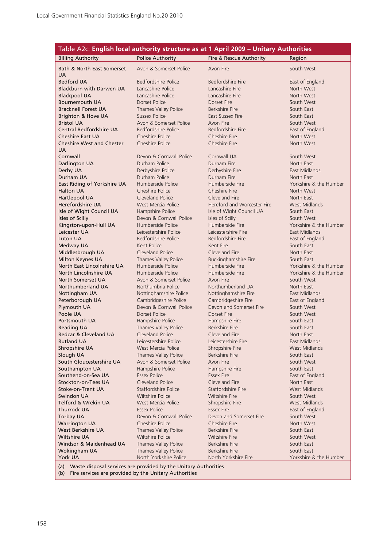|                                                     |                                           | Table A2c: English local authority structure as at 1 April 2009 - Unitary Authorities |                                                  |
|-----------------------------------------------------|-------------------------------------------|---------------------------------------------------------------------------------------|--------------------------------------------------|
| <b>Billing Authority</b>                            | <b>Police Authority</b>                   | Fire & Rescue Authority                                                               | Region                                           |
| Bath & North East Somerset<br><b>UA</b>             | Avon & Somerset Police                    | Avon Fire                                                                             | South West                                       |
| <b>Bedford UA</b>                                   | Bedfordshire Police                       | Bedfordshire Fire                                                                     | East of England                                  |
| <b>Blackburn with Darwen UA</b>                     | Lancashire Police                         | Lancashire Fire                                                                       | North West                                       |
| <b>Blackpool UA</b>                                 | Lancashire Police                         | Lancashire Fire                                                                       | North West                                       |
| <b>Bournemouth UA</b>                               | Dorset Police                             | Dorset Fire                                                                           | South West                                       |
| <b>Bracknell Forest UA</b>                          | Thames Valley Police                      | Berkshire Fire                                                                        | South East                                       |
| Brighton & Hove UA                                  | <b>Sussex Police</b>                      | East Sussex Fire                                                                      | South East                                       |
| <b>Bristol UA</b>                                   | Avon & Somerset Police                    | Avon Fire                                                                             | South West                                       |
| Central Bedfordshire UA                             | Bedfordshire Police                       | <b>Bedfordshire Fire</b>                                                              | East of England                                  |
| <b>Cheshire East UA</b>                             | Cheshire Police                           | Cheshire Fire                                                                         | North West                                       |
| <b>Cheshire West and Chester</b><br><b>UA</b>       | Cheshire Police                           | Cheshire Fire                                                                         | North West                                       |
| Cornwall                                            | Devon & Cornwall Police                   | Cornwall UA                                                                           | South West                                       |
| Darlington UA                                       | Durham Police                             | Durham Fire                                                                           | North East                                       |
| Derby UA                                            | Derbyshire Police                         | Derbyshire Fire                                                                       | East Midlands                                    |
| Durham UA                                           | Durham Police                             | Durham Fire                                                                           | North East                                       |
| East Riding of Yorkshire UA                         | Humberside Police                         | Humberside Fire                                                                       | Yorkshire & the Humber                           |
| <b>Halton UA</b>                                    | <b>Cheshire Police</b>                    | Cheshire Fire                                                                         | North West                                       |
| Hartlepool UA                                       | Cleveland Police                          | Cleveland Fire                                                                        | North East                                       |
| Herefordshire UA                                    | West Mercia Police                        | Hereford and Worcester Fire                                                           | <b>West Midlands</b>                             |
| Isle of Wight Council UA                            | Hampshire Police                          | Isle of Wight Council UA                                                              | South East                                       |
| Isles of Scilly                                     | Devon & Cornwall Police                   | Isles of Scilly                                                                       | South West                                       |
| Kingston-upon-Hull UA                               | Humberside Police                         | Humberside Fire                                                                       | Yorkshire & the Humber                           |
| Leicester UA                                        | Leicestershire Police                     | Leicestershire Fire                                                                   | East Midlands                                    |
| <b>Luton UA</b>                                     | Bedfordshire Police                       | Bedfordshire Fire                                                                     | East of England                                  |
| Medway UA                                           | Kent Police                               | Kent Fire                                                                             | South East                                       |
| Middlesbrough UA                                    | Cleveland Police                          | Cleveland Fire                                                                        | North East                                       |
| Milton Keynes UA                                    | Thames Valley Police<br>Humberside Police | <b>Buckinghamshire Fire</b><br>Humberside Fire                                        | South East                                       |
| North East Lincolnshire UA<br>North Lincolnshire UA | Humberside Police                         | Humberside Fire                                                                       | Yorkshire & the Humber<br>Yorkshire & the Humber |
| <b>North Somerset UA</b>                            | Avon & Somerset Police                    | Avon Fire                                                                             | South West                                       |
| Northumberland UA                                   | Northumbria Police                        | Northumberland UA                                                                     | North East                                       |
| Nottingham UA                                       | Nottinghamshire Police                    | Nottinghamshire Fire                                                                  | East Midlands                                    |
| Peterborough UA                                     | Cambridgeshire Police                     | Cambridgeshire Fire                                                                   | East of England                                  |
| Plymouth UA                                         | Devon & Cornwall Police                   | Devon and Somerset Fire                                                               | South West                                       |
| Poole UA                                            | <b>Dorset Police</b>                      | Dorset Fire                                                                           | South West                                       |
| Portsmouth UA                                       | Hampshire Police                          | Hampshire Fire                                                                        | South East                                       |
| <b>Reading UA</b>                                   | Thames Valley Police                      | <b>Berkshire Fire</b>                                                                 | South East                                       |
| Redcar & Cleveland UA                               | Cleveland Police                          | Cleveland Fire                                                                        | North East                                       |
| Rutland UA                                          | Leicestershire Police                     | Leicestershire Fire                                                                   | East Midlands                                    |
| Shropshire UA                                       | West Mercia Police                        | Shropshire Fire                                                                       | <b>West Midlands</b>                             |
| Slough UA                                           | Thames Valley Police                      | <b>Berkshire Fire</b>                                                                 | South East                                       |
| South Gloucestershire UA                            | Avon & Somerset Police                    | Avon Fire                                                                             | South West                                       |
| Southampton UA                                      | Hampshire Police                          | Hampshire Fire                                                                        | South East                                       |
| Southend-on-Sea UA                                  | <b>Essex Police</b>                       | <b>Essex Fire</b>                                                                     | East of England                                  |
| <b>Stockton-on-Tees UA</b>                          | Cleveland Police                          | Cleveland Fire                                                                        | North East                                       |
| Stoke-on-Trent UA                                   | Staffordshire Police                      | Staffordshire Fire                                                                    | West Midlands                                    |
| Swindon UA                                          | <b>Wiltshire Police</b>                   | <b>Wiltshire Fire</b>                                                                 | South West                                       |
| Telford & Wrekin UA                                 | West Mercia Police                        | Shropshire Fire                                                                       | West Midlands                                    |
| Thurrock UA                                         | <b>Essex Police</b>                       | <b>Essex Fire</b>                                                                     | East of England                                  |
| <b>Torbay UA</b>                                    | Devon & Cornwall Police                   | Devon and Somerset Fire                                                               | South West                                       |
| <b>Warrington UA</b>                                | Cheshire Police                           | Cheshire Fire                                                                         | North West                                       |
| West Berkshire UA                                   | Thames Valley Police                      | <b>Berkshire Fire</b>                                                                 | South East                                       |
| Wiltshire UA                                        | <b>Wiltshire Police</b>                   | <b>Wiltshire Fire</b>                                                                 | South West                                       |
| Windsor & Maidenhead UA                             | Thames Valley Police                      | <b>Berkshire Fire</b>                                                                 | South East                                       |
| Wokingham UA                                        | Thames Valley Police                      | <b>Berkshire Fire</b>                                                                 | South East                                       |
| York UA                                             | North Yorkshire Police                    | North Yorkshire Fire                                                                  | Yorkshire & the Humber                           |

(a) Waste disposal services are provided by the Unitary Authorities

(b) Fire services are provided by the Unitary Authorities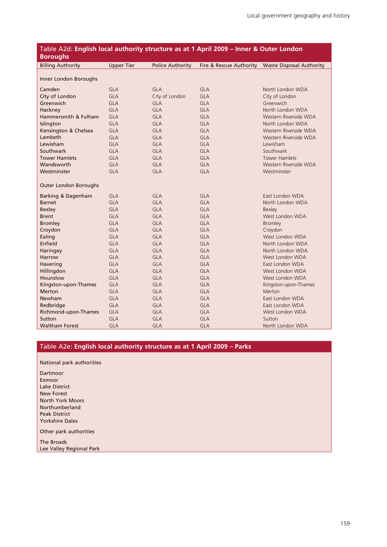| Table A2d: English local authority structure as at 1 April 2009 - Inner & Outer London<br><b>Boroughs</b> |                   |                         |                         |                                 |  |
|-----------------------------------------------------------------------------------------------------------|-------------------|-------------------------|-------------------------|---------------------------------|--|
| <b>Billing Authority</b>                                                                                  | <b>Upper Tier</b> | <b>Police Authority</b> | Fire & Rescue Authority | <b>Waste Disposal Authority</b> |  |
| Inner London Boroughs                                                                                     |                   |                         |                         |                                 |  |
| Camden                                                                                                    | <b>GLA</b>        | <b>GLA</b>              | <b>GLA</b>              | North London WDA                |  |
| City of London                                                                                            | <b>GLA</b>        | City of London          | <b>GLA</b>              | City of London                  |  |
| Greenwich                                                                                                 | <b>GLA</b>        | <b>GLA</b>              | <b>GLA</b>              | Greenwich                       |  |
| Hackney                                                                                                   | <b>GLA</b>        | <b>GLA</b>              | <b>GLA</b>              | North London WDA                |  |
| Hammersmith & Fulham                                                                                      | <b>GLA</b>        | <b>GLA</b>              | <b>GLA</b>              | Western Riverside WDA           |  |
| Islington                                                                                                 | <b>GLA</b>        | <b>GLA</b>              | <b>GLA</b>              | North London WDA                |  |
| Kensington & Chelsea                                                                                      | <b>GLA</b>        | <b>GLA</b>              | <b>GLA</b>              | Western Riverside WDA           |  |
| Lambeth                                                                                                   | <b>GLA</b>        | <b>GLA</b>              | <b>GLA</b>              | Western Riverside WDA           |  |
| Lewisham                                                                                                  | <b>GLA</b>        | <b>GLA</b>              | <b>GLA</b>              | Lewisham                        |  |
| Southwark                                                                                                 | <b>GLA</b>        | <b>GLA</b>              | <b>GLA</b>              | Southwark                       |  |
| <b>Tower Hamlets</b>                                                                                      | <b>GLA</b>        | <b>GLA</b>              | <b>GLA</b>              | <b>Tower Hamlets</b>            |  |
| Wandsworth                                                                                                | <b>GLA</b>        | <b>GLA</b>              | <b>GLA</b>              | Western Riverside WDA           |  |
| Westminster                                                                                               | <b>GLA</b>        | <b>GLA</b>              | <b>GLA</b>              | Westminster                     |  |
| <b>Outer London Boroughs</b>                                                                              |                   |                         |                         |                                 |  |
| Barking & Dagenham                                                                                        | <b>GLA</b>        | <b>GLA</b>              | <b>GLA</b>              | East London WDA                 |  |
| <b>Barnet</b>                                                                                             | <b>GLA</b>        | <b>GLA</b>              | <b>GLA</b>              | North London WDA                |  |
| <b>Bexley</b>                                                                                             | <b>GLA</b>        | <b>GLA</b>              | <b>GLA</b>              | <b>Bexley</b>                   |  |
| <b>Brent</b>                                                                                              | <b>GLA</b>        | <b>GLA</b>              | <b>GLA</b>              | West London WDA                 |  |
| <b>Bromley</b>                                                                                            | <b>GLA</b>        | <b>GLA</b>              | <b>GLA</b>              | <b>Bromley</b>                  |  |
| Croydon                                                                                                   | <b>GLA</b>        | <b>GLA</b>              | <b>GLA</b>              | Croydon                         |  |
| Ealing                                                                                                    | <b>GLA</b>        | <b>GLA</b>              | <b>GLA</b>              | West London WDA                 |  |
| Enfield                                                                                                   | <b>GLA</b>        | <b>GLA</b>              | <b>GLA</b>              | North London WDA                |  |
| Haringey                                                                                                  | <b>GLA</b>        | <b>GLA</b>              | <b>GLA</b>              | North London WDA                |  |
| Harrow                                                                                                    | <b>GLA</b>        | <b>GLA</b>              | <b>GLA</b>              | West London WDA                 |  |
| Havering                                                                                                  | <b>GLA</b>        | <b>GLA</b>              | <b>GLA</b>              | East London WDA                 |  |
| Hillingdon                                                                                                | <b>GLA</b>        | <b>GLA</b>              | <b>GLA</b>              | West London WDA                 |  |
| Hounslow                                                                                                  | <b>GLA</b>        | <b>GLA</b>              | <b>GLA</b>              | West London WDA                 |  |
| Kingston-upon-Thames                                                                                      | <b>GLA</b>        | <b>GLA</b>              | <b>GLA</b>              | Kingston-upon-Thames            |  |
| <b>Merton</b>                                                                                             | <b>GLA</b>        | <b>GLA</b>              | <b>GLA</b>              | <b>Merton</b>                   |  |
| <b>Newham</b>                                                                                             | <b>GLA</b>        | <b>GLA</b>              | <b>GLA</b>              | East London WDA                 |  |
| Redbridge                                                                                                 | <b>GLA</b>        | <b>GLA</b>              | <b>GLA</b>              | East London WDA                 |  |
| Richmond-upon-Thames                                                                                      | <b>GLA</b>        | <b>GLA</b>              | <b>GLA</b>              | West London WDA                 |  |
| Sutton                                                                                                    | <b>GLA</b>        | <b>GLA</b>              | <b>GLA</b>              | Sutton                          |  |
| <b>Waltham Forest</b>                                                                                     | <b>GLA</b>        | <b>GLA</b>              | <b>GLA</b>              | North London WDA                |  |

#### Table A2e: **English local authority structure as at 1 April 2009 – Parks**

National park authorities

Dartmoor Exmoor Lake District New Forest North York Moors Northumberland Peak District Yorkshire Dales

Other park authorities

The Broads

Lee Valley Regional Park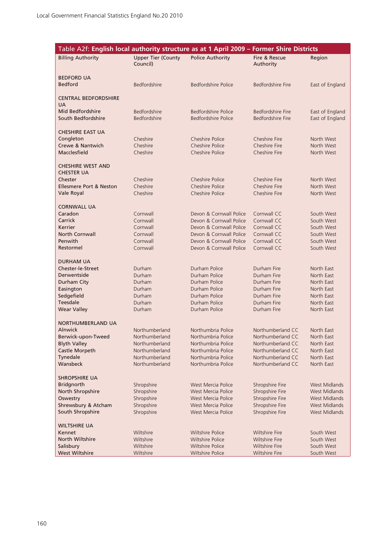| Table A2f: English local authority structure as at 1 April 2009 - Former Shire Districts |                                       |                                                    |                                                |                          |
|------------------------------------------------------------------------------------------|---------------------------------------|----------------------------------------------------|------------------------------------------------|--------------------------|
| <b>Billing Authority</b>                                                                 | <b>Upper Tier (County</b><br>Council) | <b>Police Authority</b>                            | Fire & Rescue<br>Authority                     | Region                   |
| <b>BEDFORD UA</b><br><b>Bedford</b>                                                      | Bedfordshire                          | Bedfordshire Police                                | Bedfordshire Fire                              | East of England          |
| <b>CENTRAL BEDFORDSHIRE</b>                                                              |                                       |                                                    |                                                |                          |
| <b>UA</b>                                                                                |                                       |                                                    |                                                |                          |
| Mid Bedfordshire                                                                         | <b>Bedfordshire</b>                   | Bedfordshire Police                                | Bedfordshire Fire                              | East of England          |
| South Bedfordshire                                                                       | Bedfordshire                          | Bedfordshire Police                                | Bedfordshire Fire                              | East of England          |
| <b>CHESHIRE EAST UA</b>                                                                  |                                       |                                                    |                                                |                          |
| Congleton                                                                                | Cheshire                              | Cheshire Police                                    | Cheshire Fire                                  | North West               |
| Crewe & Nantwich                                                                         | Cheshire                              | Cheshire Police                                    | Cheshire Fire                                  | North West               |
| Macclesfield                                                                             | Cheshire                              | Cheshire Police                                    | Cheshire Fire                                  | North West               |
| <b>CHESHIRE WEST AND</b><br><b>CHESTER UA</b>                                            |                                       |                                                    |                                                |                          |
| Chester                                                                                  | Cheshire                              | Cheshire Police                                    | Cheshire Fire                                  | North West               |
| <b>Ellesmere Port &amp; Neston</b>                                                       | Cheshire                              | Cheshire Police                                    | Cheshire Fire                                  | North West               |
| <b>Vale Royal</b>                                                                        | Cheshire                              | Cheshire Police                                    | Cheshire Fire                                  | North West               |
| <b>CORNWALL UA</b>                                                                       |                                       |                                                    |                                                |                          |
| Caradon                                                                                  | Cornwall                              | Devon & Cornwall Police                            | Cornwall CC                                    | South West               |
| Carrick                                                                                  | Cornwall                              | Devon & Cornwall Police                            | Cornwall CC                                    | South West               |
| Kerrier                                                                                  | Cornwall                              | Devon & Cornwall Police                            | Cornwall CC                                    | South West               |
| <b>North Cornwall</b><br>Penwith                                                         | Cornwall<br>Cornwall                  | Devon & Cornwall Police<br>Devon & Cornwall Police | Cornwall CC<br>Cornwall CC                     | South West<br>South West |
| Restormel                                                                                | Cornwall                              | Devon & Cornwall Police                            | Cornwall CC                                    | South West               |
| <b>DURHAM UA</b>                                                                         |                                       |                                                    |                                                |                          |
| <b>Chester-le-Street</b>                                                                 | Durham                                | Durham Police                                      | Durham Fire                                    | North East               |
| Derwentside                                                                              | Durham                                | Durham Police                                      | Durham Fire                                    | North East               |
| Durham City                                                                              | Durham                                | Durham Police                                      | Durham Fire                                    | North East               |
| Easington                                                                                | Durham                                | Durham Police                                      | Durham Fire                                    | North East               |
| Sedgefield<br>Teesdale                                                                   | Durham<br>Durham                      | Durham Police<br>Durham Police                     | Durham Fire<br>Durham Fire                     | North East<br>North East |
| <b>Wear Valley</b>                                                                       | Durham                                | Durham Police                                      | Durham Fire                                    | North East               |
|                                                                                          |                                       |                                                    |                                                |                          |
| NORTHUMBERLAND UA<br><b>Alnwick</b>                                                      | Northumberland                        | Northumbria Police                                 | Northumberland CC                              | North East               |
| Berwick-upon-Tweed                                                                       | Northumberland                        | Northumbria Police                                 | Northumberland CC                              | North East               |
| <b>Blyth Valley</b>                                                                      | Northumberland                        | Northumbria Police                                 | Northumberland CC                              | North East               |
| Castle Morpeth                                                                           | Northumberland                        | Northumbria Police                                 | Northumberland CC                              | North East               |
| Tynedale                                                                                 | Northumberland                        | Northumbria Police                                 | Northumberland CC                              | North East               |
| Wansbeck                                                                                 | Northumberland                        | Northumbria Police                                 | Northumberland CC                              | North East               |
| <b>SHROPSHIRE UA</b>                                                                     |                                       |                                                    |                                                |                          |
| <b>Bridgnorth</b>                                                                        | Shropshire                            | West Mercia Police                                 | Shropshire Fire                                | West Midlands            |
| North Shropshire                                                                         | Shropshire                            | West Mercia Police                                 | Shropshire Fire                                | West Midlands            |
| Oswestry                                                                                 | Shropshire                            | West Mercia Police                                 | Shropshire Fire                                | West Midlands            |
| Shrewsbury & Atcham                                                                      | Shropshire                            | West Mercia Police                                 | Shropshire Fire                                | West Midlands            |
| South Shropshire                                                                         | Shropshire                            | West Mercia Police                                 | Shropshire Fire                                | West Midlands            |
| WILTSHIRE UA                                                                             |                                       |                                                    |                                                |                          |
| Kennet                                                                                   | Wiltshire                             | <b>Wiltshire Police</b>                            | <b>Wiltshire Fire</b>                          | South West               |
| North Wiltshire                                                                          | Wiltshire                             | <b>Wiltshire Police</b>                            | <b>Wiltshire Fire</b>                          | South West               |
| Salisbury<br><b>West Wiltshire</b>                                                       | Wiltshire<br>Wiltshire                | <b>Wiltshire Police</b><br><b>Wiltshire Police</b> | <b>Wiltshire Fire</b><br><b>Wiltshire Fire</b> | South West<br>South West |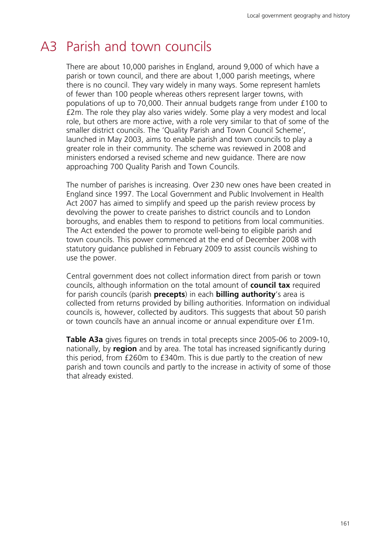## A3 Parish and town councils

There are about 10,000 parishes in England, around 9,000 of which have a parish or town council, and there are about 1,000 parish meetings, where there is no council. They vary widely in many ways. Some represent hamlets of fewer than 100 people whereas others represent larger towns, with populations of up to 70,000. Their annual budgets range from under £100 to £2m. The role they play also varies widely. Some play a very modest and local role, but others are more active, with a role very similar to that of some of the smaller district councils. The 'Quality Parish and Town Council Scheme', launched in May 2003, aims to enable parish and town councils to play a greater role in their community. The scheme was reviewed in 2008 and ministers endorsed a revised scheme and new guidance. There are now approaching 700 Quality Parish and Town Councils.

The number of parishes is increasing. Over 230 new ones have been created in England since 1997. The Local Government and Public Involvement in Health Act 2007 has aimed to simplify and speed up the parish review process by devolving the power to create parishes to district councils and to London boroughs, and enables them to respond to petitions from local communities. The Act extended the power to promote well-being to eligible parish and town councils. This power commenced at the end of December 2008 with statutory guidance published in February 2009 to assist councils wishing to use the power.

Central government does not collect information direct from parish or town councils, although information on the total amount of **council tax** required for parish councils (parish **precepts**) in each **billing authority**'s area is collected from returns provided by billing authorities. Information on individual councils is, however, collected by auditors. This suggests that about 50 parish or town councils have an annual income or annual expenditure over £1m.

**Table A3a** gives figures on trends in total precepts since 2005-06 to 2009-10, nationally, by **region** and by area. The total has increased significantly during this period, from £260m to £340m. This is due partly to the creation of new parish and town councils and partly to the increase in activity of some of those that already existed.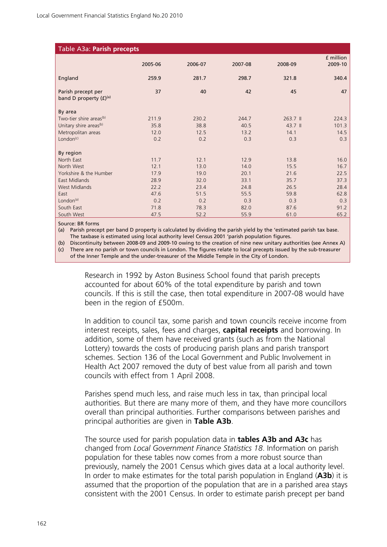| Table A3a: Parish precepts          |         |         |         |          |           |
|-------------------------------------|---------|---------|---------|----------|-----------|
|                                     | 2005-06 | 2006-07 | 2007-08 | 2008-09  | £ million |
|                                     |         |         |         |          | 2009-10   |
| England                             | 259.9   | 281.7   | 298.7   | 321.8    | 340.4     |
| Parish precept per                  | 37      | 40      | 42      | 45       | 47        |
| band D property $(E)^{(a)}$         |         |         |         |          |           |
| By area                             |         |         |         |          |           |
| Two-tier shire areas <sup>(b)</sup> | 211.9   | 230.2   | 244.7   | 263.7 II | 224.3     |
| Unitary shire areas <sup>(b)</sup>  | 35.8    | 38.8    | 40.5    | 43.7 ll  | 101.3     |
| Metropolitan areas                  | 12.0    | 12.5    | 13.2    | 14.1     | 14.5      |
| London <sup>(c)</sup>               | 0.2     | 0.2     | 0.3     | 0.3      | 0.3       |
|                                     |         |         |         |          |           |
| By region                           |         |         |         |          |           |
| North East                          | 11.7    | 12.1    | 12.9    | 13.8     | 16.0      |
| North West                          | 12.1    | 13.0    | 14.0    | 15.5     | 16.7      |
| Yorkshire & the Humber              | 17.9    | 19.0    | 20.1    | 21.6     | 22.5      |
| East Midlands                       | 28.9    | 32.0    | 33.1    | 35.7     | 37.3      |
| <b>West Midlands</b>                | 22.2    | 23.4    | 24.8    | 26.5     | 28.4      |
| East                                | 47.6    | 51.5    | 55.5    | 59.8     | 62.8      |
| London $(a)$                        | 0.2     | 0.2     | 0.3     | 0.3      | 0.3       |
| South East                          | 71.8    | 78.3    | 82.0    | 87.6     | 91.2      |
| South West                          | 47.5    | 52.2    | 55.9    | 61.0     | 65.2      |

Source: BR forms

(a) Parish precept per band D property is calculated by dividing the parish yield by the 'estimated parish tax base. The taxbase is estimated using local authority level Census 2001 'parish population figures.

(b) Discontinuity between 2008-09 and 2009-10 owing to the creation of nine new unitary authorities (see Annex A) (c) There are no parish or town councils in London. The figures relate to local precepts issued by the sub-treasurer of the Inner Temple and the under-treasurer of the Middle Temple in the City of London.

Research in 1992 by Aston Business School found that parish precepts accounted for about 60% of the total expenditure by parish and town councils. If this is still the case, then total expenditure in 2007-08 would have been in the region of £500m.

In addition to council tax, some parish and town councils receive income from interest receipts, sales, fees and charges, **capital receipts** and borrowing. In addition, some of them have received grants (such as from the National Lottery) towards the costs of producing parish plans and parish transport schemes. Section 136 of the Local Government and Public Involvement in Health Act 2007 removed the duty of best value from all parish and town councils with effect from 1 April 2008.

Parishes spend much less, and raise much less in tax, than principal local authorities. But there are many more of them, and they have more councillors overall than principal authorities. Further comparisons between parishes and principal authorities are given in **Table A3b**.

The source used for parish population data in **tables A3b and A3c** has changed from *Local Government Finance Statistics 18*. Information on parish population for these tables now comes from a more robust source than previously, namely the 2001 Census which gives data at a local authority level. In order to make estimates for the total parish population in England (**A3b**) it is assumed that the proportion of the population that are in a parished area stays consistent with the 2001 Census. In order to estimate parish precept per band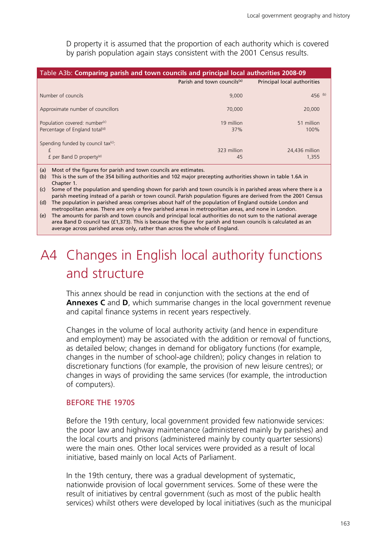D property it is assumed that the proportion of each authority which is covered by parish population again stays consistent with the 2001 Census results.

| Table A3b: Comparing parish and town councils and principal local authorities 2008-09   |                                         |                             |
|-----------------------------------------------------------------------------------------|-----------------------------------------|-----------------------------|
|                                                                                         | Parish and town councils <sup>(a)</sup> | Principal local authorities |
| Number of councils                                                                      | 9.000                                   | $456$ (b)                   |
| Approximate number of councillors                                                       | 70,000                                  | 20,000                      |
| Population covered: number <sup>(c)</sup><br>Percentage of England total <sup>(d)</sup> | 19 million<br>37%                       | 51 million<br>100%          |
| Spending funded by council tax(c):<br>£<br>£ per Band D property <sup>(e)</sup>         | 323 million<br>45                       | 24,436 million<br>1.355     |

(a) Most of the figures for parish and town councils are estimates.

(b) This is the sum of the 354 billing authorities and 102 major precepting authorities shown in table 1.6A in Chapter 1.

(c) Some of the population and spending shown for parish and town councils is in parished areas where there is a parish meeting instead of a parish or town council. Parish population figures are derived from the 2001 Census (d) The population in parished areas comprises about half of the population of England outside London and

metropolitan areas. There are only a few parished areas in metropolitan areas, and none in London.

(e) The amounts for parish and town councils and principal local authorities do not sum to the national average area Band D council tax (£1,373). This is because the figure for parish and town councils is calculated as an average across parished areas only, rather than across the whole of England.

## A4 Changes in English local authority functions and structure

This annex should be read in conjunction with the sections at the end of **Annexes C** and **D**, which summarise changes in the local government revenue and capital finance systems in recent years respectively.

Changes in the volume of local authority activity (and hence in expenditure and employment) may be associated with the addition or removal of functions, as detailed below; changes in demand for obligatory functions (for example, changes in the number of school-age children); policy changes in relation to discretionary functions (for example, the provision of new leisure centres); or changes in ways of providing the same services (for example, the introduction of computers).

#### BEFORE THE 1970S

Before the 19th century, local government provided few nationwide services: the poor law and highway maintenance (administered mainly by parishes) and the local courts and prisons (administered mainly by county quarter sessions) were the main ones. Other local services were provided as a result of local initiative, based mainly on local Acts of Parliament.

In the 19th century, there was a gradual development of systematic, nationwide provision of local government services. Some of these were the result of initiatives by central government (such as most of the public health services) whilst others were developed by local initiatives (such as the municipal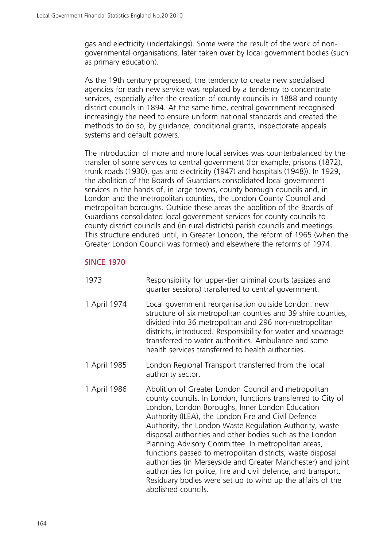gas and electricity undertakings). Some were the result of the work of nongovernmental organisations, later taken over by local government bodies (such as primary education).

As the 19th century progressed, the tendency to create new specialised agencies for each new service was replaced by a tendency to concentrate services, especially after the creation of county councils in 1888 and county district councils in 1894. At the same time, central government recognised increasingly the need to ensure uniform national standards and created the methods to do so, by guidance, conditional grants, inspectorate appeals systems and default powers.

The introduction of more and more local services was counterbalanced by the transfer of some services to central government (for example, prisons (1872), trunk roads (1930), gas and electricity (1947) and hospitals (1948)). In 1929, the abolition of the Boards of Guardians consolidated local government services in the hands of, in large towns, county borough councils and, in London and the metropolitan counties, the London County Council and metropolitan boroughs. Outside these areas the abolition of the Boards of Guardians consolidated local government services for county councils to county district councils and (in rural districts) parish councils and meetings. This structure endured until, in Greater London, the reform of 1965 (when the Greater London Council was formed) and elsewhere the reforms of 1974.

#### SINCE 1970

- 1973 Responsibility for upper-tier criminal courts (assizes and quarter sessions) transferred to central government.
- 1 April 1974 Local government reorganisation outside London: new structure of six metropolitan counties and 39 shire counties, divided into 36 metropolitan and 296 non-metropolitan districts, introduced. Responsibility for water and sewerage transferred to water authorities. Ambulance and some health services transferred to health authorities.
- 1 April 1985 London Regional Transport transferred from the local authority sector.
- 1 April 1986 Abolition of Greater London Council and metropolitan county councils. In London, functions transferred to City of London, London Boroughs, Inner London Education Authority (ILEA), the London Fire and Civil Defence Authority, the London Waste Regulation Authority, waste disposal authorities and other bodies such as the London Planning Advisory Committee. In metropolitan areas, functions passed to metropolitan districts, waste disposal authorities (in Merseyside and Greater Manchester) and joint authorities for police, fire and civil defence, and transport. Residuary bodies were set up to wind up the affairs of the abolished councils.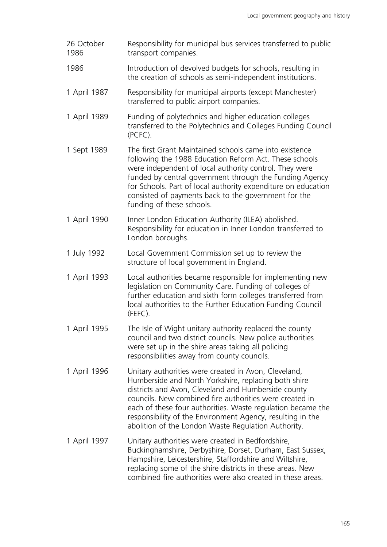- 26 October 1986 Responsibility for municipal bus services transferred to public transport companies.
- 1986 Introduction of devolved budgets for schools, resulting in the creation of schools as semi-independent institutions.
- 1 April 1987 Responsibility for municipal airports (except Manchester) transferred to public airport companies.
- 1 April 1989 Funding of polytechnics and higher education colleges transferred to the Polytechnics and Colleges Funding Council (PCFC).
- 1 Sept 1989 The first Grant Maintained schools came into existence following the 1988 Education Reform Act. These schools were independent of local authority control. They were funded by central government through the Funding Agency for Schools. Part of local authority expenditure on education consisted of payments back to the government for the funding of these schools.
- 1 April 1990 Inner London Education Authority (ILEA) abolished. Responsibility for education in Inner London transferred to London boroughs.
- 1 July 1992 Local Government Commission set up to review the structure of local government in England.
- 1 April 1993 Local authorities became responsible for implementing new legislation on Community Care. Funding of colleges of further education and sixth form colleges transferred from local authorities to the Further Education Funding Council (FEFC).
- 1 April 1995 The Isle of Wight unitary authority replaced the county council and two district councils. New police authorities were set up in the shire areas taking all policing responsibilities away from county councils.
- 1 April 1996 Unitary authorities were created in Avon, Cleveland, Humberside and North Yorkshire, replacing both shire districts and Avon, Cleveland and Humberside county councils. New combined fire authorities were created in each of these four authorities. Waste regulation became the responsibility of the Environment Agency, resulting in the abolition of the London Waste Regulation Authority.
- 1 April 1997 Unitary authorities were created in Bedfordshire, Buckinghamshire, Derbyshire, Dorset, Durham, East Sussex, Hampshire, Leicestershire, Staffordshire and Wiltshire, replacing some of the shire districts in these areas. New combined fire authorities were also created in these areas.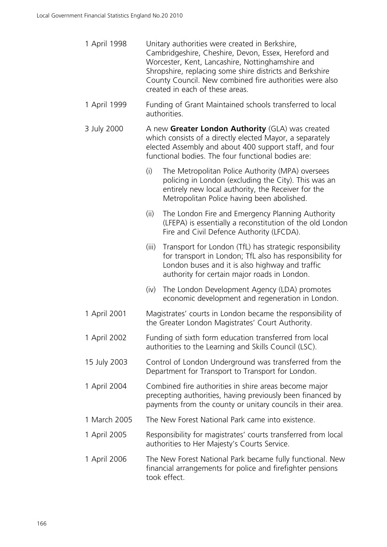| 1 April 1998 | Unitary authorities were created in Berkshire,<br>Cambridgeshire, Cheshire, Devon, Essex, Hereford and<br>Worcester, Kent, Lancashire, Nottinghamshire and<br>Shropshire, replacing some shire districts and Berkshire<br>County Council. New combined fire authorities were also<br>created in each of these areas. |
|--------------|----------------------------------------------------------------------------------------------------------------------------------------------------------------------------------------------------------------------------------------------------------------------------------------------------------------------|
| 1 April 1999 | Funding of Grant Maintained schools transferred to local<br>authorities.                                                                                                                                                                                                                                             |
| 3 July 2000  | A new Greater London Authority (GLA) was created<br>which consists of a directly elected Mayor, a separately<br>elected Assembly and about 400 support staff, and four<br>functional bodies. The four functional bodies are:                                                                                         |
|              | (i)<br>The Metropolitan Police Authority (MPA) oversees<br>policing in London (excluding the City). This was an<br>entirely new local authority, the Receiver for the<br>Metropolitan Police having been abolished.                                                                                                  |
|              | (ii)<br>The London Fire and Emergency Planning Authority<br>(LFEPA) is essentially a reconstitution of the old London<br>Fire and Civil Defence Authority (LFCDA).                                                                                                                                                   |
|              | Transport for London (TfL) has strategic responsibility<br>(iii)<br>for transport in London; TfL also has responsibility for<br>London buses and it is also highway and traffic<br>authority for certain major roads in London.                                                                                      |
|              | The London Development Agency (LDA) promotes<br>(iv)<br>economic development and regeneration in London.                                                                                                                                                                                                             |
| 1 April 2001 | Magistrates' courts in London became the responsibility of<br>the Greater London Magistrates' Court Authority.                                                                                                                                                                                                       |
| 1 April 2002 | Funding of sixth form education transferred from local<br>authorities to the Learning and Skills Council (LSC).                                                                                                                                                                                                      |
| 15 July 2003 | Control of London Underground was transferred from the<br>Department for Transport to Transport for London.                                                                                                                                                                                                          |
| 1 April 2004 | Combined fire authorities in shire areas become major<br>precepting authorities, having previously been financed by<br>payments from the county or unitary councils in their area.                                                                                                                                   |
| 1 March 2005 | The New Forest National Park came into existence.                                                                                                                                                                                                                                                                    |
| 1 April 2005 | Responsibility for magistrates' courts transferred from local<br>authorities to Her Majesty's Courts Service.                                                                                                                                                                                                        |
| 1 April 2006 | The New Forest National Park became fully functional. New<br>financial arrangements for police and firefighter pensions<br>took effect.                                                                                                                                                                              |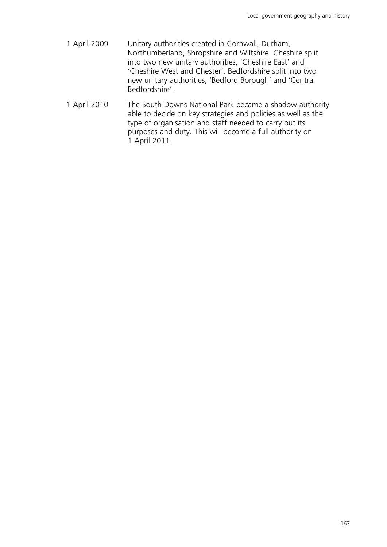- 1 April 2009 Unitary authorities created in Cornwall, Durham, Northumberland, Shropshire and Wiltshire. Cheshire split into two new unitary authorities, 'Cheshire East' and 'Cheshire West and Chester'; Bedfordshire split into two new unitary authorities, 'Bedford Borough' and 'Central Bedfordshire'.
- 1 April 2010 The South Downs National Park became a shadow authority able to decide on key strategies and policies as well as the type of organisation and staff needed to carry out its purposes and duty. This will become a full authority on 1 April 2011.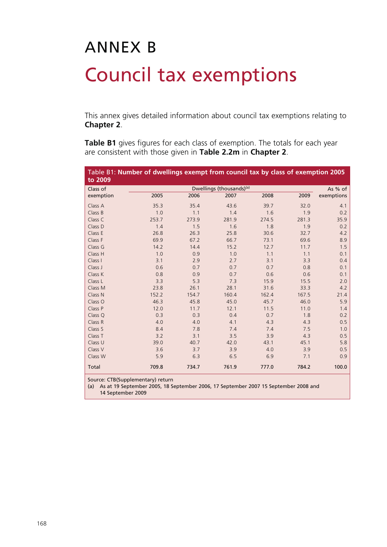# ANNEX B Council tax exemptions

This annex gives detailed information about council tax exemptions relating to **Chapter 2**.

**Table B1** gives figures for each class of exemption. The totals for each year are consistent with those given in **Table 2.2m** in **Chapter 2**.

| Table B1: Number of dwellings exempt from council tax by class of exemption 2005<br>to 2009 |       |       |                                      |       |       |            |
|---------------------------------------------------------------------------------------------|-------|-------|--------------------------------------|-------|-------|------------|
| Class of                                                                                    |       |       | Dwellings (thousands) <sup>(a)</sup> |       |       | As % of    |
| exemption                                                                                   | 2005  | 2006  | 2007                                 | 2008  | 2009  | exemptions |
| Class A                                                                                     | 35.3  | 35.4  | 43.6                                 | 39.7  | 32.0  | 4.1        |
| Class B                                                                                     | 1.0   | 1.1   | 1.4                                  | 1.6   | 1.9   | 0.2        |
| Class C                                                                                     | 253.7 | 273.9 | 281.9                                | 274.5 | 281.3 | 35.9       |
| Class D                                                                                     | 1.4   | 1.5   | 1.6                                  | 1.8   | 1.9   | 0.2        |
| Class E                                                                                     | 26.8  | 26.3  | 25.8                                 | 30.6  | 32.7  | 4.2        |
| Class F                                                                                     | 69.9  | 67.2  | 66.7                                 | 73.1  | 69.6  | 8.9        |
| Class G                                                                                     | 14.2  | 14.4  | 15.2                                 | 12.7  | 11.7  | 1.5        |
| Class H                                                                                     | 1.0   | 0.9   | 1.0                                  | 1.1   | 1.1   | 0.1        |
| Class I                                                                                     | 3.1   | 2.9   | 2.7                                  | 3.1   | 3.3   | 0.4        |
| Class J                                                                                     | 0.6   | 0.7   | 0.7                                  | 0.7   | 0.8   | 0.1        |
| Class K                                                                                     | 0.8   | 0.9   | 0.7                                  | 0.6   | 0.6   | 0.1        |
| Class L                                                                                     | 3.3   | 5.3   | 7.3                                  | 15.9  | 15.5  | 2.0        |
| Class M                                                                                     | 23.8  | 26.1  | 28.1                                 | 31.6  | 33.3  | 4.2        |
| Class N                                                                                     | 152.2 | 154.7 | 160.4                                | 162.4 | 167.5 | 21.4       |
| Class O                                                                                     | 46.3  | 45.8  | 45.0                                 | 45.7  | 46.0  | 5.9        |
| Class P                                                                                     | 12.0  | 11.7  | 12.1                                 | 11.5  | 11.0  | 1.4        |
| Class Q                                                                                     | 0.3   | 0.3   | 0.4                                  | 0.7   | 1.8   | 0.2        |
| Class R                                                                                     | 4.0   | 4.0   | 4.1                                  | 4.3   | 4.3   | 0.5        |
| Class S                                                                                     | 8.4   | 7.8   | 7.4                                  | 7.4   | 7.5   | 1.0        |
| Class T                                                                                     | 3.2   | 3.1   | 3.5                                  | 3.9   | 4.3   | 0.5        |
| Class U                                                                                     | 39.0  | 40.7  | 42.0                                 | 43.1  | 45.1  | 5.8        |
| Class V                                                                                     | 3.6   | 3.7   | 3.9                                  | 4.0   | 3.9   | 0.5        |
| Class W                                                                                     | 5.9   | 6.3   | 6.5                                  | 6.9   | 7.1   | 0.9        |
| Total                                                                                       | 709.8 | 734.7 | 761.9                                | 777.0 | 784.2 | 100.0      |

Source: CTB(Supplementary) return

(a) As at 19 September 2005, 18 September 2006, 17 September 2007 15 September 2008 and

14 September 2009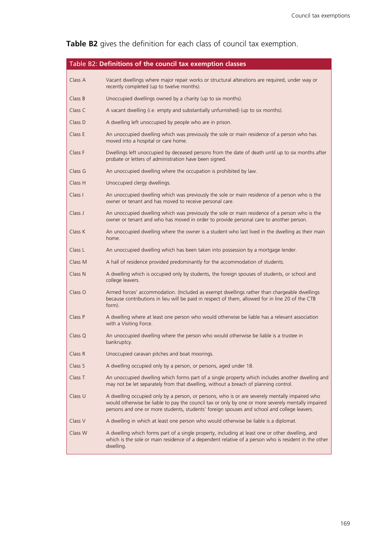### **Table B2** gives the definition for each class of council tax exemption.

|         | Table B2: Definitions of the council tax exemption classes                                                                                                                                                                                                                                          |
|---------|-----------------------------------------------------------------------------------------------------------------------------------------------------------------------------------------------------------------------------------------------------------------------------------------------------|
| Class A | Vacant dwellings where major repair works or structural alterations are required, under way or<br>recently completed (up to twelve months).                                                                                                                                                         |
| Class B | Unoccupied dwellings owned by a charity (up to six months).                                                                                                                                                                                                                                         |
| Class C | A vacant dwelling (i.e. empty and substantially unfurnished) (up to six months).                                                                                                                                                                                                                    |
| Class D | A dwelling left unoccupied by people who are in prison.                                                                                                                                                                                                                                             |
| Class E | An unoccupied dwelling which was previously the sole or main residence of a person who has<br>moved into a hospital or care home.                                                                                                                                                                   |
| Class F | Dwellings left unoccupied by deceased persons from the date of death until up to six months after<br>probate or letters of administration have been signed.                                                                                                                                         |
| Class G | An unoccupied dwelling where the occupation is prohibited by law.                                                                                                                                                                                                                                   |
| Class H | Unoccupied clergy dwellings.                                                                                                                                                                                                                                                                        |
| Class I | An unoccupied dwelling which was previously the sole or main residence of a person who is the<br>owner or tenant and has moved to receive personal care.                                                                                                                                            |
| Class J | An unoccupied dwelling which was previously the sole or main residence of a person who is the<br>owner or tenant and who has moved in order to provide personal care to another person.                                                                                                             |
| Class K | An unoccupied dwelling where the owner is a student who last lived in the dwelling as their main<br>home.                                                                                                                                                                                           |
| Class L | An unoccupied dwelling which has been taken into possession by a mortgage lender.                                                                                                                                                                                                                   |
| Class M | A hall of residence provided predominantly for the accommodation of students.                                                                                                                                                                                                                       |
| Class N | A dwelling which is occupied only by students, the foreign spouses of students, or school and<br>college leavers.                                                                                                                                                                                   |
| Class O | Armed forces' accommodation. (Included as exempt dwellings rather than chargeable dwellings<br>because contributions in lieu will be paid in respect of them, allowed for in line 20 of the CTB<br>form).                                                                                           |
| Class P | A dwelling where at least one person who would otherwise be liable has a relevant association<br>with a Visiting Force.                                                                                                                                                                             |
| Class O | An unoccupied dwelling where the person who would otherwise be liable is a trustee in<br>bankruptcy.                                                                                                                                                                                                |
| Class R | Unoccupied caravan pitches and boat moorings.                                                                                                                                                                                                                                                       |
| Class S | A dwelling occupied only by a person, or persons, aged under 18.                                                                                                                                                                                                                                    |
| Class T | An unoccupied dwelling which forms part of a single property which includes another dwelling and<br>may not be let separately from that dwelling, without a breach of planning control.                                                                                                             |
| Class U | A dwelling occupied only by a person, or persons, who is or are severely mentally impaired who<br>would otherwise be liable to pay the council tax or only by one or more severely mentally impaired<br>persons and one or more students, students' foreign spouses and school and college leavers. |
| Class V | A dwelling in which at least one person who would otherwise be liable is a diplomat.                                                                                                                                                                                                                |
| Class W | A dwelling which forms part of a single property, including at least one or other dwelling, and<br>which is the sole or main residence of a dependent relative of a person who is resident in the other<br>dwelling.                                                                                |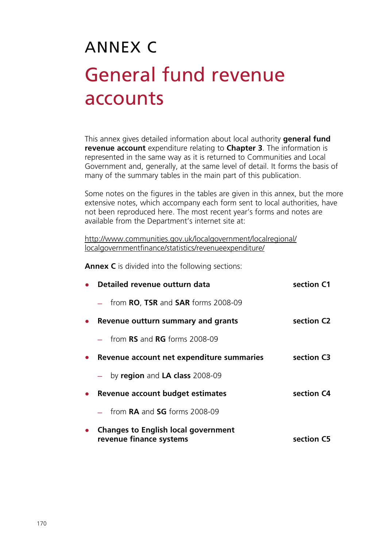## ANNEX C General fund revenue accounts

This annex gives detailed information about local authority **general fund revenue account** expenditure relating to **Chapter 3**. The information is represented in the same way as it is returned to Communities and Local Government and, generally, at the same level of detail. It forms the basis of many of the summary tables in the main part of this publication.

Some notes on the figures in the tables are given in this annex, but the more extensive notes, which accompany each form sent to local authorities, have not been reproduced here. The most recent year's forms and notes are available from the Department's internet site at:

<http://www.communities.gov.uk/localgovernment/localregional/> localgovernmentfinance/statistics/revenueexpenditure/

**Annex C** is divided into the following sections:

| Detailed revenue outturn data                                         | section C1 |
|-----------------------------------------------------------------------|------------|
| from <b>RO, TSR</b> and <b>SAR</b> forms 2008-09                      |            |
| Revenue outturn summary and grants                                    | section C2 |
| from $RS$ and $RG$ forms 2008-09                                      |            |
| Revenue account net expenditure summaries                             | section C3 |
| by region and LA class 2008-09                                        |            |
| Revenue account budget estimates                                      | section C4 |
| $-$ from <b>RA</b> and <b>SG</b> forms 2008-09                        |            |
| <b>Changes to English local government</b><br>revenue finance systems | section C5 |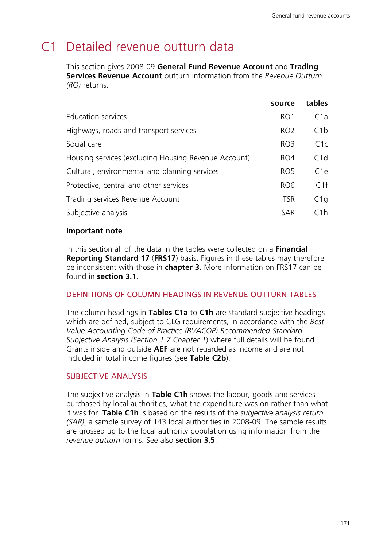### C1 Detailed revenue outturn data

This section gives 2008-09 **General Fund Revenue Account** and **Trading Services Revenue Account** outturn information from the *Revenue Outturn (RO)* returns:

|                                                      | source          | tables          |
|------------------------------------------------------|-----------------|-----------------|
| Education services                                   | RO <sub>1</sub> | C1a             |
| Highways, roads and transport services               | RO <sub>2</sub> | C1b             |
| Social care                                          | RO <sub>3</sub> | C1c             |
| Housing services (excluding Housing Revenue Account) | RO4             | C1d             |
| Cultural, environmental and planning services        | RO <sub>5</sub> | C <sub>1e</sub> |
| Protective, central and other services               | RO <sub>6</sub> | C1f             |
| Trading services Revenue Account                     | <b>TSR</b>      | C1q             |
| Subjective analysis                                  | <b>SAR</b>      | C1h             |

#### **Important note**

In this section all of the data in the tables were collected on a **Financial Reporting Standard 17** (**FRS17**) basis. Figures in these tables may therefore be inconsistent with those in **chapter 3**. More information on FRS17 can be found in **section 3.1**.

#### DEFINITIONS OF COLUMN HEADINGS IN REVENUE OUTTURN TABLES

The column headings in **Tables C1a** to **C1h** are standard subjective headings which are defined, subject to CLG requirements, in accordance with the *Best Value Accounting Code of Practice (BVACOP) Recommended Standard Subjective Analysis (Section 1.7 Chapter 1*) where full details will be found. Grants inside and outside **AEF** are not regarded as income and are not included in total income figures (see **Table C2b**).

#### SUBJECTIVE ANALYSIS

The subjective analysis in **Table C1h** shows the labour, goods and services purchased by local authorities, what the expenditure was on rather than what it was for. **Table C1h** is based on the results of the *subjective analysis return (SAR)*, a sample survey of 143 local authorities in 2008-09. The sample results are grossed up to the local authority population using information from the *revenue outturn* forms. See also **section 3.5**.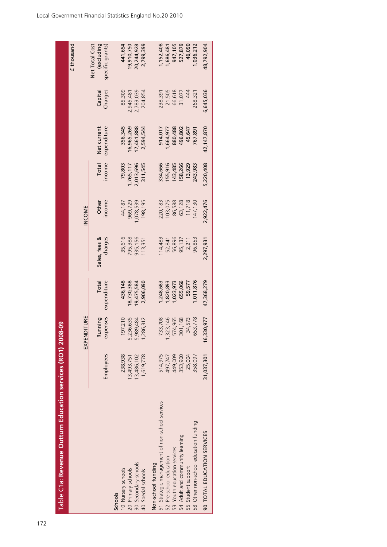| $\frac{1}{2}$ |
|---------------|
|               |
|               |
|               |
|               |
|               |
|               |
|               |
|               |
|               |
|               |
|               |
|               |
|               |
|               |
|               |
|               |
|               |
|               |
|               |
|               |
|               |
|               |
| j             |
|               |
|               |
|               |
|               |
|               |
|               |
|               |
|               |
| ľ             |
|               |
|               |
|               |
|               |
|               |
|               |
|               |
|               |
| Ľ             |
|               |
|               |
|               |
| l             |
|               |
|               |
|               |
|               |
|               |

172

| Table C1a: Revenue Outturn Education services (RO1) 2008-09 |            |                     |                      |                          |                 |                 |                            |                   |                                                  |
|-------------------------------------------------------------|------------|---------------------|----------------------|--------------------------|-----------------|-----------------|----------------------------|-------------------|--------------------------------------------------|
|                                                             |            |                     |                      |                          |                 |                 |                            |                   | £ thousand                                       |
|                                                             |            | EXPENDITURE         |                      |                          | INCOME          |                 |                            |                   |                                                  |
|                                                             | Employees  | expenses<br>Running | expenditure<br>Total | Sales, fees &<br>charges | income<br>Other | Total<br>income | expenditure<br>Net current | Charges<br>Capita | Net Total Cost<br>(excluding<br>specific grants) |
| <b>Schools</b>                                              |            |                     |                      |                          |                 |                 |                            |                   |                                                  |
| 10 Nursery schools                                          | 238,938    | 97,210              | 436,148              | 35,616                   | 44,187          | 79,803          | 356,345                    | 85,309            | 441,654                                          |
| 20 Primary schools                                          | 13,493,751 | 5,236,635           | 8,730,388            | 795,388                  | 969,729         | ,765,117        | 6,965,269                  | 2,945,481         | 9,910,750                                        |
| 30 Secondary schools                                        | 13,486,102 | 5,989,484           | 9,475,584            | 935,156                  | ,078,539        | 2,013,696       | 17,461,888                 | 2,783,039         | 20,244,928                                       |
| 40 Special schools                                          | 1,619,778  | ,286,312            | 2,906,090            | 113,351                  | 198,195         | 311,545         | 2,594,544                  | 204,854           | 2,799,399                                        |
| Non-school funding                                          |            |                     |                      |                          |                 |                 |                            |                   |                                                  |
| 51 Strategic management of non-school services              | 514,975    | 733,708             | ,248,683             | 114,483                  | 220,183         | 334,666         | 914,017                    | 238,391           | ,152,408                                         |
| 52 Pre-school education                                     | 497,747    | ,323,146            | ,820,893             | 52,841                   | 103,075         | 55,916          | 1,664,977                  | 21,505            | ,686,481                                         |
| 53 Youth education services                                 | 449,009    | 574,965             | ,023,973             | 56,896                   | 86,588          | 43,485          | 880,488                    | 66,618            | 947,105                                          |
| 54 Adult and community learning                             | 353,900    | 301,168             | 655,066              | 95,137                   | 63,128          | 58,266          | 496,802                    | 31,077            | 527,879                                          |
| 55 Student support                                          | 25,004     | 34,573              | 59,577               | 2,211                    | 11,718          | 13,929          | 45,647                     | 444               | 46,090                                           |
| Other non-school education funding<br>$\frac{1}{28}$        | 358,097    | 653,778             | 1,011,876            | 96,853                   | 47,130          | 243,983         | 767,891                    | 268,321           | 1,036,212                                        |
| 90 TOTAL EDUCATION SERVICES                                 | 31,037,301 | 30,977<br>16.3      | 47,368,279           | 2,297,931                | 2,922,476       | 5,220,408       | 42,147,870                 | 6,645,036         | 48,792,904                                       |
|                                                             |            |                     |                      |                          |                 |                 |                            |                   |                                                  |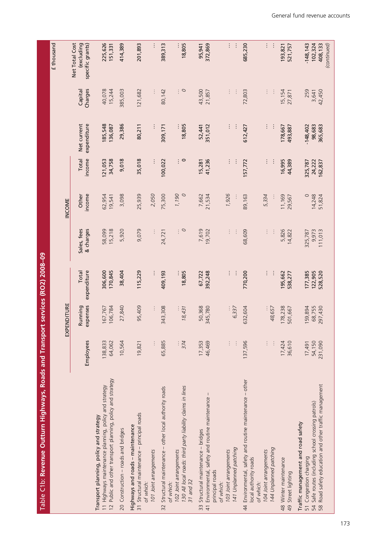| Î<br>֧֧֧֧֧֧֧֧֧֧֧֧֧֧֧֧֧֛֪֧֪֪֪֪֪֪֪֧֚֚֚֚֚֚֚֚֚֚֚֚֚֚֚֚֚֚֚֚֚֚֚֟֟֓֝֟֓֝֟֓֝֟֜֟֜֜֜֜֜֜                                                                                                                                                         |  |
|-------------------------------------------------------------------------------------------------------------------------------------------------------------------------------------------------------------------------------------|--|
|                                                                                                                                                                                                                                     |  |
|                                                                                                                                                                                                                                     |  |
|                                                                                                                                                                                                                                     |  |
| i<br>Samuan di Santa Bandara di Santa Bandara di Santa Bandara di Santa Bandara di Santa Bandara di Santa Bandara<br>Di Santa Bandara di Santa Bandara di Santa Bandara di Santa Bandara di Santa Bandara di Santa Bandara di Santa |  |
|                                                                                                                                                                                                                                     |  |
|                                                                                                                                                                                                                                     |  |
|                                                                                                                                                                                                                                     |  |
|                                                                                                                                                                                                                                     |  |
|                                                                                                                                                                                                                                     |  |
|                                                                                                                                                                                                                                     |  |
|                                                                                                                                                                                                                                     |  |
|                                                                                                                                                                                                                                     |  |
|                                                                                                                                                                                                                                     |  |
|                                                                                                                                                                                                                                     |  |
|                                                                                                                                                                                                                                     |  |
|                                                                                                                                                                                                                                     |  |
|                                                                                                                                                                                                                                     |  |
|                                                                                                                                                                                                                                     |  |
|                                                                                                                                                                                                                                     |  |
|                                                                                                                                                                                                                                     |  |
|                                                                                                                                                                                                                                     |  |
|                                                                                                                                                                                                                                     |  |
|                                                                                                                                                                                                                                     |  |
|                                                                                                                                                                                                                                     |  |
|                                                                                                                                                                                                                                     |  |
|                                                                                                                                                                                                                                     |  |
|                                                                                                                                                                                                                                     |  |
|                                                                                                                                                                                                                                     |  |
|                                                                                                                                                                                                                                     |  |
|                                                                                                                                                                                                                                     |  |
|                                                                                                                                                                                                                                     |  |
|                                                                                                                                                                                                                                     |  |
|                                                                                                                                                                                                                                     |  |
|                                                                                                                                                                                                                                     |  |
|                                                                                                                                                                                                                                     |  |
|                                                                                                                                                                                                                                     |  |
|                                                                                                                                                                                                                                     |  |
|                                                                                                                                                                                                                                     |  |
|                                                                                                                                                                                                                                     |  |
| ĺ                                                                                                                                                                                                                                   |  |
|                                                                                                                                                                                                                                     |  |
|                                                                                                                                                                                                                                     |  |
|                                                                                                                                                                                                                                     |  |
|                                                                                                                                                                                                                                     |  |
|                                                                                                                                                                                                                                     |  |
|                                                                                                                                                                                                                                     |  |
|                                                                                                                                                                                                                                     |  |
|                                                                                                                                                                                                                                     |  |
|                                                                                                                                                                                                                                     |  |
|                                                                                                                                                                                                                                     |  |
|                                                                                                                                                                                                                                     |  |
|                                                                                                                                                                                                                                     |  |
|                                                                                                                                                                                                                                     |  |
|                                                                                                                                                                                                                                     |  |
|                                                                                                                                                                                                                                     |  |
|                                                                                                                                                                                                                                     |  |
|                                                                                                                                                                                                                                     |  |
|                                                                                                                                                                                                                                     |  |
|                                                                                                                                                                                                                                     |  |
|                                                                                                                                                                                                                                     |  |
|                                                                                                                                                                                                                                     |  |
|                                                                                                                                                                                                                                     |  |
|                                                                                                                                                                                                                                     |  |
|                                                                                                                                                                                                                                     |  |
|                                                                                                                                                                                                                                     |  |
|                                                                                                                                                                                                                                     |  |
|                                                                                                                                                                                                                                     |  |
|                                                                                                                                                                                                                                     |  |
|                                                                                                                                                                                                                                     |  |
| i                                                                                                                                                                                                                                   |  |
|                                                                                                                                                                                                                                     |  |
|                                                                                                                                                                                                                                     |  |
|                                                                                                                                                                                                                                     |  |
|                                                                                                                                                                                                                                     |  |
|                                                                                                                                                                                                                                     |  |
|                                                                                                                                                                                                                                     |  |
|                                                                                                                                                                                                                                     |  |
|                                                                                                                                                                                                                                     |  |
|                                                                                                                                                                                                                                     |  |
|                                                                                                                                                                                                                                     |  |
|                                                                                                                                                                                                                                     |  |
|                                                                                                                                                                                                                                     |  |
|                                                                                                                                                                                                                                     |  |
|                                                                                                                                                                                                                                     |  |
|                                                                                                                                                                                                                                     |  |
|                                                                                                                                                                                                                                     |  |
|                                                                                                                                                                                                                                     |  |
|                                                                                                                                                                                                                                     |  |
|                                                                                                                                                                                                                                     |  |
|                                                                                                                                                                                                                                     |  |
|                                                                                                                                                                                                                                     |  |
|                                                                                                                                                                                                                                     |  |
|                                                                                                                                                                                                                                     |  |
|                                                                                                                                                                                                                                     |  |
|                                                                                                                                                                                                                                     |  |
|                                                                                                                                                                                                                                     |  |
|                                                                                                                                                                                                                                     |  |
|                                                                                                                                                                                                                                     |  |
| ו<br>ו                                                                                                                                                                                                                              |  |
|                                                                                                                                                                                                                                     |  |
|                                                                                                                                                                                                                                     |  |
|                                                                                                                                                                                                                                     |  |
|                                                                                                                                                                                                                                     |  |
|                                                                                                                                                                                                                                     |  |
|                                                                                                                                                                                                                                     |  |
|                                                                                                                                                                                                                                     |  |

|                                                                                                                                                                                           |                                 |                     |                      |                          |                            |                     |                            |                    | £ thousand                                       |
|-------------------------------------------------------------------------------------------------------------------------------------------------------------------------------------------|---------------------------------|---------------------|----------------------|--------------------------|----------------------------|---------------------|----------------------------|--------------------|--------------------------------------------------|
|                                                                                                                                                                                           |                                 | ENDITURE<br>EXP     |                      |                          | INCOME                     |                     |                            |                    |                                                  |
|                                                                                                                                                                                           | Employees                       | expenses<br>Running | expenditure<br>Total | & charges<br>Sales, fees | income<br>Other            | income<br>Total     | Net current<br>expenditure | Charges<br>Capital | Net Total Cost<br>(excluding<br>specific grants) |
| 12 Public and other transport planning, policy and strategy<br>11 Highways maintenance planning, policy and strategy<br>Transport planning, policy and strategy                           | 138,833<br>64,062               | 106,784<br>167,767  | 306,600<br>170,845   | 58,099<br>15,218         | 62,954<br>19,541           | 21,053<br>34,758    | 185,548<br>136,087         | 40,078<br>15,244   | 225,626<br>151,331                               |
| 20 Construction - roads and bridges                                                                                                                                                       | 10,564                          | 27,840              | 38,404               | 5,920                    | 3,098                      | 9,018               | 29,386                     | 385,003            | 414,389                                          |
| 31 Structural maintenance - principal roads<br>Highways and roads - maintenance<br>of which:                                                                                              | 19,821                          | 95,409              | 115,229              | 9,079                    | 25,939                     | 35,018              | 80,211                     | 121,682            | 201,893                                          |
| 101 Joint arrangements                                                                                                                                                                    |                                 | $\vdots$            |                      |                          | 2,050                      |                     |                            |                    | ÷                                                |
| 130 All local roads: third party liability claims in lines<br>Structural maintenance - other local authority roads<br>102 Joint arrangements<br>31 and 32<br>of which:<br>$\overline{32}$ | 65,885<br>374                   | 343,308<br>18,431   | 409,193<br>18,805    | $\circ$<br>ŧ,<br>24,721  | 1,190<br>$\circ$<br>75,300 | 100,022<br>∶∘       | 18,805<br>309,171          | $\circ$<br>80,142  | 389,313<br>18,805                                |
| 33 Structural maintenance - bridges                                                                                                                                                       |                                 | 50,368              | 67,722               | 7,619                    |                            | 15,281              |                            | 43,500             | 95,941                                           |
| I<br>41 Environmental, safety and routine maintenance<br>principal roads                                                                                                                  | 17,353<br>46,469                | 345,780             | 392,248              | 19,702                   | 7,662<br>21,534            | 41,236              | 351,012<br>52,441          | 21,857             | 372,869                                          |
| of which:                                                                                                                                                                                 |                                 |                     |                      |                          |                            |                     |                            |                    |                                                  |
| 103 Joint arrangements                                                                                                                                                                    | $\vdots$                        | 6,337               | $\vdots$             | $\vdots$                 | 1,926                      | $\vdots$            | $\vdots$                   | $\vdots$           | $\vdots$                                         |
| 141 Unplanned patching                                                                                                                                                                    | $\vdots$                        |                     |                      | ÷                        |                            | $\vdots$            |                            | $\vdots$           | ÷                                                |
| 44 Environmental, safety and routine maintenance - other<br>144 Unplanned patching<br>104 Joint arrangements<br>local authority roads<br>of which:                                        | 137,596<br>$\vdots$<br>$\vdots$ | 632,604<br>48,657   | 770,200<br>፡         | 68,609<br>÷              | 89,163<br>5,334            | 157,772<br>$\vdots$ | $\vdots$<br>612,427        | 72,803<br>÷        | 685,230<br>$\vdots$<br>÷                         |
| 48 Winter maintenance<br>49 Street lighting                                                                                                                                               | 36,610<br>17,424                | 178,238<br>501,667  | 195,662<br>538,277   | 5,826<br>14,822          | 11,169<br>29,567           | 16,995<br>44,389    | 178,667<br>493,887         | 15,154<br>27,871   | 193,821<br>521,757                               |
| Traffic management and road safety                                                                                                                                                        |                                 |                     |                      |                          |                            |                     |                            |                    |                                                  |
| 51 Congestion charging                                                                                                                                                                    | 17,491                          | 159,894             | 177,385              | 325,787                  | $\circ$                    | 325,787             | $-148,402$                 | 259                | $-148, 143$                                      |
| 54 Safe routes (including school crossing patrols)                                                                                                                                        | 54,150                          | 68,755              | 122,905              | 9,973                    | 14,248                     | 24,222              | 98,683                     | 3,641              | 102,324                                          |
| 58 Road safety education and other traffic management                                                                                                                                     | 231,090                         | 297,430             | 528,520              | 111,013                  | 51,824                     | 162,837             | 365,683                    | 42,450             | 408,133<br>(continued)                           |
|                                                                                                                                                                                           |                                 |                     |                      |                          |                            |                     |                            |                    |                                                  |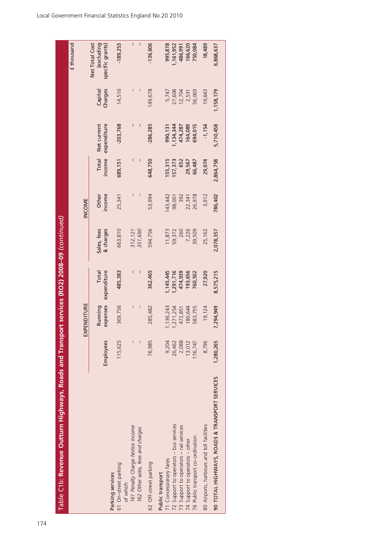| Table C1b: Revenue Outturn Highways, Roads and Transport services (RO2) $2008\text{--}09$ (continued)                                                                                                                                                                                                 |                                                                     |                                                                                |                                                                               |                                                                   |                                                                  |                                                                    |                                                                               |                                                                     |                                                                              |
|-------------------------------------------------------------------------------------------------------------------------------------------------------------------------------------------------------------------------------------------------------------------------------------------------------|---------------------------------------------------------------------|--------------------------------------------------------------------------------|-------------------------------------------------------------------------------|-------------------------------------------------------------------|------------------------------------------------------------------|--------------------------------------------------------------------|-------------------------------------------------------------------------------|---------------------------------------------------------------------|------------------------------------------------------------------------------|
|                                                                                                                                                                                                                                                                                                       |                                                                     |                                                                                |                                                                               |                                                                   |                                                                  |                                                                    |                                                                               |                                                                     | £ thousand                                                                   |
|                                                                                                                                                                                                                                                                                                       |                                                                     | EXPENDITURE                                                                    |                                                                               |                                                                   | INCOME                                                           |                                                                    |                                                                               |                                                                     |                                                                              |
|                                                                                                                                                                                                                                                                                                       | Employees                                                           | expenses<br>Running                                                            | expenditure<br>Total                                                          | Sales, fees<br>& charges                                          | ncome<br>Other                                                   | Total<br>income                                                    | Net current<br>expenditure                                                    | Charges<br>Capita                                                   | Net Total Cost<br>(excluding<br>specific grants)                             |
| 61 On-street parking<br>Parking services                                                                                                                                                                                                                                                              | 115,625                                                             | 369,756                                                                        | 485,383                                                                       | 663,810                                                           | 25,341                                                           | 689,151                                                            | $-203,768$                                                                    | 14,516                                                              | $-189,253$                                                                   |
| 161 Penalty Charge Notice income<br>162 Other sales, fees and charges<br>of which:                                                                                                                                                                                                                    |                                                                     | $\overline{\phantom{a}}$<br>$\vert$                                            | Ī                                                                             | 351,690<br>312,121                                                | $\mathsf{I}$                                                     | I<br>I                                                             | I<br>I                                                                        | $\mathsf I$<br>$\mathsf{l}$                                         | $\overline{\phantom{a}}$<br>$\mathbf{I}$                                     |
| 62 Off-street parking                                                                                                                                                                                                                                                                                 | 76,985                                                              | 285,482                                                                        | 362,465                                                                       | 594,756                                                           | 53,994                                                           | 648,750                                                            | -286,285                                                                      | 149,678                                                             | -136,606                                                                     |
| 90 TOTAL HIGHWAYS, ROADS & TRANSPORT SERVICES<br>72 Support to operators - bus services<br>80 Airports, harbours and toll facilities<br>73 Support to operators - rail services<br>76 Public transport co-ordination<br>74 Support to operators - other<br>71 Concessionary fares<br>Public transport | 9,204<br>8,796<br>1,280,265<br>2,088<br>20,462<br>13,012<br>176,747 | 7,294,949<br>,136,243<br>180,644<br>19,124<br>, 271, 254<br>583,755<br>472,851 | 474,939<br>193,656<br>8,575,215<br>,145,445<br>1,291,716<br>760,502<br>27,920 | 7,226<br>11,873<br>59,372<br>260<br>39,509<br>25,162<br>2,078,357 | 26,978<br>786,402<br>143,442<br>392<br>3,912<br>98,001<br>22,341 | 2,864,758<br>55,315<br>57,373<br>29,074<br>652<br>29,567<br>66,487 | 5,710,458<br>$-1,154$<br>164,089<br>694,015<br>,134,344<br>474,287<br>990,131 | 56,069<br>19,643<br>1,158,179<br>5,747<br>27,608<br>12,704<br>2,531 | 995,878<br>1,161,952<br>166,620<br>750,084<br>18,489<br>6,868,637<br>486,991 |
|                                                                                                                                                                                                                                                                                                       |                                                                     |                                                                                |                                                                               |                                                                   |                                                                  |                                                                    |                                                                               |                                                                     |                                                                              |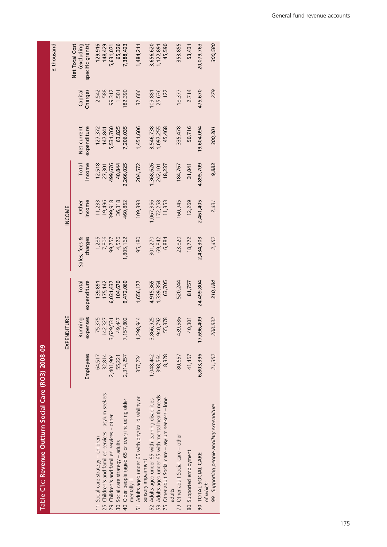| I |
|---|
|   |
| Ì |
|   |
|   |
|   |
| ſ |
|   |
|   |
|   |
|   |
| г |
|   |
|   |
|   |
|   |
|   |
| ľ |
|   |
|   |
|   |
|   |
|   |
|   |
|   |
| r |
|   |
|   |
| Ì |
|   |
|   |
|   |
|   |
|   |

 $8 - 0.8$ 

|                                                                           |           |                         |                      |                          |                 |                 |                            |                   | £ thousand                                      |
|---------------------------------------------------------------------------|-----------|-------------------------|----------------------|--------------------------|-----------------|-----------------|----------------------------|-------------------|-------------------------------------------------|
|                                                                           |           | EXPENDITURE             |                      |                          | <b>INCOME</b>   |                 |                            |                   |                                                 |
|                                                                           | Employees | enses<br>Running<br>exp | Total<br>expenditure | Sales, fees &<br>charges | income<br>Other | Total<br>income | Net current<br>expenditure | Charges<br>Capita | Net Total Cost<br>excluding<br>specific grants) |
| 11 Social care strategy - children                                        | 64,517    | 75,375                  | 139,891              | 1,285                    | 11,233          | 12,518          | 127,372                    | 2,542             | 129,916                                         |
| 25 Children's and families' services - asylum seekers                     | 32,814    | 142,327                 | 175,142              | 7,806                    | 19,496          | 27,301          | 147,841                    | 588               | 148,429                                         |
| 29 Children's and families' services - other                              | 2,401,904 | 3,629,531               | 6,031,437            | 99,757                   | 816'668         | 499,676         | 5,531,760                  | 99,312            | 5,631,071                                       |
| 30 Social care strategy - adults                                          | 55,221    | 49,447                  | 104,670              | 4,526                    | 36,318          | 40,844          | 63,825                     | 1,501             | 65,326                                          |
| 40 Older people (aged 65 or over) including older<br>mentally ill         | 2,314,257 | 7,157,802               | 9,472,060            | ,805,162                 | 160,862         | 2,266,025       | 7,206,035                  | 82,390            | 7,388,423                                       |
| 51 Adults aged under 65 with physical disability or<br>sensory impairment | 357,234   | 1,298,944               | 1,656,177            | 95,180                   | 109,393         | 204,572         | 1,451,606                  | 32,606            | 1,484,211                                       |
| 52 Adults aged under 65 with learning disabilities                        | 1,048,442 | 3,866,925               | 4,915,365            | 301,270                  | ,067,356        | 368,626         | 3,546,738                  | 09,881            | 3,656,620                                       |
| 53 Adults aged under 65 with mental health needs                          | 398,564   | 940,792                 | 1,339,354            | 69,842                   | 172,258         | 242,101         | ,097,255                   | 25,636            | 1,122,891                                       |
| 75 Other adult Social care - asylum seekers - lone<br>adults              | 8,328     | 55,378                  | 63,705               | 6,884                    | 11,353          | 18,237          | 45,468                     | 122               | 45,590                                          |
| 79 Other adult Social care - other                                        | 80,657    | 439,586                 | 520,244              | 23,820                   | 160,945         | 84,767          | 335,478                    | 18,377            | 353,855                                         |
| 80 Supported employment                                                   | 41,457    | 40,301                  | 81,757               | 18,772                   | 12,269          | 31,041          | 50,716                     | 2,714             | 53,431                                          |
| 90 TOTAL SOCIAL CARE<br>of which:                                         | 6,803,396 | 17,696,409              | 24,499,804           | 2,434,303                | 2,461,405       | 4,895,709       | 9,604,094                  | 475,670           | 20,079,763                                      |
| 99 Supporting people ancillary expenditure                                | 21,352    | 288,832                 | 310,184              | 2,452                    | 7,431           | 9,883           | 300,301                    | 279               | 300,580                                         |
|                                                                           |           |                         |                      |                          |                 |                 |                            |                   |                                                 |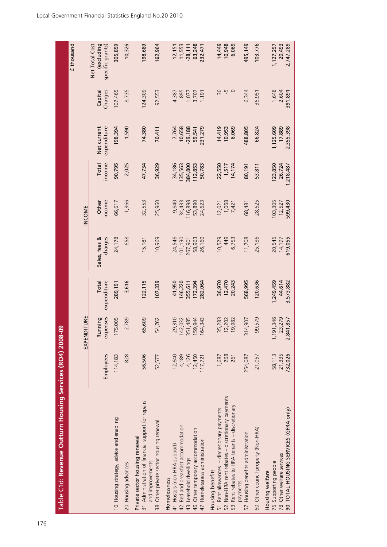| Table C1d: Revenue Outturn Housing Services (RO4) 2008-09                                                     |                  |                         |                      |                          |                   |                   |                            |                    |                                                  |
|---------------------------------------------------------------------------------------------------------------|------------------|-------------------------|----------------------|--------------------------|-------------------|-------------------|----------------------------|--------------------|--------------------------------------------------|
|                                                                                                               |                  |                         |                      |                          |                   |                   |                            |                    | £ thousand                                       |
|                                                                                                               |                  | EXPENDITURE             |                      |                          | INCOME            |                   |                            |                    |                                                  |
|                                                                                                               | Employees        | expenses<br>Running     | Total<br>expenditure | charges<br>Sales, fees & | income<br>Other   | income<br>Total   | Net current<br>expenditure | Charges<br>Capital | Net Total Cost<br>(excluding<br>specific grants) |
| 10 Housing strategy, advice and enabling                                                                      | 114,183          | 175,005                 | 289, 191             | 24,178                   | 66,617            | 90,795            | 198,394                    | 107,465            | 305,859                                          |
| 20 Housing advances                                                                                           | 828              | 2,789                   | 3,616                | 658                      | 1,366             | 2,025             | 1,590                      | 8,735              | 10,326                                           |
| 31 Administration of financial support for repairs<br>Private sector housing renewal                          | 56,506           | 65,609                  | 122, 115             | 15,181                   | 32,553            | 47,734            | 74,380                     | 124,309            | 198,689                                          |
| 38 Other private sector housing renewal<br>and improvements                                                   | 52,577           | 54,762                  | 107,339              | 10,969                   | 25,960            | 36,929            | 70,411                     | 92,553             | 162,964                                          |
| 41 Hostels (non-HRA support)<br>Homelessness                                                                  | 12,640           | 29,310                  | 41,950               | 24,546                   | 9,640             | 34,186            | 7,764                      | 4,387              | 12,151                                           |
| 42 Bed and breakfast accommodation                                                                            | 4,189            | 142,032                 | 146,220              | 101,130                  | 34,433            | 135,563           | 10,658                     | 895                | 11,553                                           |
| 43 Leasehold dwellings                                                                                        | 4,126            | 351,485                 | 355,611              | 267,901                  | 16,898            | 384,800           | $-29,188$                  | 1,077              | $-28,111$                                        |
| 46 Other temporary accommodation                                                                              | 12,450           | 159,944                 | 172,394              | 58,963                   | 53,890            | 112,853           | 59,541                     | 3,707              | 63,248                                           |
| 47 Homelessness administration                                                                                | 117,721          | 164,343                 | 282,064              | 26,160                   | 24,623            | 50,783            | 231,279                    | 1,191              | 232,471                                          |
| 51 Rent allowances - discretionary payments<br>Housing benefits                                               | 1,687            | 35,283                  | 36,970               | 10,529                   | 12,021            | 22,550            | 14,419                     | 50                 | 14,449                                           |
| 52 Non-HRA rent rebates - discretionary payments                                                              | 268              | 12,202                  | 12,470               | 449                      | 1,068             | 1,517             | 10,953                     | rù                 | 10,948                                           |
| Rent rebates to HRA tenants - discretionary<br>53                                                             | 261              | 9,982                   | 20,243               | 6,753                    | 7,421             | 14,174            | 6,069                      | $\circ$            | 6,069                                            |
| Housing benefits administration<br>payments<br>57                                                             | 254,087          | 4,907<br>$\overline{3}$ | 568,995              | 11,708                   | 68,481            | 80,191            | 488,805                    | 6,344              | 495,149                                          |
| 60 Other council property (Non-HRA)                                                                           | 21,057           | 99,579                  | 120,636              | 25,186                   | 28,625            | 53,811            | 66,824                     | 36,95              | 103,776                                          |
| 90 TOTAL HOUSING SERVICES (GFRA only)<br>78 Other welfare services<br>75 Supporting people<br>Housing welfare | 58,113<br>21,335 | 1,191,346<br>23,279     | 44,614<br>1,249,459  | 20,545<br>14,197         | 103,305<br>12,527 | 26,724<br>123,850 | 17,889<br>1,125,609        | 1,648<br>2,604     | 20,493<br>1, 127, 257                            |
|                                                                                                               | 732,026          | 2,841,857               | 3,573,882            | 619,055                  | 599,430           | 1,218,487         | 2,355,398                  | 391,891            | 2,747,289                                        |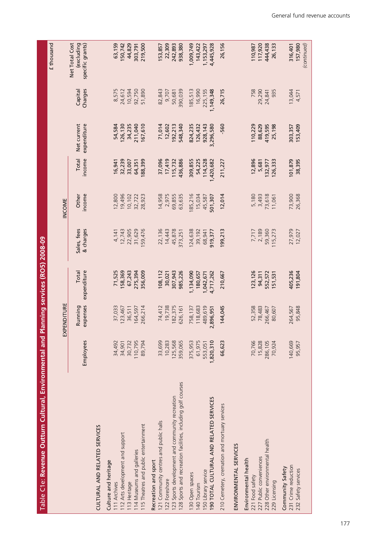| Table C1e: Revenue Outturn Cultural, Environmental and Planning services (RO5) 2008-09 |           |                     |                      |                          |                 |                 |                            |                    |                                                  |
|----------------------------------------------------------------------------------------|-----------|---------------------|----------------------|--------------------------|-----------------|-----------------|----------------------------|--------------------|--------------------------------------------------|
|                                                                                        |           |                     |                      |                          |                 |                 |                            |                    | £ thousand                                       |
|                                                                                        |           | EXPENDITURE         |                      |                          | INCOME          |                 |                            |                    |                                                  |
|                                                                                        | Employees | expenses<br>Running | expenditure<br>Total | & charges<br>Sales, fees | income<br>Other | income<br>Total | Net current<br>expenditure | Charges<br>Capital | Net Total Cost<br>(excluding<br>specific grants) |
| CULTURAL AND RELATED SERVICES                                                          |           |                     |                      |                          |                 |                 |                            |                    |                                                  |
| Culture and heritage                                                                   |           |                     |                      |                          |                 |                 |                            |                    |                                                  |
| 111 Archives                                                                           | 34,492    | 37,033              | 71,525               | 4,141                    | 12,800          | 16,941          | 54,584                     | 8,575              | 63,159                                           |
| 112 Arts development and support                                                       | 34,901    | 123,467             | 58,369               | 12,743                   | 19,496          | 32,239          | 26,130                     | 24,612             | 150,742                                          |
| 113 Heritage                                                                           | 30,732    | 36,511              | 67,243               | 22,905                   | 10,102          | 33,007          | 34,235                     | 10,594             | 44,829                                           |
| 114 Museums and galleries                                                              | 110,795   | 164,597             | 275,394              | 31,629                   | 32,722          | 64,351          | 211,040                    | 92,750             | 303,791                                          |
| 115 Theatres and public entertainment                                                  | 89,794    | 266,214             | 356,009              | 159,476                  | 28,923          | 88,399          | 167,610                    | 51,890             | 219,500                                          |
| Recreation and sport                                                                   |           |                     |                      |                          |                 |                 |                            |                    |                                                  |
| 121 Community centres and public halls                                                 | 33,699    | 74,412              | 108,112              | 22,136                   | 14,958          | 37,096          | 71,014                     | 82,843             | 153,857                                          |
| 122 Foreshore                                                                          | 10,283    | 19,738              | 30,021               | 14,443                   | 2,975           | 17,419          | 12,602                     | 9,707              | 22,309                                           |
| 123 Sports development and community recreation                                        | 125,568   | 182,375             | 307,943              | 45,878                   | 69,855          | 115,732         | 92,213                     | 50,681             | 242,893                                          |
| 128 Sports and recreation facilities, including golf courses                           | 359,065   | 626,161             | 985,226              | 373,251                  | 63,635          | 436,886         | 548,340                    | 390,039            | 938,380                                          |
| 130 Open spaces                                                                        | 375,953   | 758,137             | 1,134,090            | 124,638                  | 85,216          | 309,855         | 824,235                    | 185,513            | 1,009,749                                        |
| 140 Tourism                                                                            | 61,975    | 118,683             | 180,657              | 39,192                   | 15,034          | 54,225          | 126,432                    | 16,990             | 143,422                                          |
| 150 Library service                                                                    | 553,051   | 489,619             | 1,042,671            | 68,941                   | 45,587          | 114,528         | 928, 143                   | 225,155            | 1,153,297                                        |
| 190 TOTAL CULTURAL AND RELATED SERVICES                                                | 1,820,310 | 2,896,951           | 4,717,262            | 919,377                  | 501,307         | ,420,682        | 3,296,580                  | 1,149,348          | 4,445,928                                        |
| 210 Cemetery, cremation and mortuary services                                          | 66,623    | 144,045             | 210,667              | 199,213                  | 12,014          | 211,227         | 560                        | 26,715             | 26,156                                           |
| ENVIRONMENTAL SERVICES                                                                 |           |                     |                      |                          |                 |                 |                            |                    |                                                  |
| Environmental health                                                                   |           |                     |                      |                          |                 |                 |                            |                    |                                                  |
| 221 Food safety                                                                        | 70,766    | 52,358              | 123,126              | 7,717                    | 5,180           | 12,896          | 110,229                    | 758                | 110,987                                          |
| 227 Public conveniences                                                                | 15,828    | 78,483              | 94,311               | 2,189                    | 3,493           | 5,681           | 88,629                     | 29,290             | 117,920                                          |
| 228 Other environmental health                                                         | 286,105   | 266,467             | 552,572              | 59,360                   | 73,618          | 132,977         | 419,595                    | 24,841             | 444,438                                          |
| 229 Licensing                                                                          | 70,924    | 80,607              | 151,531              | 115,273                  | 11,061          | 126,333         | 25,198                     | 935                | 26,133                                           |
| Community Safety                                                                       |           |                     |                      |                          |                 |                 |                            |                    |                                                  |
| 231 Crime reduction                                                                    | 140,669   | 264,567             | 405,236              | 27,979                   | 73,900          | 101,879         | 303,357                    | 13,044             | 316,401                                          |
| 232 Safety services                                                                    | 95,957    | 95,848              | 191,804              | 12,027                   | 26,368          | 38,395          | 153,409                    | 4,571              | 157,980<br>(continued)                           |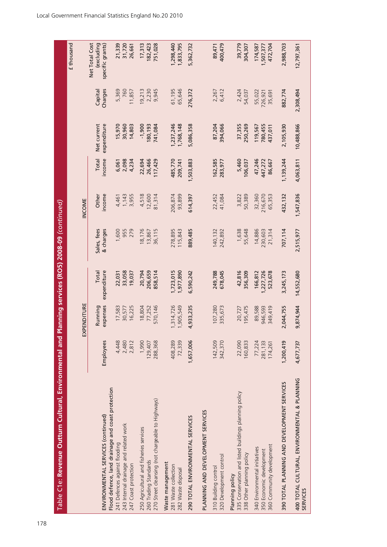| Table C1e: Revenue Outturn Cultural, Environmental and                                                                                               |                              |                              |                                 | Planning services (RO5) 2008-09 (continued) |                             |                             |                               |                            |                                                  |
|------------------------------------------------------------------------------------------------------------------------------------------------------|------------------------------|------------------------------|---------------------------------|---------------------------------------------|-----------------------------|-----------------------------|-------------------------------|----------------------------|--------------------------------------------------|
|                                                                                                                                                      |                              |                              |                                 |                                             |                             |                             |                               |                            | £ thousand                                       |
|                                                                                                                                                      |                              | EXPENDITURE                  |                                 |                                             | <b>INCOME</b>               |                             |                               |                            |                                                  |
| ENVIRONMENTAL SERVICES (continued)                                                                                                                   | Employees                    | expenses<br>Running          | expenditure<br>Total            | Sales, fees<br>& charges                    | ncome<br>Other              | income<br>Total             | Net current<br>expenditure    | Charges<br>Capital         | Net Total Cost<br>(excluding<br>specific grants) |
| Flood defence, land drainage and coast protection<br>243 Internal drainage and related work<br>241 Defences against flooding<br>247 Coast protection | 4,448<br>2,480<br>2,812      | 17,583<br>16,225<br>30,577   | 33,058<br>22,031<br>19,037      | 1,600<br>955<br>279                         | 3,955<br>1,143<br>4,461     | 2,098<br>4,234<br>6,061     | 15,970<br>30,960<br>14,803    | 5,369<br>760<br>11,857     | 31,720<br>21,339<br>26,661                       |
| 270 Street cleansing (not chargeable to Highways)<br>250 Agricultural and fisheries services<br>260 Trading Standards                                | 1,990<br>288,368<br>129,407  | 18,804<br>570,146<br>77,252  | 20,794<br>206,659<br>858,514    | 18,176<br>36,115<br>13,867                  | 4,518<br>12,600<br>81,314   | 22,694<br>26,466<br>17,429  | $-1,900$<br>80,193<br>741,084 | 19,213<br>2,230<br>9,945   | 17,313<br>82,423<br>751,028                      |
| Waste management<br>281 Waste collection<br>282 Waste disposal                                                                                       | 408,289<br>72,339            | ,314,726<br>1,905,549        | 723,015<br>,977,890             | 115,843<br>278,895                          | 93,899<br>206,874           | 485,770<br>209,741          | ,237,246<br>,768,148          | 65,646<br>61,195           | ,298,440<br>1,833,795                            |
| 290 TOTAL ENVIRONMENTAL SERVICES                                                                                                                     | 1,657,006                    | 4,933,235                    | 6,590,242                       | 889,485                                     | 514,397                     | 1,503,883                   | 5,086,358                     | 276,372                    | 5,362,732                                        |
| PLANNING AND DEVELOPMENT SERVICES                                                                                                                    |                              |                              |                                 |                                             |                             |                             |                               |                            |                                                  |
| 320 Development control<br>310 Building control                                                                                                      | 142,509<br>342,370           | 107,280<br>335,673           | 678,045<br>249,788              | 140,132<br>242,892                          | 22,452<br>41,084            | 162,585<br>283,977          | 87,204<br>394,066             | 6,412<br>2,267             | 400,479<br>89,471                                |
| 335 Conservation and listed buildings planning policy<br>338 Other planning policy<br>Planning policy                                                | 22,090<br>160,833            | 195,475<br>20,727            | 42,816<br>356,309               | 1,638<br>55,648                             | 50,389<br>3,822             | 5,460<br>106,037            | 37,355<br>250,269             | 2,424<br>54,037            | 39,779<br>304,307                                |
| 360 Community development<br>340 Environmental initiatives<br>350 Economic development                                                               | 77,224<br>281,133<br>174,261 | 89,588<br>946,593<br>349,419 | 166,812<br>1,227,726<br>523,678 | 14,886<br>230,603<br>21,314                 | 32,360<br>216,670<br>65,353 | 47,246<br>447,272<br>86,667 | 780,455<br>119,567<br>437,011 | 55,022<br>35,691<br>726,92 | 174,587<br>1,507,377<br>472,704                  |
| 390 TOTAL PLANNING AND DEVELOPMENT SERVICES                                                                                                          | 1,200,419                    | 2,044,755                    | 3,245,173                       | 707,114                                     | 432,132                     | 1,139,244                   | 2,105,930                     | 882,774                    | 2,988,703                                        |
| 400 TOTAL CULTURAL, ENVIRONMENTAL & PLANNING<br><b>SERVICES</b>                                                                                      | 4,677,737                    | 9,874,944                    | 14,552,680                      | 2,515,977                                   | 1,547,836                   | 4,063,811                   | 10,488,866                    | 2,308,494                  | 12,797,361                                       |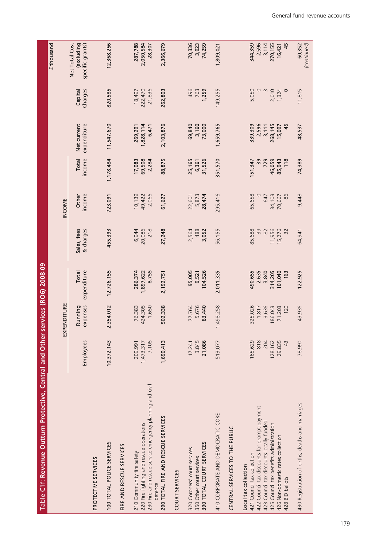| <b>Contract Contract Contract</b><br>֧֧֧֧֧֧ׅ֧ׅ֧ׅ֧֧ׅ֧֧֪֪֪֪֪֪֪֪֪֪֪֪֪֪֪֪֪֪֪֪֪֪֪֪֪֪֪֚֚֚֚֚֚֚֚֚֚֚֚֚֚֚֚֚֚֚֚֚֚֚֚֚֚֚֚֚֚֚֝֟֓֝֓֝֓֝֬֜֜֜֝֬֜֜֝ |
|----------------------------------------------------------------------------------------------------------------------------------|
|                                                                                                                                  |
|                                                                                                                                  |
|                                                                                                                                  |
|                                                                                                                                  |
|                                                                                                                                  |
|                                                                                                                                  |
|                                                                                                                                  |
|                                                                                                                                  |
|                                                                                                                                  |
|                                                                                                                                  |
|                                                                                                                                  |
|                                                                                                                                  |
|                                                                                                                                  |
|                                                                                                                                  |
|                                                                                                                                  |
|                                                                                                                                  |
|                                                                                                                                  |
|                                                                                                                                  |
|                                                                                                                                  |
|                                                                                                                                  |
|                                                                                                                                  |
| ון<br>וויסטורי                                                                                                                   |
|                                                                                                                                  |
|                                                                                                                                  |
|                                                                                                                                  |
|                                                                                                                                  |
|                                                                                                                                  |
|                                                                                                                                  |
|                                                                                                                                  |
|                                                                                                                                  |
|                                                                                                                                  |
| l                                                                                                                                |
|                                                                                                                                  |
|                                                                                                                                  |
|                                                                                                                                  |
|                                                                                                                                  |
|                                                                                                                                  |
|                                                                                                                                  |

|                                                                                                                                  |                               |                            |                               |                          |                           |                           |                               |                             | £ thousand                                       |
|----------------------------------------------------------------------------------------------------------------------------------|-------------------------------|----------------------------|-------------------------------|--------------------------|---------------------------|---------------------------|-------------------------------|-----------------------------|--------------------------------------------------|
|                                                                                                                                  |                               | PENDITURE<br>$\mathbb{E}$  |                               |                          | INCOME                    |                           |                               |                             |                                                  |
|                                                                                                                                  | Employees                     | expenses<br>Running        | expenditure<br>Total          | Sales, fees<br>& charges | income<br>Other           | income<br>Total           | Net current<br>expenditure    | Charges<br>Capital          | Net Total Cost<br>(excluding<br>specific grants) |
| PROTECTIVE SERVICES                                                                                                              |                               |                            |                               |                          |                           |                           |                               |                             |                                                  |
| 100 TOTAL POLICE SERVICES                                                                                                        | 10,372,143                    | 2,354,012                  | 12,726,155                    | 455,393                  | 723,091                   | 1,178,484                 | 11,547,670                    | 820,585                     | 12,368,256                                       |
| FIRE AND RESCUE SERVICES                                                                                                         |                               |                            |                               |                          |                           |                           |                               |                             |                                                  |
| 230 Fire and rescue service emergency planning and civil<br>220 Fire fighting and rescue operations<br>210 Community fire safety | 7,105<br>1,473,317<br>209,991 | 76,383<br>424,305<br>1,650 | 286,374<br>1,897,622<br>8,755 | 6,944<br>20,086<br>$218$ | 10,139<br>49,422<br>2,066 | 17,083<br>69,508<br>2,284 | 1,828,114<br>6,471<br>269,291 | 222,470<br>21,836<br>18,497 | 287,788<br>2,050,584<br>28,307                   |
| 290 TOTAL FIRE AND RESCUE SERVICES<br>defence                                                                                    | 1,690,413                     | 502,338                    | 2,192,751                     | 27,248                   | 61,627                    | 88,875                    | 2,103,876                     | 262,803                     | 2,366,679                                        |
| <b>COURT SERVICES</b>                                                                                                            |                               |                            |                               |                          |                           |                           |                               |                             |                                                  |
| 390 TOTAL COURT SERVICES<br>320 Coroners' court services<br>350 Other court services                                             | 3,845<br>21,086<br>17,241     | 5,676<br>77,764<br>83,440  | 95,005<br>104,526<br>9,521    | 2,564<br>488<br>3,052    | 5,873<br>28,474<br>22,601 | 25,165<br>31,526<br>6,361 | 69,840<br>3,160<br>73,000     | 496<br>763<br>1,259         | 70,336<br>3,923<br>74,259                        |
| 410 CORPORATE AND DEMOCRATIC CORE                                                                                                | 513,077                       | 1,498,258                  | 2,011,335                     | 56,155                   | 295,416                   | 351,570                   | 1,659,765                     | 149,255                     | 1,809,021                                        |
| CENTRAL SERVICES TO THE PUBLIC                                                                                                   |                               |                            |                               |                          |                           |                           |                               |                             |                                                  |
| Local tax collection                                                                                                             |                               |                            |                               |                          |                           |                           |                               |                             |                                                  |
| 422 Council tax discounts for prompt payment<br>421 Council tax collection                                                       | 165,629<br>818                | 325,026                    | 490,655                       | 85,688                   | 65,658                    | 39<br>151,347             | 339,309                       | 5,050                       | 344,359                                          |
| 423 Council tax discounts locally funded                                                                                         | 204                           | 3,636<br>1,817             | 2,635<br>3,840                | 39<br>82                 | 647                       | 729                       | 2,596<br>3,111                |                             | 2,596<br>3,114                                   |
| 425 Council tax benefits administration                                                                                          | 128,162                       | 186,043                    | 314,205                       | 11,956                   | 34,103                    | 46,059                    | 268, 145                      | 2,010                       | 270,155                                          |
| 426 Non-domestic rates collection                                                                                                | 29,835                        | 71,203                     | 101,040                       | 15,276                   | 70,667                    | 85,943                    | 15,097                        | 1,324                       | 16,421                                           |
| 428 BID ballots                                                                                                                  | 43                            | 120                        | 163                           | 32                       | 86                        | 118                       | 45                            | $\circ$                     | 45                                               |
| 430 Registration of births, deaths and marriages                                                                                 | 78,990                        | 43,936                     | 122,925                       | 64,941                   | 9,448                     | 74,389                    | 48,537                        | 11,815                      | 60,352<br>(continued)                            |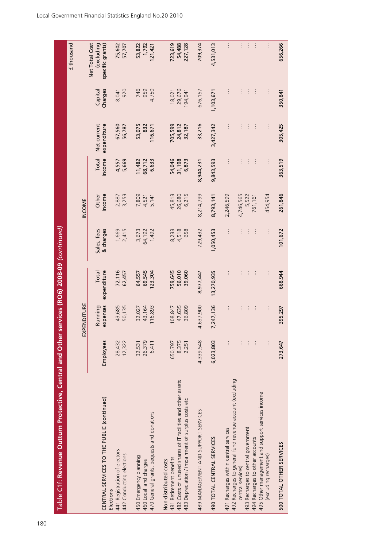| Table C1f: Revenue Outturn Protective, Central and Other                                                         |                  |                     |                      | services (RO6) 2008-09 (continued) |                         |                  |                            |                    |                                                  |
|------------------------------------------------------------------------------------------------------------------|------------------|---------------------|----------------------|------------------------------------|-------------------------|------------------|----------------------------|--------------------|--------------------------------------------------|
|                                                                                                                  |                  |                     |                      |                                    |                         |                  |                            |                    | £ thousand                                       |
|                                                                                                                  |                  | EXPENDITURE         |                      |                                    | INCOME                  |                  |                            |                    |                                                  |
| CENTRAL SERVICES TO THE PUBLIC (continued)                                                                       | Employees        | expenses<br>Running | expenditure<br>Total | Sales, fees<br>& charges           | income<br>Other         | income<br>Total  | Net current<br>expenditure | Charges<br>Capital | Net Total Cost<br>(excluding<br>specific grants) |
| 441 Registration of electors<br>442 Conducting elections<br>Elections                                            | 28,432<br>12,322 | 43,685<br>50,135    | 72,116<br>62,457     | 1,669<br>2,415                     | 3,253<br>2,887          | 5,669<br>4,557   | 67,560<br>56,787           | 920<br>8,041       | 75,602<br>57,707                                 |
| 450 Emergency planning<br>460 Local land charges                                                                 | 26,379<br>32,531 | 32,027<br>43,164    | 69,545<br>64,557     | 3,673<br>64,192                    | 7,809<br>4,521<br>5,141 | 11,482<br>68,712 | 53,075<br>832              | 746<br>959         | 53,822<br>1,792                                  |
| 470 General grants, bequests and donations                                                                       | 6,411            | 116,893             | 23,304               | 1,492                              |                         | 6,633            | 116,671                    | 4,750              | 121,421                                          |
| 482 Costs of unused shares of IT facilities and other assets<br>481 Retirement benefits<br>Non-distributed costs | 8,375<br>650,797 | 47,635<br>08,847    | 759,645<br>56,010    | 4,518<br>8,233                     | 45,813<br>26,680        | 54,046<br>31,198 | 705,599<br>24,812          | 29,676<br>18,021   | 723,619<br>54,488                                |
| 483 Depreciation / impairment of surplus costs etc                                                               | 2,251            | 36,809              | 39,060               | 658                                | 6,215                   | 6,873            | 32,187                     | 194,941            | 227,128                                          |
| 489 MANAGEMENT AND SUPPORT SERVICES                                                                              | 4,339,548        | 4,637,900           | 8,977,447            | 729,432                            | 8,214,799               | 8,944,231        | 33,216                     | 676,157            | 709,374                                          |
| 490 TOTAL CENTRAL SERVICES                                                                                       | 6,023,803        | 7,247,136           | 13,270,935           | 1,050,453                          | 8,793,141               | 9,843,593        | 3,427,342                  | 1,103,671          | 4,531,013                                        |
| 491 Recharges within central services                                                                            | $\vdots$         | $\vdots$            |                      |                                    | 2,246,599               | $\vdots$         | $\vdots$                   | $\vdots$           | $\vdots$                                         |
| 492 Recharges to general fund revenue account (excluding<br>Content composition                                  |                  |                     |                      |                                    | $1 - 74C$ ECE           |                  |                            |                    |                                                  |

central services)

495 Other management and support services income

500 TOTAL OTHER SERVICES

493 Recharges to central government<br>494 Recharges to other accounts<br>495 Other management and support services income<br>(excluding recharges)

central services) … … … … 4,746,565……… …  $4322$  Recharges to central government  $1222$   $1222$   $1222$   $1222$   $1222$   $1222$   $1222$   $1222$   $1222$   $1222$   $1222$   $1222$   $1222$   $1222$   $1222$   $1222$   $1222$   $1222$   $1222$   $1222$   $1222$   $1222$   $1222$   $1222$   $1222$   $1222$   $\frac{4}{3}$   $\frac{4}{3}$   $\frac{4}{3}$   $\frac{4}{3}$   $\frac{4}{3}$   $\frac{4}{3}$   $\frac{4}{3}$   $\frac{4}{3}$   $\frac{4}{3}$   $\frac{4}{3}$   $\frac{4}{3}$   $\frac{4}{3}$   $\frac{4}{3}$   $\frac{4}{3}$   $\frac{4}{3}$   $\frac{4}{3}$   $\frac{4}{3}$   $\frac{4}{3}$   $\frac{4}{3}$   $\frac{4}{3}$   $\frac{4}{3}$   $\frac{4}{3}$ 

 $\frac{1}{2}$  ,  $\frac{1}{2}$  ,  $\frac{1}{2}$ 

 $\frac{1}{2}$  .  $\frac{1}{2}$  $\pm$ 

 $\mathbb{H}^1(\mathbb{H}^1)$ 

 $\mathbb{E}^{\mathbb{P}}$  is  $\mathbb{E}$ 

 $\frac{1}{2}$  ,  $\frac{1}{2}$  ,  $\frac{1}{2}$ 

 $\frac{1}{2}$  ,  $\frac{1}{2}$  ,  $\frac{1}{2}$ 

 $\frac{1}{2}$  .  $\frac{1}{2}$  $\frac{1}{2}$ 

4,746,565<br>5,522

 $\frac{1}{2} - \frac{1}{2}$  $\frac{1}{2}$ 

761,161

 $\mathbb{R}$ 

 $\vdots$ 

 $\frac{1}{4}$ 

 $\frac{1}{4}$ 

454,954

 $\frac{1}{4}$ 

656,266

350,841

305,425

363,519

261,846

101,672

(excluding recharges) … … … … 454,954……… …

 $\frac{1}{4}$ 

 $\ddot{\ddot{z}}$ 

 $\vdots$ 

500 TOTAL OTHER SERVICES 273,647 395,297 668,944 101,672 261,846 363,519 305,425 350,841 656,266

668,944

395,297

273,647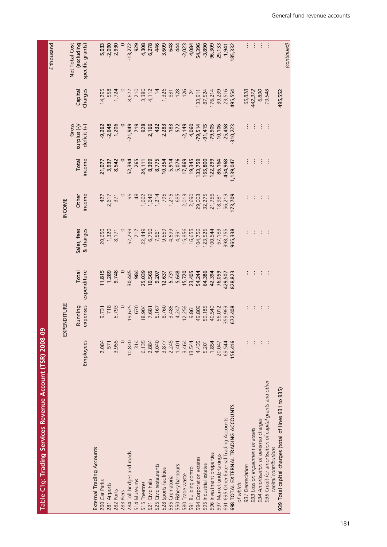Table C1g: Trading Services Revenue Account (TSR) 2008-09 Table C1g: **Trading Services Revenue Account (TSR) 2008-09**

| (continued)                                      |                    |                                      |                          |                  |                          |                      |                                           |           |                                                                                  |
|--------------------------------------------------|--------------------|--------------------------------------|--------------------------|------------------|--------------------------|----------------------|-------------------------------------------|-----------|----------------------------------------------------------------------------------|
|                                                  | 495,552            |                                      |                          |                  |                          |                      |                                           |           | 939 Total capital charges (total of lines 931 to 935)                            |
| ÷                                                | $-19,548$          | ÷                                    | ÷                        | $\vdots$         | $\vdots$                 | ÷                    | $\vdots$                                  |           | 935 Credit for amortisation of capital grants and other<br>capital contributions |
| ÷                                                | 6,890              | ÷                                    | ÷                        | $\vdots$         | $\vdots$                 | ÷                    | $\vdots$                                  | ÷         | 934 Amortisation of deferred charges                                             |
| ÷                                                |                    |                                      |                          |                  |                          |                      | $\vdots$                                  | ÷         | 933 Loss on impairment of assets                                                 |
|                                                  | 65,838<br>442,372  |                                      |                          |                  |                          |                      |                                           | ŧ         | 931 Depreciation                                                                 |
|                                                  |                    |                                      |                          |                  |                          |                      |                                           |           | of which:                                                                        |
| 185,332                                          | 495,554            | 310,223                              | 1,139,047                | 173,709          | 965,338                  | 828,823              | 572,408                                   | 156,416   | 698 TOTAL EXTERNAL TRADING ACCOUNTS                                              |
| $-1,941$                                         | 39,239<br>23,516   | $-10,106$<br>$-25,458$               | 454,968                  | 56,213           | 398,755                  | 429,507              | 359,963                                   | 69,544    | 691-695 Other External Trading Accounts                                          |
| 29,133                                           |                    |                                      | 86,164                   | 18,981           | 67,183                   | 76,059               | 56,012                                    | 20,047    | 597 Market undertakings                                                          |
| 96,309                                           | 176,214            | $-91,415$<br>$-79,905$               | 122,299                  |                  | 100,544                  | 42,394               | 40,540                                    | 1,854     | 596 Investment properties                                                        |
| $-3,890$                                         | 87,524             |                                      | 155,800                  | 32,275<br>21,756 | 123,525                  |                      | 59,185                                    | 5,201     | 595 Industrial estates                                                           |
| 54,396                                           | 133,911            | $-79,514$                            | 133,759                  | 29,003           | 104,756                  | 54,244<br>64,386     | 49,809                                    | 4,435     | 594 Corporation estates                                                          |
| 4,084                                            |                    | 4,060                                | 19,345                   | 2,013<br>2,690   | 16,655                   | 23,405               | 9,861                                     | 13,544    | 591 Building control                                                             |
| $-2,023$                                         | 126<br>24          | $-2,149$                             | 17,869                   |                  | 15,856                   | 15,720               | 12,256                                    | 3,464     | 580 Trade waste                                                                  |
| 444                                              | $-128$             | 572                                  | 5,076                    | 685              | 4,391                    | 5,648                |                                           | 1,401     | 550 Fishery harbours                                                             |
| 648                                              | 831                | $-183$                               | 5,914                    | 1,215            | 4,699                    | 5,731                |                                           | 2,245     | 535 Crematoria                                                                   |
| 3,609                                            | 1,326              | 2,283                                | 10,354                   | 1,214<br>795     | 9,559                    | 12,637               | 7,681<br>5,167<br>8,786<br>4,247<br>4,247 | 3,877     | 528 Sports facilities                                                            |
| 446                                              | $\frac{14}{3}$     | 432                                  | 8,775                    |                  | 6,750<br>7,561           | 9,207                |                                           | 4,040     | 525 Civic restaurants                                                            |
| 6,278                                            |                    | 2,166                                | 8,399                    | 1,649            |                          | 10,565               |                                           | 2,884     | 521 Civic halls                                                                  |
| 4,308                                            | 3,380<br>4,112     | 928                                  | 24,111                   | 1,662            | 22,449                   | 25,039               | 18,904                                    | 6,135     | 515 Theatres                                                                     |
| 929                                              | 210                | 719                                  | 265                      | 48               | 217                      | 984                  | 670                                       | 314       | 514 Museums                                                                      |
| $-13,272$                                        | 8,677              | $-21,949$                            | 52,394                   | 95               | 52,299                   | 30,445               | 19,625                                    | 10,820    | 284 Toll bridges and roads                                                       |
|                                                  |                    |                                      |                          |                  |                          |                      |                                           |           | 283 Piers                                                                        |
|                                                  | 1,724              |                                      |                          |                  | 8,171                    | 1,289<br>9,748       | 5,793                                     | 3,955     | 282 Ports                                                                        |
| 5,033<br>-2,090<br>2,930                         | 558                | $-9,262$<br>$-2,648$<br>$1,206$      |                          | 2,617<br>371     | 20,650                   |                      | 718                                       | 571       | 281 Airports                                                                     |
|                                                  | 14,295             |                                      | 21,077<br>3,937<br>8,542 | 427              |                          | 11,815               | 9,731                                     | 2,084     | 260 Car Parks                                                                    |
|                                                  |                    |                                      |                          |                  |                          |                      |                                           |           | <b>External Trading Accounts</b>                                                 |
| Net Total Cost<br>(excluding<br>specific grants) | Charges<br>Capital | Gross<br>surplus (-)/<br>deficit (+) | income<br>Total          | income<br>Other  | & charges<br>Sales, fees | expenditure<br>Total | expenses<br>Running                       | Employees |                                                                                  |
|                                                  |                    |                                      |                          | INCOME           |                          |                      | EXPENDITURE                               |           |                                                                                  |
| £ thousand                                       |                    |                                      |                          |                  |                          |                      |                                           |           |                                                                                  |
|                                                  |                    |                                      |                          |                  |                          |                      |                                           |           |                                                                                  |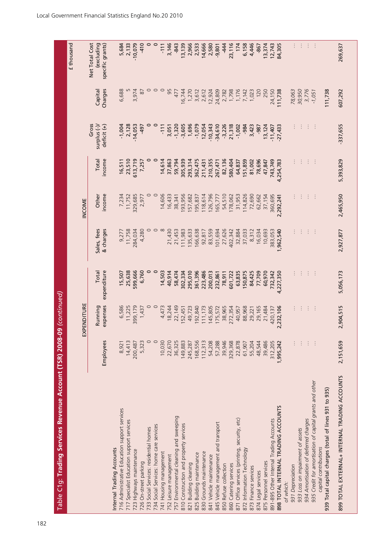| Table C1g: Trading Services Revenue Account (TSR) 2008-09                        |           | (continued)         |                      |                          |                 |                 |                                       |                    | £ thousand                                       |
|----------------------------------------------------------------------------------|-----------|---------------------|----------------------|--------------------------|-----------------|-----------------|---------------------------------------|--------------------|--------------------------------------------------|
|                                                                                  |           | EXPENDITURE         |                      |                          | INCOME          |                 |                                       |                    |                                                  |
|                                                                                  | Employees | expenses<br>Running | Total<br>expenditure | Sales, fees<br>& charges | Other<br>income | income<br>Total | Gross<br>surplus $(-)$<br>deficit (+) | Charges<br>Capital | Net Total Cost<br>(excluding<br>specific grants) |
| Internal Trading Accounts                                                        |           |                     |                      |                          |                 |                 |                                       |                    |                                                  |
| 716 Administrative Education support services                                    | 8,921     | 6,586               | 15,507               | 9,277                    | 7,234           | 16,511          | $-1,004$                              | 6,688              | 5,684                                            |
| 717 Specialist Education support services                                        | 14,413    | 11,225              | 25,638               | 11,758                   | 11,752          | 23,510          | 2,128                                 |                    | 2,133                                            |
| 723 Highways maintenance                                                         | 200,487   | 399,179             | 599,666              | 284,034                  | 329,685         | 613,719         | $-14,053$                             | 3,974              | $-10,079$                                        |
| 726 On-street parking                                                            | 5,323     | 1,437               | 6,760                | 4,280                    | 2,977           | 7,257           | $-497$                                | 87                 | $-410$                                           |
| 733 Social Services: residential homes                                           | $\circ$   |                     | $\circ$              |                          |                 |                 |                                       | $\circ$            |                                                  |
| Social Services: home care services<br>734                                       | $\circ$   |                     | $\circ$              |                          |                 |                 |                                       |                    |                                                  |
| 741 Housing management                                                           | 10,030    | 4,473               | 14,503               |                          | 14,606          | 14,614          | $-111$                                | $\circ$            | $-111$                                           |
| 752 Leisure management                                                           | 22,670    | 18,244              | 40,914               | 21,430                   | 16,433          | 37,863          | 3,051                                 | 95                 | 3,146                                            |
| 757 Environmental cleaning and sweeping                                          | 36,325    | 22,149              | 58,474               | 21,453                   | 38,341          | 59,794          | $-1,320$                              | 477                | $-843$                                           |
| 810 Construction and property services                                           | 149,883   | 52,451              | 302,334              | 111,983                  | 193,956         | 305,939         | $-3,605$                              | 16,744             | 13,139                                           |
| 821 Building cleaning                                                            | 245,287   | 49,723              | 295,010              | 135,633                  | 157,682         | 293,314         | 1,696                                 | 1,270              | 2,966                                            |
| 825 Building maintenance                                                         | 168,556   | 92,840              | 361,396              | 166,638                  | 195,837         | 362,475         | $-1,079$                              | 3,612              | 2,533                                            |
| 830 Grounds maintenance                                                          | 112,313   | 111,173             | 223,486              | 92,817                   | 118,614         | 211,431         | 12,054                                | 2,612              | 14,666                                           |
| 841 Vehicle maintenance                                                          | 54,208    | 145,805             | 200,013              | 83,559                   | 126,796         | 210,355         | $-10,343$                             | 12,924             | 2,580                                            |
| 845 Vehicle management and transport                                             | 57,288    | 175,572             | 232,861              | 101,694                  | 165,777         | 267,471         | $-34,610$                             | 24,809             | $-9,801$                                         |
| 850 Refuse collection                                                            | 39,946    | 38,965              | 78,911               | 27,626                   | 54,510          | 82,136          | $-3,226$                              | 2,782              | $-444$                                           |
| 860 Catering services                                                            | 329,368   | 272,354             | 601,722              | 402,342                  | 178,062         | 580,404         | 21,318                                | 1,798              | 23,116                                           |
| 871 Office services (printing, security, etc)                                    | 22,878    | 40,957              | 63,835               | 32,884                   | 31,953          | 64,837          | $-1,002$                              | 1,176              | 174                                              |
| 872 Information Technology                                                       | 61,907    | 88,968              | 150,875              | 37,033                   | 114,826         | 151,859         | $-984$                                | 7,142              | 6,158                                            |
| 873 Finance services                                                             | 55,204    | 29,221              | 84,425               | 8,312                    | 72,690          | 81,002          | 3,423                                 | 1,023              | 4,446                                            |
| 874 Legal services                                                               | 48,544    | 29,165              | 77,709               | 16,034                   | 62,662          | 78,696          | -987                                  | 120                | $-867$                                           |
| 875 Personnel services                                                           | 39,486    | 21,484              | 60,970               | 10,693                   | 37,154          | 47,847          | 13,124                                | 250                | 13,374                                           |
| 891-895 Other Internal Trading Accounts                                          | 312,205   | 420,137             | 732,342              | 383,053                  | 360,695         | 743,749         | $-11,407$                             | 24,150             | 12,743                                           |
| 898 TOTAL INTERNAL TRADING ACCOUNTS                                              | 1,995,242 | 2,232,106           | 4,227,350            | 1,962,540                | 2,292,241       | 4,254,783       | $-27,433$                             | 111,738            | 84,305                                           |
| of which:                                                                        |           |                     |                      |                          |                 |                 |                                       |                    |                                                  |
| 931 Depreciation                                                                 | $\vdots$  |                     |                      |                          |                 |                 |                                       | 78,063             | ÷                                                |
| 933 Loss on impairment of assets                                                 | ÷         |                     |                      |                          |                 |                 |                                       | 30,950             | $\vdots$                                         |
| 934 Amortisation of deferred charges                                             | $\vdots$  |                     | ÷                    |                          | ÷               |                 |                                       | 3,776              | $\vdots$                                         |
| 935 Credit for amortisation of capital grants and other<br>capital contributions | $\vdots$  |                     | ÷                    |                          | $\vdots$        |                 |                                       | $-1,051$           | $\vdots$                                         |
| 939 Total capital charges (total of lines 931 to 935)                            |           |                     |                      |                          |                 |                 |                                       | 111,738            |                                                  |
| 899 TOTAL EXTERNAL+ INTERNAL TRADING ACCOUNTS                                    | 2,151,659 | 2,904,515           | 5,056,173            | 2,927,877                | 2,465,950       | 5,393,829       | $-337,655$                            | 607,292            | 269,637                                          |
|                                                                                  |           |                     |                      |                          |                 |                 |                                       |                    |                                                  |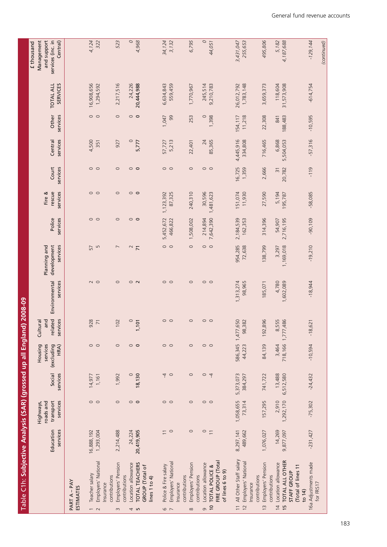| Table C1h: Subjective Analysis (SAR) (grossed up all England) 2008-09                                         |                       |                                    |                      |                                |                            |                           |                                         |                      |                    |                          |                      |                   |                                     |                                              |
|---------------------------------------------------------------------------------------------------------------|-----------------------|------------------------------------|----------------------|--------------------------------|----------------------------|---------------------------|-----------------------------------------|----------------------|--------------------|--------------------------|----------------------|-------------------|-------------------------------------|----------------------------------------------|
|                                                                                                               |                       | Highways,                          |                      | Housing                        | Cultural                   |                           |                                         |                      | Fire &             |                          |                      |                   |                                     | Management<br>£ thousand                     |
|                                                                                                               | Education<br>services | services<br>roads and<br>transport | Social<br>services   | (excluding<br>services<br>HRA) | related<br>services<br>and | Environmental<br>services | development<br>services<br>Planning and | Police<br>services   | services<br>rescue | services<br>Court        | services<br>Central  | Other<br>services | <b>TOTAL ALL</b><br><b>SERVICES</b> | and support<br>services (inc. in<br>Central) |
| PART A - PAY<br><b>ESTIMATES</b>                                                                              |                       |                                    |                      |                                |                            |                           |                                         |                      |                    |                          |                      |                   |                                     |                                              |
| Teacher salary                                                                                                | 16,888,192            |                                    | 14,977               |                                | 928                        | $\sim$ $\circ$            | 57                                      |                      | $\circ$ $\circ$    | $\circ$ $\circ$          | 4,500                | $\circ$ $\circ$   | 16,908,656                          | 4,124                                        |
| Employers' National<br>Insurance<br>$\sim$ $\sim$                                                             | 1,293,004             | $\circ$ $\circ$                    | 1,161                | $\circ$ $\circ$                | $\overline{71}$            |                           | S                                       | $\circ$ $\circ$      |                    |                          | 351                  |                   | 1,294,592                           | 322                                          |
| Employers' Pension<br>contributions<br>contributions<br>$\infty$                                              | 2,214,488             | $\circ$                            | 1,992                | $\circ$                        | 102                        | $\circ$                   | $\overline{ }$                          | $\circ$              | $\circ$            | $\circ$                  | 927                  | $\circ$           | 2,217,516                           | 523                                          |
| Location allowance                                                                                            | 24,224                |                                    | $\circ$              | $\circ$ $\circ$                | $\circ$                    |                           | $\sim$                                  | $\circ$              | $\circ$ $\circ$    | $\circ$                  | $\circ$              | $\circ$           | 24,226                              | $\circ$                                      |
| <b>TOTAL TEACHERS</b><br><b>GROUP</b> (Total of<br>lines 1 to 4)<br>4 ru                                      | 20,419,905            | $\circ$ $\circ$                    | 18,130               |                                | 101<br>ſ,                  | $\circ$ $\sim$            | $\overline{7}$                          | $\circ$              |                    | $\circ$                  | 5,777                | $\circ$           | 20,444,988                          | 4,968                                        |
| Police & Fire salary                                                                                          |                       |                                    |                      |                                |                            |                           | $\circ$                                 | 5,452,672            | 1,123,392          |                          | 57,727               | 1,047             | 6,634,843                           | 34,124                                       |
| Employers' National<br>$\circ$ $\sim$                                                                         | $\overline{10}$       | $\circ$ $\circ$                    | 40                   | $\circ$ $\circ$                | $\circ$ $\circ$            | $\circ$ $\circ$           | $\circ$                                 | 466,822              | 87,325             | $\circ$ $\circ$          | 5,213                | 99                | 559,459                             | 3,132                                        |
| contributions<br>Insurance                                                                                    |                       |                                    |                      |                                |                            |                           |                                         |                      |                    |                          |                      |                   |                                     |                                              |
| Employers' Pension<br>contributions<br>$\infty$                                                               | $\circ$               | $\circ$                            | $\circ$              | $\circ$                        | $\circ$                    | $\circ$                   | $\circ$                                 | 1,508,002            | 240,310            | $\circ$                  | 22,401               | 253               | 1,770,967                           | 6,795                                        |
| Location allowance<br>G                                                                                       | $rac{1}{1}$           | $\circ$ $\circ$                    | $\circ$ 4            | $\circ$ $\circ$                | $\circ$ $\circ$            | $\circ$ $\circ$           | $\circ$ $\circ$                         | 214,894              | 30,596             | $\circ$ $\circ$          | 24                   | $\circ$           | 245,514                             | $\circ$                                      |
| FIRE GROUP (Total<br>TOTAL POLICE &<br>of lines 6 to 9)<br>$\overline{0}$                                     |                       |                                    |                      |                                |                            |                           |                                         | 7,642,390            | 1,481,623          |                          | 85,365               | 1,398             | 9,210,783                           | 44,051                                       |
|                                                                                                               |                       | 1,058,655                          |                      |                                |                            |                           |                                         |                      |                    |                          |                      |                   |                                     |                                              |
| All Other Staff salary<br>Employers' National<br>Insurance<br>$\overline{1}$<br>$\overline{c}$                | 8,297,141<br>489,662  | 73,314                             | 5,373,073<br>384,297 | 586,345<br>44,223              | 1,477,650<br>98,382        | 1,313,274<br>98,965       | 954,285<br>72,638                       | 2,184,539<br>162,353 | 151,074<br>11,930  | 16,725<br>1,359          | 4,445,916<br>334,808 | 154,117<br>11,218 | 1,783,148<br>26,012,792             | 3,431,047<br>255,653                         |
| Employers' Pension<br>contributions<br>contributions<br>$\frac{1}{2}$                                         | 1,076,027             | 157,295                            | 741,722              | 84,139                         | 896<br>192,                | 185,071                   | 138,799                                 | 314,396              | 27,590             | 2,666                    | 716,465              | 22,308            | 3,659,373                           | 495,806                                      |
| TOTAL ALL OTHER<br>Location allowance<br>(Total of lines 11<br>STAFF GROUP<br>$\frac{15}{2}$<br>$\frac{1}{4}$ | 14,269<br>9,877,097   | 1,292,170<br>2,910                 | 6,512,580<br>13,488  | 3,464<br>718,166               | 8,555<br>1,777,486         | 4,780<br>1,602,089        | 1,169,018<br>3,297                      | 2,716,195<br>54,907  | 5,194<br>195,787   | 20,782<br>$\overline{3}$ | 5,504,053<br>6,868   | 188,483<br>841    | 118,604<br>31,573,908               | 4,187,688<br>5,182                           |
| 16a Adjustments made<br>for FRS17<br>to $14$                                                                  | $-231,427$            | $-75,302$                          | $-24,432$            | $-10,594$                      | $-18,621$                  | $-18,944$                 | $-19,210$                               | $-90,109$            | $-58,085$          | $-119$                   | $-57,316$            | $-10,595$         | $-614,754$                          | $-129, 144$                                  |
|                                                                                                               |                       |                                    |                      |                                |                            |                           |                                         |                      |                    |                          |                      |                   |                                     | (continued)                                  |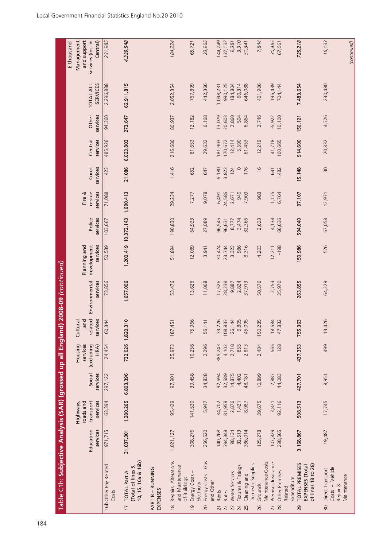| Table C1h: Subjective Analysis (SAR) (grossed up all England)                      |                       |                                                 |                    |                                           |                                        | 2008-09 (continued)       |                                         |                      |                              |                   |                     |                    |                                     | £ thousand                                                 |
|------------------------------------------------------------------------------------|-----------------------|-------------------------------------------------|--------------------|-------------------------------------------|----------------------------------------|---------------------------|-----------------------------------------|----------------------|------------------------------|-------------------|---------------------|--------------------|-------------------------------------|------------------------------------------------------------|
|                                                                                    | Education<br>services | transport<br>services<br>roads and<br>Highways, | Social<br>services | Housing<br>services<br>(excluding<br>HRA) | related<br>services<br>and<br>Cultural | Environmental<br>services | development<br>Planning and<br>services | Police<br>services   | services<br>Fire &<br>rescue | Court<br>services | Central<br>services | Other<br>services  | <b>SERVICES</b><br><b>TOTAL ALL</b> | Management<br>and support<br>services (inc. in<br>Central) |
| 16b Other Pay Related<br>Costs                                                     | 971,715               | 63,394                                          | 297,122            | 24,454                                    | 60,344                                 | 73,856                    | 50,539                                  | 103,667              | 71,088                       | 423               | 485,926             | 94,360             | 2,296,888                           | 231,985                                                    |
| 10, 15, 16a & 16b)<br>(Total of lines 5,<br><b>TOTAL Part A</b><br>$\overline{17}$ | 31,037,301            | 1,280,265                                       | 6,803,396          |                                           | 732,026 1,820,310                      | 1,657,006                 |                                         | 1,200,419 10,372,143 | 1,690,413                    | 21,086            | 6,023,803           | 273,647            | 62,911,815                          | 4,339,548                                                  |
| PART B - RUNNING<br>EXPENSES                                                       |                       |                                                 |                    |                                           |                                        |                           |                                         |                      |                              |                   |                     |                    |                                     |                                                            |
| Repairs, Alterations<br>and Maintenance<br>of Buildings<br>$\frac{8}{10}$          | 1,021,127             | 95,429                                          | 97,901             | 25,973                                    | 187,451                                | 53,476                    | 51,894                                  | 190,830              | 29,234                       | 1,416             | 216,686             | 80,937             | 2,052,354                           | 184,224                                                    |
| Energy Costs<br>Electricity<br>$\overline{0}$                                      | 308,276               | 141,530                                         | 39,458             | 10,256                                    | 75,966                                 | 13,626                    | 12,089                                  | 64,933               | 7,277                        | 652               | 81,653              | 12,182             | 767,899                             | 65,721                                                     |
| Energy Costs - Gas<br>and Other<br>20                                              | 256,520               | 5,947                                           | 34,838             | 2,296                                     | 55,141                                 | 11,068                    | 3,941                                   | 27,089               | 9,078                        | 647               | 29,632              | 6,168              | 442,366                             | 23,965                                                     |
| Rents<br>$\overline{21}$                                                           | 140,268               | 34,702                                          | 92,594             | 385,243                                   | 33,226                                 | 17,526                    | 30,474                                  | 96,545               | 6,491                        | 6,180             | 181,903             | 13,079             | 1,038,231                           | 144,749                                                    |
| Rates<br>22                                                                        | 394,348               | 81,959                                          | 32,589             | 4,102                                     | 108,833                                | 28,238                    | 23,744                                  | 96,631               | 24,585                       | 3,823             | 170,672             | 20,603             | 990,125                             | 137, 137                                                   |
| Water Services<br>23                                                               | 98,134                | 2,876                                           | 14,875             | 2,718                                     | 26,144                                 | 9,887                     | 3,323                                   | 8,777                | 2,671                        | 124               | 12,414              | 2,860              | 184,804                             | 9,381                                                      |
| Fixtures & Fittings<br>24                                                          | 32,513                | 1,421                                           | 4,402              | 855                                       | 6,805                                  | 2,824                     | 986                                     | 3,474                | 940                          | $\circ$           | 5,590               | 504                | 60,314                              | 3,310                                                      |
| Domestic Supplies<br>Cleaning and<br>25                                            | 386,014               | 8,987                                           | 48,181             | 2,813                                     | 45,095                                 | 37,913                    | 8,316                                   | 32,366               | 7,909                        | 176               | 61,453              | 6,864              | 646,088                             | 51,341                                                     |
| Grounds<br>26                                                                      | 125,278               | 39,675                                          | 10,899             | 2,404                                     | 150,285                                | 50,576                    | 4,203                                   | 2,623                | 983                          | $\frac{6}{2}$     | 12,219              | 2,746              | 401,906                             | 7,844                                                      |
| Maintenance Costs                                                                  |                       | 3,871                                           |                    | 565                                       |                                        |                           | 12,211                                  |                      |                              | 631               |                     |                    | 195,439                             |                                                            |
| Premises Insurance<br><b>Other Premises</b><br>28<br>27                            | 107,829<br>298,565    | 92,116                                          | 44,083<br>7,887    | 128                                       | 18,584<br>47,832                       | 2,753<br>35,970           | $-198$                                  | 4,138<br>66,636      | 1,175<br>6,764               | 1,482             | 41,718<br>100,665   | $-5,922$<br>10,100 | 704,144                             | 30,485<br>67,061                                           |
| Expenditure<br>Related                                                             |                       |                                                 |                    |                                           |                                        |                           |                                         |                      |                              |                   |                     |                    |                                     |                                                            |
| <b>TOTAL PREMISES</b><br>of lines 18 to 28)<br>EXPENSES (Total<br>29               | 3,168,867             | 508,513                                         | 427,701            | 437,353                                   | 755,363                                | 263,855                   | 150,986                                 | 594,040              | 97,107                       | 15,148            | 914,600             | 150,121            | 7,483,654                           | 725,218                                                    |
| Costs - Vehicle<br>Direct Transport<br>Maintenance<br>Repair &<br>$\overline{30}$  | 19,487                | 17,745                                          | 8,951              | 499                                       | 13,426                                 | 64,229                    | 526                                     | 67,058               | 12,971                       | 30                | 20,832              | 4,726              | 230,480                             | 16,133                                                     |
|                                                                                    |                       |                                                 |                    |                                           |                                        |                           |                                         |                      |                              |                   |                     |                    |                                     | (continued)                                                |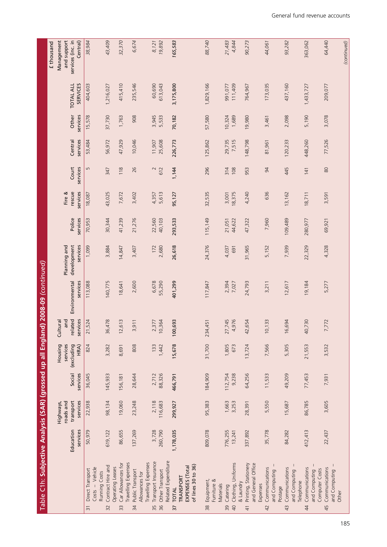| Table C1h: Subjective Analysis (SAR) (grossed up all England) 2008-09 (continued)                |                       |                                                 |                    |                                           |                                        |                           |                                         |                    |                              |                   |                     |                   |                                     |                                                            |
|--------------------------------------------------------------------------------------------------|-----------------------|-------------------------------------------------|--------------------|-------------------------------------------|----------------------------------------|---------------------------|-----------------------------------------|--------------------|------------------------------|-------------------|---------------------|-------------------|-------------------------------------|------------------------------------------------------------|
|                                                                                                  |                       |                                                 |                    |                                           |                                        |                           |                                         |                    |                              |                   |                     |                   |                                     | £ thousand                                                 |
|                                                                                                  | Education<br>services | services<br>roads and<br>transport<br>Highways, | Social<br>services | services<br>(excluding<br>Housing<br>HRA) | related<br>services<br>and<br>Cultural | Environmental<br>services | development<br>services<br>Planning and | Police<br>services | services<br>Fire &<br>rescue | Court<br>services | services<br>Central | Other<br>services | <b>SERVICES</b><br><b>TOTAL ALL</b> | Management<br>services (inc. in<br>and support<br>Central) |
| Costs - Vehicle<br>Direct Transport<br>$\overline{3}$                                            | 50,979                | 22,938                                          | 36,045             | 824                                       | 21,524                                 | 113,088                   | 1,099                                   | 70,953             | 18,087                       | $\overline{5}$    | 53,484              | 15,578            | 404,603                             | 38,984                                                     |
| Contract Hire and<br>Running Costs<br>$\overline{32}$                                            | 619,122               | 98,134                                          | 145,933            | 3,282                                     | 36,478                                 | 140,775                   | 3,884                                   | 30,344             | 43,025                       | 347               | 56,972              | 37,730            | 1,216,027                           | 43,409                                                     |
| Car Allowances for<br>Operating Leases<br>33                                                     | 86,655                | 19,060                                          | 156,181            | 8,691                                     | 12,613                                 | 18,641                    | 14,847                                  | 41,239             | 7,672                        | 118               | 47,929              | 1,763             | 415,410                             | 32,370                                                     |
| Travelling Expenses<br>Public Transport<br>Allowances for<br>34                                  | 137,269               | 23,248                                          | 28,644             | 808                                       | 3,911                                  | 2,600                     | 3,407                                   | 21,276             | 3,402                        | 26                | 10,046              | 908               | 235,546                             | 6,674                                                      |
| Related Expenditure<br>Transport Insurance<br>Travelling Expenses<br>Other Transport<br>35<br>36 | 260,790<br>3,728      | 2,118<br>116,683                                | 88,326<br>2,712    | 133<br>1,442                              | 2,377<br>10,364                        | 55,290<br>6,678           | 2,680<br>172                            | 22,560<br>40,103   | 5,613<br>4,357               | $\sim$<br>612     | 25,608<br>11,907    | 3,945<br>5,533    | 60,690<br>613,043                   | 19,892<br>8,121                                            |
| of lines 30 to 36)<br>EXPENSES (Total<br>TRANSPORT<br>TOTAL<br>$\overline{37}$                   | 1,178,035             | 299,927                                         | 466,791            | 15,678                                    | 100,693                                | 401,299                   | 26,618                                  | 293,533            | 95,127                       | 1,144             | 226,773             | 70,182            | 3,175,800                           | 165,583                                                    |
| Equipment,<br>Furniture &<br>Materials<br>38                                                     | 809,078               | 95,383                                          | 184,909            | 31,700                                    | 234,451                                | 117,847                   | 24,376                                  | 115,149            | 32,535                       | 296               | 125,862             | 57,580            | 1,829,166                           | 88,740                                                     |
| Clothing, Uniforms<br>& Laundry<br>Catering<br>$\overline{a}$<br>39                              | 776,255<br>13,241     | 1,663<br>3,253                                  | 112,754<br>9,238   | 1,805<br>673                              | 4,976<br>27,745                        | 2,394<br>7,027            | 4,037<br>691                            | 44,622<br>21,051   | 18,375<br>3,001              | 314<br>108        | 29,735<br>7,515     | 10,324<br>1,689   | 111,409<br>991,077                  | 4,844<br>21,483                                            |
| Printing, Stationery<br>and General Office<br>Expenses<br>$\overline{4}$                         | 337,892               | 28,391                                          | 64,256             | 13,724                                    | 42,654                                 | 24,793                    | 31,965                                  | 47,322             | 4,240                        | 953               | 148,798             | 19,980            | 764,967                             | 90,273                                                     |
| Communications<br>and Computing<br>Postage<br>42                                                 | 35,778                | 5,550                                           | 11,533             | 7,566                                     | 33<br>10 <sub>l</sub>                  | 3,211                     | 5,152                                   | 7,960              | 636                          | 94                | 81,961              | 3,461             | 173,035                             | 44,061                                                     |
| Communications<br>and Computing<br>Telephone<br>43                                               | 84,282                | 15,687                                          | 49,209             | 5,305                                     | 16,694                                 | 12,617                    | 7,939                                   | 109,489            | 13,162                       | 445               | 120,233             | 2,098             | 437,160                             | 93,282                                                     |
| Communications<br>and Computing<br>$\overline{4}$                                                | 412,413               | 86,785                                          | 77,453             | 21,553                                    | 40,730                                 | 19,184                    | 22,329                                  | 280,977            | 18,711                       | 141               | 448,260             | 5,190             | 1,433,727                           | 363,062                                                    |
| Communications<br>Computer Costs<br>and Computing<br>Other<br>45                                 | 22,437                | 3,605                                           | 7,931              | 3,532                                     | 7,772                                  | 5,277                     | 4,328                                   | 69,921             | 3,591                        | 80                | 77,526              | 3,078             | 209,077                             | 64,440                                                     |
|                                                                                                  |                       |                                                 |                    |                                           |                                        |                           |                                         |                    |                              |                   |                     |                   |                                     | (continued)                                                |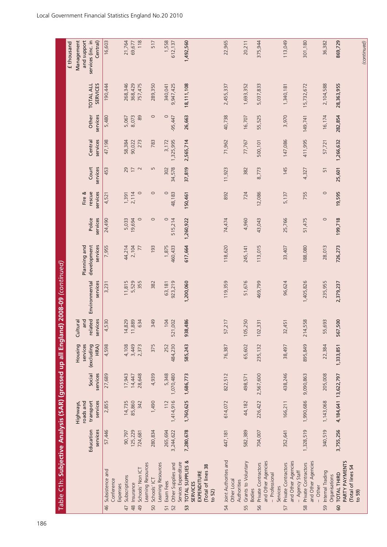| Table C1h: Subjective Analysis (SAR) (grossed up all England)     |                       |                                                 |                    |                                           |                                        | $2008-09$ (continued)     |                                         |                    |                              |                   |                     |                   |                              |                                                            |
|-------------------------------------------------------------------|-----------------------|-------------------------------------------------|--------------------|-------------------------------------------|----------------------------------------|---------------------------|-----------------------------------------|--------------------|------------------------------|-------------------|---------------------|-------------------|------------------------------|------------------------------------------------------------|
|                                                                   |                       |                                                 |                    |                                           |                                        |                           |                                         |                    |                              |                   |                     |                   |                              | £ thousand                                                 |
|                                                                   | Education<br>services | roads and<br>transport<br>services<br>Highways, | Social<br>services | Housing<br>services<br>(excluding<br>HRA) | related<br>services<br>and<br>Cultural | Environmental<br>services | development<br>Planning and<br>services | Police<br>services | services<br>Fire &<br>rescue | services<br>Court | services<br>Central | Other<br>services | <b>TOTAL ALL</b><br>SERVICES | Management<br>and support<br>services (inc. in<br>Central) |
| Subsistence and<br>46                                             | 57,446                | 2,855                                           | 27,689             | 4,598                                     | 4,530                                  | 3,231                     | 7,955                                   | 24,490             | 4,521                        | 453               | 47,198              | 5,480             | 190,444                      | 16,603                                                     |
| Conference<br>Expenses                                            |                       |                                                 |                    |                                           |                                        |                           |                                         |                    |                              |                   |                     |                   |                              |                                                            |
| Subscriptions<br>47                                               | 90,797                | 14,735                                          | 17,943             | 4,108                                     | 14,829                                 | 11,815                    | 44,214                                  | 5,033              | 1,391                        | 29                | 58,384              | 5,067             | 268,346                      | 21,764                                                     |
| Insurance<br>$\frac{8}{4}$                                        | 125,229               | 85,860                                          | 14,447             | 3,449                                     | 11,889                                 | 5,529                     | 2,104                                   | 19,694             | 2,114                        | $\overline{17}$   | 90,022              | 8,073             | 368,429                      | 69,677                                                     |
| Schools' Non ICT<br>$\overline{9}$                                | 724,681               | 342                                             | 28,648             | 2,373                                     | $\overline{34}$<br>$\circ$             | 355                       | 77                                      | $\circ$            | $\circ$                      | $\sim$            | 273                 | 89                | 757,475                      | 118                                                        |
| Learning Resources<br>Schools' ICT<br>50                          | 280,834               | 1,490                                           | 4,939              | 375                                       | 49<br>m                                | 382                       | 193                                     | $\circ$            | $\circ$                      | S                 | 783                 | $\circ$           | 289,350                      | 517                                                        |
| Learning Resources                                                |                       |                                                 |                    |                                           |                                        |                           |                                         |                    |                              |                   |                     |                   |                              |                                                            |
| Exam Fees                                                         | 265,694               | 112                                             | 5,348              | 252                                       | $\overline{a}$                         | 63,181                    | 1,875                                   | $\circ$            | $\circ$                      | 302               | 3,172               | $\circ$           | 340,041                      | 1,558                                                      |
| Other Supplies and<br>52                                          | 3,244,622             | 1,414,916                                       | 1,070,480          | 484,230                                   | 521,002                                | 923,219                   | 460,433                                 | 515,214            | 48,183                       | 34,578            | 1,325,995           | $-95,447$         | 9,947,425                    | 612,137                                                    |
| Services Expenditure                                              |                       |                                                 |                    |                                           |                                        |                           |                                         |                    |                              |                   |                     |                   |                              |                                                            |
| TOTAL SUPPLIES &<br><b>SERVICES</b><br>53                         | 7,280,678             | 1,760,625                                       | 1,686,773          | 585,243                                   | 86<br>938,4                            | 1,200,060                 | 617,664                                 | 1,260,922          | 150,461                      | 37,819            | 2,565,714           | 26,663            | 18, 111, 108                 | 1,492,560                                                  |
| (Total of lines 38<br>EXPENDITURE                                 |                       |                                                 |                    |                                           |                                        |                           |                                         |                    |                              |                   |                     |                   |                              |                                                            |
| to $52$ )                                                         |                       |                                                 |                    |                                           |                                        |                           |                                         |                    |                              |                   |                     |                   |                              |                                                            |
| Joint Authorites and<br>Other Local<br>Authorities<br>54          | 447,181               | 614,072                                         | 822,512            | 76,387                                    | 57,217                                 | 119,359                   | 118,620                                 | 74,474             | 892                          | 11,923            | 71,962              | 40,738            | 2,455,337                    | 22,965                                                     |
| Grants to Voluntary<br>55                                         | 582,389               | 44,182                                          | 498,571            | 65,602                                    | 50<br>105,2                            | 51,676                    | 245,141                                 | 4,960              | 724                          | 382               | 77,767              | 16,707            | 1,693,352                    | 20,211                                                     |
| <b>Bodies</b>                                                     |                       |                                                 |                    |                                           |                                        |                           |                                         |                    |                              |                   |                     |                   |                              |                                                            |
| and Other Agencies<br>Private Contractors<br>- Professional<br>56 | 704,007               | 226,422                                         | 2,567,600          | 235,132                                   | $\overline{3}$<br>102,3                | 469,799                   | 113,015                                 | 43,043             | 12,086                       | 8,773             | 500,101             | 55,525            | 5,037,833                    | 375,944                                                    |
| Services                                                          |                       |                                                 |                    |                                           |                                        |                           |                                         |                    |                              |                   |                     |                   |                              |                                                            |
| and Other Agencies<br>Private Contractors<br>- Agency Staff<br>57 | 352,641               | 166,211                                         | 438,246            | 38,497                                    | $\overline{5}$<br>32,4                 | 96,624                    | 33,407                                  | 25,766             | 5,137                        | 145               | 147,086             | 3,970             | 1,340,181                    | 113,049                                                    |
| and Other Agencies<br>Private Contractors<br>- Other<br>58        | 1,328,519             | 1,990,686                                       | 9,090,863          | 895,849                                   | 58<br>214,5                            | 1,405,826                 | 188,080                                 | 51,475             | 755                          | 4,327             | 411,995             | 149,741           | 15,732,672                   | 301,180                                                    |
| Internal Trading<br>Organisations<br>59                           | 340,519               | 1,143,068                                       | 205,008            | 22,384                                    | 93<br>55,6                             | 235,955                   | 28,013                                  | $\circ$            | $\circ$                      | 51                | 57,721              | 16,174            | 2,104,588                    | 36,382                                                     |
| PARTY PAYMENTS<br><b>TOTAL THIRD</b><br>60                        | 3,755,256             | 4,184,641 13,622,797                            |                    | 1,333,851                                 | 567,500                                | 2,379,237                 | 726,273                                 | 199,718            | 19,595                       | 25,601            | 1,266,632           | 282,854           | 28,363,955                   | 869,729                                                    |
| (Total of lines 54<br>to 59)                                      |                       |                                                 |                    |                                           |                                        |                           |                                         |                    |                              |                   |                     |                   |                              |                                                            |
|                                                                   |                       |                                                 |                    |                                           |                                        |                           |                                         |                    |                              |                   |                     |                   |                              | (continued)                                                |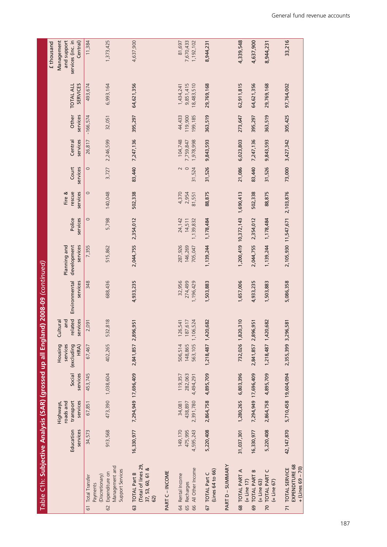| Table C1h: Subjective Analysis (SAR) (grossed up all England) 2008-09 <i>(continued)</i> |                                 |                                |                                 |                     |                                         |                                |                               |                                |                          |                   |                                   |                              |                                      |                                         |
|------------------------------------------------------------------------------------------|---------------------------------|--------------------------------|---------------------------------|---------------------|-----------------------------------------|--------------------------------|-------------------------------|--------------------------------|--------------------------|-------------------|-----------------------------------|------------------------------|--------------------------------------|-----------------------------------------|
|                                                                                          |                                 | roads and<br>Highways,         |                                 | Housing<br>services | and<br>Cultural                         |                                | Planning and                  |                                | Fire &                   |                   |                                   |                              |                                      | and support<br>Management<br>£ thousand |
|                                                                                          | Education<br>services           | transport<br>services          | Social<br>services              | (excluding<br>HRA)  | related<br>services                     | Environmental<br>services      | development<br>services       | Police<br>services             | services<br>rescue       | Court<br>services | Central<br>services               | Other<br>services            | <b>SERVICES</b><br><b>TOTAL ALL</b>  | services (inc. in<br>Central)           |
| 61 Total Transfer<br>Payments                                                            | 34,573                          | 67,851                         | 453,745                         | 67,467              | 2,091                                   | 348                            | 7,355                         | $\circ$                        | $\circ$                  | $\circ$           | 26,817                            | $-166,574$                   | 493,674                              | 11,384                                  |
| Management and<br>Support Services<br>62 Expenditure on<br>(Discretionary)               | 913,568                         |                                | 473,390 1,038,604               | 402,265             | 532,818                                 | 688,436                        | 515,862                       | 5,798                          | 140,048                  |                   | 3,727 2,246,599                   | 32,051                       | 6,993,164                            | 1,373,425                               |
| (Total of lines 29,<br>37, 53, 60, 61 &<br>63 TOTAL Part B<br>62)                        | 16,330,977                      |                                | 7,294,949 17,696,409            | 2,841,857 2,896,951 |                                         | 4,933,235                      | 2,044,755                     | 2,354,012                      | 502,338                  |                   | 83,440 7,247,136                  | 395,297                      | 64,621,356                           | 4,637,900                               |
| PART C-INCOME                                                                            |                                 |                                |                                 |                     |                                         |                                |                               |                                |                          |                   |                                   |                              |                                      |                                         |
| 66 All Other Income<br>64 Rental Income<br>65 Recharges                                  | 149,170<br>4,595,243<br>475,995 | 2,391,780<br>438,897<br>34,081 | 119,357<br>282,063<br>4,494,291 | 506,514<br>148,865  | 563,105 1,106,524<br>126,541<br>187,617 | 32,956<br>274,499<br>1,196,429 | 287,926<br>146,269<br>705,047 | 24,142<br>14,511<br>1,139,832  | 4,370<br>2,954<br>81,551 | $\circ$<br>31,524 | 104,748<br>1,978,998<br>7,759,847 | 44,433<br>199, 185<br>19,900 | 18,483,510<br>9,851,415<br>1,434,241 | 81,697<br>7,670,433<br>1,192,102        |
| (Lines 64 to 66)<br>67 TOTAL Part C                                                      | 5,220,408                       | 2,864,758 4,895,709            |                                 | 1,218,487 1,420,682 |                                         | 1,503,883                      | 1,139,244                     | 1,178,484                      | 88,875                   | 31,526            | 9,843,593                         | 363,519                      | 29,769,168                           | 8,944,231                               |
| PART D - SUMMARY                                                                         |                                 |                                |                                 |                     |                                         |                                |                               |                                |                          |                   |                                   |                              |                                      |                                         |
| 68 TOTAL PART A<br>$\mathbf{r}$ $\mathbf{r}$ $\mathbf{r}$ $\mathbf{r}$                   | 31,037,301                      | 1,280,265 6,803,396            |                                 |                     | 732,026 1,820,310                       | 1,657,006                      |                               | 1,200,419 10,372,143 1,690,413 |                          | 21,086            | 6,023,803                         | 273,647                      | 62,911,815                           | 4,339,548                               |

33,216

97,764,002

305,425

73,000 3,427,342

4,637,900 8,944,231

64,621,356

395,297

7,247,136 9,843,593

83,440

502,338

29,769,168

363,519

31,526

88,875

(= Line 17)

69 TOTAL PART B (= Line 63)

 $69$ 

(= Line 17)<br>| TOTAL PART B<br>| (= Line 63)<br>| TOTAL PART C<br>| = Line 67)

70 TOTAL PART C (= Line 67)

 $\overline{2}$ 

71 TOTAL SERVICE EXPENDITURE 68 + (Lines 69 – 70)

 $\overline{7}$ 

| TOTAL SERVICE<br>EXPENDITURE 68<br>+ (Lines 69 – 70)

16,330,977 7,294,949 17,696,409 2,841,857 2,896,951 4,933,235 2,044,755 2,354,012 502,338 83,440 7,247,136 395,297 64,621,356 4,637,900

2,044,755

4,933,235

2,841,857 2,896,951

7,294,949 17,696,409

16,330,977

2,354,012

5,220,408 2,864,758 4,895,709 1,218,487 1,420,682 1,503,883 1,139,244 1,178,484 88,875 31,526 9,843,593 363,519 29,769,168 8,944,231

1,503,883

1,218,487 1,420,682

2,864,758 4,895,709

5,220,408

1,139,244 1,178,484

42,147,870 5,710,458 19,604,094 2,355,399 3,296,581 5,086,358 2,105,930 11,547,671 2,103,876 73,000 3,427,342 305,425 97,764,002 33,216

5,086,358

2,355,399 3,296,581

42,147,870 5,710,458 19,604,094

2,105,930 11,547,671 2,103,876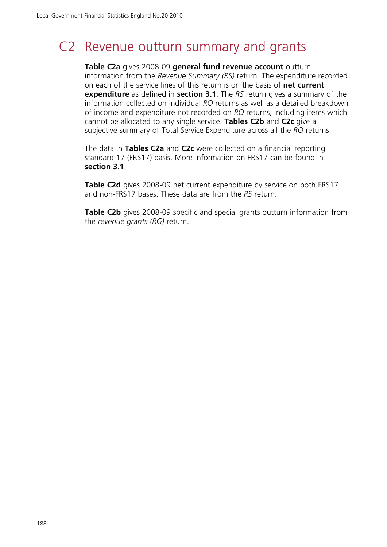# C2 Revenue outturn summary and grants

**Table C2a** gives 2008-09 **general fund revenue account** outturn information from the *Revenue Summary (RS)* return. The expenditure recorded on each of the service lines of this return is on the basis of **net current expenditure** as defined in **section 3.1**. The *RS* return gives a summary of the information collected on individual *RO* returns as well as a detailed breakdown of income and expenditure not recorded on *RO* returns, including items which cannot be allocated to any single service. **Tables C2b** and **C2c** give a subjective summary of Total Service Expenditure across all the *RO* returns.

The data in **Tables C2a** and **C2c** were collected on a financial reporting standard 17 (FRS17) basis. More information on FRS17 can be found in **section 3.1**.

**Table C2d** gives 2008-09 net current expenditure by service on both FRS17 and non-FRS17 bases. These data are from the *RS* return.

**Table C2b** gives 2008-09 specific and special grants outturn information from the *revenue grants (RG)* return.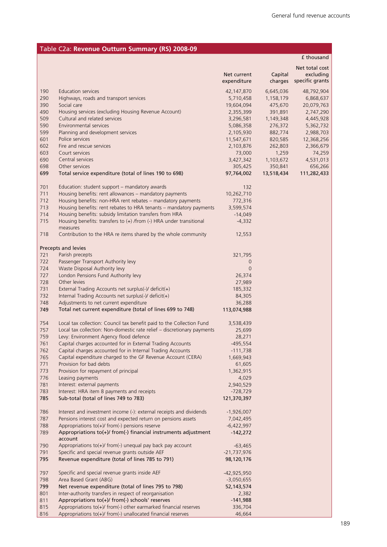## Table C2a: **Revenue Outturn Summary (RS) 2008-09**

|     |                                                                         |                |            | f thousand      |
|-----|-------------------------------------------------------------------------|----------------|------------|-----------------|
|     |                                                                         |                |            | Net total cost  |
|     |                                                                         | Net current    | Capital    | excluding       |
|     |                                                                         | expenditure    | charges    | specific grants |
|     |                                                                         |                |            |                 |
| 190 | Education services                                                      | 42,147,870     | 6,645,036  | 48,792,904      |
| 290 | Highways, roads and transport services                                  | 5,710,458      | 1,158,179  | 6,868,637       |
| 390 | Social care                                                             | 19,604,094     | 475,670    | 20,079,763      |
| 490 | Housing services (excluding Housing Revenue Account)                    | 2,355,399      | 391,891    | 2,747,290       |
| 509 | Cultural and related services                                           | 3,296,581      | 1,149,348  | 4,445,928       |
| 590 | Environmental services                                                  | 5,086,358      | 276,372    | 5,362,732       |
| 599 | Planning and development services                                       | 2,105,930      | 882,774    | 2,988,703       |
| 601 | Police services                                                         | 11,547,671     | 820,585    | 12,368,256      |
| 602 | Fire and rescue services                                                | 2,103,876      | 262,803    | 2,366,679       |
| 603 | Court services                                                          | 73,000         | 1,259      | 74,259          |
| 690 | Central services                                                        | 3,427,342      | 1,103,672  | 4,531,013       |
| 698 | Other services                                                          | 305,425        | 350,841    | 656,266         |
| 699 | Total service expenditure (total of lines 190 to 698)                   | 97,764,002     | 13,518,434 | 111,282,433     |
|     |                                                                         |                |            |                 |
| 701 | Education: student support – mandatory awards                           | 132            |            |                 |
|     |                                                                         |                |            |                 |
| 711 | Housing benefits: rent allowances - mandatory payments                  | 10,262,710     |            |                 |
| 712 | Housing benefits: non-HRA rent rebates - mandatory payments             | 772,316        |            |                 |
| 713 | Housing benefits: rent rebates to HRA tenants - mandatory payments      | 3,599,574      |            |                 |
| 714 | Housing benefits: subsidy limitation transfers from HRA                 | $-14,049$      |            |                 |
| 715 | Housing benefits: transfers to $(+)$ /from $(-)$ HRA under transitional | $-4,332$       |            |                 |
|     | measures                                                                |                |            |                 |
| 718 | Contribution to the HRA re items shared by the whole community          | 12,553         |            |                 |
|     |                                                                         |                |            |                 |
|     | Precepts and levies                                                     |                |            |                 |
| 721 | Parish precepts                                                         | 321,795        |            |                 |
| 722 | Passenger Transport Authority levy                                      | 0              |            |                 |
| 724 | Waste Disposal Authority levy                                           | $\overline{0}$ |            |                 |
| 727 | London Pensions Fund Authority levy                                     | 26,374         |            |                 |
| 728 | Other levies                                                            | 27,989         |            |                 |
| 731 | External Trading Accounts net surplus(-)/ deficit(+)                    | 185,332        |            |                 |
|     |                                                                         |                |            |                 |
| 732 | Internal Trading Accounts net surplus(-)/ deficit(+)                    | 84,305         |            |                 |
| 748 | Adjustments to net current expenditure                                  | 36,288         |            |                 |
| 749 | Total net current expenditure (total of lines 699 to 748)               | 113,074,988    |            |                 |
|     |                                                                         |                |            |                 |
| 754 | Local tax collection: Council tax benefit paid to the Collection Fund   | 3,538,439      |            |                 |
| 757 | Local tax collection: Non-domestic rate relief - discretionary payments | 25,699         |            |                 |
| 759 | Levy: Environment Agency flood defence                                  | 28,271         |            |                 |
| 761 | Capital charges accounted for in External Trading Accounts              | $-495,554$     |            |                 |
| 762 | Capital charges accounted for in Internal Trading Accounts              | $-111,738$     |            |                 |
| 765 | Capital expenditure charged to the GF Revenue Account (CERA)            | 1,669,943      |            |                 |
| 771 | Provision for bad debts                                                 | 61,605         |            |                 |
| 773 | Provision for repayment of principal                                    | 1,362,915      |            |                 |
| 776 | Leasing payments                                                        | 4,029          |            |                 |
| 781 | Interest: external payments                                             | 2,940,529      |            |                 |
| 783 | Interest: HRA item 8 payments and receipts                              | $-728,729$     |            |                 |
| 785 | Sub-total (total of lines 749 to 783)                                   | 121,370,397    |            |                 |
|     |                                                                         |                |            |                 |
| 786 | Interest and investment income (-): external receipts and dividends     | $-1,926,007$   |            |                 |
| 787 | Pensions interest cost and expected return on pensions assets           | 7,042,495      |            |                 |
| 788 | Appropriations to(+)/ from(-) pensions reserve                          | $-6,422,997$   |            |                 |
| 789 | Appropriations to(+)/ from(-) financial instruments adjustment          | $-142,272$     |            |                 |
|     | account                                                                 |                |            |                 |
| 790 | Appropriations to(+)/ from(-) unequal pay back pay account              | $-63,465$      |            |                 |
| 791 | Specific and special revenue grants outside AEF                         | $-21,737,976$  |            |                 |
| 795 | Revenue expenditure (total of lines 785 to 791)                         | 98,120,176     |            |                 |
|     |                                                                         |                |            |                 |
| 797 | Specific and special revenue grants inside AEF                          | $-42,925,950$  |            |                 |
| 798 | Area Based Grant (ABG)                                                  | $-3,050,655$   |            |                 |
| 799 | Net revenue expenditure (total of lines 795 to 798)                     |                |            |                 |
|     |                                                                         | 52, 143, 574   |            |                 |
| 801 | Inter-authority transfers in respect of reorganisation                  | 2,382          |            |                 |
| 811 | Appropriations to(+)/ from(-) schools' reserves                         | $-141,988$     |            |                 |
| 815 | Appropriations to(+)/ from(-) other earmarked financial reserves        | 336,704        |            |                 |
| 816 | Appropriations to(+)/ from(-) unallocated financial reserves            | 46,664         |            |                 |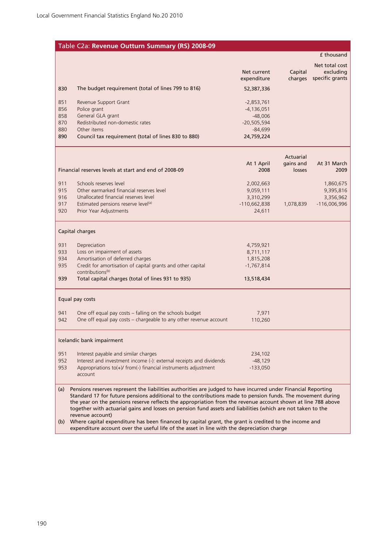### Table C2a: **Revenue Outturn Summary (RS) 2008-09**

#### £ thousand

|            |                                                                                                                                                                                                                                                                                                                                             | Net current<br>expenditure   | Capital<br>charges | Net total cost<br>excluding<br>specific grants |
|------------|---------------------------------------------------------------------------------------------------------------------------------------------------------------------------------------------------------------------------------------------------------------------------------------------------------------------------------------------|------------------------------|--------------------|------------------------------------------------|
| 830        | The budget requirement (total of lines 799 to 816)                                                                                                                                                                                                                                                                                          | 52,387,336                   |                    |                                                |
| 851<br>856 | Revenue Support Grant<br>Police grant                                                                                                                                                                                                                                                                                                       | $-2,853,761$<br>$-4,136,051$ |                    |                                                |
| 858        | General GLA grant                                                                                                                                                                                                                                                                                                                           | $-48,006$                    |                    |                                                |
| 870        | Redistributed non-domestic rates                                                                                                                                                                                                                                                                                                            | $-20,505,594$                |                    |                                                |
| 880        | Other items                                                                                                                                                                                                                                                                                                                                 | $-84,699$                    |                    |                                                |
| 890        | Council tax requirement (total of lines 830 to 880)                                                                                                                                                                                                                                                                                         | 24,759,224                   |                    |                                                |
|            |                                                                                                                                                                                                                                                                                                                                             |                              | Actuarial          |                                                |
|            |                                                                                                                                                                                                                                                                                                                                             | At 1 April                   | gains and          | At 31 March                                    |
|            | Financial reserves levels at start and end of 2008-09                                                                                                                                                                                                                                                                                       | 2008                         | losses             | 2009                                           |
| 911        | Schools reserves level                                                                                                                                                                                                                                                                                                                      | 2,002,663                    |                    | 1,860,675                                      |
| 915        | Other earmarked financial reserves level                                                                                                                                                                                                                                                                                                    | 9,059,111                    |                    | 9,395,816                                      |
| 916        | Unallocated financial reserves level                                                                                                                                                                                                                                                                                                        | 3,310,299                    |                    | 3,356,962                                      |
| 917        | Estimated pensions reserve level(a)                                                                                                                                                                                                                                                                                                         | $-110,662,838$               | 1,078,839          | $-116,006,996$                                 |
| 920        | Prior Year Adjustments                                                                                                                                                                                                                                                                                                                      | 24,611                       |                    |                                                |
|            | Capital charges                                                                                                                                                                                                                                                                                                                             |                              |                    |                                                |
| 931        | Depreciation                                                                                                                                                                                                                                                                                                                                | 4,759,921                    |                    |                                                |
| 933        | Loss on impairment of assets                                                                                                                                                                                                                                                                                                                | 8,711,117                    |                    |                                                |
| 934        | Amortisation of deferred charges                                                                                                                                                                                                                                                                                                            | 1,815,208                    |                    |                                                |
| 935        | Credit for amortisation of capital grants and other capital<br>contributions <sup>(b)</sup>                                                                                                                                                                                                                                                 | $-1,767,814$                 |                    |                                                |
| 939        | Total capital charges (total of lines 931 to 935)                                                                                                                                                                                                                                                                                           | 13,518,434                   |                    |                                                |
|            | Equal pay costs                                                                                                                                                                                                                                                                                                                             |                              |                    |                                                |
| 941        | One off equal pay costs - falling on the schools budget                                                                                                                                                                                                                                                                                     | 7,971                        |                    |                                                |
| 942        | One off equal pay costs - chargeable to any other revenue account                                                                                                                                                                                                                                                                           | 110,260                      |                    |                                                |
|            | Icelandic bank impairment                                                                                                                                                                                                                                                                                                                   |                              |                    |                                                |
| 951        | Interest payable and similar charges                                                                                                                                                                                                                                                                                                        | 234,102                      |                    |                                                |
| 952        | Interest and investment income (-): external receipts and dividends                                                                                                                                                                                                                                                                         | $-48,129$                    |                    |                                                |
| 953        | Appropriations to(+)/ from(-) financial instruments adjustment<br>account                                                                                                                                                                                                                                                                   | $-133,050$                   |                    |                                                |
| (a)        | Pensions reserves represent the liabilities authorities are judged to have incurred under Financial Reporting<br>Standard 17 for future pensions additional to the contributions made to pension funds. The movement during<br>the year on the pensions reserve reflects the appropriation from the revenue account shown at line 788 above |                              |                    |                                                |
|            | together with actuarial gains and losses on pension fund assets and liabilities (which are not taken to the<br>revenue account)                                                                                                                                                                                                             |                              |                    |                                                |

(b) Where capital expenditure has been financed by capital grant, the grant is credited to the income and expenditure account over the useful life of the asset in line with the depreciation charge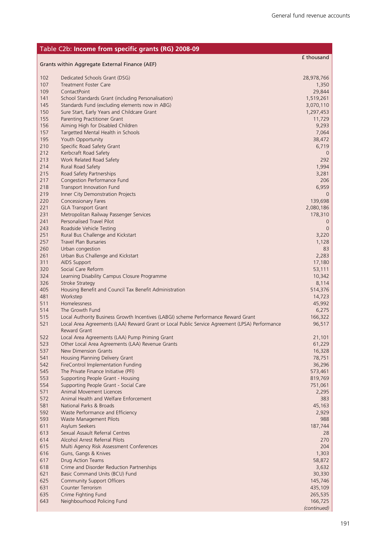|            | Table C2b: Income from specific grants (RG) 2008-09                                                  |                        |
|------------|------------------------------------------------------------------------------------------------------|------------------------|
|            | Grants within Aggregate External Finance (AEF)                                                       | £ thousand             |
|            |                                                                                                      |                        |
| 102        | Dedicated Schools Grant (DSG)                                                                        | 28,978,766             |
| 107        | <b>Treatment Foster Care</b>                                                                         | 1,350                  |
| 109        | ContactPoint                                                                                         | 29,844                 |
| 141<br>145 | School Standards Grant (including Personalisation)<br>Standards Fund (excluding elements now in ABG) | 1,519,261<br>3,070,110 |
| 150        | Sure Start, Early Years and Childcare Grant                                                          | 1,297,453              |
| 155        | Parenting Practitioner Grant                                                                         | 11,729                 |
| 156        | Aiming High for Disabled Children                                                                    | 9,293                  |
| 157        | Targetted Mental Health in Schools                                                                   | 7,064                  |
| 195        | Youth Opportunity                                                                                    | 38,472                 |
| 210        | Specific Road Safety Grant                                                                           | 6,719                  |
| 212<br>213 | Kerbcraft Road Safety<br>Work Related Road Safety                                                    | $\overline{0}$<br>292  |
| 214        | Rural Road Safety                                                                                    | 1,994                  |
| 215        | Road Safety Partnerships                                                                             | 3,281                  |
| 217        | Congestion Performance Fund                                                                          | 206                    |
| 218        | Transport Innovation Fund                                                                            | 6,959                  |
| 219        | Inner City Demonstration Projects                                                                    | 0                      |
| 220        | <b>Concessionary Fares</b>                                                                           | 139,698                |
| 221        | <b>GLA Transport Grant</b>                                                                           | 2,080,186              |
| 231        | Metropolitan Railway Passenger Services                                                              | 178,310                |
| 241<br>243 | Personalised Travel Pilot<br>Roadside Vehicle Testing                                                | 0<br>$\mathbf{0}$      |
| 251        | Rural Bus Challenge and Kickstart                                                                    | 3,220                  |
| 257        | <b>Travel Plan Bursaries</b>                                                                         | 1,128                  |
| 260        | Urban congestion                                                                                     | 83                     |
| 261        | Urban Bus Challenge and Kickstart                                                                    | 2,283                  |
| 311        | AIDS Support                                                                                         | 17,180                 |
| 320        | Social Care Reform                                                                                   | 53,111                 |
| 324        | Learning Disability Campus Closure Programme                                                         | 10,342                 |
| 326<br>405 | <b>Stroke Strategy</b>                                                                               | 8,114                  |
| 481        | Housing Benefit and Council Tax Benefit Administration<br>Workstep                                   | 514,376<br>14,723      |
| 511        | Homelessness                                                                                         | 45,992                 |
| 514        | The Growth Fund                                                                                      | 6,275                  |
| 515        | Local Authority Business Growth Incentives (LABGI) scheme Performance Reward Grant                   | 166,322                |
| 521        | Local Area Agreements (LAA) Reward Grant or Local Public Service Agreement (LPSA) Performance        | 96,517                 |
|            | Reward Grant                                                                                         |                        |
| 522        | Local Area Agreements (LAA) Pump Priming Grant                                                       | 21,101                 |
| 523        | Other Local Area Agreements (LAA) Revenue Grants                                                     | 61,229                 |
| 537        | <b>New Dimension Grants</b>                                                                          | 16,328                 |
| 541<br>542 | Housing Planning Delivery Grant<br>FireControl Implementation Funding                                | 78,751<br>36,296       |
| 545        | The Private Finance Initiative (PFI)                                                                 | 573,461                |
| 553        | Supporting People Grant - Housing                                                                    | 819,769                |
| 554        | Supporting People Grant - Social Care                                                                | 751,061                |
| 571        | Animal Movement Licences                                                                             | 2,295                  |
| 572        | Animal Health and Welfare Enforcement                                                                | 383                    |
| 581        | National Parks & Broads                                                                              | 45,163                 |
| 592        | Waste Performance and Efficiency                                                                     | 2,929                  |
| 593        | Waste Management Pilots                                                                              | 988                    |
| 611<br>613 | Asylum Seekers<br>Sexual Assault Referral Centres                                                    | 187,744<br>28          |
| 614        | Alcohol Arrest Referral Pilots                                                                       | 270                    |
| 615        | Multi Agency Risk Assessment Conferences                                                             | 204                    |
| 616        | Guns, Gangs & Knives                                                                                 | 1,303                  |
| 617        | Drug Action Teams                                                                                    | 58,872                 |
| 618        | Crime and Disorder Reduction Partnerships                                                            | 3,632                  |
| 621        | Basic Command Units (BCU) Fund                                                                       | 30,330                 |
| 625        | Community Support Officers                                                                           | 145,746                |
| 631        | <b>Counter Terrorism</b>                                                                             | 435,109                |
| 635<br>643 | Crime Fighting Fund<br>Neighbourhood Policing Fund                                                   | 265,535<br>166,725     |
|            |                                                                                                      | (continued)            |
|            |                                                                                                      |                        |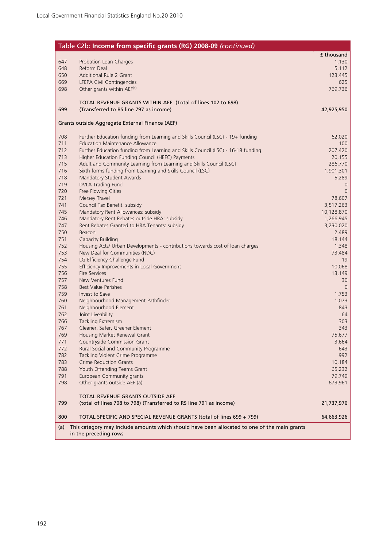|            | Table C2b: Income from specific grants (RG) 2008-09 (continued)                                                            |                   |
|------------|----------------------------------------------------------------------------------------------------------------------------|-------------------|
|            |                                                                                                                            | £ thousand        |
| 647        | Probation Loan Charges                                                                                                     | 1,130             |
| 648        | Reform Deal                                                                                                                | 5,112             |
| 650        | Additional Rule 2 Grant                                                                                                    | 123,445           |
| 669        | LFEPA Civil Contingencies                                                                                                  | 625               |
| 698        | Other grants within AEF(a)                                                                                                 | 769,736           |
|            | TOTAL REVENUE GRANTS WITHIN AEF (Total of lines 102 to 698)                                                                |                   |
| 699        | (Transferred to RS line 797 as income)                                                                                     | 42,925,950        |
|            |                                                                                                                            |                   |
|            | Grants outside Aggregate External Finance (AEF)                                                                            |                   |
|            |                                                                                                                            |                   |
| 708        | Further Education funding from Learning and Skills Council (LSC) - 19+ funding                                             | 62,020            |
| 711<br>712 | <b>Education Maintenance Allowance</b><br>Further Education funding from Learning and Skills Council (LSC) - 16-18 funding | 100               |
| 713        | Higher Education Funding Council (HEFC) Payments                                                                           | 207,420<br>20,155 |
| 715        | Adult and Community Learning from Learning and Skills Council (LSC)                                                        | 286,770           |
| 716        | Sixth forms funding from Learning and Skills Council (LSC)                                                                 | 1,901,301         |
| 718        | Mandatory Student Awards                                                                                                   | 5,289             |
| 719        | <b>DVLA Trading Fund</b>                                                                                                   | $\overline{0}$    |
| 720        | Free Flowing Cities                                                                                                        | $\mathbf 0$       |
| 721        | Mersey Travel                                                                                                              | 78,607            |
| 741        | Council Tax Benefit: subsidy                                                                                               | 3,517,263         |
| 745        | Mandatory Rent Allowances: subsidy                                                                                         | 10,128,870        |
| 746        | Mandatory Rent Rebates outside HRA: subsidy                                                                                | 1,266,945         |
| 747<br>750 | Rent Rebates Granted to HRA Tenants: subsidy<br>Beacon                                                                     | 3,230,020         |
| 751        | Capacity Building                                                                                                          | 2,489<br>18,144   |
| 752        | Housing Acts/ Urban Developments - contributions towards cost of loan charges                                              | 1,348             |
| 753        | New Deal for Communities (NDC)                                                                                             | 73,484            |
| 754        | LG Efficiency Challenge Fund                                                                                               | 19                |
| 755        | Efficiency Improvements in Local Government                                                                                | 10,068            |
| 756        | <b>Fire Services</b>                                                                                                       | 13,149            |
| 757        | New Ventures Fund                                                                                                          | 30                |
| 758        | <b>Best Value Parishes</b>                                                                                                 | $\overline{0}$    |
| 759        | Invest to Save                                                                                                             | 1,753             |
| 760<br>761 | Neighbourhood Management Pathfinder<br>Neighbourhood Element                                                               | 1,073<br>843      |
| 762        | Joint Liveability                                                                                                          | 64                |
| 766        | <b>Tackling Extremism</b>                                                                                                  | 303               |
| 767        | Cleaner, Safer, Greener Element                                                                                            | 343               |
| 769        | Housing Market Renewal Grant                                                                                               | 75,677            |
| 771        | Countryside Commission Grant                                                                                               | 3,664             |
| 772        | Rural Social and Community Programme                                                                                       | 643               |
| 782        | Tackling Violent Crime Programme                                                                                           | 992               |
| 783        | <b>Crime Reduction Grants</b>                                                                                              | 10,184            |
| 788        | Youth Offending Teams Grant                                                                                                | 65,232            |
| 791<br>798 | European Community grants<br>Other grants outside AEF (a)                                                                  | 79,749<br>673,961 |
|            |                                                                                                                            |                   |
|            | TOTAL REVENUE GRANTS OUTSIDE AEF                                                                                           |                   |
| 799        | (total of lines 708 to 798) (Transferred to RS line 791 as income)                                                         | 21,737,976        |
| 800        | TOTAL SPECIFIC AND SPECIAL REVENUE GRANTS (total of lines 699 + 799)                                                       | 64,663,926        |
| (a)        | This category may include amounts which should have been allocated to one of the main grants                               |                   |
|            | in the preceding rows                                                                                                      |                   |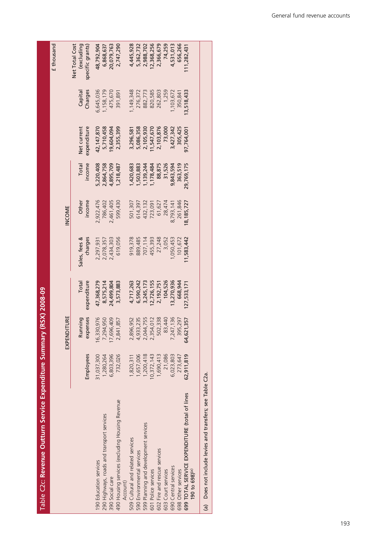| )<br>)                |
|-----------------------|
|                       |
|                       |
| í                     |
|                       |
| הכלל הממי             |
|                       |
|                       |
|                       |
|                       |
|                       |
|                       |
|                       |
|                       |
| =<br>=<br>=<br>=<br>= |
|                       |
|                       |
|                       |
|                       |
|                       |
|                       |
|                       |
|                       |
|                       |
| Г                     |
|                       |
|                       |
|                       |
|                       |
|                       |
|                       |
|                       |
|                       |
|                       |
|                       |
|                       |
|                       |
|                       |
|                       |
|                       |
|                       |
| í                     |
|                       |
|                       |
| ĺ                     |
|                       |
|                       |
|                       |
|                       |
| I                     |

σ

|                                                                             |            |             |             |               |           |            |              |           | £ thousand                   |
|-----------------------------------------------------------------------------|------------|-------------|-------------|---------------|-----------|------------|--------------|-----------|------------------------------|
|                                                                             |            | EXPENDITURE |             |               | INCOME    |            |              |           |                              |
|                                                                             |            | Running     | Total       | Sales, fees & | Other     | Total      | Net current  | Capital   | Net Total Cost<br>(excluding |
|                                                                             | Employees  | expenses    | expenditure | charges       | income    | income     | expenditure  | Charges   | specific grants)             |
| 190 Education services                                                      | 31,037,300 | 16,330,976  | 47,368,279  | 2,297,931     | 2,922,476 | 5,220,408  | 42, 147, 870 | 6,645,036 | 18,792,904                   |
| 290 Highways, roads and transport services                                  | 1,280,264  | 7,294,950   | 8,575,214   | 2,078,357     | 786,402   | 2,864,758  | 5,710,458    | 1,158,179 | 6,868,637                    |
| 390 Social care                                                             | 6,803,396  | 7,696,409   | 24,499,804  | 2,434,303     | ,461,405  | ,895,709   | 9,604,094    | 475,670   | 20,079,763                   |
| 490 Housing services (excluding Housing Revenue                             | 732,026    | 2,841,857   | 3,573,883   | 619,056       | 599,430   | ,218,487   | 2,355,399    | 391,891   | 2,747,290                    |
| Account)                                                                    |            |             |             |               |           |            |              |           |                              |
| 509 Cultural and related services                                           | 1,820,311  | 2,896,952   | 4,717,263   | 919,378       | 501,307   | ,420,683   | 3,296,581    | ,149,348  | 4,445,928                    |
| 590 Environmental services                                                  | 1,657,006  | 4,933,235   | 6,590,242   | 889,485       | 614,397   | ,503,883   | 5,086,358    | 276,372   | 5,362,732                    |
| 599 Planning and development services                                       | 1,200,418  | 2,044,755   | 3,245,173   | 707,114       | 432,132   | ,139,244   | 2,105,930    | 882,773   | 2,988,702                    |
| 601 Police services                                                         | 0,372,143  | 2,354,012   | 2,726,155   | 455,393       | 723,091   | ,178,484   | 1,547,670    | 820,585   | 2,368,256                    |
| 602 Fire and rescue services                                                | 1,690,413  | 502,338     | 2,192,751   | 27,248        | 61,627    | 88,875     | 2,103,876    | 262,803   | 2,366,679                    |
| 603 Court services                                                          | 21,086     | 83,440      | 104,526     | 3,052         | 28,474    | 31,526     | 73,000       | 1,259     | 74,259                       |
| 690 Central services                                                        | 6,023,803  | 7,247,136   | 13,270,936  | 1,050,453     | 8,793,141 | 9,843,594  | 3,427,342    | ,103,672  | 4,531,013                    |
| 698 Other services                                                          | 273,647    | 395,297     | 668,944     | 101,672       | 261,846   | 363,519    | 305,425      | 350,841   | 656,266                      |
| 699 TOTAL SERVICE EXPENDITURE (total of lines<br>190 to 698) <sup>(a)</sup> | 62,911,819 | 64,621,357  | 127,533,17  | 1,583,442     | 8,185,727 | 29,769,175 | 97,764,001   | 3,518,433 | 11,282,431                   |
| (a) Does not include levies and transfers; see Table C2a.                   |            |             |             |               |           |            |              |           |                              |

General fund revenue accounts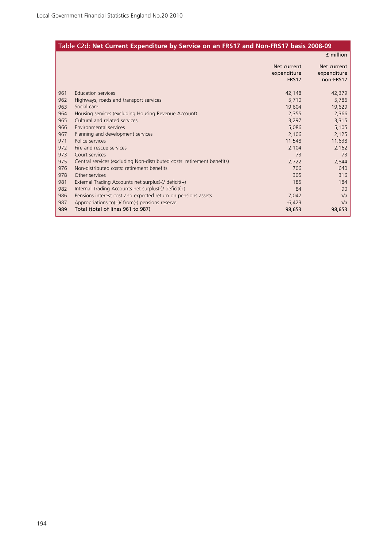### Table C2d: **Net Current Expenditure by Service on an FRS17 and Non-FRS17 basis 2008-09**

|     |                                                                         |                                     | f million                               |
|-----|-------------------------------------------------------------------------|-------------------------------------|-----------------------------------------|
|     |                                                                         | Net current<br>expenditure<br>FRS17 | Net current<br>expenditure<br>non-FRS17 |
| 961 | <b>Education services</b>                                               | 42,148                              | 42,379                                  |
| 962 | Highways, roads and transport services                                  | 5,710                               | 5,786                                   |
| 963 | Social care                                                             | 19,604                              | 19,629                                  |
| 964 | Housing services (excluding Housing Revenue Account)                    | 2,355                               | 2,366                                   |
| 965 | Cultural and related services                                           | 3,297                               | 3,315                                   |
| 966 | Environmental services                                                  | 5,086                               | 5,105                                   |
| 967 | Planning and development services                                       | 2,106                               | 2,125                                   |
| 971 | Police services                                                         | 11,548                              | 11,638                                  |
| 972 | Fire and rescue services                                                | 2,104                               | 2,162                                   |
| 973 | Court services                                                          | 73                                  | 73                                      |
| 975 | Central services (excluding Non-distributed costs: retirement benefits) | 2,722                               | 2,844                                   |
| 976 | Non-distributed costs: retirement benefits                              | 706                                 | 640                                     |
| 978 | Other services                                                          | 305                                 | 316                                     |
| 981 | External Trading Accounts net surplus(-)/ $deficit(+)$                  | 185                                 | 184                                     |
| 982 | Internal Trading Accounts net surplus(-)/ $deficit(+)$                  | 84                                  | 90                                      |
| 986 | Pensions interest cost and expected return on pensions assets           | 7,042                               | n/a                                     |
| 987 | Appropriations to $(+)$ from $(-)$ pensions reserve                     | $-6,423$                            | n/a                                     |
| 989 | Total (total of lines 961 to 987)                                       | 98,653                              | 98,653                                  |
|     |                                                                         |                                     |                                         |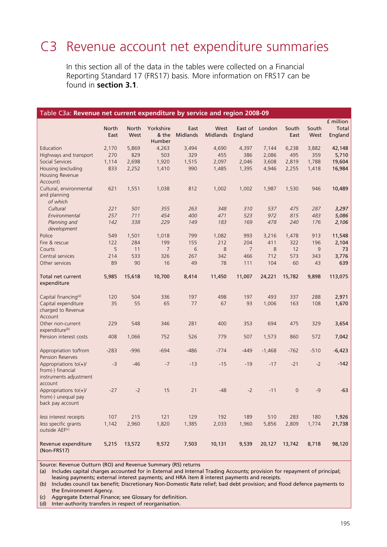# C3 Revenue account net expenditure summaries

In this section all of the data in the tables were collected on a Financial Reporting Standard 17 (FRS17) basis. More information on FRS17 can be found in **section 3.1**.

| Table C3a: Revenue net current expenditure by service and region 2008-09 |              |              |                |                 |                 |                |            |              |            |           |
|--------------------------------------------------------------------------|--------------|--------------|----------------|-----------------|-----------------|----------------|------------|--------------|------------|-----------|
|                                                                          |              |              |                |                 |                 |                |            |              |            | £ million |
|                                                                          | <b>North</b> | <b>North</b> | Yorkshire      | East            | West            | East of        | London     | South        | South      | Total     |
|                                                                          | East         | West         | & the          | <b>Midlands</b> | <b>Midlands</b> | England        |            | East         | West       | England   |
|                                                                          |              |              | Humber         |                 |                 |                |            |              |            |           |
| Education                                                                | 2,170        | 5,869        | 4,263          | 3,494           | 4,690           | 4,397          | 7,144      | 6,238        | 3,882      | 42,148    |
| Highways and transport                                                   | 270          | 829          | 503            | 329             | 455             | 386            | 2,086      | 495          | 359        | 5,710     |
| Social Services                                                          | 1,114        | 2,698        | 1,920          | 1,515           | 2,097           | 2,046          | 3,608      | 2,819        | 1,788      | 19,604    |
| Housing (excluding                                                       | 833          | 2,252        | 1,410          | 990             | 1,485           | 1,395          | 4,946      | 2,255        | 1,418      | 16,984    |
| Housing Revenue                                                          |              |              |                |                 |                 |                |            |              |            |           |
| Account)                                                                 |              |              |                |                 |                 |                |            |              |            |           |
| Cultural, environmental                                                  | 621          | 1,551        | 1,038          | 812             | 1,002           | 1,002          | 1,987      | 1,530        | 946        | 10,489    |
| and planning<br>of which                                                 |              |              |                |                 |                 |                |            |              |            |           |
| Cultural                                                                 |              | 501          | 355            | 263             |                 |                |            | 475          |            | 3,297     |
|                                                                          | 221<br>257   | 711          | 454            | 400             | 348<br>471      | 310<br>523     | 537<br>972 | 815          | 287<br>483 |           |
| Environmental<br>Planning and                                            | 142          | 338          | 229            | 149             | 183             | 169            | 478        | 240          | 176        | 5,086     |
| development                                                              |              |              |                |                 |                 |                |            |              |            | 2,106     |
| Police                                                                   | 549          | 1,501        | 1,018          | 799             | 1,082           | 993            | 3,216      | 1,478        | 913        | 11,548    |
| Fire & rescue                                                            | 122          | 284          | 199            | 155             | 212             | 204            | 411        | 322          | 196        | 2,104     |
| Courts                                                                   | 5            | 11           | $\overline{7}$ | 6               | 8               | $\overline{7}$ | 8          | 12           | 9          | 73        |
| Central services                                                         | 214          | 533          | 326            | 267             | 342             | 466            | 712        | 573          | 343        | 3,776     |
| Other services                                                           | 89           | 90           | 16             | 49              | 78              | 111            | 104        | 60           | 43         | 639       |
|                                                                          |              |              |                |                 |                 |                |            |              |            |           |
| Total net current                                                        | 5,985        | 15,618       | 10,700         | 8,414           | 11,450          | 11,007         | 24,221     | 15,782       | 9,898      | 113,075   |
| expenditure                                                              |              |              |                |                 |                 |                |            |              |            |           |
|                                                                          |              |              |                |                 |                 |                |            |              |            |           |
| Capital financing <sup>(a)</sup>                                         | 120          | 504          | 336            | 197             | 498             | 197            | 493        | 337          | 288        | 2,971     |
| Capital expenditure                                                      | 35           | 55           | 65             | 77              | 67              | 93             | 1,006      | 163          | 108        | 1,670     |
| charged to Revenue                                                       |              |              |                |                 |                 |                |            |              |            |           |
| Account                                                                  |              |              |                |                 |                 |                |            |              |            |           |
| Other non-current<br>expenditure(b)                                      | 229          | 548          | 346            | 281             | 400             | 353            | 694        | 475          | 329        | 3,654     |
| Pension interest costs                                                   | 408          | 1,066        | 752            | 526             | 779             | 507            | 1,573      | 860          | 572        | 7,042     |
|                                                                          |              |              |                |                 |                 |                |            |              |            |           |
| Appropriation to/from                                                    | $-283$       | $-996$       | $-694$         | $-486$          | $-774$          | $-449$         | $-1,468$   | $-762$       | $-510$     | $-6,423$  |
| <b>Pension Reserves</b>                                                  |              |              |                |                 |                 |                |            |              |            |           |
| Appropriations $to(+)/$                                                  | $-3$         | $-46$        | $-7$           | $-13$           | $-15$           | $-19$          | $-17$      | $-21$        | $-2$       | $-142$    |
| from(-) financial                                                        |              |              |                |                 |                 |                |            |              |            |           |
| instruments adjustment                                                   |              |              |                |                 |                 |                |            |              |            |           |
| account                                                                  |              |              |                |                 |                 |                |            |              |            |           |
| Appropriations $to(+)/$                                                  | $-27$        | $-2$         | 15             | 21              | $-48$           | $-2$           | $-11$      | $\mathbf{0}$ | $-9$       | $-63$     |
| from(-) unequal pay                                                      |              |              |                |                 |                 |                |            |              |            |           |
| back pay account                                                         |              |              |                |                 |                 |                |            |              |            |           |
|                                                                          |              |              |                |                 |                 |                |            |              |            |           |
| less interest receipts                                                   | 107          | 215          | 121            | 129             | 192             | 189            | 510        | 283          | 180        | 1,926     |
| less specific grants                                                     | 1,142        | 2,960        | 1,820          | 1,385           | 2,033           | 1,960          | 5,856      | 2,809        | 1,774      | 21,738    |
| outside AEF <sup>(c)</sup>                                               |              |              |                |                 |                 |                |            |              |            |           |
|                                                                          |              |              |                |                 |                 |                | 20,127     |              |            |           |
| Revenue expenditure<br>(Non-FRS17)                                       | 5,215        | 13,572       | 9,572          | 7,503           | 10,131          | 9,539          |            | 13,742       | 8,718      | 98,120    |

Source: Revenue Outturn (RO) and Revenue Summary (RS) returns

(a) Includes capital charges accounted for in External and Internal Trading Accounts; provision for repayment of principal; leasing payments; external interest payments; and HRA item 8 interest payments and receipts.

(b) Includes council tax benefit; Discretionary Non-Domestic Rate relief; bad debt provision; and flood defence payments to the Environment Agency.

(c) Aggregate External Finance; see Glossary for definition.

(d) Inter-authority transfers in respect of reorganisation.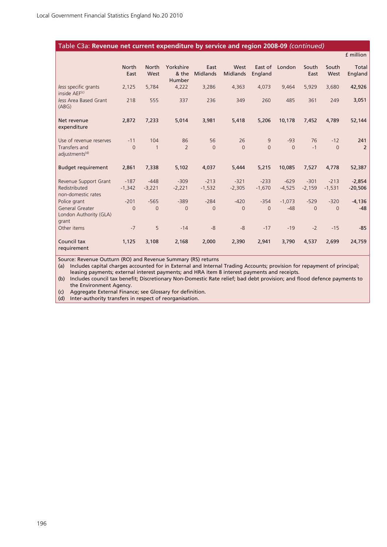#### Table C3a: **Revenue net current expenditure by service and region 2008-09** *(continued)*

|                                                    |                      |                      |                              |                         |                         |                    |          |                |               | £ million        |
|----------------------------------------------------|----------------------|----------------------|------------------------------|-------------------------|-------------------------|--------------------|----------|----------------|---------------|------------------|
|                                                    | <b>North</b><br>East | <b>North</b><br>West | Yorkshire<br>& the<br>Humber | East<br><b>Midlands</b> | West<br><b>Midlands</b> | East of<br>England | London   | South<br>East  | South<br>West | Total<br>England |
| less specific grants<br>inside AEF(c)              | 2,125                | 5,784                | 4,222                        | 3,286                   | 4,363                   | 4,073              | 9,464    | 5,929          | 3,680         | 42,926           |
| less Area Based Grant<br>(ABG)                     | 218                  | 555                  | 337                          | 236                     | 349                     | 260                | 485      | 361            | 249           | 3,051            |
| Net revenue<br>expenditure                         | 2,872                | 7,233                | 5,014                        | 3,981                   | 5,418                   | 5,206              | 10,178   | 7,452          | 4,789         | 52,144           |
| Use of revenue reserves                            | $-11$                | 104                  | 86                           | 56                      | 26                      | 9                  | $-93$    | 76             | $-12$         | 241              |
| Transfers and<br>adjustments <sup>(d)</sup>        | $\Omega$             | $\mathbf{1}$         | $\overline{2}$               | $\Omega$                | $\Omega$                | $\Omega$           | $\Omega$ | $-1$           | $\Omega$      | $\overline{2}$   |
| <b>Budget requirement</b>                          | 2,861                | 7,338                | 5,102                        | 4,037                   | 5,444                   | 5,215              | 10,085   | 7,527          | 4,778         | 52,387           |
| Revenue Support Grant                              | $-187$               | $-448$               | $-309$                       | $-213$                  | $-321$                  | $-233$             | $-629$   | $-301$         | $-213$        | $-2,854$         |
| Redistributed<br>non-domestic rates                | $-1,342$             | $-3,221$             | $-2,221$                     | $-1,532$                | $-2,305$                | $-1,670$           | $-4,525$ | $-2,159$       | $-1.531$      | $-20,506$        |
| Police grant                                       | $-201$               | $-565$               | $-389$                       | $-284$                  | $-420$                  | $-354$             | $-1,073$ | $-529$         | $-320$        | $-4,136$         |
| General Greater<br>London Authority (GLA)<br>grant | $\Omega$             | $\overline{0}$       | $\Omega$                     | $\Omega$                | $\Omega$                | $\Omega$           | $-48$    | $\overline{0}$ | $\Omega$      | $-48$            |
| Other items                                        | $-7$                 | 5                    | $-14$                        | $-8$                    | $-8$                    | $-17$              | $-19$    | $-2$           | $-15$         | $-85$            |
| Council tax<br>requirement                         | 1,125                | 3,108                | 2,168                        | 2,000                   | 2,390                   | 2,941              | 3,790    | 4,537          | 2,699         | 24,759           |

Source: Revenue Outturn (RO) and Revenue Summary (RS) returns

(a) Includes capital charges accounted for in External and Internal Trading Accounts; provision for repayment of principal; leasing payments; external interest payments; and HRA item 8 interest payments and receipts.

(b) Includes council tax benefit; Discretionary Non-Domestic Rate relief; bad debt provision; and flood defence payments to the Environment Agency.

(c) Aggregate External Finance; see Glossary for definition.

(d) Inter-authority transfers in respect of reorganisation.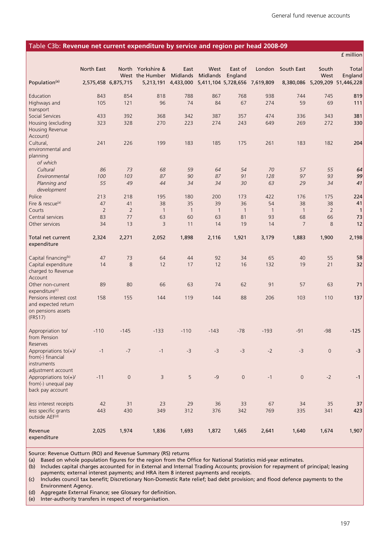£ million

#### Table C3b: **Revenue net current expenditure by service and region per head 2008-09**

|                                                                                | North East     |                     | North Yorkshire & | East           | West            | East of                       | London         | South East          | South          | Total                          |
|--------------------------------------------------------------------------------|----------------|---------------------|-------------------|----------------|-----------------|-------------------------------|----------------|---------------------|----------------|--------------------------------|
|                                                                                |                |                     | West the Humber   | Midlands       | <b>Midlands</b> | England                       |                |                     | West           | England                        |
| Population <sup>(a)</sup>                                                      |                | 2,575,458 6,875,715 | 5,213,191         | 4,433,000      |                 | 5,411,104 5,728,656 7,619,809 |                |                     |                | 8,380,086 5,209,209 51,446,228 |
| Education                                                                      | 843            | 854                 | 818               | 788            | 867             | 768                           | 938            | 744                 | 745            | 819                            |
| Highways and                                                                   | 105            | 121                 | 96                | 74             | 84              | 67                            | 274            | 59                  | 69             | 111                            |
| transport                                                                      |                |                     |                   |                |                 |                               |                |                     |                |                                |
| Social Services<br>Housing (excluding                                          | 433<br>323     | 392<br>328          | 368<br>270        | 342<br>223     | 387<br>274      | 357<br>243                    | 474<br>649     | 336<br>269          | 343<br>272     | 381<br>330                     |
| <b>Housing Revenue</b><br>Account)                                             |                |                     |                   |                |                 |                               |                |                     |                |                                |
| Cultural,                                                                      | 241            | 226                 | 199               | 183            | 185             | 175                           | 261            | 183                 | 182            | 204                            |
| environmental and<br>planning<br>of which                                      |                |                     |                   |                |                 |                               |                |                     |                |                                |
| Cultural                                                                       | 86             | 73                  | 68                | 59             | 64              | 54                            | 70             | 57                  | 55             | 64                             |
| Environmental                                                                  | 100            | 103                 | 87                | 90             | 87              | 91                            | 128            | 97                  | 93             | 99                             |
| Planning and<br>development                                                    | 55             | 49                  | 44                | 34             | 34              | 30                            | 63             | 29                  | 34             | 41                             |
| Police                                                                         | 213            | 218                 | 195               | 180            | 200             | 173                           | 422            | 176                 | 175            | 224                            |
| Fire & rescue <sup>(a)</sup>                                                   | 47             | 41                  | 38                | 35             | 39              | 36                            | 54             | 38                  | 38             | 41                             |
| Courts                                                                         | $\overline{2}$ | $\overline{2}$      | $\overline{1}$    | $\overline{1}$ | $\overline{1}$  | $\overline{1}$                | $\overline{1}$ | $\overline{1}$      | $\overline{2}$ | $\mathbf{1}$                   |
| Central services                                                               | 83             | 77                  | 63                | 60             | 63              | 81                            | 93             | 68                  | 66             | 73                             |
| Other services                                                                 | 34             | 13                  | 3                 | 11             | 14              | 19                            | 14             | $\overline{7}$      | 8              | 12                             |
| Total net current<br>expenditure                                               | 2,324          | 2,271               | 2,052             | 1,898          | 2,116           | 1,921                         | 3,179          | 1,883               | 1,900          | 2,198                          |
| Capital financing <sup>(b)</sup>                                               | 47             | 73                  | 64                | 44             | 92              | 34                            | 65             | 40                  | 55             | 58                             |
| Capital expenditure                                                            | 14             | 8                   | 12                | 17             | 12              | 16                            | 132            | 19                  | 21             | 32                             |
| charged to Revenue<br>Account                                                  |                |                     |                   |                |                 |                               |                |                     |                |                                |
| Other non-current<br>expenditure(c)                                            | 89             | 80                  | 66                | 63             | 74              | 62                            | 91             | 57                  | 63             | 71                             |
| Pensions interest cost<br>and expected return<br>on pensions assets<br>(FRS17) | 158            | 155                 | 144               | 119            | 144             | 88                            | 206            | 103                 | 110            | 137                            |
| Appropriation to/<br>from Pension                                              | $-110$         | $-145$              | $-133$            | $-110$         | $-143$          | $-78$                         | $-193$         | $-91$               | $-98$          | $-125$                         |
| Reserves<br>Appropriations $to(+)/$                                            | $-1$           | $-7$                | $-1$              | -3             |                 | $-3$                          | $-2$           | $-3$                | $\mathbf 0$    |                                |
| from(-) financial<br>instruments                                               |                |                     |                   |                | -3              |                               |                |                     |                | -3                             |
| adjustment account                                                             |                |                     |                   |                |                 |                               |                |                     |                |                                |
| Appropriations $to(+)/$<br>from(-) unequal pay<br>back pay account             | $-11$          | $\mathsf{O}\xspace$ | $\overline{3}$    | 5              | $-9$            | $\mathsf{O}\xspace$           | $-1$           | $\mathsf{O}\xspace$ | $-2$           | $-1$                           |
| less interest receipts                                                         | 42             | 31                  | 23                | 29             | 36              | 33                            | 67             | 34                  | 35             | 37                             |
| less specific grants<br>outside AEF(d)                                         | 443            | 430                 | 349               | 312            | 376             | 342                           | 769            | 335                 | 341            | 423                            |
| Revenue<br>expenditure                                                         | 2,025          | 1,974               | 1,836             | 1,693          | 1,872           | 1,665                         | 2,641          | 1,640               | 1,674          | 1,907                          |

Source: Revenue Outturn (RO) and Revenue Summary (RS) returns

(a) Based on whole population figures for the region from the Office for National Statistics mid-year estimates.

(b) Includes capital charges accounted for in External and Internal Trading Accounts; provision for repayment of principal; leasing payments; external interest payments; and HRA item 8 interest payments and receipts.

(c) Includes council tax benefit; Discretionary Non-Domestic Rate relief; bad debt provision; and flood defence payments to the Environment Agency.

(d) Aggregate External Finance; see Glossary for definition.

(e) Inter-authority transfers in respect of reorganisation.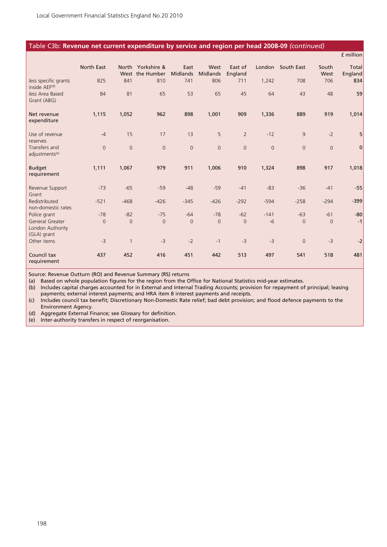#### Table C3b: **Revenue net current expenditure by service and region per head 2008-09** *(continued)*

|                                                    |                |                |                                      |                         |                  |                    |             |                |                | £ million        |
|----------------------------------------------------|----------------|----------------|--------------------------------------|-------------------------|------------------|--------------------|-------------|----------------|----------------|------------------|
|                                                    | North East     |                | North Yorkshire &<br>West the Humber | East<br><b>Midlands</b> | West<br>Midlands | East of<br>England | London      | South East     | South<br>West  | Total<br>England |
| less specific grants<br>inside AEF(d)              | 825            | 841            | 810                                  | 741                     | 806              | 711                | 1,242       | 708            | 706            | 834              |
| less Area Based<br>Grant (ABG)                     | 84             | 81             | 65                                   | 53                      | 65               | 45                 | 64          | 43             | 48             | 59               |
| Net revenue<br>expenditure                         | 1,115          | 1,052          | 962                                  | 898                     | 1,001            | 909                | 1,336       | 889            | 919            | 1,014            |
| Use of revenue<br>reserves                         | $-4$           | 15             | 17                                   | 13                      | 5                | $\overline{2}$     | $-12$       | 9              | $-2$           | 5                |
| Transfers and<br>adjustments <sup>(e)</sup>        | $\overline{0}$ | $\overline{0}$ | $\mathbf{0}$                         | $\mathsf{O}\xspace$     | $\overline{0}$   | $\mathbf{0}$       | $\mathbf 0$ | $\overline{0}$ | $\overline{0}$ | $\mathbf 0$      |
| <b>Budget</b><br>requirement                       | 1,111          | 1,067          | 979                                  | 911                     | 1,006            | 910                | 1,324       | 898            | 917            | 1,018            |
| Revenue Support<br>Grant                           | $-73$          | $-65$          | $-59$                                | $-48$                   | $-59$            | $-41$              | $-83$       | $-36$          | $-41$          | $-55$            |
| Redistributed<br>non-domestic rates                | $-521$         | $-468$         | $-426$                               | $-345$                  | $-426$           | $-292$             | $-594$      | $-258$         | $-294$         | $-399$           |
| Police grant                                       | $-78$          | $-82$          | $-75$                                | $-64$                   | $-78$            | $-62$              | $-141$      | $-63$          | $-61$          | $-80$            |
| General Greater<br>London Authority<br>(GLA) grant | $\overline{0}$ | $\overline{0}$ | $\overline{0}$                       | $\overline{0}$          | $\overline{0}$   | $\overline{0}$     | $-6$        | $\overline{0}$ | $\overline{0}$ | $-1$             |
| Other items                                        | $-3$           |                | $-3$                                 | $-2$                    | $-1$             | $-3$               | $-3$        | $\overline{0}$ | $-3$           | $-2$             |
| Council tax<br>requirement                         | 437            | 452            | 416                                  | 451                     | 442              | 513                | 497         | 541            | 518            | 481              |

Source: Revenue Outturn (RO) and Revenue Summary (RS) returns

(a) Based on whole population figures for the region from the Office for National Statistics mid-year estimates.

(b) Includes capital charges accounted for in External and Internal Trading Accounts; provision for repayment of principal; leasing payments; external interest payments; and HRA item 8 interest payments and receipts.

(c) Includes council tax benefit; Discretionary Non-Domestic Rate relief; bad debt provision; and flood defence payments to the Environment Agency.

(d) Aggregate External Finance; see Glossary for definition.

(e) Inter-authority transfers in respect of reorganisation.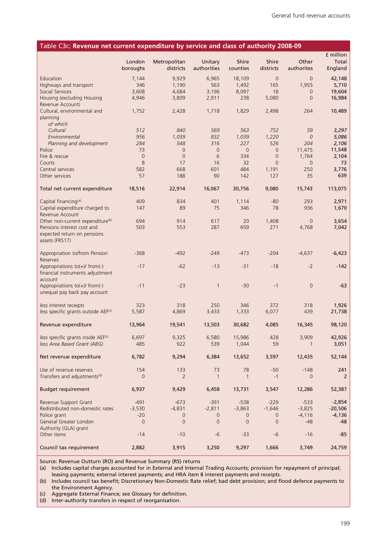| Table C3c: Revenue net current expenditure by service and class of authority 2008-09 |                    |                           |                        |                   |                    |                     |                  |
|--------------------------------------------------------------------------------------|--------------------|---------------------------|------------------------|-------------------|--------------------|---------------------|------------------|
|                                                                                      |                    |                           |                        |                   |                    |                     | £ million        |
|                                                                                      | London<br>boroughs | Metropolitan<br>districts | Unitary<br>authorities | Shire<br>counties | Shire<br>districts | Other<br>authorites | Total<br>England |
| Education                                                                            | 7,144              | 9,929                     | 6,965                  | 18,109            | $\mathbf 0$        | $\overline{0}$      | 42,148           |
| Highways and transport                                                               | 346                | 1,190                     | 563                    | 1,492             | 165                | 1,955               | 5,710            |
| Social Services                                                                      | 3,608              | 4,684                     | 3,196                  | 8,097             | 18                 | $\overline{0}$      | 19,604           |
| Housing (excluding Housing                                                           | 4,946              | 3,809                     | 2,911                  | 238               | 5,080              | $\overline{0}$      | 16,984           |
| Revenue Account)                                                                     |                    |                           |                        |                   |                    |                     |                  |
| Cultural, environmental and<br>planning                                              | 1,752              | 2,428                     | 1,718                  | 1,829             | 2,498              | 264                 | 10,489           |
| of which                                                                             |                    |                           |                        |                   |                    |                     |                  |
| Cultural                                                                             | 512                | 840                       | 569                    | 563               | 752                | 59                  | 3,297            |
| Environmental                                                                        | 956                | 1,039                     | 832                    | 1,039             | 1,220              | $\mathcal O$        | 5,086            |
| Planning and development                                                             | 284                | 548                       | 316                    | 227               | 526                | 204                 | 2,106            |
| Police                                                                               | 73                 | 0                         | $\mathbf 0$            | $\mathbf 0$       | $\overline{0}$     | 11,475              | 11,548           |
| Fire & rescue                                                                        | $\overline{0}$     | $\mathbf 0$               | 6                      | 334               | $\overline{0}$     | 1,764               | 2,104            |
| Courts                                                                               | 8                  | 17                        | 16                     | 32                | $\overline{0}$     | $\overline{0}$      | 73               |
| Central services                                                                     | 582                | 668                       | 601                    | 484               | 1,191              | 250                 | 3,776            |
| Other services                                                                       | 57                 | 188                       | 90                     | 142               | 127                | 35                  | 639              |
| Total net current expenditure                                                        | 18,516             | 22,914                    | 16,067                 | 30,756            | 9,080              | 15,743              | 113,075          |
| Capital financing <sup>(a)</sup>                                                     | 409                | 834                       | 401                    | 1,114             | $-80$              | 293                 | 2,971            |
| Capital expenditure charged to<br>Revenue Account                                    | 147                | 89                        | 75                     | 346               | 78                 | 936                 | 1,670            |
| Other non-current expenditure <sup>(b)</sup>                                         | 694                | 914                       | 617                    | 20                | 1,408              | $\overline{0}$      | 3,654            |
| Pensions interest cost and                                                           | 503                | 553                       | 287                    | 659               | 271                | 4,768               | 7,042            |
| expected return on pensions                                                          |                    |                           |                        |                   |                    |                     |                  |
| assets (FRS17)                                                                       |                    |                           |                        |                   |                    |                     |                  |
| Appropriation to/from Pension<br>Reserves                                            | $-368$             | $-492$                    | $-249$                 | $-473$            | $-204$             | $-4,637$            | $-6,423$         |
| Appropriations to(+)/ from(-)                                                        | $-17$              | $-62$                     | $-13$                  | $-31$             | $-18$              | $-2$                | $-142$           |
| financial instruments adjustment<br>account                                          |                    |                           |                        |                   |                    |                     |                  |
| Appropriations to(+)/ from(-)                                                        | $-11$              | $-23$                     | $\mathbf{1}$           | $-30$             | $-1$               | $\overline{0}$      | $-63$            |
| unequal pay back pay account                                                         |                    |                           |                        |                   |                    |                     |                  |
| less interest receipts                                                               | 323                | 318                       | 250                    | 346               | 372                | 318                 | 1,926            |
| less specific grants outside AEF(c)                                                  | 5,587              | 4,869                     | 3,433                  | 1,333             | 6,077              | 439                 | 21,738           |
|                                                                                      |                    |                           |                        |                   |                    |                     |                  |
| Revenue expenditure                                                                  | 13,964             | 19,541                    | 13,503                 | 30,682            | 4,085              | 16,345              | 98,120           |
| less specific grants inside AEF(c)                                                   | 6,697              | 9,325                     | 6,580                  | 15,986            | 428                | 3,909               | 42,926           |
| less Area Based Grant (ABG)                                                          | 485                | 922                       | 539                    | 1,044             | 59                 |                     | 3,051            |
| Net revenue expenditure                                                              | 6,782              | 9,294                     | 6,384                  | 13,652            | 3,597              | 12,435              | 52,144           |
| Use of revenue reserves                                                              | 154                | 133                       | 73                     | 78                | $-50$              | $-148$              | 241              |
| Transfers and adjustments <sup>(d)</sup>                                             | $\mathbf 0$        | $\overline{2}$            | $\mathbf{1}$           | $\mathbf{1}$      | $-1$               | $\overline{0}$      | 2                |
| <b>Budget requirement</b>                                                            | 6,937              | 9,429                     | 6,458                  | 13,731            | 3,547              | 12,286              | 52,387           |
| Revenue Support Grant                                                                | $-491$             | $-673$                    | $-391$                 | $-538$            | $-229$             | $-533$              | $-2,854$         |
| Redistributed non-domestic rates                                                     | $-3,530$           | $-4,831$                  | $-2,811$               | $-3,863$          | $-1,646$           | $-3,825$            | $-20,506$        |
| Police grant                                                                         | $-20$              | 0                         | 0                      | 0                 | 0                  | $-4,116$            | $-4,136$         |
| General Greater London                                                               | $\overline{0}$     | $\mathbf 0$               | $\overline{0}$         | $\overline{0}$    | $\mathbf 0$        | -48                 | -48              |
| Authority (GLA) grant                                                                |                    |                           |                        |                   |                    |                     |                  |
| Other items                                                                          | $-14$              | $-10$                     | $-6$                   | $-33$             | $-6$               | $-16$               | $-85$            |
| Council tax requirement                                                              | 2,882              | 3,915                     | 3,250                  | 9,297             | 1,666              | 3,749               | 24,759           |

Source: Revenue Outturn (RO) and Revenue Summary (RS) returns

(a) Includes capital charges accounted for in External and Internal Trading Accounts; provision for repayment of principal; leasing payments; external interest payments; and HRA item 8 interest payments and receipts.

(b) Includes council tax benefit; Discretionary Non-Domestic Rate relief; bad debt provision; and flood defence payments to the Environment Agency.

(c) Aggregate External Finance; see Glossary for definition.

(d) Inter-authority transfers in respect of reorganisation.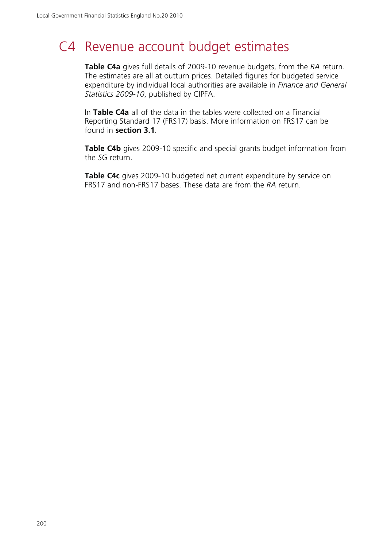# C4 Revenue account budget estimates

**Table C4a** gives full details of 2009-10 revenue budgets, from the *RA* return. The estimates are all at outturn prices. Detailed figures for budgeted service expenditure by individual local authorities are available in *Finance and General Statistics 2009-10*, published by CIPFA.

In **Table C4a** all of the data in the tables were collected on a Financial Reporting Standard 17 (FRS17) basis. More information on FRS17 can be found in **section 3.1**.

**Table C4b** gives 2009-10 specific and special grants budget information from the *SG* return.

**Table C4c** gives 2009-10 budgeted net current expenditure by service on FRS17 and non-FRS17 bases. These data are from the *RA* return.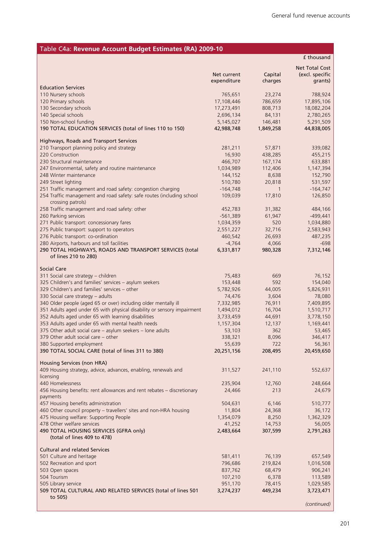### Table C4a: **Revenue Account Budget Estimates (RA) 2009-10**

|                                                                                                                                      |                       |                          | £ thousand            |
|--------------------------------------------------------------------------------------------------------------------------------------|-----------------------|--------------------------|-----------------------|
|                                                                                                                                      |                       |                          | <b>Net Total Cost</b> |
|                                                                                                                                      | Net current           | Capital                  | (excl. specific       |
| <b>Education Services</b>                                                                                                            | expenditure           | charges                  | grants)               |
| 110 Nursery schools                                                                                                                  | 765,651               | 23,274                   | 788,924               |
| 120 Primary schools                                                                                                                  | 17,108,446            | 786,659                  | 17,895,106            |
| 130 Secondary schools                                                                                                                | 17,273,491            | 808,713                  | 18,082,204            |
| 140 Special schools                                                                                                                  | 2,696,134             | 84,131                   | 2,780,265             |
| 150 Non-school funding                                                                                                               | 5,145,027             | 146,481                  | 5,291,509             |
| 190 TOTAL EDUCATION SERVICES (total of lines 110 to 150)                                                                             | 42,988,748            | 1,849,258                | 44,838,005            |
| Highways, Roads and Transport Services                                                                                               |                       |                          |                       |
| 210 Transport planning policy and strategy                                                                                           | 281,211               | 57,871                   | 339,082               |
| 220 Construction                                                                                                                     | 16,930                | 438,285                  | 455,215               |
| 230 Structural maintenance                                                                                                           | 466,707               | 167,174                  | 633,881               |
| 247 Environmental, safety and routine maintenance                                                                                    | 1,034,989             | 112,406                  | 1,147,394             |
| 248 Winter maintenance                                                                                                               | 144,152               | 8,638                    | 152,790               |
| 249 Street lighting                                                                                                                  | 510,780               | 20,818                   | 531,597               |
| 251 Traffic management and road safety: congestion charging<br>254 Traffic management and road safety: safe routes (including school | $-164,748$<br>109,039 | $\overline{1}$<br>17,810 | $-164,747$<br>126,850 |
| crossing patrols)                                                                                                                    |                       |                          |                       |
| 258 Traffic management and road safety: other                                                                                        | 452,783               | 31,382                   | 484,166               |
| 260 Parking services                                                                                                                 | $-561,389$            | 61,947                   | $-499,441$            |
| 271 Public transport: concessionary fares                                                                                            | 1,034,359             | 520                      | 1,034,880             |
| 275 Public transport: support to operators                                                                                           | 2,551,227             | 32,716                   | 2,583,943             |
| 276 Public transport: co-ordination                                                                                                  | 460,542               | 26,693                   | 487,235               |
| 280 Airports, harbours and toll facilities<br>290 TOTAL HIGHWAYS, ROADS AND TRANSPORT SERVICES (total                                | $-4,764$<br>6,331,817 | 4,066<br>980,328         | $-698$<br>7,312,146   |
| of lines 210 to 280)                                                                                                                 |                       |                          |                       |
|                                                                                                                                      |                       |                          |                       |
| Social Care                                                                                                                          |                       |                          |                       |
| 311 Social care strategy - children<br>325 Children's and families' services - asylum seekers                                        | 75,483<br>153,448     | 669<br>592               | 76,152<br>154,040     |
| 329 Children's and families' services - other                                                                                        | 5,782,926             | 44,005                   | 5,826,931             |
| 330 Social care strategy - adults                                                                                                    | 74,476                | 3,604                    | 78,080                |
| 340 Older people (aged 65 or over) including older mentally ill                                                                      | 7,332,985             | 76,911                   | 7,409,895             |
| 351 Adults aged under 65 with physical disability or sensory impairment                                                              | 1,494,012             | 16,704                   | 1,510,717             |
| 352 Adults aged under 65 with learning disabilities                                                                                  | 3,733,459             | 44,691                   | 3,778,150             |
| 353 Adults aged under 65 with mental health needs                                                                                    | 1,157,304             | 12,137                   | 1,169,441             |
| 375 Other adult social care - asylum seekers - lone adults                                                                           | 53,103                | 362                      | 53,465                |
| 379 Other adult social care - other                                                                                                  | 338,321<br>55,639     | 8,096<br>722             | 346,417<br>56,361     |
| 380 Supported employment<br>390 TOTAL SOCIAL CARE (total of lines 311 to 380)                                                        | 20,251,156            | 208,495                  | 20,459,650            |
|                                                                                                                                      |                       |                          |                       |
| Housing Services (non HRA)                                                                                                           |                       |                          |                       |
| 409 Housing strategy, advice, advances, enabling, renewals and                                                                       | 311,527               | 241,110                  | 552,637               |
| licensing<br>440 Homelessness                                                                                                        | 235,904               | 12,760                   | 248,664               |
| 456 Housing benefits: rent allowances and rent rebates - discretionary                                                               | 24,466                | 213                      | 24,679                |
| payments                                                                                                                             |                       |                          |                       |
| 457 Housing benefits administration                                                                                                  | 504,631               | 6,146                    | 510,777               |
| 460 Other council property - travellers' sites and non-HRA housing                                                                   | 11,804                | 24,368                   | 36,172                |
| 475 Housing welfare: Supporting People                                                                                               | 1,354,079             | 8,250                    | 1,362,329             |
| 478 Other welfare services                                                                                                           | 41,252                | 14,753                   | 56,005                |
| 490 TOTAL HOUSING SERVICES (GFRA only)<br>(total of lines 409 to 478)                                                                | 2,483,664             | 307,599                  | 2,791,263             |
|                                                                                                                                      |                       |                          |                       |
| <b>Cultural and related Services</b>                                                                                                 |                       |                          |                       |
| 501 Culture and heritage                                                                                                             | 581,411               | 76,139                   | 657,549               |
| 502 Recreation and sport<br>503 Open spaces                                                                                          | 796,686<br>837,762    | 219,824<br>68,479        | 1,016,508<br>906,241  |
| 504 Tourism                                                                                                                          | 107,210               | 6,378                    | 113,589               |
| 505 Library service                                                                                                                  | 951,170               | 78,415                   | 1,029,585             |
| 509 TOTAL CULTURAL AND RELATED SERVICES (total of lines 501                                                                          | 3,274,237             | 449,234                  | 3,723,471             |
| to 505)                                                                                                                              |                       |                          |                       |
|                                                                                                                                      |                       |                          | (continued)           |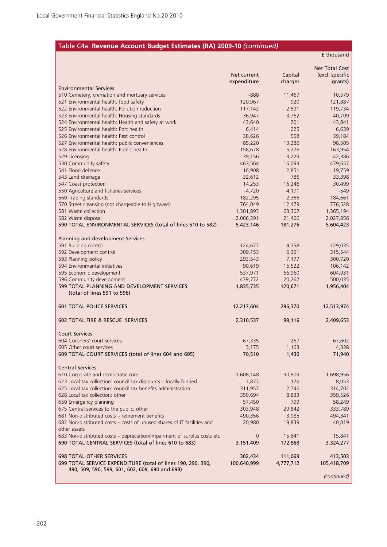### Table C4a: **Revenue Account Budget Estimates (RA) 2009-10** *(continued)*

£ thousand

|                                                                                                  | Net current        | Capital       | <b>Net Total Cost</b><br>(excl. specific |
|--------------------------------------------------------------------------------------------------|--------------------|---------------|------------------------------------------|
|                                                                                                  | expenditure        | charges       | grants)                                  |
| <b>Environmental Services</b>                                                                    |                    |               |                                          |
| 510 Cemetery, cremation and mortuary services                                                    | $-888$<br>120,967  | 11,467<br>920 | 10,579                                   |
| 521 Environmental health: food safety<br>522 Environmental health: Pollution reduction           | 117,142            | 2,591         | 121,887<br>119,734                       |
| 523 Environmental health: Housing standards                                                      | 36,947             | 3,762         | 40,709                                   |
| 524 Environmental health: Health and safety at work                                              | 43,640             | 201           | 43,841                                   |
| 525 Environmental health: Port health                                                            | 6,414              | 225           | 6,639                                    |
| 526 Environmental health: Pest control                                                           | 38,626             | 558           | 39,184                                   |
| 527 Environmental health: public conveniences                                                    | 85,220             | 13,286        | 98,505                                   |
| 528 Environmental health: Public health                                                          | 158,678            | 5,276         | 163,954                                  |
| 529 Licensing                                                                                    | 39,156             | 3,229         | 42,386                                   |
| 530 Community safety                                                                             | 463,564            | 16,093        | 479,657                                  |
| 541 Flood defence                                                                                | 16,908             | 2,851         | 19,759                                   |
| 543 Land drainage                                                                                | 32,612             | 786           | 33,398                                   |
| 547 Coast protection                                                                             | 14,253             | 16,246        | 30,499                                   |
| 550 Agriculture and fisheries services                                                           | $-4,720$           | 4,171         | $-549$                                   |
| 560 Trading standards                                                                            | 182,295            | 2,366         | 184,661                                  |
| 570 Street cleansing (not chargeable to Highways)                                                | 764,049            | 12,479        | 776,528                                  |
| 581 Waste collection                                                                             | 1,301,893          | 63,302        | 1,365,194                                |
| 582 Waste disposal                                                                               | 2,006,391          | 21,466        | 2,027,856                                |
| 590 TOTAL ENVIRONMENTAL SERVICES (total of lines 510 to 582)                                     | 5,423,146          | 181,276       | 5,604,423                                |
|                                                                                                  |                    |               |                                          |
| Planning and development Services                                                                |                    |               |                                          |
| 591 Building control                                                                             | 124,677            | 4,358         | 129,035                                  |
| 592 Development control                                                                          | 309,153            | 6,391         | 315,544                                  |
| 593 Planning policy                                                                              | 293,543            | 7,177         | 300,720                                  |
| 594 Environmental initiatives                                                                    | 90,619             | 15,522        | 106,142                                  |
| 595 Economic development                                                                         | 537,971            | 66,960        | 604,931                                  |
| 596 Community development                                                                        | 479,772            | 20,262        | 500,035                                  |
| 599 TOTAL PLANNING AND DEVELOPMENT SERVICES                                                      | 1,835,735          | 120,671       | 1,956,404                                |
| (total of lines 591 to 596)                                                                      |                    |               |                                          |
| <b>601 TOTAL POLICE SERVICES</b>                                                                 | 12,217,604         | 296,370       | 12,513,974                               |
|                                                                                                  |                    |               |                                          |
| <b>602 TOTAL FIRE &amp; RESCUE SERVICES</b>                                                      | 2,310,537          | 99,116        | 2,409,653                                |
| <b>Court Services</b>                                                                            |                    |               |                                          |
| 604 Coroners' court services                                                                     | 67,335             | 267           | 67,602                                   |
| 605 Other court services                                                                         | 3,175              | 1,163         | 4,338                                    |
| 609 TOTAL COURT SERVICES (total of lines 604 and 605)                                            | 70,510             | 1,430         | 71,940                                   |
|                                                                                                  |                    |               |                                          |
| <b>Central Services</b>                                                                          |                    |               |                                          |
| 610 Corporate and democratic core                                                                | 1,608,148          | 90,809        | 1,698,956                                |
| 623 Local tax collection: council tax discounts - locally funded                                 | 7,877              | 176           | 8,053                                    |
| 625 Local tax collection: council tax benefits administration<br>628 Local tax collection: other | 311,957            | 2,746         | 314,702                                  |
|                                                                                                  | 350,694            | 8,833         | 359,526                                  |
| 650 Emergency planning<br>675 Central services to the public: other                              | 57,450             | 799           | 58,249                                   |
| 681 Non-distributed costs - retirement benefits                                                  | 303,948<br>490,356 | 29,842        | 333,789<br>494,341                       |
| 682 Non-distributed costs – costs of unused shares of IT facilities and                          |                    | 3,985         | 40,819                                   |
| other assets                                                                                     | 20,980             | 19,839        |                                          |
| 683 Non-distributed costs - depreciation/impairment of surplus costs etc                         | $\overline{0}$     | 15,841        | 15,841                                   |
| 690 TOTAL CENTRAL SERVICES (total of lines 610 to 683)                                           | 3,151,409          | 172,868       | 3,324,277                                |
|                                                                                                  |                    |               |                                          |
| <b>698 TOTAL OTHER SERVICES</b>                                                                  | 302,434            | 111,069       | 413,503                                  |
| 699 TOTAL SERVICE EXPENDITURE (total of lines 190, 290, 390,                                     | 100,640,999        | 4,777,712     | 105,418,709                              |
| 490, 509, 590, 599, 601, 602, 609, 690 and 698)                                                  |                    |               |                                          |
|                                                                                                  |                    |               | (continued)                              |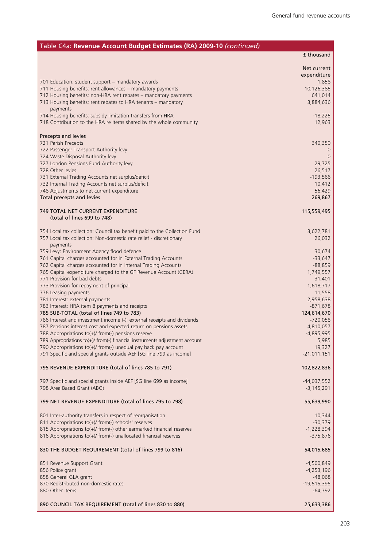| Table C4a: Revenue Account Budget Estimates (RA) 2009-10 (continued)                                                                     |                            |
|------------------------------------------------------------------------------------------------------------------------------------------|----------------------------|
|                                                                                                                                          | £ thousand                 |
|                                                                                                                                          | Net current<br>expenditure |
| 701 Education: student support - mandatory awards                                                                                        | 1,858                      |
| 711 Housing benefits: rent allowances - mandatory payments<br>712 Housing benefits: non-HRA rent rebates - mandatory payments            | 10,126,385<br>641,014      |
| 713 Housing benefits: rent rebates to HRA tenants - mandatory                                                                            | 3,884,636                  |
| payments                                                                                                                                 |                            |
| 714 Housing benefits: subsidy limitation transfers from HRA                                                                              | $-18,225$                  |
| 718 Contribution to the HRA re items shared by the whole community                                                                       | 12,963                     |
| Precepts and levies                                                                                                                      |                            |
| 721 Parish Precepts                                                                                                                      | 340,350                    |
| 722 Passenger Transport Authority levy<br>724 Waste Disposal Authority levy                                                              | 0                          |
| 727 London Pensions Fund Authority levy                                                                                                  | 29,725                     |
| 728 Other levies                                                                                                                         | 26,517                     |
| 731 External Trading Accounts net surplus/deficit                                                                                        | $-193,566$                 |
| 732 Internal Trading Accounts net surplus/deficit<br>748 Adjustments to net current expenditure                                          | 10,412<br>56,429           |
| Total precepts and levies                                                                                                                | 269,867                    |
|                                                                                                                                          |                            |
| <b>749 TOTAL NET CURRENT EXPENDITURE</b><br>(total of lines 699 to 748)                                                                  | 115,559,495                |
|                                                                                                                                          |                            |
| 754 Local tax collection: Council tax benefit paid to the Collection Fund                                                                | 3,622,781                  |
| 757 Local tax collection: Non-domestic rate relief - discretionary<br>payments                                                           | 26,032                     |
| 759 Levy: Environment Agency flood defence                                                                                               | 30,674                     |
| 761 Capital charges accounted for in External Trading Accounts                                                                           | $-33,647$                  |
| 762 Capital charges accounted for in Internal Trading Accounts<br>765 Capital expenditure charged to the GF Revenue Account (CERA)       | $-88,859$<br>1,749,557     |
| 771 Provision for bad debts                                                                                                              | 31,401                     |
| 773 Provision for repayment of principal                                                                                                 | 1,618,717                  |
| 776 Leasing payments<br>781 Interest: external payments                                                                                  | 11,558<br>2,958,638        |
| 783 Interest: HRA item 8 payments and receipts                                                                                           | $-871,678$                 |
| 785 SUB-TOTAL (total of lines 749 to 783)                                                                                                | 124,614,670                |
| 786 Interest and investment income (-): external receipts and dividends                                                                  | $-720,058$                 |
| 787 Pensions interest cost and expected return on pensions assets<br>788 Appropriations to(+)/ from(-) pensions reserve                  | 4,810,057<br>$-4,895,995$  |
| 789 Appropriations to(+)/ from(-) financial instruments adjustment account                                                               | 5,985                      |
| 790 Appropriations to(+)/ from(-) unequal pay back pay account                                                                           | 19,327                     |
| 791 Specific and special grants outside AEF [SG line 799 as income]                                                                      | $-21,011,151$              |
| 795 REVENUE EXPENDITURE (total of lines 785 to 791)                                                                                      | 102,822,836                |
| 797 Specific and special grants inside AEF [SG line 699 as income]                                                                       | $-44,037,552$              |
| 798 Area Based Grant (ABG)                                                                                                               | $-3,145,291$               |
| 799 NET REVENUE EXPENDITURE (total of lines 795 to 798)                                                                                  | 55,639,990                 |
| 801 Inter-authority transfers in respect of reorganisation                                                                               | 10,344                     |
| 811 Appropriations to(+)/ from(-) schools' reserves                                                                                      | $-30,379$                  |
| 815 Appropriations to(+)/ from(-) other earmarked financial reserves<br>816 Appropriations to(+)/ from(-) unallocated financial reserves | $-1,228,394$<br>$-375,876$ |
|                                                                                                                                          |                            |
| 830 THE BUDGET REQUIREMENT (total of lines 799 to 816)                                                                                   | 54,015,685                 |
| 851 Revenue Support Grant                                                                                                                | $-4,500,849$               |
| 856 Police grant                                                                                                                         | $-4,253,196$               |
| 858 General GLA grant<br>870 Redistributed non-domestic rates                                                                            | $-48,068$<br>$-19,515,395$ |
| 880 Other items                                                                                                                          | $-64,792$                  |
| 890 COUNCIL TAX REQUIREMENT (total of lines 830 to 880)                                                                                  | 25,633,386                 |
|                                                                                                                                          |                            |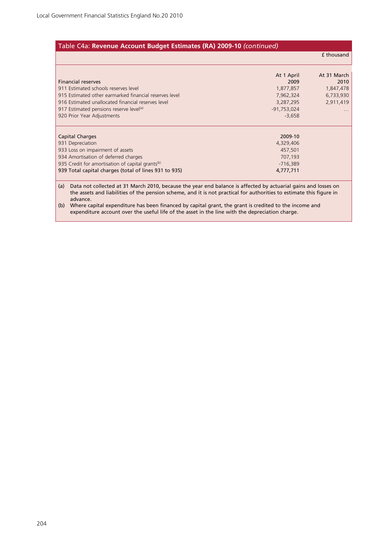|                                                              |               | <b>f</b> thousand |
|--------------------------------------------------------------|---------------|-------------------|
|                                                              | At 1 April    | At 31 March       |
| <b>Financial reserves</b>                                    | 2009          | 2010              |
| 911 Estimated schools reserves level                         | 1,877,857     | 1,847,478         |
| 915 Estimated other earmarked financial reserves level       | 7,962,324     | 6,733,930         |
| 916 Estimated unallocated financial reserves level           | 3,287,295     | 2,911,419         |
| 917 Estimated pensions reserve level <sup>(a)</sup>          | $-91,753,024$ |                   |
| 920 Prior Year Adjustments                                   | $-3,658$      |                   |
| <b>Capital Charges</b>                                       | 2009-10       |                   |
| 931 Depreciation                                             | 4,329,406     |                   |
| 933 Loss on impairment of assets                             | 457,501       |                   |
| 934 Amortisation of deferred charges                         | 707,193       |                   |
| 935 Credit for amortisation of capital grants <sup>(b)</sup> | $-716,389$    |                   |
| 939 Total capital charges (total of lines 931 to 935)        | 4,777,711     |                   |

the assets and liabilities of the pension scheme, and it is not practical for authorities to estimate this figure in advance.

(b) Where capital expenditure has been financed by capital grant, the grant is credited to the income and expenditure account over the useful life of the asset in the line with the depreciation charge.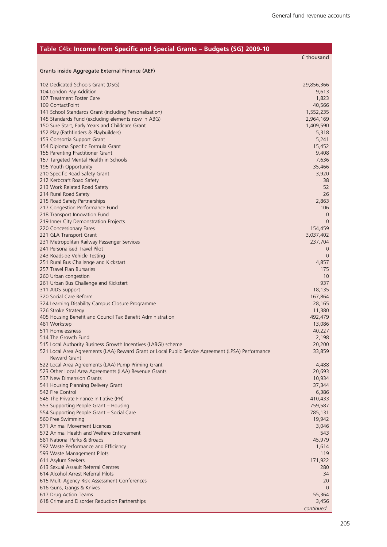| Table C4b: Income from Specific and Special Grants - Budgets (SG) 2009-10                                                |                     |
|--------------------------------------------------------------------------------------------------------------------------|---------------------|
|                                                                                                                          | £ thousand          |
|                                                                                                                          |                     |
| Grants inside Aggregate External Finance (AEF)                                                                           |                     |
|                                                                                                                          |                     |
| 102 Dedicated Schools Grant (DSG)<br>104 London Pay Addition                                                             | 29,856,366<br>9,613 |
| 107 Treatment Foster Care                                                                                                | 1,823               |
| 109 ContactPoint                                                                                                         | 40,566              |
| 141 School Standards Grant (including Personalisation)                                                                   | 1,552,235           |
| 145 Standards Fund (excluding elements now in ABG)                                                                       | 2,964,169           |
| 150 Sure Start, Early Years and Childcare Grant                                                                          | 1,409,590           |
| 152 Play (Pathfinders & Playbuilders)                                                                                    | 5,318               |
| 153 Consortia Support Grant                                                                                              | 5,241               |
| 154 Diploma Specific Formula Grant                                                                                       | 15,452              |
| 155 Parenting Practitioner Grant                                                                                         | 9,408               |
| 157 Targeted Mental Health in Schools                                                                                    | 7,636               |
| 195 Youth Opportunity                                                                                                    | 35,466              |
| 210 Specific Road Safety Grant<br>212 Kerbcraft Road Safety                                                              | 3,920<br>38         |
| 213 Work Related Road Safety                                                                                             | 52                  |
| 214 Rural Road Safety                                                                                                    | 26                  |
| 215 Road Safety Partnerships                                                                                             | 2,863               |
| 217 Congestion Performance Fund                                                                                          | 106                 |
| 218 Transport Innovation Fund                                                                                            | 0                   |
| 219 Inner City Demonstration Projects                                                                                    | 0                   |
| 220 Concessionary Fares                                                                                                  | 154,459             |
| 221 GLA Transport Grant                                                                                                  | 3,037,402           |
| 231 Metropolitan Railway Passenger Services                                                                              | 237,704             |
| 241 Personalised Travel Pilot                                                                                            | 0                   |
| 243 Roadside Vehicle Testing                                                                                             | 0                   |
| 251 Rural Bus Challenge and Kickstart                                                                                    | 4,857               |
| 257 Travel Plan Bursaries<br>260 Urban congestion                                                                        | 175<br>10           |
| 261 Urban Bus Challenge and Kickstart                                                                                    | 937                 |
| 311 AIDS Support                                                                                                         | 18,135              |
| 320 Social Care Reform                                                                                                   | 167,864             |
| 324 Learning Disability Campus Closure Programme                                                                         | 28,165              |
| 326 Stroke Strategy                                                                                                      | 11,380              |
| 405 Housing Benefit and Council Tax Benefit Administration                                                               | 492,479             |
| 481 Workstep                                                                                                             | 13,086              |
| 511 Homelessness                                                                                                         | 40,227              |
| 514 The Growth Fund                                                                                                      | 2,198               |
| 515 Local Authority Business Growth Incentives (LABGI) scheme                                                            | 20,200              |
| 521 Local Area Agreements (LAA) Reward Grant or Local Public Service Agreement (LPSA) Performance<br><b>Reward Grant</b> | 33,859              |
| 522 Local Area Agreements (LAA) Pump Priming Grant                                                                       | 4,488               |
| 523 Other Local Area Agreements (LAA) Revenue Grants                                                                     | 20,693              |
| 537 New Dimension Grants                                                                                                 | 10,934              |
| 541 Housing Planning Delivery Grant                                                                                      | 37,344              |
| 542 Fire Control                                                                                                         | 6,386               |
| 545 The Private Finance Initiative (PFI)                                                                                 | 410,433             |
| 553 Supporting People Grant - Housing                                                                                    | 759,587             |
| 554 Supporting People Grant - Social Care                                                                                | 785,131             |
| 560 Free Swimming                                                                                                        | 19,942              |
| 571 Animal Movement Licences                                                                                             | 3,046               |
| 572 Animal Health and Welfare Enforcement                                                                                | 543                 |
| 581 National Parks & Broads                                                                                              | 45,979              |
| 592 Waste Performance and Efficiency                                                                                     | 1,614               |
| 593 Waste Management Pilots                                                                                              | 119                 |
| 611 Asylum Seekers<br>613 Sexual Assault Referral Centres                                                                | 171,922<br>280      |
| 614 Alcohol Arrest Referral Pilots                                                                                       | 34                  |
| 615 Multi Agency Risk Assessment Conferences                                                                             | 20                  |
| 616 Guns, Gangs & Knives                                                                                                 | 0                   |
| 617 Drug Action Teams                                                                                                    | 55,364              |
| 618 Crime and Disorder Reduction Partnerships                                                                            | 3,456               |
|                                                                                                                          | continued           |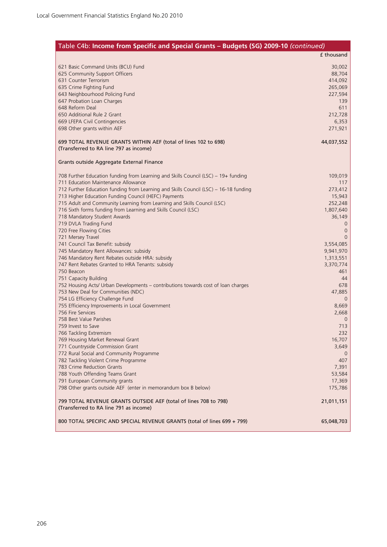| Table C4b: Income from Specific and Special Grants - Budgets (SG) 2009-10 (continued)                                           |                        |
|---------------------------------------------------------------------------------------------------------------------------------|------------------------|
|                                                                                                                                 | £ thousand             |
| 621 Basic Command Units (BCU) Fund                                                                                              | 30,002                 |
| 625 Community Support Officers                                                                                                  | 88,704                 |
| 631 Counter Terrorism                                                                                                           | 414,092                |
| 635 Crime Fighting Fund                                                                                                         | 265,069                |
| 643 Neighbourhood Policing Fund                                                                                                 | 227,594<br>139         |
| 647 Probation Loan Charges<br>648 Reform Deal                                                                                   | 611                    |
| 650 Additional Rule 2 Grant                                                                                                     | 212,728                |
| 669 LFEPA Civil Contingencies                                                                                                   | 6,353                  |
| 698 Other grants within AEF                                                                                                     | 271,921                |
| 699 TOTAL REVENUE GRANTS WITHIN AEF (total of lines 102 to 698)<br>(Transferred to RA line 797 as income)                       | 44,037,552             |
| Grants outside Aggregate External Finance                                                                                       |                        |
| 708 Further Education funding from Learning and Skills Council (LSC) – 19+ funding                                              | 109,019                |
| 711 Education Maintenance Allowance                                                                                             | 117                    |
| 712 Further Education funding from Learning and Skills Council (LSC) - 16-18 funding                                            | 273,412                |
| 713 Higher Education Funding Council (HEFC) Payments<br>715 Adult and Community Learning from Learning and Skills Council (LSC) | 15,943<br>252,248      |
| 716 Sixth forms funding from Learning and Skills Council (LSC)                                                                  | 1,807,640              |
| 718 Mandatory Student Awards                                                                                                    | 36,149                 |
| 719 DVLA Trading Fund                                                                                                           | $\Omega$               |
| 720 Free Flowing Cities                                                                                                         | $\mathbf 0$            |
| 721 Mersey Travel                                                                                                               | $\Omega$               |
| 741 Council Tax Benefit: subsidy                                                                                                | 3,554,085              |
| 745 Mandatory Rent Allowances: subsidy<br>746 Mandatory Rent Rebates outside HRA: subsidy                                       | 9,941,970<br>1,313,551 |
| 747 Rent Rebates Granted to HRA Tenants: subsidy                                                                                | 3,370,774              |
| 750 Beacon                                                                                                                      | 461                    |
| 751 Capacity Building                                                                                                           | 44                     |
| 752 Housing Acts/ Urban Developments - contributions towards cost of loan charges                                               | 678                    |
| 753 New Deal for Communities (NDC)                                                                                              | 47,885                 |
| 754 LG Efficiency Challenge Fund                                                                                                | $\mathbf{0}$           |
| 755 Efficiency Improvements in Local Government                                                                                 | 8,669                  |
| 756 Fire Services<br>758 Best Value Parishes                                                                                    | 2,668<br>$\mathbf{0}$  |
| 759 Invest to Save                                                                                                              | 713                    |
| 766 Tackling Extremism                                                                                                          | 232                    |
| 769 Housing Market Renewal Grant                                                                                                | 16,707                 |
| 771 Countryside Commission Grant                                                                                                | 3,649                  |
| 772 Rural Social and Community Programme                                                                                        | $\theta$               |
| 782 Tackling Violent Crime Programme                                                                                            | 407                    |
| 783 Crime Reduction Grants                                                                                                      | 7,391                  |
| 788 Youth Offending Teams Grant<br>791 European Community grants                                                                | 53,584<br>17,369       |
| 798 Other grants outside AEF (enter in memorandum box B below)                                                                  | 175,786                |
| 799 TOTAL REVENUE GRANTS OUTSIDE AEF (total of lines 708 to 798)<br>(Transferred to RA line 791 as income)                      | 21,011,151             |
| 800 TOTAL SPECIFIC AND SPECIAL REVENUE GRANTS (total of lines 699 + 799)                                                        | 65,048,703             |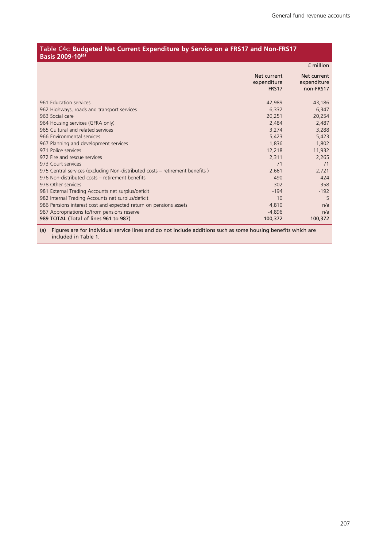#### Table C4c: **Budgeted Net Current Expenditure by Service on a FRS17 and Non-FRS17 Basis 2009-10(a)**

|                                                                              |                                            | f million                               |
|------------------------------------------------------------------------------|--------------------------------------------|-----------------------------------------|
|                                                                              | Net current<br>expenditure<br><b>FRS17</b> | Net current<br>expenditure<br>non-FRS17 |
| 961 Education services                                                       | 42,989                                     | 43,186                                  |
| 962 Highways, roads and transport services                                   | 6,332                                      | 6,347                                   |
| 963 Social care                                                              | 20,251                                     | 20,254                                  |
| 964 Housing services (GFRA only)                                             | 2,484                                      | 2,487                                   |
| 965 Cultural and related services                                            | 3,274                                      | 3,288                                   |
| 966 Environmental services                                                   | 5,423                                      | 5,423                                   |
| 967 Planning and development services                                        | 1,836                                      | 1,802                                   |
| 971 Police services                                                          | 12,218                                     | 11,932                                  |
| 972 Fire and rescue services                                                 | 2,311                                      | 2,265                                   |
| 973 Court services                                                           | 71                                         | 71                                      |
| 975 Central services (excluding Non-distributed costs – retirement benefits) | 2,661                                      | 2,721                                   |
| 976 Non-distributed costs – retirement benefits                              | 490                                        | 424                                     |
| 978 Other services                                                           | 302                                        | 358                                     |
| 981 External Trading Accounts net surplus/deficit                            | $-194$                                     | $-192$                                  |
| 982 Internal Trading Accounts net surplus/deficit                            | 10                                         | 5                                       |
| 986 Pensions interest cost and expected return on pensions assets            | 4,810                                      | n/a                                     |
| 987 Appropriations to/from pensions reserve                                  | $-4,896$                                   | n/a                                     |
| 989 TOTAL (Total of lines 961 to 987)                                        | 100,372                                    | 100,372                                 |

(a) Figures are for individual service lines and do not include additions such as some housing benefits which are included in Table 1.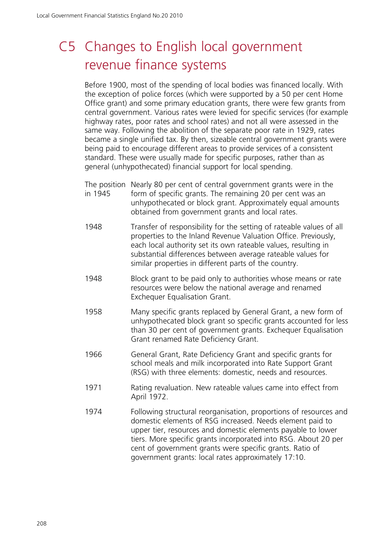# C5 Changes to English local government revenue finance systems

Before 1900, most of the spending of local bodies was financed locally. With the exception of police forces (which were supported by a 50 per cent Home Office grant) and some primary education grants, there were few grants from central government. Various rates were levied for specific services (for example highway rates, poor rates and school rates) and not all were assessed in the same way. Following the abolition of the separate poor rate in 1929, rates became a single unified tax. By then, sizeable central government grants were being paid to encourage different areas to provide services of a consistent standard. These were usually made for specific purposes, rather than as general (unhypothecated) financial support for local spending.

- The position Nearly 80 per cent of central government grants were in the in 1945 form of specific grants. The remaining 20 per cent was an unhypothecated or block grant. Approximately equal amounts obtained from government grants and local rates.
- 1948 Transfer of responsibility for the setting of rateable values of all properties to the Inland Revenue Valuation Office. Previously, each local authority set its own rateable values, resulting in substantial differences between average rateable values for similar properties in different parts of the country.
- 1948 Block grant to be paid only to authorities whose means or rate resources were below the national average and renamed Exchequer Equalisation Grant.
- 1958 Many specific grants replaced by General Grant, a new form of unhypothecated block grant so specific grants accounted for less than 30 per cent of government grants. Exchequer Equalisation Grant renamed Rate Deficiency Grant.
- 1966 General Grant, Rate Deficiency Grant and specific grants for school meals and milk incorporated into Rate Support Grant (RSG) with three elements: domestic, needs and resources.
- 1971 Rating revaluation. New rateable values came into effect from April 1972.
- 1974 Following structural reorganisation, proportions of resources and domestic elements of RSG increased. Needs element paid to upper tier, resources and domestic elements payable to lower tiers. More specific grants incorporated into RSG. About 20 per cent of government grants were specific grants. Ratio of government grants: local rates approximately 17:10.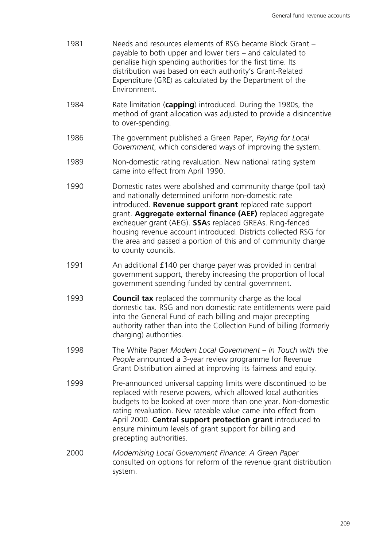- 1981 Needs and resources elements of RSG became Block Grant payable to both upper and lower tiers – and calculated to penalise high spending authorities for the first time. Its distribution was based on each authority's Grant-Related Expenditure (GRE) as calculated by the Department of the Environment.
- 1984 Rate limitation (**capping**) introduced. During the 1980s, the method of grant allocation was adjusted to provide a disincentive to over-spending.
- 1986 The government published a Green Paper, *Paying for Local Government*, which considered ways of improving the system.
- 1989 Non-domestic rating revaluation. New national rating system came into effect from April 1990.
- 1990 Domestic rates were abolished and community charge (poll tax) and nationally determined uniform non-domestic rate introduced. **Revenue support grant** replaced rate support grant. **Aggregate external finance (AEF)** replaced aggregate exchequer grant (AEG). **SSA**s replaced GREAs. Ring-fenced housing revenue account introduced. Districts collected RSG for the area and passed a portion of this and of community charge to county councils.
- 1991 An additional £140 per charge payer was provided in central government support, thereby increasing the proportion of local government spending funded by central government.
- 1993 **Council tax** replaced the community charge as the local domestic tax. RSG and non domestic rate entitlements were paid into the General Fund of each billing and major precepting authority rather than into the Collection Fund of billing (formerly charging) authorities.
- 1998 The White Paper *Modern Local Government In Touch with the People* announced a 3-year review programme for Revenue Grant Distribution aimed at improving its fairness and equity.
- 1999 Pre-announced universal capping limits were discontinued to be replaced with reserve powers, which allowed local authorities budgets to be looked at over more than one year. Non-domestic rating revaluation. New rateable value came into effect from April 2000. **Central support protection grant** introduced to ensure minimum levels of grant support for billing and precepting authorities.
- 2000 *Modernising Local Government Finance*: *A Green Paper* consulted on options for reform of the revenue grant distribution system.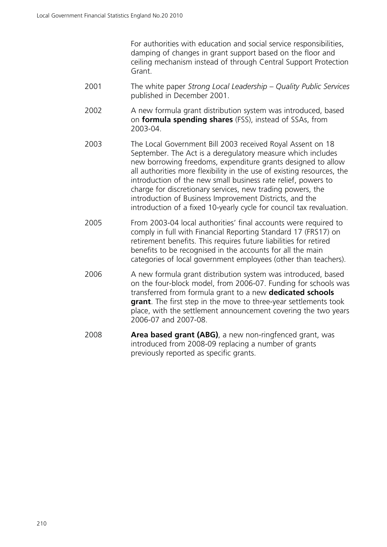For authorities with education and social service responsibilities, damping of changes in grant support based on the floor and ceiling mechanism instead of through Central Support Protection Grant.

- 2001 The white paper *Strong Local Leadership Quality Public Services* published in December 2001.
- 2002 A new formula grant distribution system was introduced, based on **formula spending shares** (FSS), instead of SSAs, from 2003-04.
- 2003 The Local Government Bill 2003 received Royal Assent on 18 September. The Act is a deregulatory measure which includes new borrowing freedoms, expenditure grants designed to allow all authorities more flexibility in the use of existing resources, the introduction of the new small business rate relief, powers to charge for discretionary services, new trading powers, the introduction of Business Improvement Districts, and the introduction of a fixed 10-yearly cycle for council tax revaluation.
- 2005 From 2003-04 local authorities' final accounts were required to comply in full with Financial Reporting Standard 17 (FRS17) on retirement benefits. This requires future liabilities for retired benefits to be recognised in the accounts for all the main categories of local government employees (other than teachers).
- 2006 A new formula grant distribution system was introduced, based on the four-block model, from 2006-07. Funding for schools was transferred from formula grant to a new **dedicated schools grant**. The first step in the move to three-year settlements took place, with the settlement announcement covering the two years 2006-07 and 2007-08.
- 2008 **Area based grant (ABG)**, a new non-ringfenced grant, was introduced from 2008-09 replacing a number of grants previously reported as specific grants.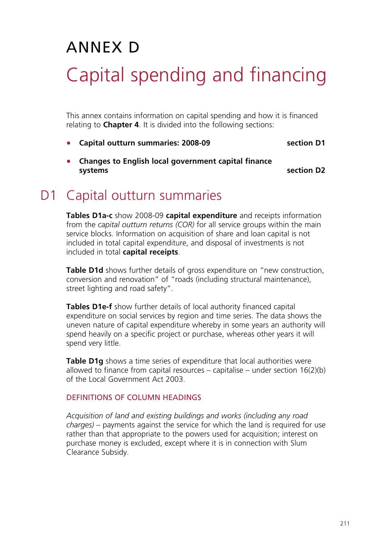# ANNEX D Capital spending and financing

This annex contains information on capital spending and how it is financed relating to **Chapter 4**. It is divided into the following sections:

• **Capital outturn summaries: 2008-09 section D1**

section D<sub>2</sub>

• **Changes to English local government capital finance** 

# D1 Capital outturn summaries

**Tables D1a-c** show 2008-09 **capital expenditure** and receipts information from the *capital outturn returns (COR)* for all service groups within the main service blocks. Information on acquisition of share and loan capital is not included in total capital expenditure, and disposal of investments is not included in total **capital receipts**.

**Table D1d** shows further details of gross expenditure on "new construction, conversion and renovation" of "roads (including structural maintenance), street lighting and road safety".

**Tables D1e-f** show further details of local authority financed capital expenditure on social services by region and time series. The data shows the uneven nature of capital expenditure whereby in some years an authority will spend heavily on a specific project or purchase, whereas other years it will spend very little.

**Table D1g** shows a time series of expenditure that local authorities were allowed to finance from capital resources – capitalise – under section  $16(2)(b)$ of the Local Government Act 2003.

### DEFINITIONS OF COLUMN HEADINGS

*Acquisition of land and existing buildings and works (including any road charges)* – payments against the service for which the land is required for use rather than that appropriate to the powers used for acquisition; interest on purchase money is excluded, except where it is in connection with Slum Clearance Subsidy.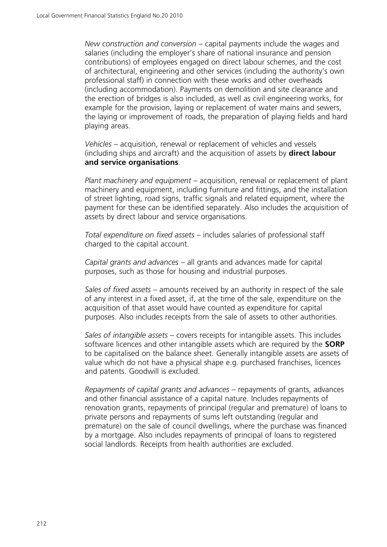*New construction and conversion* – capital payments include the wages and salaries (including the employer's share of national insurance and pension contributions) of employees engaged on direct labour schemes, and the cost of architectural, engineering and other services (including the authority's own professional staff) in connection with these works and other overheads (including accommodation). Payments on demolition and site clearance and the erection of bridges is also included, as well as civil engineering works, for example for the provision, laying or replacement of water mains and sewers, the laying or improvement of roads, the preparation of playing fields and hard playing areas.

*Vehicles* – acquisition, renewal or replacement of vehicles and vessels (including ships and aircraft) and the acquisition of assets by **direct labour and service organisations**.

*Plant machinery and equipment* – acquisition, renewal or replacement of plant machinery and equipment, including furniture and fittings, and the installation of street lighting, road signs, traffic signals and related equipment, where the payment for these can be identified separately. Also includes the acquisition of assets by direct labour and service organisations.

*Total expenditure on fixed assets* – includes salaries of professional staff charged to the capital account.

*Capital grants and advances* – all grants and advances made for capital purposes, such as those for housing and industrial purposes.

*Sales of fixed assets* – amounts received by an authority in respect of the sale of any interest in a fixed asset, if, at the time of the sale, expenditure on the acquisition of that asset would have counted as expenditure for capital purposes. Also includes receipts from the sale of assets to other authorities.

*Sales of intangible assets* – covers receipts for intangible assets. This includes software licences and other intangible assets which are required by the **SORP** to be capitalised on the balance sheet. Generally intangible assets are assets of value which do not have a physical shape e.g. purchased franchises, licences and patents. Goodwill is excluded.

*Repayments of capital grants and advances* – repayments of grants, advances and other financial assistance of a capital nature. Includes repayments of renovation grants, repayments of principal (regular and premature) of loans to private persons and repayments of sums left outstanding (regular and premature) on the sale of council dwellings, where the purchase was financed by a mortgage. Also includes repayments of principal of loans to registered social landlords. Receipts from health authorities are excluded.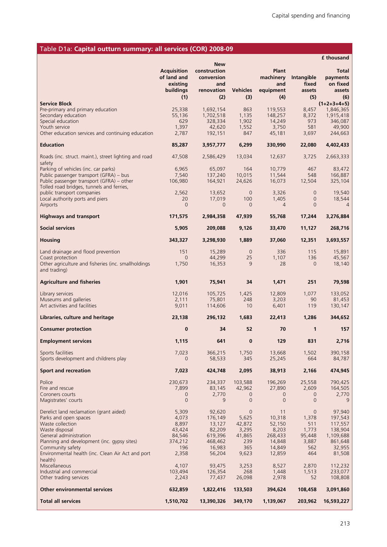## Table D1a: **Capital outturn summary: all services (COR) 2008-09**

|                                                                                        |                                                                          | <b>New</b>                                             |                        |                                                      |                                      | <b>f</b> thousand                                     |
|----------------------------------------------------------------------------------------|--------------------------------------------------------------------------|--------------------------------------------------------|------------------------|------------------------------------------------------|--------------------------------------|-------------------------------------------------------|
|                                                                                        | <b>Acquisition</b><br>of land and<br>existing<br><b>buildings</b><br>(1) | construction<br>conversion<br>and<br>renovation<br>(2) | <b>Vehicles</b><br>(3) | <b>Plant</b><br>machinery<br>and<br>equipment<br>(4) | Intangible<br>fixed<br>assets<br>(5) | <b>Total</b><br>payments<br>on fixed<br>assets<br>(6) |
| <b>Service Block</b>                                                                   |                                                                          |                                                        |                        |                                                      |                                      | $(1+2+3+4+5)$                                         |
| Pre-primary and primary education<br>Secondary education                               | 25,338<br>55,136                                                         | 1,692,154<br>1,702,518                                 | 863<br>1,135           | 119,553<br>148,257                                   | 8,457<br>8,372                       | 1,846,365<br>1,915,418                                |
| Special education                                                                      | 629                                                                      | 328,334                                                | 1,902                  | 14,249                                               | 973                                  | 346,087                                               |
| Youth service                                                                          | 1,397                                                                    | 42,620                                                 | 1,552                  | 3,750                                                | 581                                  | 49,900                                                |
| Other education services and continuing education                                      | 2,787                                                                    | 192,151                                                | 847                    | 45,181                                               | 3,697                                | 244,663                                               |
| <b>Education</b>                                                                       | 85,287                                                                   | 3,957,777                                              | 6,299                  | 330,990                                              | 22,080                               | 4,402,433                                             |
| Roads (inc. struct. maint.), street lighting and road<br>safety                        | 47,508                                                                   | 2,586,429                                              | 13,034                 | 12,637                                               | 3,725                                | 2,663,333                                             |
| Parking of vehicles (inc. car parks)                                                   | 6,965                                                                    | 65,097                                                 | 164                    | 10,779                                               | 467                                  | 83,472                                                |
| Public passenger transport (GFRA) - bus                                                | 7,540                                                                    | 137,240                                                | 10,015                 | 11,544                                               | 548                                  | 166,887                                               |
| Public passenger transport (GFRA) – other<br>Tolled road bridges, tunnels and ferries, | 106,980                                                                  | 164,921                                                | 24,626                 | 16,073                                               | 12,504                               | 325,104                                               |
| public transport companies                                                             | 2,562                                                                    | 13,652                                                 | $\overline{0}$         | 3,326                                                | $\overline{0}$                       | 19,540                                                |
| Local authority ports and piers<br>Airports                                            | 20<br>$\overline{0}$                                                     | 17,019<br>$\mathbf 0$                                  | 100<br>$\mathbf{0}$    | 1,405<br>$\overline{4}$                              | $\mathbf 0$<br>$\overline{0}$        | 18,544<br>$\overline{4}$                              |
| <b>Highways and transport</b>                                                          | 171,575                                                                  | 2,984,358                                              | 47,939                 | 55,768                                               | 17,244                               | 3,276,884                                             |
| <b>Social services</b>                                                                 | 5,905                                                                    | 209,088                                                | 9,126                  | 33,470                                               | 11,127                               | 268,716                                               |
| <b>Housing</b>                                                                         | 343,327                                                                  | 3,298,930                                              | 1,889                  | 37,060                                               | 12,351                               | 3,693,557                                             |
| Land drainage and flood prevention                                                     | 151                                                                      | 15,289                                                 | $\mathbf{0}$           | 336                                                  | 115                                  | 15,891                                                |
| Coast protection                                                                       | $\overline{0}$                                                           | 44,299                                                 | 25                     | 1,107                                                | 136                                  | 45,567                                                |
| Other agriculture and fisheries (inc. smallholdings<br>and trading)                    | 1,750                                                                    | 16,353                                                 | 9                      | 28                                                   | $\overline{0}$                       | 18,140                                                |
| <b>Agriculture and fisheries</b>                                                       | 1,901                                                                    | 75,941                                                 | 34                     | 1,471                                                | 251                                  | 79,598                                                |
| Library services                                                                       | 12,016                                                                   | 105,725                                                | 1,425                  | 12,809                                               | 1,077                                | 133,052                                               |
| Museums and galleries<br>Art activities and facilities                                 | 2,111<br>9,011                                                           | 75,801<br>114,606                                      | 248<br>10              | 3,203<br>6,401                                       | 90<br>119                            | 81,453<br>130,147                                     |
|                                                                                        | 23,138                                                                   | 296,132                                                | 1,683                  | 22,413                                               | 1,286                                | 344,652                                               |
| Libraries, culture and heritage                                                        |                                                                          |                                                        |                        |                                                      |                                      |                                                       |
| <b>Consumer protection</b>                                                             | $\bf{0}$                                                                 | 34                                                     | 52                     | 70                                                   | 1                                    | 157                                                   |
| <b>Employment services</b>                                                             | 1,115                                                                    | 641                                                    | $\mathbf{0}$           | 129                                                  | 831                                  | 2,716                                                 |
| Sports facilities<br>Sports development and childrens play                             | 7,023<br>0                                                               | 366,215<br>58,533                                      | 1,750<br>345           | 13,668<br>25,245                                     | 1,502<br>664                         | 390,158<br>84,787                                     |
| <b>Sport and recreation</b>                                                            | 7,023                                                                    | 424,748                                                | 2,095                  | 38,913                                               | 2,166                                | 474,945                                               |
|                                                                                        |                                                                          |                                                        |                        |                                                      |                                      |                                                       |
| Police<br>Fire and rescue                                                              | 230,673<br>7,899                                                         | 234,337<br>83,145                                      | 103,588<br>42,962      | 196,269<br>27,890                                    | 25,558<br>2,609                      | 790,425<br>164,505                                    |
| Coroners courts                                                                        | $\overline{0}$                                                           | 2,770                                                  | 0                      | $\mathbf 0$                                          | 0                                    | 2,770                                                 |
| Magistrates' courts                                                                    | $\overline{0}$                                                           | 9                                                      | $\mathbf 0$            | $\overline{0}$                                       | $\overline{0}$                       | 9                                                     |
| Derelict land reclamation (grant aided)                                                | 5,309                                                                    | 92,620                                                 | 0                      | 11                                                   | $\overline{0}$                       | 97,940                                                |
| Parks and open spaces                                                                  | 4,073                                                                    | 176,149                                                | 5,625                  | 10,318                                               | 1,378                                | 197,543                                               |
| Waste collection<br>Waste disposal                                                     | 8,897<br>43,424                                                          | 13,127<br>82,209                                       | 42,872<br>3,295        | 52,150<br>8,203                                      | 511<br>1,773                         | 117,557<br>138,904                                    |
| General administration                                                                 | 84,546                                                                   | 619,396                                                | 41,865                 | 268,433                                              | 95,448                               | 1,109,688                                             |
| Planning and development (inc. gypsy sites)<br>Community safety                        | 374,212<br>196                                                           | 468,462<br>16,983                                      | 239<br>365             | 14,848<br>14,849                                     | 3,887<br>562                         | 861,648<br>32,955                                     |
| Environmental health (inc. Clean Air Act and port                                      | 2,358                                                                    | 56,204                                                 | 9,623                  | 12,859                                               | 464                                  | 81,508                                                |
| health)                                                                                |                                                                          |                                                        |                        |                                                      |                                      |                                                       |
| Miscellaneous<br>Industrial and commercial                                             | 4,107<br>103,494                                                         | 93,475<br>126,354                                      | 3,253<br>268           | 8,527<br>1,448                                       | 2,870<br>1,513                       | 112,232<br>233,077                                    |
| Other trading services                                                                 | 2,243                                                                    | 77,437                                                 | 26,098                 | 2,978                                                | 52                                   | 108,808                                               |
| <b>Other environmental services</b>                                                    | 632,859                                                                  | 1,822,416                                              | 133,503                | 394,624                                              | 108,458                              | 3,091,860                                             |
| <b>Total all services</b>                                                              | 1,510,702                                                                | 13,390,326                                             | 349,170                | 1,139,067                                            | 203,962                              | 16,593,227                                            |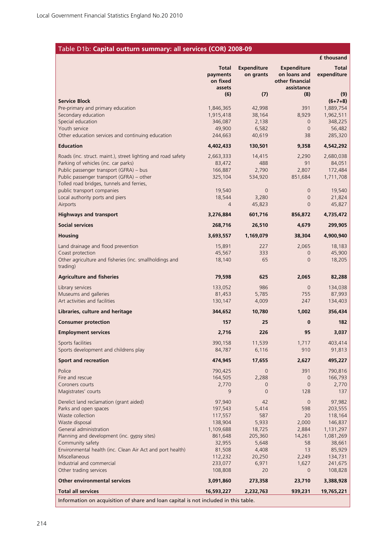## Table D1b: **Capital outturn summary: all services (COR) 2008-09**

|                                                                                     |                                                |                                 |                                                                     | <b>f</b> thousand    |
|-------------------------------------------------------------------------------------|------------------------------------------------|---------------------------------|---------------------------------------------------------------------|----------------------|
|                                                                                     | <b>Total</b><br>payments<br>on fixed<br>assets | <b>Expenditure</b><br>on grants | <b>Expenditure</b><br>on loans and<br>other financial<br>assistance | Total<br>expenditure |
| <b>Service Block</b>                                                                | (6)                                            | (7)                             | (8)                                                                 | (9)<br>$(6+7+8)$     |
| Pre-primary and primary education                                                   | 1,846,365                                      | 42,998                          | 391                                                                 | 1,889,754            |
| Secondary education                                                                 | 1,915,418                                      | 38,164                          | 8,929                                                               | 1,962,511            |
| Special education                                                                   | 346,087                                        | 2,138                           | $\overline{0}$                                                      | 348,225              |
| Youth service                                                                       | 49,900                                         | 6,582                           | $\mathbf{0}$                                                        | 56,482               |
| Other education services and continuing education                                   | 244,663                                        | 40,619                          | 38                                                                  | 285,320              |
| <b>Education</b>                                                                    | 4,402,433                                      | 130,501                         | 9,358                                                               | 4,542,292            |
| Roads (inc. struct. maint.), street lighting and road safety                        | 2,663,333                                      | 14,415                          | 2,290                                                               | 2,680,038            |
| Parking of vehicles (inc. car parks)                                                | 83,472                                         | 488                             | 91                                                                  | 84,051               |
| Public passenger transport (GFRA) - bus                                             | 166,887                                        | 2,790                           | 2,807                                                               | 172,484              |
| Public passenger transport (GFRA) - other                                           | 325,104                                        | 534,920                         | 851,684                                                             | 1,711,708            |
| Tolled road bridges, tunnels and ferries,                                           |                                                | $\overline{0}$                  |                                                                     |                      |
| public transport companies<br>Local authority ports and piers                       | 19,540<br>18,544                               | 3,280                           | $\mathbf 0$<br>$\mathbf{0}$                                         | 19,540<br>21,824     |
| Airports                                                                            | 4                                              | 45,823                          | $\overline{0}$                                                      | 45,827               |
| <b>Highways and transport</b>                                                       | 3,276,884                                      | 601,716                         | 856,872                                                             | 4,735,472            |
| <b>Social services</b>                                                              | 268,716                                        | 26,510                          | 4,679                                                               | 299,905              |
| <b>Housing</b>                                                                      | 3,693,557                                      | 1,169,079                       | 38,304                                                              | 4,900,940            |
| Land drainage and flood prevention                                                  | 15,891                                         | 227                             | 2,065                                                               | 18,183               |
| Coast protection                                                                    | 45,567                                         | 333                             | $\overline{0}$                                                      | 45,900               |
| Other agriculture and fisheries (inc. smallholdings and<br>trading)                 | 18,140                                         | 65                              | $\overline{0}$                                                      | 18,205               |
| <b>Agriculture and fisheries</b>                                                    | 79,598                                         | 625                             | 2,065                                                               | 82,288               |
| Library services                                                                    | 133,052                                        | 986                             | $\overline{0}$                                                      | 134,038              |
| Museums and galleries                                                               | 81,453                                         | 5,785                           | 755                                                                 | 87,993               |
| Art activities and facilities                                                       | 130,147                                        | 4,009                           | 247                                                                 | 134,403              |
| Libraries, culture and heritage                                                     | 344,652                                        | 10,780                          | 1,002                                                               | 356,434              |
| <b>Consumer protection</b>                                                          | 157                                            | 25                              | $\bf{0}$                                                            | 182                  |
| <b>Employment services</b>                                                          | 2,716                                          | 226                             | 95                                                                  | 3,037                |
| Sports facilities                                                                   | 390,158                                        | 11,539                          | 1,717                                                               | 403,414              |
| Sports development and childrens play                                               | 84,787                                         | 6,116                           | 910                                                                 | 91,813               |
| <b>Sport and recreation</b>                                                         | 474,945                                        | 17,655                          | 2,627                                                               | 495,227              |
| Police                                                                              | 790,425                                        | $\mathbf{0}$                    | 391                                                                 | 790,816              |
| Fire and rescue                                                                     | 164,505                                        | 2,288                           | $\overline{0}$                                                      | 166,793              |
| Coroners courts                                                                     | 2,770                                          | $\overline{0}$                  | $\overline{0}$                                                      | 2,770                |
| Magistrates' courts                                                                 | 9                                              | $\overline{0}$                  | 128                                                                 | 137                  |
| Derelict land reclamation (grant aided)                                             | 97,940                                         | 42                              | $\overline{0}$                                                      | 97,982               |
| Parks and open spaces                                                               | 197,543                                        | 5,414                           | 598                                                                 | 203,555              |
| Waste collection                                                                    | 117,557                                        | 587                             | 20                                                                  | 118,164              |
| Waste disposal                                                                      | 138,904                                        | 5,933                           | 2,000                                                               | 146,837              |
| General administration                                                              | 1,109,688                                      | 18,725                          | 2,884                                                               | 1,131,297            |
| Planning and development (inc. gypsy sites)                                         | 861,648                                        | 205,360                         | 14,261                                                              | 1,081,269            |
| Community safety<br>Environmental health (inc. Clean Air Act and port health)       | 32,955<br>81,508                               | 5,648<br>4,408                  | 58<br>13                                                            | 38,661<br>85,929     |
| Miscellaneous                                                                       | 112,232                                        | 20,250                          | 2,249                                                               | 134,731              |
| Industrial and commercial                                                           | 233,077                                        | 6,971                           | 1,627                                                               | 241,675              |
| Other trading services                                                              | 108,808                                        | 20                              | $\overline{0}$                                                      | 108,828              |
| <b>Other environmental services</b>                                                 | 3,091,860                                      | 273,358                         | 23,710                                                              | 3,388,928            |
| <b>Total all services</b>                                                           | 16,593,227                                     | 2,232,763                       | 939,231                                                             | 19,765,221           |
| Information on acquisition of share and loan capital is not included in this table. |                                                |                                 |                                                                     |                      |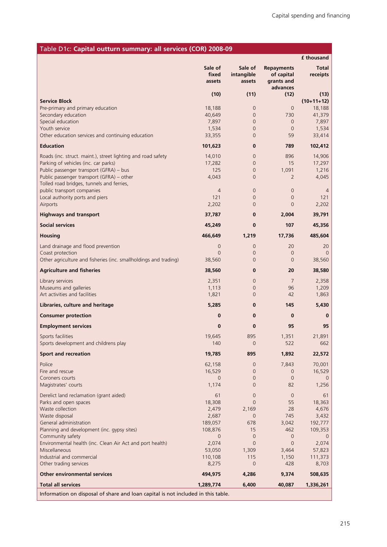| Table D1c: Capital outturn summary: all services (COR) 2008-09                   |                            |                                 |                                                           |                          |
|----------------------------------------------------------------------------------|----------------------------|---------------------------------|-----------------------------------------------------------|--------------------------|
|                                                                                  |                            |                                 |                                                           | <b>f</b> thousand        |
|                                                                                  | Sale of<br>fixed<br>assets | Sale of<br>intangible<br>assets | <b>Repayments</b><br>of capital<br>grants and<br>advances | <b>Total</b><br>receipts |
|                                                                                  | (10)                       | (11)                            | (12)                                                      | (13)                     |
| <b>Service Block</b>                                                             |                            |                                 |                                                           | $(10+11+12)$             |
| Pre-primary and primary education                                                | 18,188                     | $\overline{0}$                  | $\overline{0}$                                            | 18,188                   |
| Secondary education<br>Special education                                         | 40,649<br>7,897            | $\mathbf 0$<br>$\mathbf{0}$     | 730<br>$\overline{0}$                                     | 41,379<br>7,897          |
| Youth service                                                                    | 1,534                      | $\mathbf 0$                     | $\mathbf 0$                                               | 1,534                    |
| Other education services and continuing education                                | 33,355                     | $\overline{0}$                  | 59                                                        | 33,414                   |
| <b>Education</b>                                                                 | 101,623                    | $\bf{0}$                        | 789                                                       | 102,412                  |
| Roads (inc. struct. maint.), street lighting and road safety                     | 14,010                     | $\mathbf 0$                     | 896                                                       | 14,906                   |
| Parking of vehicles (inc. car parks)                                             | 17,282                     | $\mathbf 0$                     | 15                                                        | 17,297                   |
| Public passenger transport (GFRA) - bus                                          | 125                        | $\mathbf{0}$                    | 1,091                                                     | 1,216                    |
| Public passenger transport (GFRA) - other                                        | 4,043                      | $\overline{0}$                  | 2                                                         | 4,045                    |
| Tolled road bridges, tunnels and ferries,                                        |                            |                                 |                                                           |                          |
| public transport companies<br>Local authority ports and piers                    | $\overline{4}$<br>121      | $\mathbf 0$<br>0                | $\mathbf 0$<br>0                                          | 4<br>121                 |
| Airports                                                                         | 2,202                      | $\overline{0}$                  | $\overline{0}$                                            | 2,202                    |
| <b>Highways and transport</b>                                                    | 37,787                     | $\bf{0}$                        | 2,004                                                     | 39,791                   |
| <b>Social services</b>                                                           | 45,249                     | $\bf{0}$                        | 107                                                       | 45,356                   |
| <b>Housing</b>                                                                   | 466,649                    | 1,219                           | 17,736                                                    | 485,604                  |
| Land drainage and flood prevention                                               | 0                          | $\mathbf 0$                     | 20                                                        | 20                       |
| Coast protection                                                                 | $\overline{0}$             | $\mathbf 0$                     | 0                                                         | 0                        |
| Other agriculture and fisheries (inc. smallholdings and trading)                 | 38,560                     | $\overline{0}$                  | $\overline{0}$                                            | 38,560                   |
| <b>Agriculture and fisheries</b>                                                 | 38,560                     | $\bf{0}$                        | 20                                                        | 38,580                   |
| Library services                                                                 | 2,351                      | $\overline{0}$                  | 7                                                         | 2,358                    |
| Museums and galleries                                                            | 1,113                      | $\mathbf 0$                     | 96                                                        | 1,209                    |
| Art activities and facilities                                                    | 1,821                      | $\overline{0}$                  | 42                                                        | 1,863                    |
| Libraries, culture and heritage                                                  | 5,285                      | $\bf{0}$                        | 145                                                       | 5,430                    |
| <b>Consumer protection</b>                                                       | 0                          | $\bf{0}$                        | 0                                                         | 0                        |
| <b>Employment services</b>                                                       | 0                          | $\bf{0}$                        | 95                                                        | 95                       |
| Sports facilities                                                                | 19,645                     | 895                             | 1,351                                                     | 21,891                   |
| Sports development and childrens play                                            | 140                        | $\mathbf{0}$                    | 522                                                       | 662                      |
| <b>Sport and recreation</b>                                                      | 19,785                     | 895                             | 1,892                                                     | 22,572                   |
| Police                                                                           | 62,158                     | $\overline{0}$                  | 7,843                                                     | 70,001                   |
| Fire and rescue                                                                  | 16,529                     | $\overline{0}$                  | 0                                                         | 16,529                   |
| Coroners courts                                                                  | 0<br>1,174                 | $\mathbf{0}$                    | $\overline{0}$                                            | O                        |
| Magistrates' courts                                                              |                            | 0                               | 82                                                        | 1,256                    |
| Derelict land reclamation (grant aided)                                          | 61                         | $\mathbf{0}$                    | $\overline{0}$                                            | 61                       |
| Parks and open spaces                                                            | 18,308                     | $\overline{0}$                  | 55                                                        | 18,363                   |
| Waste collection<br>Waste disposal                                               | 2,479<br>2,687             | 2,169<br>$\mathbf{0}$           | 28<br>745                                                 | 4,676<br>3,432           |
| General administration                                                           | 189,057                    | 678                             | 3,042                                                     | 192,777                  |
| Planning and development (inc. gypsy sites)                                      | 108,876                    | 15                              | 462                                                       | 109,353                  |
| Community safety                                                                 | 0                          | $\overline{0}$                  | 0                                                         | 0                        |
| Environmental health (inc. Clean Air Act and port health)                        | 2,074                      | $\overline{0}$                  | $\overline{0}$                                            | 2,074                    |
| Miscellaneous                                                                    | 53,050                     | 1,309                           | 3,464                                                     | 57,823                   |
| Industrial and commercial                                                        | 110,108                    | 115                             | 1,150                                                     | 111,373                  |
| Other trading services                                                           | 8,275                      | $\overline{0}$                  | 428                                                       | 8,703                    |
| <b>Other environmental services</b>                                              | 494,975                    | 4,286                           | 9,374                                                     | 508,635                  |
| <b>Total all services</b>                                                        | 1,289,774                  | 6,400                           | 40,087                                                    | 1,336,261                |
| Information on disposal of share and loan capital is not included in this table. |                            |                                 |                                                           |                          |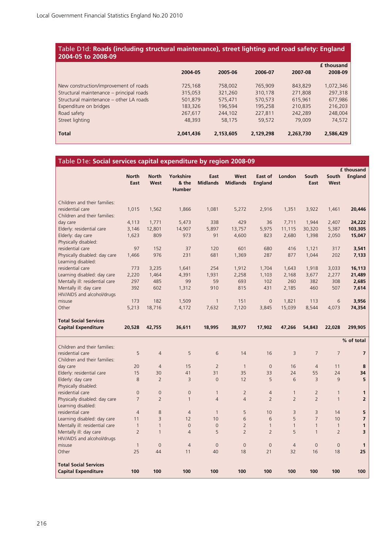#### Table D1d: **Roads (including structural maintenance), street lighting and road safety: England 2004-05 to 2008-09**

|                                          | 2004-05   | 2005-06   | 2006-07   | 2007-08   | <b>f</b> thousand<br>2008-09 |
|------------------------------------------|-----------|-----------|-----------|-----------|------------------------------|
| New construction/improvement of roads    | 725,168   | 758,002   | 765,909   | 843,829   | 1,072,346                    |
| Structural maintenance - principal roads | 315,053   | 321,260   | 310,178   | 271,808   | 297,318                      |
| Structural maintenance – other LA roads  | 501,879   | 575,471   | 570,573   | 615,961   | 677,986                      |
| Expenditure on bridges                   | 183,326   | 196,594   | 195,258   | 210,835   | 216,203                      |
| Road safety                              | 267,617   | 244,102   | 227,811   | 242,289   | 248,004                      |
| Street lighting                          | 48,393    | 58,175    | 59,572    | 79,009    | 74,572                       |
| <b>Total</b>                             | 2,041,436 | 2,153,605 | 2,129,298 | 2,263,730 | 2,586,429                    |

#### Table D1e: **Social services capital expenditure by region 2008-09**

|                                                      |                      |                      |                                     |                         |                         |                           |                |                |                | £ thousand              |
|------------------------------------------------------|----------------------|----------------------|-------------------------------------|-------------------------|-------------------------|---------------------------|----------------|----------------|----------------|-------------------------|
|                                                      | <b>North</b><br>East | <b>North</b><br>West | Yorkshire<br>& the<br><b>Humber</b> | East<br><b>Midlands</b> | West<br><b>Midlands</b> | East of<br><b>England</b> | London         | South<br>East  | South<br>West  | <b>England</b>          |
| Children and their families:                         |                      |                      |                                     |                         |                         |                           |                |                |                |                         |
| residential care                                     | 1,015                | 1,562                | 1,866                               | 1,081                   | 5,272                   | 2,916                     | 1,351          | 3,922          | 1,461          | 20,446                  |
| Children and their families:                         |                      |                      |                                     |                         |                         |                           |                |                |                |                         |
| day care                                             | 4,113                | 1,771                | 5,473                               | 338                     | 429                     | 36                        | 7,711          | 1,944          | 2,407          | 24,222                  |
| Elderly: residential care                            | 3,146                | 12,801               | 14,907                              | 5,897                   | 13,757                  | 5,975                     | 11,115         | 30,320         | 5,387          | 103,305                 |
| Elderly: day care                                    | 1,623                | 809                  | 973                                 | 91                      | 4,600                   | 823                       | 2,680          | 1,398          | 2,050          | 15,047                  |
| Physically disabled:                                 |                      |                      |                                     |                         |                         |                           |                |                |                |                         |
| residential care                                     | 97                   | 152                  | 37                                  | 120                     | 601                     | 680                       | 416            | 1,121          | 317            | 3,541                   |
| Physically disabled: day care<br>Learning disabled:  | 1,466                | 976                  | 231                                 | 681                     | 1,369                   | 287                       | 877            | 1,044          | 202            | 7,133                   |
| residential care                                     | 773                  | 3,235                | 1,641                               | 254                     | 1,912                   | 1,704                     | 1,643          | 1,918          | 3,033          | 16,113                  |
| Learning disabled: day care                          | 2,220                | 1,464                | 4,391                               | 1,931                   | 2,258                   | 1,103                     | 2,168          | 3,677          | 2,277          | 21,489                  |
| Mentally ill: residential care                       | 297                  | 485                  | 99                                  | 59                      | 693                     | 102                       | 260            | 382            | 308            | 2,685                   |
| Mentally ill: day care<br>HIV/AIDS and alcohol/drugs | 392                  | 602                  | 1,312                               | 910                     | 815                     | 431                       | 2,185          | 460            | 507            | 7,614                   |
| misuse                                               | 173                  | 182                  | 1,509                               | $\mathbf{1}$            | 151                     | $\overline{0}$            | 1,821          | 113            | 6              | 3,956                   |
| Other                                                | 5,213                | 18,716               | 4,172                               | 7,632                   | 7,120                   | 3,845                     | 15,039         | 8,544          | 4,073          | 74,354                  |
| <b>Total Social Services</b>                         |                      |                      |                                     |                         |                         |                           |                |                |                |                         |
|                                                      |                      |                      |                                     |                         |                         |                           |                |                |                |                         |
| <b>Capital Expenditure</b>                           | 20,528               | 42,755               | 36,611                              | 18,995                  | 38,977                  | 17,902                    | 47,266         | 54,843         | 22,028         | 299,905                 |
|                                                      |                      |                      |                                     |                         |                         |                           |                |                |                | % of total              |
| Children and their families:                         |                      |                      |                                     |                         |                         |                           |                |                |                |                         |
| residential care                                     | 5                    | $\overline{4}$       | 5                                   | 6                       | 14                      | 16                        | $\overline{3}$ | $\overline{7}$ | $\overline{7}$ | $\overline{7}$          |
| Children and their families:                         |                      |                      |                                     |                         |                         |                           |                |                |                |                         |
| day care                                             | 20                   | $\overline{4}$       | 15                                  | $\overline{2}$          | $\overline{1}$          | $\overline{0}$            | 16             | $\overline{4}$ | 11             | 8                       |
| Elderly: residential care                            | 15                   | 30                   | 41                                  | 31                      | 35                      | 33                        | 24             | 55             | 24             | 34                      |
| Elderly: day care                                    | 8                    | $\overline{2}$       | 3                                   | $\Omega$                | 12                      | 5                         | 6              | $\overline{3}$ | 9              | 5                       |
| Physically disabled:<br>residential care             | $\overline{0}$       | $\overline{0}$       | $\overline{0}$                      | $\mathbf{1}$            | $\overline{2}$          | $\overline{4}$            | $\mathbf{1}$   | $\overline{2}$ | $\mathbf{1}$   | $\mathbf{1}$            |
| Physically disabled: day care                        | $\overline{7}$       | $\overline{2}$       | $\mathbf{1}$                        | $\overline{4}$          | $\overline{4}$          | $\overline{2}$            | $\overline{2}$ | $\overline{2}$ | $\mathbf{1}$   | $\overline{2}$          |
| Learning disabled:                                   |                      |                      |                                     |                         |                         |                           |                |                |                |                         |
| residential care                                     | $\overline{4}$       | 8                    | $\overline{4}$                      | $\mathbf{1}$            | 5                       | 10                        | 3              | 3              | 14             | 5                       |
| Learning disabled: day care                          | 11                   | $\overline{3}$       | 12                                  | 10                      | 6                       | 6                         | 5              | $\overline{7}$ | 10             | $\overline{7}$          |
| Mentally ill: residential care                       | $\mathbf{1}$         | $\mathbf{1}$         | $\Omega$                            | $\Omega$                | $\overline{2}$          | $\mathbf{1}$              | $\mathbf{1}$   | $\mathbf{1}$   | $\mathbf{1}$   | 1                       |
| Mentally ill: day care                               | $\overline{2}$       | $\mathbf{1}$         | $\overline{4}$                      | 5                       | $\overline{2}$          | $\overline{2}$            | 5              | $\mathbf{1}$   | $\overline{2}$ | $\overline{\mathbf{3}}$ |
| HIV/AIDS and alcohol/drugs                           |                      |                      |                                     |                         |                         |                           |                |                |                |                         |
| misuse                                               | $\mathbf{1}$         | $\Omega$             | $\overline{4}$                      | $\Omega$                | $\Omega$                | $\Omega$                  | $\overline{4}$ | $\Omega$       | $\Omega$       | $\mathbf 1$             |
| Other                                                | 25                   | 44                   | 11                                  | 40                      | 18                      | 21                        | 32             | 16             | 18             | 25                      |
| <b>Total Social Services</b>                         |                      |                      |                                     |                         |                         |                           |                |                |                |                         |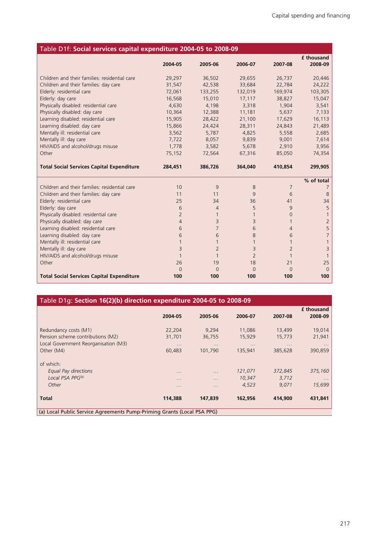| Table D1f: Social services capital expenditure 2004-05 to 2008-09 |                |                |                |                |                              |
|-------------------------------------------------------------------|----------------|----------------|----------------|----------------|------------------------------|
|                                                                   | 2004-05        | 2005-06        | 2006-07        | 2007-08        | <b>f</b> thousand<br>2008-09 |
| Children and their families: residential care                     | 29,297         | 36,502         | 29,655         | 26,737         | 20,446                       |
| Children and their families: day care                             | 31,547         | 42,538         | 33,684         | 22,784         | 24,222                       |
| Elderly: residential care                                         | 72,061         | 133,255        | 132,019        | 169,974        | 103,305                      |
| Elderly: day care                                                 | 16,568         | 15,010         | 17,117         | 38,827         | 15,047                       |
| Physically disabled: residential care                             | 4,630          | 4,198          | 3,318          | 1,904          | 3,541                        |
| Physically disabled: day care                                     | 10,364         | 12,388         | 11,181         | 5,637          | 7,133                        |
| Learning disabled: residential care                               | 15,905         | 28,422         | 21,100         | 17,629         | 16,113                       |
| Learning disabled: day care                                       | 15,866         | 24,424         | 28,311         | 24,843         | 21,489                       |
| Mentally ill: residential care                                    | 3,562          | 5,787          | 4,825          | 5,558          | 2,685                        |
| Mentally ill: day care                                            | 7,722          | 8,057          | 9,839          | 9,001          | 7,614                        |
| HIV/AIDS and alcohol/drugs misuse                                 | 1,778          | 3,582          | 5,678          | 2,910          | 3,956                        |
| Other                                                             | 75,152         | 72,564         | 67,316         | 85,050         | 74,354                       |
| <b>Total Social Services Capital Expenditure</b>                  | 284,451        | 386,726        | 364,040        | 410,854        | 299,905                      |
|                                                                   |                |                |                |                | % of total                   |
| Children and their families: residential care                     | 10             | 9              | 8              | $\overline{7}$ |                              |
| Children and their families: day care                             | 11             | 11             | 9              | 6              | 8                            |
| Elderly: residential care                                         | 25             | 34             | 36             | 41             | 34                           |
| Elderly: day care                                                 | 6              | $\overline{4}$ | 5              | 9              | 5                            |
| Physically disabled: residential care                             | $\overline{2}$ |                | 1              | $\Omega$       |                              |
| Physically disabled: day care                                     | $\overline{4}$ | $\overline{3}$ | 3              | $\mathbf{1}$   | $\overline{2}$               |
| Learning disabled: residential care                               | 6              | $\overline{7}$ | 6              | $\overline{4}$ | 5                            |
| Learning disabled: day care                                       | 6              | 6              | 8              | 6              | $\overline{7}$               |
| Mentally ill: residential care                                    | $\mathbf{1}$   | $\mathbf{1}$   | 1              | $\mathbf{1}$   |                              |
| Mentally ill: day care                                            | 3              | $\overline{2}$ | 3              | $\overline{2}$ | 3                            |
| HIV/AIDS and alcohol/drugs misuse                                 | $\mathbf{1}$   | $\mathbf{1}$   | $\overline{2}$ | $\mathbf{1}$   |                              |
| Other                                                             | 26             | 19             | 18             | 21             | 25                           |
|                                                                   | $\Omega$       | $\Omega$       | $\Omega$       | $\Omega$       | $\Omega$                     |
| <b>Total Social Services Capital Expenditure</b>                  | 100            | 100            | 100            | 100            | 100                          |

| Table D1g: Section 16(2)(b) direction expenditure 2004-05 to 2008-09    |          |          |          |          |                   |
|-------------------------------------------------------------------------|----------|----------|----------|----------|-------------------|
|                                                                         |          |          |          |          | <b>f</b> thousand |
|                                                                         | 2004-05  | 2005-06  | 2006-07  | 2007-08  | 2008-09           |
| Redundancy costs (M1)                                                   | 22,204   | 9,294    | 11,086   | 13,499   | 19,014            |
| Pension scheme contributions (M2)                                       | 31,701   | 36,755   | 15,929   | 15,773   | 21,941            |
| Local Government Reorganisation (M3)                                    | .        | $\cdots$ | $\cdots$ | $\cdots$ | $\cdots$          |
| Other (M4)                                                              | 60,483   | 101,790  | 135,941  | 385,628  | 390,859           |
|                                                                         |          |          |          |          |                   |
| of which:                                                               |          |          |          |          |                   |
| Equal Pay directions                                                    | .        | $\cdots$ | 121,071  | 372,845  | 375,160           |
| Local PSA PPG <sup>(a)</sup>                                            | $\cdots$ | $\cdots$ | 10,347   | 3,712    | $\cdots$          |
| Other                                                                   | .        | .        | 4,523    | 9,071    | 15,699            |
| Total                                                                   | 114,388  | 147,839  | 162,956  | 414,900  | 431,841           |
| (a) Local Public Service Agreements Pump-Priming Grants (Local PSA PPG) |          |          |          |          |                   |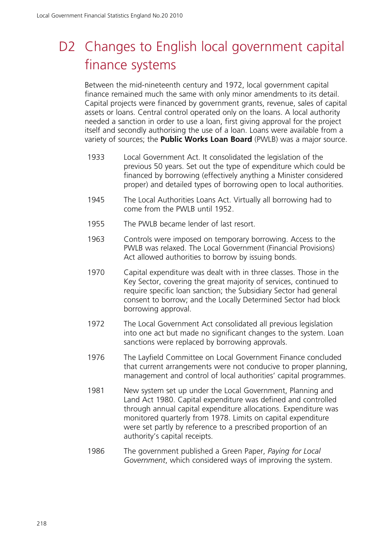# D<sub>2</sub> Changes to English local government capital finance systems

Between the mid-nineteenth century and 1972, local government capital finance remained much the same with only minor amendments to its detail. Capital projects were financed by government grants, revenue, sales of capital assets or loans. Central control operated only on the loans. A local authority needed a sanction in order to use a loan, first giving approval for the project itself and secondly authorising the use of a loan. Loans were available from a variety of sources; the **Public Works Loan Board** (PWLB) was a major source.

- 1933 Local Government Act. It consolidated the legislation of the previous 50 years. Set out the type of expenditure which could be financed by borrowing (effectively anything a Minister considered proper) and detailed types of borrowing open to local authorities.
- 1945 The Local Authorities Loans Act. Virtually all borrowing had to come from the PWLB until 1952.
- 1955 The PWLB became lender of last resort.
- 1963 Controls were imposed on temporary borrowing. Access to the PWLB was relaxed. The Local Government (Financial Provisions) Act allowed authorities to borrow by issuing bonds.
- 1970 Capital expenditure was dealt with in three classes. Those in the Key Sector, covering the great majority of services, continued to require specific loan sanction; the Subsidiary Sector had general consent to borrow; and the Locally Determined Sector had block borrowing approval.
- 1972 The Local Government Act consolidated all previous legislation into one act but made no significant changes to the system. Loan sanctions were replaced by borrowing approvals.
- 1976 The Layfield Committee on Local Government Finance concluded that current arrangements were not conducive to proper planning, management and control of local authorities' capital programmes.
- 1981 New system set up under the Local Government, Planning and Land Act 1980. Capital expenditure was defined and controlled through annual capital expenditure allocations. Expenditure was monitored quarterly from 1978. Limits on capital expenditure were set partly by reference to a prescribed proportion of an authority's capital receipts.
- 1986 The government published a Green Paper, *Paying for Local Government*, which considered ways of improving the system.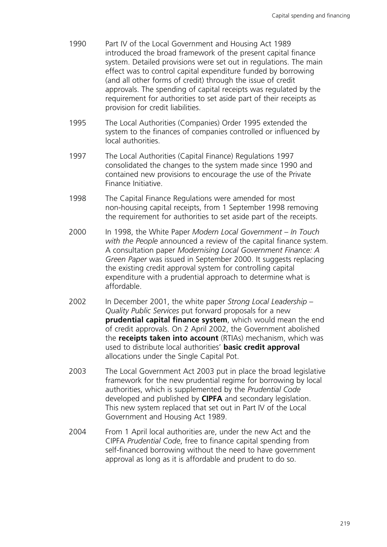- 1990 Part IV of the Local Government and Housing Act 1989 introduced the broad framework of the present capital finance system. Detailed provisions were set out in regulations. The main effect was to control capital expenditure funded by borrowing (and all other forms of credit) through the issue of credit approvals. The spending of capital receipts was regulated by the requirement for authorities to set aside part of their receipts as provision for credit liabilities.
- 1995 The Local Authorities (Companies) Order 1995 extended the system to the finances of companies controlled or influenced by local authorities.
- 1997 The Local Authorities (Capital Finance) Regulations 1997 consolidated the changes to the system made since 1990 and contained new provisions to encourage the use of the Private Finance Initiative.
- 1998 The Capital Finance Regulations were amended for most non-housing capital receipts, from 1 September 1998 removing the requirement for authorities to set aside part of the receipts.
- 2000 In 1998, the White Paper *Modern Local Government In Touch with the People* announced a review of the capital finance system. A consultation paper *Modernising Local Government Finance: A Green Paper* was issued in September 2000. It suggests replacing the existing credit approval system for controlling capital expenditure with a prudential approach to determine what is affordable.
- 2002 In December 2001, the white paper *Strong Local Leadership Quality Public Services* put forward proposals for a new **prudential capital finance system**, which would mean the end of credit approvals. On 2 April 2002, the Government abolished the **receipts taken into account** (RTIAs) mechanism, which was used to distribute local authorities' **basic credit approval** allocations under the Single Capital Pot.
- 2003 The Local Government Act 2003 put in place the broad legislative framework for the new prudential regime for borrowing by local authorities, which is supplemented by the *Prudential Code* developed and published by **CIPFA** and secondary legislation. This new system replaced that set out in Part IV of the Local Government and Housing Act 1989.
- 2004 From 1 April local authorities are, under the new Act and the CIPFA *Prudential Code*, free to finance capital spending from self-financed borrowing without the need to have government approval as long as it is affordable and prudent to do so.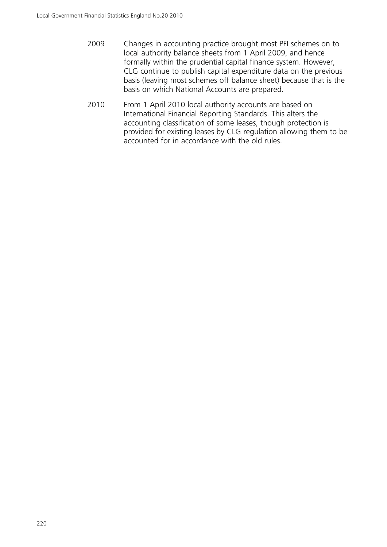- 2009 Changes in accounting practice brought most PFI schemes on to local authority balance sheets from 1 April 2009, and hence formally within the prudential capital finance system. However, CLG continue to publish capital expenditure data on the previous basis (leaving most schemes off balance sheet) because that is the basis on which National Accounts are prepared.
- 2010 From 1 April 2010 local authority accounts are based on International Financial Reporting Standards. This alters the accounting classification of some leases, though protection is provided for existing leases by CLG regulation allowing them to be accounted for in accordance with the old rules.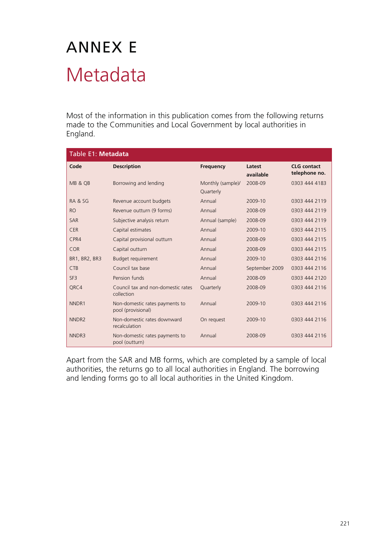# ANNEX E Metadata

Most of the information in this publication comes from the following returns made to the Communities and Local Government by local authorities in England.

| Table E1: Metadata |                                                      |                                |                     |                                     |  |  |
|--------------------|------------------------------------------------------|--------------------------------|---------------------|-------------------------------------|--|--|
| Code               | <b>Description</b>                                   | <b>Frequency</b>               | Latest<br>available | <b>CLG</b> contact<br>telephone no. |  |  |
| MB & QB            | Borrowing and lending                                | Monthly (sample)/<br>Quarterly | 2008-09             | 0303 444 4183                       |  |  |
| RA & SG            | Revenue account budgets                              | Annual                         | 2009-10             | 0303 444 2119                       |  |  |
| <b>RO</b>          | Revenue outturn (9 forms)                            | Annual                         | 2008-09             | 0303 444 2119                       |  |  |
| <b>SAR</b>         | Subjective analysis return                           | Annual (sample)                | 2008-09             | 0303 444 2119                       |  |  |
| <b>CER</b>         | Capital estimates                                    | Annual                         | 2009-10             | 0303 444 2115                       |  |  |
| CPR4               | Capital provisional outturn                          | Annual                         | 2008-09             | 0303 444 2115                       |  |  |
| COR                | Capital outturn                                      | Annual                         | 2008-09             | 0303 444 2115                       |  |  |
| BR1, BR2, BR3      | Budget requirement                                   | Annual                         | 2009-10             | 0303 444 2116                       |  |  |
| <b>CTB</b>         | Council tax base                                     | Annual                         | September 2009      | 0303 444 2116                       |  |  |
| SF <sub>3</sub>    | Pension funds                                        | Annual                         | 2008-09             | 0303 444 2120                       |  |  |
| QRC4               | Council tax and non-domestic rates<br>collection     | Quarterly                      | 2008-09             | 0303 444 2116                       |  |  |
| NNDR1              | Non-domestic rates payments to<br>pool (provisional) | Annual                         | 2009-10             | 0303 444 2116                       |  |  |
| NNDR <sub>2</sub>  | Non-domestic rates downward<br>recalculation         | On request                     | 2009-10             | 0303 444 2116                       |  |  |
| NNDR3              | Non-domestic rates payments to<br>pool (outturn)     | Annual                         | 2008-09             | 0303 444 2116                       |  |  |

Apart from the SAR and MB forms, which are completed by a sample of local authorities, the returns go to all local authorities in England. The borrowing and lending forms go to all local authorities in the United Kingdom.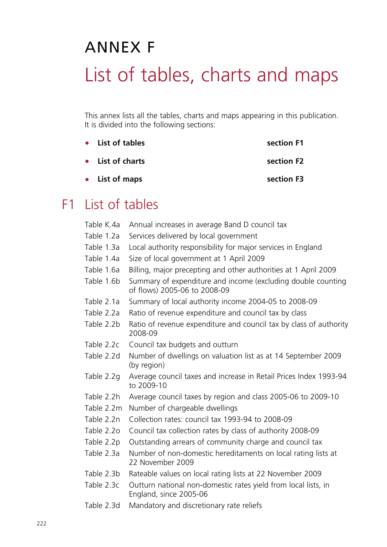# ANNEX F List of tables, charts and maps

This annex lists all the tables, charts and maps appearing in this publication. It is divided into the following sections:

| • List of tables | section F1 |
|------------------|------------|
| • List of charts | section F2 |
| • List of maps   | section F3 |

# F1 List of tables

| Table K.4a | Annual increases in average Band D council tax                                               |
|------------|----------------------------------------------------------------------------------------------|
| Table 1.2a | Services delivered by local government                                                       |
| Table 1.3a | Local authority responsibility for major services in England                                 |
| Table 1.4a | Size of local government at 1 April 2009                                                     |
| Table 1.6a | Billing, major precepting and other authorities at 1 April 2009                              |
| Table 1.6b | Summary of expenditure and income (excluding double counting<br>of flows) 2005-06 to 2008-09 |
| Table 2.1a | Summary of local authority income 2004-05 to 2008-09                                         |
| Table 2.2a | Ratio of revenue expenditure and council tax by class                                        |
| Table 2.2b | Ratio of revenue expenditure and council tax by class of authority<br>2008-09                |
| Table 2.2c | Council tax budgets and outturn                                                              |
| Table 2.2d | Number of dwellings on valuation list as at 14 September 2009<br>(by region)                 |
| Table 2.2g | Average council taxes and increase in Retail Prices Index 1993-94<br>to 2009-10              |
| Table 2.2h | Average council taxes by region and class 2005-06 to 2009-10                                 |
| Table 2.2m | Number of chargeable dwellings                                                               |
| Table 2.2n | Collection rates: council tax 1993-94 to 2008-09                                             |
| Table 2.2o | Council tax collection rates by class of authority 2008-09                                   |
| Table 2.2p | Outstanding arrears of community charge and council tax                                      |
| Table 2.3a | Number of non-domestic hereditaments on local rating lists at<br>22 November 2009            |
| Table 2.3b | Rateable values on local rating lists at 22 November 2009                                    |
| Table 2.3c | Outturn national non-domestic rates yield from local lists, in<br>England, since 2005-06     |
| Table 2.3d | Mandatory and discretionary rate reliefs                                                     |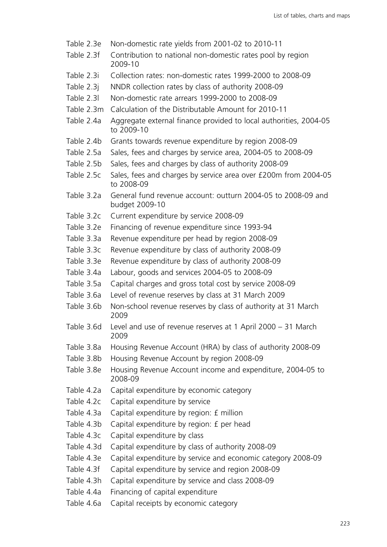- Table 2.3e Non-domestic rate yields from 2001-02 to 2010-11
- Table 2.3f Contribution to national non-domestic rates pool by region 2009-10
- Table 2.3i Collection rates: non-domestic rates 1999-2000 to 2008-09
- Table 2.3j NNDR collection rates by class of authority 2008-09
- Table 2.3l Non-domestic rate arrears 1999-2000 to 2008-09
- Table 2.3m Calculation of the Distributable Amount for 2010-11
- Table 2.4a Aggregate external finance provided to local authorities, 2004-05 to 2009-10
- Table 2.4b Grants towards revenue expenditure by region 2008-09
- Table 2.5a Sales, fees and charges by service area, 2004-05 to 2008-09
- Table 2.5b Sales, fees and charges by class of authority 2008-09
- Table 2.5c Sales, fees and charges by service area over £200m from 2004-05 to 2008-09
- Table 3.2a General fund revenue account: outturn 2004-05 to 2008-09 and budget 2009-10
- Table 3.2c Current expenditure by service 2008-09
- Table 3.2e Financing of revenue expenditure since 1993-94
- Table 3.3a Revenue expenditure per head by region 2008-09
- Table 3.3c Revenue expenditure by class of authority 2008-09
- Table 3.3e Revenue expenditure by class of authority 2008-09
- Table 3.4a Labour, goods and services 2004-05 to 2008-09
- Table 3.5a Capital charges and gross total cost by service 2008-09
- Table 3.6a Level of revenue reserves by class at 31 March 2009
- Table 3.6b Non-school revenue reserves by class of authority at 31 March 2009
- Table 3.6d Level and use of revenue reserves at 1 April 2000 31 March 2009
- Table 3.8a Housing Revenue Account (HRA) by class of authority 2008-09
- Table 3.8b Housing Revenue Account by region 2008-09
- Table 3.8e Housing Revenue Account income and expenditure, 2004-05 to 2008-09
- Table 4.2a Capital expenditure by economic category
- Table 4.2c Capital expenditure by service
- Table 4.3a Capital expenditure by region: £ million
- Table 4.3b Capital expenditure by region: £ per head
- Table 4.3c Capital expenditure by class
- Table 4.3d Capital expenditure by class of authority 2008-09
- Table 4.3e Capital expenditure by service and economic category 2008-09
- Table 4.3f Capital expenditure by service and region 2008-09
- Table 4.3h Capital expenditure by service and class 2008-09
- Table 4.4a Financing of capital expenditure
- Table 4.6a Capital receipts by economic category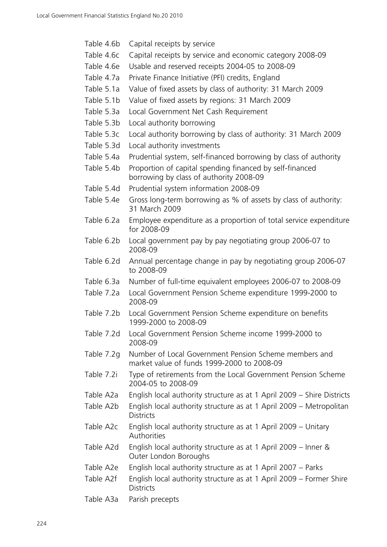- Table 4.6c Capital receipts by service and economic category 2008-09
- Table 4.6e Usable and reserved receipts 2004-05 to 2008-09
- Table 4.7a Private Finance Initiative (PFI) credits, England
- Table 5.1a Value of fixed assets by class of authority: 31 March 2009
- Table 5.1b Value of fixed assets by regions: 31 March 2009
- Table 5.3a Local Government Net Cash Requirement
- Table 5.3b Local authority borrowing
- Table 5.3c Local authority borrowing by class of authority: 31 March 2009
- Table 5.3d Local authority investments
- Table 5.4a Prudential system, self-financed borrowing by class of authority
- Table 5.4b Proportion of capital spending financed by self-financed borrowing by class of authority 2008-09
- Table 5.4d Prudential system information 2008-09
- Table 5.4e Gross long-term borrowing as % of assets by class of authority: 31 March 2009
- Table 6.2a Employee expenditure as a proportion of total service expenditure for 2008-09
- Table 6.2b Local government pay by pay negotiating group 2006-07 to 2008-09
- Table 6.2d Annual percentage change in pay by negotiating group 2006-07 to 2008-09
- Table 6.3a Number of full-time equivalent employees 2006-07 to 2008-09
- Table 7.2a Local Government Pension Scheme expenditure 1999-2000 to 2008-09
- Table 7.2b Local Government Pension Scheme expenditure on benefits 1999-2000 to 2008-09
- Table 7.2d Local Government Pension Scheme income 1999-2000 to 2008-09
- Table 7.2g Number of Local Government Pension Scheme members and market value of funds 1999-2000 to 2008-09
- Table 7.2i Type of retirements from the Local Government Pension Scheme 2004-05 to 2008-09
- Table A2a English local authority structure as at 1 April 2009 Shire Districts
- Table A2b English local authority structure as at 1 April 2009 Metropolitan **Districts**
- Table A2c English local authority structure as at 1 April 2009 Unitary Authorities
- Table A2d English local authority structure as at 1 April 2009 Inner & Outer London Boroughs
- Table A2e English local authority structure as at 1 April 2007 Parks
- Table A2f English local authority structure as at 1 April 2009 Former Shire **Districts**
- Table A3a Parish precepts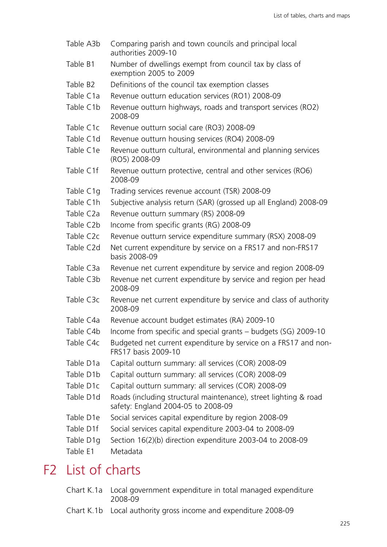| Table A3b              | Comparing parish and town councils and principal local<br>authorities 2009-10                          |
|------------------------|--------------------------------------------------------------------------------------------------------|
| Table B1               | Number of dwellings exempt from council tax by class of<br>exemption 2005 to 2009                      |
| Table B <sub>2</sub>   | Definitions of the council tax exemption classes                                                       |
| Table C1a              | Revenue outturn education services (RO1) 2008-09                                                       |
| Table C1b              | Revenue outturn highways, roads and transport services (RO2)<br>2008-09                                |
| Table C <sub>1</sub> c | Revenue outturn social care (RO3) 2008-09                                                              |
| Table C1d              | Revenue outturn housing services (RO4) 2008-09                                                         |
| Table C1e              | Revenue outturn cultural, environmental and planning services<br>(RO5) 2008-09                         |
| Table C1f              | Revenue outturn protective, central and other services (RO6)<br>2008-09                                |
| Table C1g              | Trading services revenue account (TSR) 2008-09                                                         |
| Table C1h              | Subjective analysis return (SAR) (grossed up all England) 2008-09                                      |
| Table C <sub>2</sub> a | Revenue outturn summary (RS) 2008-09                                                                   |
| Table C2b              | Income from specific grants (RG) 2008-09                                                               |
| Table C <sub>2</sub> c | Revenue outturn service expenditure summary (RSX) 2008-09                                              |
| Table C2d              | Net current expenditure by service on a FRS17 and non-FRS17<br>basis 2008-09                           |
| Table C3a              | Revenue net current expenditure by service and region 2008-09                                          |
| Table C3b              | Revenue net current expenditure by service and region per head<br>2008-09                              |
| Table C3c              | Revenue net current expenditure by service and class of authority<br>2008-09                           |
| Table C4a              | Revenue account budget estimates (RA) 2009-10                                                          |
| Table C4b              | Income from specific and special grants – budgets (SG) 2009-10                                         |
| Table C4c              | Budgeted net current expenditure by service on a FRS17 and non-<br>FRS17 basis 2009-10                 |
| Table D1a              | Capital outturn summary: all services (COR) 2008-09                                                    |
| Table D1b              | Capital outturn summary: all services (COR) 2008-09                                                    |
| Table D1c              | Capital outturn summary: all services (COR) 2008-09                                                    |
| Table D1d              | Roads (including structural maintenance), street lighting & road<br>safety: England 2004-05 to 2008-09 |
| Table D1e              | Social services capital expenditure by region 2008-09                                                  |
| Table D1f              | Social services capital expenditure 2003-04 to 2008-09                                                 |
| Table D1g              | Section 16(2)(b) direction expenditure 2003-04 to 2008-09                                              |
| Table E1               | Metadata                                                                                               |
|                        |                                                                                                        |

# F2 List of charts

- Chart K.1a Local government expenditure in total managed expenditure 2008-09
- Chart K.1b Local authority gross income and expenditure 2008-09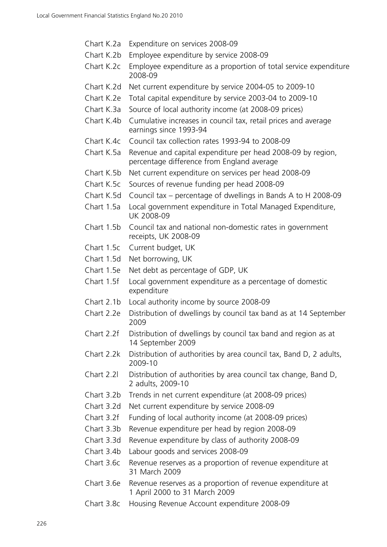- Chart K.2a Expenditure on services 2008-09
- Chart K.2b Employee expenditure by service 2008-09
- Chart K.2c Employee expenditure as a proportion of total service expenditure 2008-09
- Chart K.2d Net current expenditure by service 2004-05 to 2009-10
- Chart K.2e Total capital expenditure by service 2003-04 to 2009-10
- Chart K.3a Source of local authority income (at 2008-09 prices)
- Chart K.4b Cumulative increases in council tax, retail prices and average earnings since 1993-94
- Chart K.4c Council tax collection rates 1993-94 to 2008-09
- Chart K.5a Revenue and capital expenditure per head 2008-09 by region, percentage difference from England average
- Chart K.5b Net current expenditure on services per head 2008-09
- Chart K.5c Sources of revenue funding per head 2008-09
- Chart K.5d Council tax percentage of dwellings in Bands A to H 2008-09
- Chart 1.5a Local government expenditure in Total Managed Expenditure, UK 2008-09
- Chart 1.5b Council tax and national non-domestic rates in government receipts, UK 2008-09
- Chart 1.5c Current budget, UK
- Chart 1.5d Net borrowing, UK
- Chart 1.5e Net debt as percentage of GDP, UK
- Chart 1.5f Local government expenditure as a percentage of domestic expenditure
- Chart 2.1b Local authority income by source 2008-09
- Chart 2.2e Distribution of dwellings by council tax band as at 14 September 2009
- Chart 2.2f Distribution of dwellings by council tax band and region as at 14 September 2009
- Chart 2.2k Distribution of authorities by area council tax, Band D, 2 adults, 2009-10
- Chart 2.2l Distribution of authorities by area council tax change, Band D, 2 adults, 2009-10
- Chart 3.2b Trends in net current expenditure (at 2008-09 prices)
- Chart 3.2d Net current expenditure by service 2008-09
- Chart 3.2f Funding of local authority income (at 2008-09 prices)
- Chart 3.3b Revenue expenditure per head by region 2008-09
- Chart 3.3d Revenue expenditure by class of authority 2008-09
- Chart 3.4b Labour goods and services 2008-09
- Chart 3.6c Revenue reserves as a proportion of revenue expenditure at 31 March 2009
- Chart 3.6e Revenue reserves as a proportion of revenue expenditure at 1 April 2000 to 31 March 2009
- Chart 3.8c Housing Revenue Account expenditure 2008-09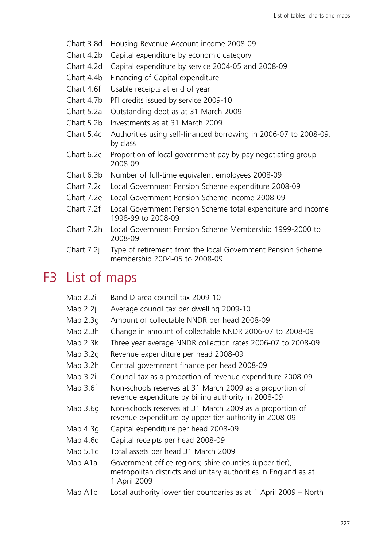- Chart 3.8d Housing Revenue Account income 2008-09
- Chart 4.2b Capital expenditure by economic category
- Chart 4.2d Capital expenditure by service 2004-05 and 2008-09
- Chart 4.4b Financing of Capital expenditure
- Chart 4.6f Usable receipts at end of year
- Chart 4.7b PFI credits issued by service 2009-10
- Chart 5.2a Outstanding debt as at 31 March 2009
- Chart 5.2b Investments as at 31 March 2009
- Chart 5.4c Authorities using self-financed borrowing in 2006-07 to 2008-09: by class
- Chart 6.2c Proportion of local government pay by pay negotiating group 2008-09
- Chart 6.3b Number of full-time equivalent employees 2008-09
- Chart 7.2c Local Government Pension Scheme expenditure 2008-09
- Chart 7.2e Local Government Pension Scheme income 2008-09
- Chart 7.2f Local Government Pension Scheme total expenditure and income 1998-99 to 2008-09
- Chart 7.2h Local Government Pension Scheme Membership 1999-2000 to 2008-09
- Chart 7.2j Type of retirement from the local Government Pension Scheme membership 2004-05 to 2008-09

# F3 List of maps

- Map 2.2i Band D area council tax 2009-10
- Map 2.2j Average council tax per dwelling 2009-10
- Map 2.3g Amount of collectable NNDR per head 2008-09
- Map 2.3h Change in amount of collectable NNDR 2006-07 to 2008-09
- Map 2.3k Three year average NNDR collection rates 2006-07 to 2008-09
- Map 3.2g Revenue expenditure per head 2008-09
- Map 3.2h Central government finance per head 2008-09
- Map 3.2i Council tax as a proportion of revenue expenditure 2008-09
- Map 3.6f Non-schools reserves at 31 March 2009 as a proportion of revenue expenditure by billing authority in 2008-09
- Map 3.6g Non-schools reserves at 31 March 2009 as a proportion of revenue expenditure by upper tier authority in 2008-09
- Map 4.3g Capital expenditure per head 2008-09
- Map 4.6d Capital receipts per head 2008-09
- Map 5.1c Total assets per head 31 March 2009
- Map A1a Government office regions; shire counties (upper tier), metropolitan districts and unitary authorities in England as at 1 April 2009
- Map A1b Local authority lower tier boundaries as at 1 April 2009 North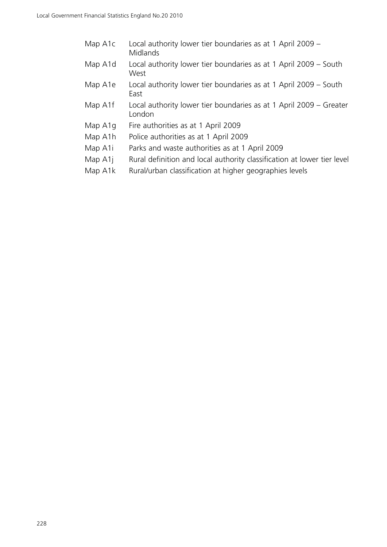| Map A1c | Local authority lower tier boundaries as at 1 April 2009 – |  |
|---------|------------------------------------------------------------|--|
|         | Midlands                                                   |  |

- Map A1d Local authority lower tier boundaries as at 1 April 2009 South West
- Map A1e Local authority lower tier boundaries as at 1 April 2009 South East
- Map A1f Local authority lower tier boundaries as at 1 April 2009 Greater London
- Map A1g Fire authorities as at 1 April 2009
- Map A1h Police authorities as at 1 April 2009
- Map A1i Parks and waste authorities as at 1 April 2009
- Map A1j Rural definition and local authority classification at lower tier level
- Map A1k Rural/urban classification at higher geographies levels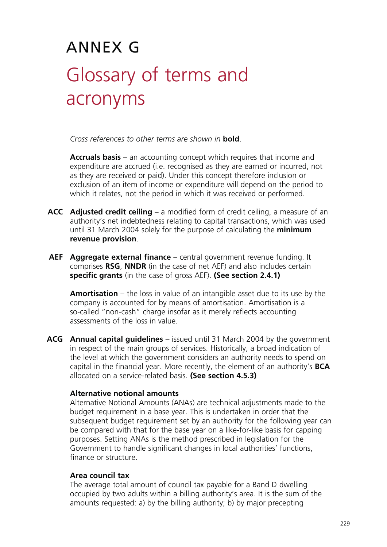# ANNEX G Glossary of terms and acronyms

*Cross references to other terms are shown in* **bold**.

 **Accruals basis** – an accounting concept which requires that income and expenditure are accrued (i.e. recognised as they are earned or incurred, not as they are received or paid). Under this concept therefore inclusion or exclusion of an item of income or expenditure will depend on the period to which it relates, not the period in which it was received or performed.

- **ACC Adjusted credit ceiling** a modified form of credit ceiling, a measure of an authority's net indebtedness relating to capital transactions, which was used until 31 March 2004 solely for the purpose of calculating the **minimum revenue provision**.
- **AEF Aggregate external finance** central government revenue funding. It comprises **RSG**, **NNDR** (in the case of net AEF) and also includes certain **specific grants** (in the case of gross AEF). **(See section 2.4.1)**

 **Amortisation** – the loss in value of an intangible asset due to its use by the company is accounted for by means of amortisation. Amortisation is a so-called "non-cash" charge insofar as it merely reflects accounting assessments of the loss in value.

**ACG Annual capital guidelines** – issued until 31 March 2004 by the government in respect of the main groups of services. Historically, a broad indication of the level at which the government considers an authority needs to spend on capital in the financial year. More recently, the element of an authority's **BCA** allocated on a service-related basis. **(See section 4.5.3)**

#### **Alternative notional amounts**

Alternative Notional Amounts (ANAs) are technical adjustments made to the budget requirement in a base year. This is undertaken in order that the subsequent budget requirement set by an authority for the following year can be compared with that for the base year on a like-for-like basis for capping purposes. Setting ANAs is the method prescribed in legislation for the Government to handle significant changes in local authorities' functions, finance or structure.

#### **Area council tax**

The average total amount of council tax payable for a Band D dwelling occupied by two adults within a billing authority's area. It is the sum of the amounts requested: a) by the billing authority; b) by major precepting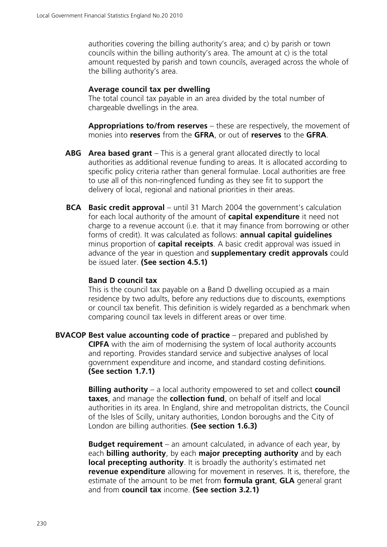authorities covering the billing authority's area; and c) by parish or town councils within the billing authority's area. The amount at c) is the total amount requested by parish and town councils, averaged across the whole of the billing authority's area.

#### **Average council tax per dwelling**

The total council tax payable in an area divided by the total number of chargeable dwellings in the area.

 **Appropriations to/from reserves** – these are respectively, the movement of monies into **reserves** from the **GFRA**, or out of **reserves** to the **GFRA**.

- **ABG Area based grant** This is a general grant allocated directly to local authorities as additional revenue funding to areas. It is allocated according to specific policy criteria rather than general formulae. Local authorities are free to use all of this non-ringfenced funding as they see fit to support the delivery of local, regional and national priorities in their areas.
- **BCA** Basic credit approval until 31 March 2004 the government's calculation for each local authority of the amount of **capital expenditure** it need not charge to a revenue account (i.e. that it may finance from borrowing or other forms of credit). It was calculated as follows: **annual capital guidelines** minus proportion of **capital receipts**. A basic credit approval was issued in advance of the year in question and **supplementary credit approvals** could be issued later. **(See section 4.5.1)**

#### **Band D council tax**

This is the council tax payable on a Band D dwelling occupied as a main residence by two adults, before any reductions due to discounts, exemptions or council tax benefit. This definition is widely regarded as a benchmark when comparing council tax levels in different areas or over time.

**BVACOP Best value accounting code of practice** – prepared and published by **CIPFA** with the aim of modernising the system of local authority accounts and reporting. Provides standard service and subjective analyses of local government expenditure and income, and standard costing definitions. **(See section 1.7.1)**

> **Billing authority** – a local authority empowered to set and collect **council taxes**, and manage the **collection fund**, on behalf of itself and local authorities in its area. In England, shire and metropolitan districts, the Council of the Isles of Scilly, unitary authorities, London boroughs and the City of London are billing authorities. **(See section 1.6.3)**

> **Budget requirement** – an amount calculated, in advance of each year, by each **billing authority**, by each **major precepting authority** and by each **local precepting authority**. It is broadly the authority's estimated net **revenue expenditure** allowing for movement in reserves. It is, therefore, the estimate of the amount to be met from **formula grant**, **GLA** general grant and from **council tax** income. **(See section 3.2.1)**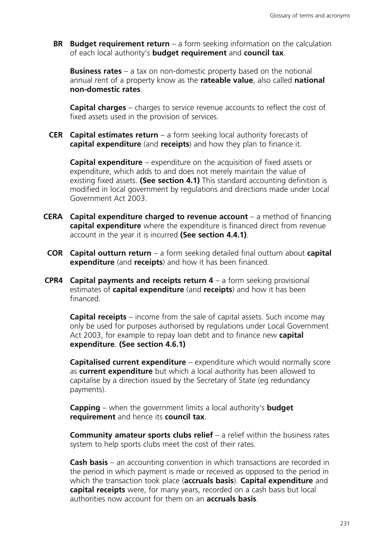**BR** Budget requirement return – a form seeking information on the calculation of each local authority's **budget requirement** and **council tax**.

 **Business rates** – a tax on non-domestic property based on the notional annual rent of a property know as the **rateable value**, also called **national non-domestic rates**.

 **Capital charges** – charges to service revenue accounts to reflect the cost of fixed assets used in the provision of services.

**CER Capital estimates return** – a form seeking local authority forecasts of **capital expenditure** (and **receipts**) and how they plan to finance it.

 **Capital expenditure** – expenditure on the acquisition of fixed assets or expenditure, which adds to and does not merely maintain the value of existing fixed assets. **(See section 4.1)** This standard accounting definition is modified in local government by regulations and directions made under Local Government Act 2003.

- **CERA Capital expenditure charged to revenue account** a method of financing **capital expenditure** where the expenditure is financed direct from revenue account in the year it is incurred **(See section 4.4.1)**.
- **COR Capital outturn return** a form seeking detailed final outturn about **capital expenditure** (and **receipts**) and how it has been financed.
- **CPR4 Capital payments and receipts return 4** a form seeking provisional estimates of **capital expenditure** (and **receipts**) and how it has been financed.

 **Capital receipts** – income from the sale of capital assets. Such income may only be used for purposes authorised by regulations under Local Government Act 2003, for example to repay loan debt and to finance new **capital expenditure**. **(See section 4.6.1)**

 **Capitalised current expenditure** – expenditure which would normally score as **current expenditure** but which a local authority has been allowed to capitalise by a direction issued by the Secretary of State (eg redundancy payments).

 **Capping** – when the government limits a local authority's **budget requirement** and hence its **council tax**.

 **Community amateur sports clubs relief** – a relief within the business rates system to help sports clubs meet the cost of their rates.

 **Cash basis** – an accounting convention in which transactions are recorded in the period in which payment is made or received as opposed to the period in which the transaction took place (**accruals basis**). **Capital expenditure** and **capital receipts** were, for many years, recorded on a cash basis but local authorities now account for them on an **accruals basis**.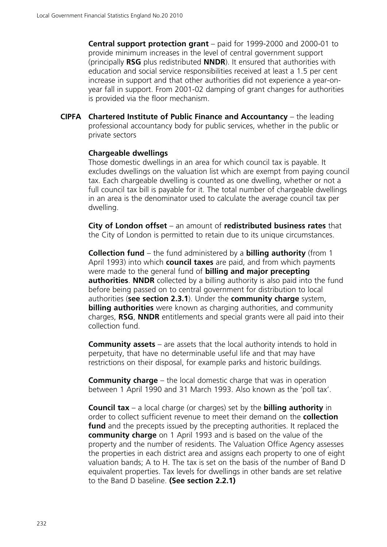**Central support protection grant** – paid for 1999-2000 and 2000-01 to provide minimum increases in the level of central government support (principally **RSG** plus redistributed **NNDR**). It ensured that authorities with education and social service responsibilities received at least a 1.5 per cent increase in support and that other authorities did not experience a year-onyear fall in support. From 2001-02 damping of grant changes for authorities is provided via the floor mechanism.

**CIPFA Chartered Institute of Public Finance and Accountancy** – the leading professional accountancy body for public services, whether in the public or private sectors

#### **Chargeable dwellings**

Those domestic dwellings in an area for which council tax is payable. It excludes dwellings on the valuation list which are exempt from paying council tax. Each chargeable dwelling is counted as one dwelling, whether or not a full council tax bill is payable for it. The total number of chargeable dwellings in an area is the denominator used to calculate the average council tax per dwelling.

 **City of London offset** – an amount of **redistributed business rates** that the City of London is permitted to retain due to its unique circumstances.

 **Collection fund** – the fund administered by a **billing authority** (from 1 April 1993) into which **council taxes** are paid, and from which payments were made to the general fund of **billing and major precepting authorities. NNDR** collected by a billing authority is also paid into the fund before being passed on to central government for distribution to local authorities (**see section 2.3.1**). Under the **community charge** system, **billing authorities** were known as charging authorities, and community charges, **RSG**, **NNDR** entitlements and special grants were all paid into their collection fund.

 **Community assets** – are assets that the local authority intends to hold in perpetuity, that have no determinable useful life and that may have restrictions on their disposal, for example parks and historic buildings.

**Community charge** – the local domestic charge that was in operation between 1 April 1990 and 31 March 1993. Also known as the 'poll tax'.

 **Council tax** – a local charge (or charges) set by the **billing authority** in order to collect sufficient revenue to meet their demand on the **collection fund** and the precepts issued by the precepting authorities. It replaced the **community charge** on 1 April 1993 and is based on the value of the property and the number of residents. The Valuation Office Agency assesses the properties in each district area and assigns each property to one of eight valuation bands; A to H. The tax is set on the basis of the number of Band D equivalent properties. Tax levels for dwellings in other bands are set relative to the Band D baseline. **(See section 2.2.1)**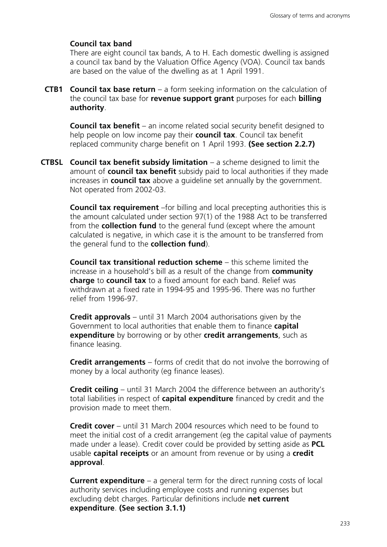#### **Council tax band**

There are eight council tax bands, A to H. Each domestic dwelling is assigned a council tax band by the Valuation Office Agency (VOA). Council tax bands are based on the value of the dwelling as at 1 April 1991.

**CTB1 Council tax base return** – a form seeking information on the calculation of the council tax base for **revenue support grant** purposes for each **billing authority**.

 **Council tax benefit** – an income related social security benefit designed to help people on low income pay their **council tax**. Council tax benefit replaced community charge benefit on 1 April 1993. **(See section 2.2.7)**

**CTBSL Council tax benefit subsidy limitation** – a scheme designed to limit the amount of **council tax benefit** subsidy paid to local authorities if they made increases in **council tax** above a guideline set annually by the government. Not operated from 2002-03.

> **Council tax requirement** –for billing and local precepting authorities this is the amount calculated under section 97(1) of the 1988 Act to be transferred from the **collection fund** to the general fund (except where the amount calculated is negative, in which case it is the amount to be transferred from the general fund to the **collection fund**).

 **Council tax transitional reduction scheme** – this scheme limited the increase in a household's bill as a result of the change from **community charge** to **council tax** to a fixed amount for each band. Relief was withdrawn at a fixed rate in 1994-95 and 1995-96. There was no further relief from 1996-97.

 **Credit approvals** – until 31 March 2004 authorisations given by the Government to local authorities that enable them to finance **capital expenditure** by borrowing or by other **credit arrangements**, such as finance leasing.

 **Credit arrangements** – forms of credit that do not involve the borrowing of money by a local authority (eg finance leases).

 **Credit ceiling** – until 31 March 2004 the difference between an authority's total liabilities in respect of **capital expenditure** financed by credit and the provision made to meet them.

 **Credit cover** – until 31 March 2004 resources which need to be found to meet the initial cost of a credit arrangement (eg the capital value of payments made under a lease). Credit cover could be provided by setting aside as **PCL** usable **capital receipts** or an amount from revenue or by using a **credit approval**.

 **Current expenditure** – a general term for the direct running costs of local authority services including employee costs and running expenses but excluding debt charges. Particular definitions include **net current expenditure**. **(See section 3.1.1)**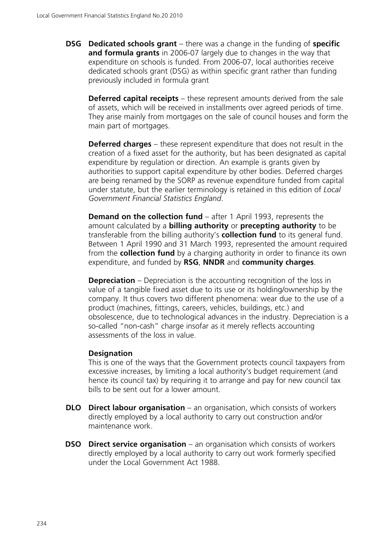**DSG Dedicated schools grant** – there was a change in the funding of **specific and formula grants** in 2006-07 largely due to changes in the way that expenditure on schools is funded. From 2006-07, local authorities receive dedicated schools grant (DSG) as within specific grant rather than funding previously included in formula grant

**Deferred capital receipts** – these represent amounts derived from the sale of assets, which will be received in installments over agreed periods of time. They arise mainly from mortgages on the sale of council houses and form the main part of mortgages.

 **Deferred charges** – these represent expenditure that does not result in the creation of a fixed asset for the authority, but has been designated as capital expenditure by regulation or direction. An example is grants given by authorities to support capital expenditure by other bodies. Deferred charges are being renamed by the SORP as revenue expenditure funded from capital under statute, but the earlier terminology is retained in this edition of *Local Government Financial Statistics England*.

**Demand on the collection fund** – after 1 April 1993, represents the amount calculated by a **billing authority** or **precepting authority** to be transferable from the billing authority's **collection fund** to its general fund. Between 1 April 1990 and 31 March 1993, represented the amount required from the **collection fund** by a charging authority in order to finance its own expenditure, and funded by **RSG**, **NNDR** and **community charges**.

**Depreciation** – Depreciation is the accounting recognition of the loss in value of a tangible fixed asset due to its use or its holding/ownership by the company. It thus covers two different phenomena: wear due to the use of a product (machines, fittings, careers, vehicles, buildings, etc.) and obsolescence, due to technological advances in the industry. Depreciation is a so-called "non-cash" charge insofar as it merely reflects accounting assessments of the loss in value.

#### **Designation**

This is one of the ways that the Government protects council taxpayers from excessive increases, by limiting a local authority's budget requirement (and hence its council tax) by requiring it to arrange and pay for new council tax bills to be sent out for a lower amount.

- **DLO** Direct labour organisation an organisation, which consists of workers directly employed by a local authority to carry out construction and/or maintenance work.
- **DSO** Direct service organisation an organisation which consists of workers directly employed by a local authority to carry out work formerly specified under the Local Government Act 1988.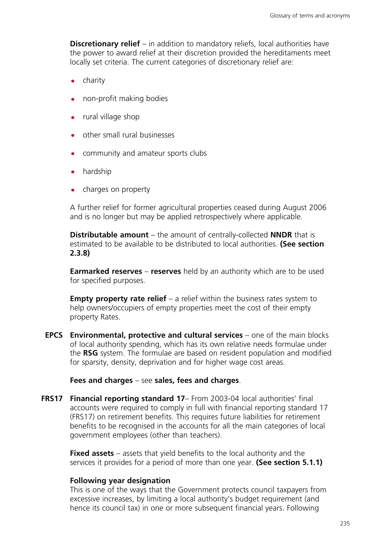**Discretionary relief** – in addition to mandatory reliefs, local authorities have the power to award relief at their discretion provided the hereditaments meet locally set criteria. The current categories of discretionary relief are:

- charity
- non-profit making bodies
- rural village shop
- other small rural businesses
- community and amateur sports clubs
- hardship
- charges on property

A further relief for former agricultural properties ceased during August 2006 and is no longer but may be applied retrospectively where applicable.

**Distributable amount** – the amount of centrally-collected **NNDR** that is estimated to be available to be distributed to local authorities. **(See section 2.3.8)**

**Earmarked reserves** – **reserves** held by an authority which are to be used for specified purposes.

**Empty property rate relief** – a relief within the business rates system to help owners/occupiers of empty properties meet the cost of their empty property Rates.

**EPCS Environmental, protective and cultural services** – one of the main blocks of local authority spending, which has its own relative needs formulae under the **RSG** system. The formulae are based on resident population and modified for sparsity, density, deprivation and for higher wage cost areas.

#### **Fees and charges** – see **sales, fees and charges**.

**FRS17 Financial reporting standard 17**– From 2003-04 local authorities' final accounts were required to comply in full with financial reporting standard 17 (FRS17) on retirement benefits. This requires future liabilities for retirement benefits to be recognised in the accounts for all the main categories of local government employees (other than teachers).

**Fixed assets** – assets that yield benefits to the local authority and the services it provides for a period of more than one year. **(See section 5.1.1)**

#### **Following year designation**

This is one of the ways that the Government protects council taxpayers from excessive increases, by limiting a local authority's budget requirement (and hence its council tax) in one or more subsequent financial years. Following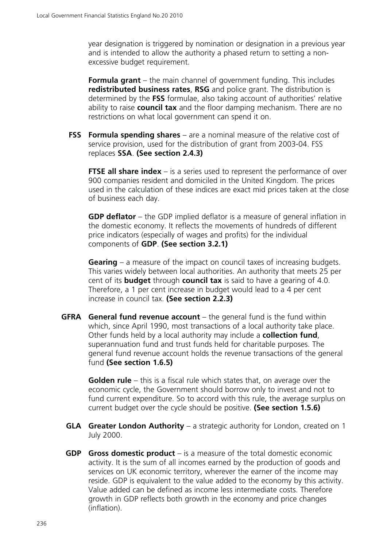year designation is triggered by nomination or designation in a previous year and is intended to allow the authority a phased return to setting a nonexcessive budget requirement.

**Formula grant** – the main channel of government funding. This includes **redistributed business rates**, **RSG** and police grant. The distribution is determined by the **FSS** formulae, also taking account of authorities' relative ability to raise **council tax** and the floor damping mechanism. There are no restrictions on what local government can spend it on.

**FSS Formula spending shares** – are a nominal measure of the relative cost of service provision, used for the distribution of grant from 2003-04. FSS replaces **SSA**. **(See section 2.4.3)**

**FTSE all share index** – is a series used to represent the performance of over 900 companies resident and domiciled in the United Kingdom. The prices used in the calculation of these indices are exact mid prices taken at the close of business each day.

**GDP deflator** – the GDP implied deflator is a measure of general inflation in the domestic economy. It reflects the movements of hundreds of different price indicators (especially of wages and profits) for the individual components of **GDP**. **(See section 3.2.1)**

**Gearing** – a measure of the impact on council taxes of increasing budgets. This varies widely between local authorities. An authority that meets 25 per cent of its **budget** through **council tax** is said to have a gearing of 4.0. Therefore, a 1 per cent increase in budget would lead to a 4 per cent increase in council tax. **(See section 2.2.3)**

**GFRA General fund revenue account** – the general fund is the fund within which, since April 1990, most transactions of a local authority take place. Other funds held by a local authority may include a **collection fund**, superannuation fund and trust funds held for charitable purposes. The general fund revenue account holds the revenue transactions of the general fund **(See section 1.6.5)**

**Golden rule** – this is a fiscal rule which states that, on average over the economic cycle, the Government should borrow only to invest and not to fund current expenditure. So to accord with this rule, the average surplus on current budget over the cycle should be positive. **(See section 1.5.6)**

- **GLA Greater London Authority** a strategic authority for London, created on 1 July 2000.
- **GDP Gross domestic product** is a measure of the total domestic economic activity. It is the sum of all incomes earned by the production of goods and services on UK economic territory, wherever the earner of the income may reside. GDP is equivalent to the value added to the economy by this activity. Value added can be defined as income less intermediate costs. Therefore growth in GDP reflects both growth in the economy and price changes (inflation).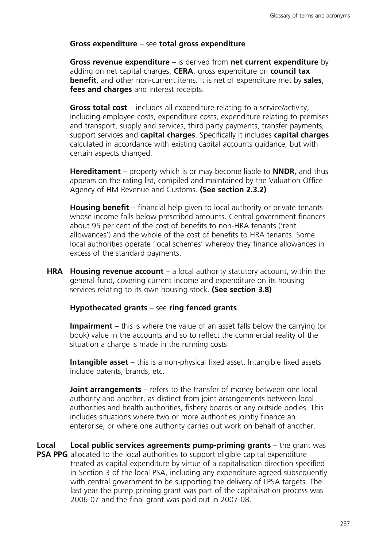### **Gross expenditure** – see **total gross expenditure**

**Gross revenue expenditure** – is derived from **net current expenditure** by adding on net capital charges, **CERA**, gross expenditure on **council tax benefit**, and other non-current items. It is net of expenditure met by **sales**, **fees and charges** and interest receipts.

**Gross total cost** – includes all expenditure relating to a service/activity, including employee costs, expenditure costs, expenditure relating to premises and transport, supply and services, third party payments, transfer payments, support services and **capital charges**. Specifically it includes **capital charges** calculated in accordance with existing capital accounts guidance, but with certain aspects changed.

**Hereditament** – property which is or may become liable to **NNDR**, and thus appears on the rating list, compiled and maintained by the Valuation Office Agency of HM Revenue and Customs. **(See section 2.3.2)**

**Housing benefit** – financial help given to local authority or private tenants whose income falls below prescribed amounts. Central government finances about 95 per cent of the cost of benefits to non-HRA tenants ('rent allowances') and the whole of the cost of benefits to HRA tenants. Some local authorities operate 'local schemes' whereby they finance allowances in excess of the standard payments.

**HRA Housing revenue account** – a local authority statutory account, within the general fund, covering current income and expenditure on its housing services relating to its own housing stock. **(See section 3.8)**

**Hypothecated grants** – see **ring fenced grants**.

**Impairment** – this is where the value of an asset falls below the carrying (or book) value in the accounts and so to reflect the commercial reality of the situation a charge is made in the running costs.

**Intangible asset** – this is a non-physical fixed asset. Intangible fixed assets include patents, brands, etc.

**Joint arrangements** – refers to the transfer of money between one local authority and another, as distinct from joint arrangements between local authorities and health authorities, fishery boards or any outside bodies. This includes situations where two or more authorities jointly finance an enterprise, or where one authority carries out work on behalf of another.

**Local PSA PPG** allocated to the local authorities to support eligible capital expenditure **Local public services agreements pump-priming grants** – the grant was treated as capital expenditure by virtue of a capitalisation direction specified in Section 3 of the local PSA, including any expenditure agreed subsequently with central government to be supporting the delivery of LPSA targets. The last year the pump priming grant was part of the capitalisation process was 2006-07 and the final grant was paid out in 2007-08.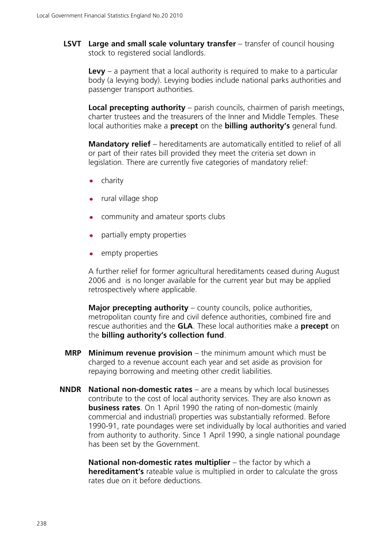**LSVT Large and small scale voluntary transfer** – transfer of council housing stock to registered social landlords.

 **Levy** – a payment that a local authority is required to make to a particular body (a levying body). Levying bodies include national parks authorities and passenger transport authorities.

**Local precepting authority** – parish councils, chairmen of parish meetings, charter trustees and the treasurers of the Inner and Middle Temples. These local authorities make a **precept** on the **billing authority's** general fund.

**Mandatory relief** – hereditaments are automatically entitled to relief of all or part of their rates bill provided they meet the criteria set down in legislation. There are currently five categories of mandatory relief:

- charity
- rural village shop
- community and amateur sports clubs
- partially empty properties
- empty properties

A further relief for former agricultural hereditaments ceased during August 2006 and is no longer available for the current year but may be applied retrospectively where applicable.

**Major precepting authority** – county councils, police authorities, metropolitan county fire and civil defence authorities, combined fire and rescue authorities and the **GLA**. These local authorities make a **precept** on the **billing authority's collection fund**.

- **MRP Minimum revenue provision** the minimum amount which must be charged to a revenue account each year and set aside as provision for repaying borrowing and meeting other credit liabilities.
- **NNDR National non-domestic rates** are a means by which local businesses contribute to the cost of local authority services. They are also known as **business rates**. On 1 April 1990 the rating of non-domestic (mainly commercial and industrial) properties was substantially reformed. Before 1990-91, rate poundages were set individually by local authorities and varied from authority to authority. Since 1 April 1990, a single national poundage has been set by the Government.

**National non-domestic rates multiplier** – the factor by which a **hereditament's** rateable value is multiplied in order to calculate the gross rates due on it before deductions.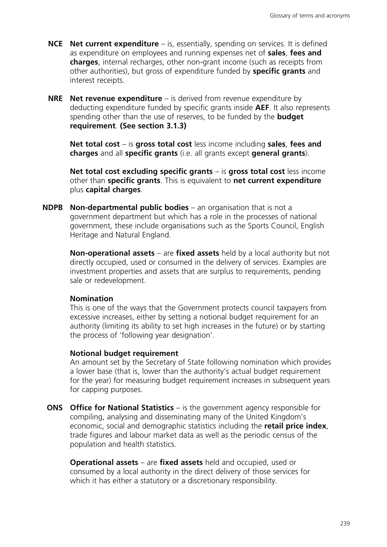- **NCE Net current expenditure** is, essentially, spending on services. It is defined as expenditure on employees and running expenses net of **sales**, **fees and charges**, internal recharges, other non-grant income (such as receipts from other authorities), but gross of expenditure funded by **specific grants** and interest receipts.
- **NRE Net revenue expenditure** is derived from revenue expenditure by deducting expenditure funded by specific grants inside **AEF**. It also represents spending other than the use of reserves, to be funded by the **budget requirement**. **(See section 3.1.3)**

**Net total cost** – is **gross total cost** less income including **sales**, **fees and charges** and all **specific grants** (i.e. all grants except **general grants**).

**Net total cost excluding specific grants** – is **gross total cost** less income other than **specific grants**. This is equivalent to **net current expenditure** plus **capital charges**.

**NDPB Non-departmental public bodies** – an organisation that is not a government department but which has a role in the processes of national government, these include organisations such as the Sports Council, English Heritage and Natural England.

**Non-operational assets** – are **fixed assets** held by a local authority but not directly occupied, used or consumed in the delivery of services. Examples are investment properties and assets that are surplus to requirements, pending sale or redevelopment.

#### **Nomination**

This is one of the ways that the Government protects council taxpayers from excessive increases, either by setting a notional budget requirement for an authority (limiting its ability to set high increases in the future) or by starting the process of 'following year designation'.

#### **Notional budget requirement**

An amount set by the Secretary of State following nomination which provides a lower base (that is, lower than the authority's actual budget requirement for the year) for measuring budget requirement increases in subsequent years for capping purposes.

**ONS** Office for National Statistics – is the government agency responsible for compiling, analysing and disseminating many of the United Kingdom's economic, social and demographic statistics including the **retail price index**, trade figures and labour market data as well as the periodic census of the population and health statistics.

**Operational assets** – are **fixed assets** held and occupied, used or consumed by a local authority in the direct delivery of those services for which it has either a statutory or a discretionary responsibility.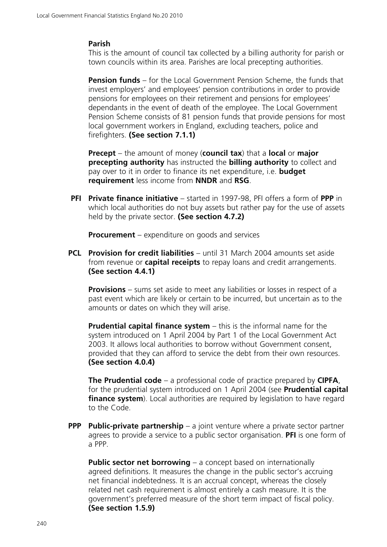#### **Parish**

This is the amount of council tax collected by a billing authority for parish or town councils within its area. Parishes are local precepting authorities.

**Pension funds** – for the Local Government Pension Scheme, the funds that invest employers' and employees' pension contributions in order to provide pensions for employees on their retirement and pensions for employees' dependants in the event of death of the employee. The Local Government Pension Scheme consists of 81 pension funds that provide pensions for most local government workers in England, excluding teachers, police and firefighters. **(See section 7.1.1)**

**Precept** – the amount of money (**council tax**) that a **local** or **major precepting authority** has instructed the **billing authority** to collect and pay over to it in order to finance its net expenditure, i.e. **budget requirement** less income from **NNDR** and **RSG**.

**PFI Private finance initiative** – started in 1997-98, PFI offers a form of **PPP** in which local authorities do not buy assets but rather pay for the use of assets held by the private sector. **(See section 4.7.2)**

**Procurement** – expenditure on goods and services

**PCL Provision for credit liabilities** – until 31 March 2004 amounts set aside from revenue or **capital receipts** to repay loans and credit arrangements. **(See section 4.4.1)**

**Provisions** – sums set aside to meet any liabilities or losses in respect of a past event which are likely or certain to be incurred, but uncertain as to the amounts or dates on which they will arise.

**Prudential capital finance system** – this is the informal name for the system introduced on 1 April 2004 by Part 1 of the Local Government Act 2003. It allows local authorities to borrow without Government consent, provided that they can afford to service the debt from their own resources. **(See section 4.0.4)**

**The Prudential code** – a professional code of practice prepared by **CIPFA**, for the prudential system introduced on 1 April 2004 (see **Prudential capital finance system**). Local authorities are required by legislation to have regard to the Code.

**PPP** Public-private partnership – a joint venture where a private sector partner agrees to provide a service to a public sector organisation. **PFI** is one form of a PPP.

**Public sector net borrowing** – a concept based on internationally agreed definitions. It measures the change in the public sector's accruing net financial indebtedness. It is an accrual concept, whereas the closely related net cash requirement is almost entirely a cash measure. It is the government's preferred measure of the short term impact of fiscal policy. **(See section 1.5.9)**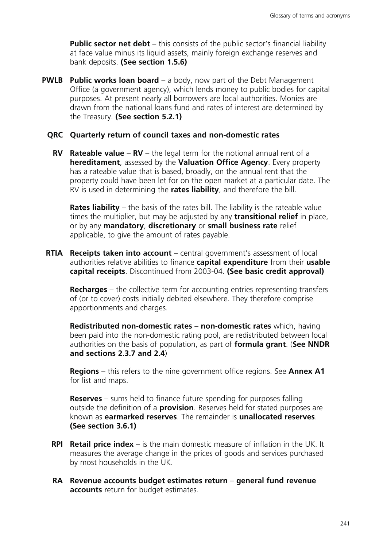**Public sector net debt** – this consists of the public sector's financial liability at face value minus its liquid assets, mainly foreign exchange reserves and bank deposits. **(See section 1.5.6)**

**PWLB** Public works loan board – a body, now part of the Debt Management Office (a government agency), which lends money to public bodies for capital purposes. At present nearly all borrowers are local authorities. Monies are drawn from the national loans fund and rates of interest are determined by the Treasury. **(See section 5.2.1)**

#### **QRC Quarterly return of council taxes and non-domestic rates**

**RV Rateable value** – **RV** – the legal term for the notional annual rent of a **hereditament**, assessed by the **Valuation Office Agency**. Every property has a rateable value that is based, broadly, on the annual rent that the property could have been let for on the open market at a particular date. The RV is used in determining the **rates liability**, and therefore the bill.

**Rates liability** – the basis of the rates bill. The liability is the rateable value times the multiplier, but may be adjusted by any **transitional relief** in place, or by any **mandatory**, **discretionary** or **small business rate** relief applicable, to give the amount of rates payable.

**RTIA Receipts taken into account** – central government's assessment of local authorities relative abilities to finance **capital expenditure** from their **usable capital receipts**. Discontinued from 2003-04. **(See basic credit approval)**

**Recharges** – the collective term for accounting entries representing transfers of (or to cover) costs initially debited elsewhere. They therefore comprise apportionments and charges.

**Redistributed non-domestic rates** – **non-domestic rates** which, having been paid into the non-domestic rating pool, are redistributed between local authorities on the basis of population, as part of **formula grant**. (**See NNDR and sections 2.3.7 and 2.4**)

**Regions** – this refers to the nine government office regions. See **Annex A1** for list and maps.

**Reserves** – sums held to finance future spending for purposes falling outside the definition of a **provision**. Reserves held for stated purposes are known as **earmarked reserves**. The remainder is **unallocated reserves**. **(See section 3.6.1)**

- **RPI Retail price index** is the main domestic measure of inflation in the UK. It measures the average change in the prices of goods and services purchased by most households in the UK.
- **RA Revenue accounts budget estimates return general fund revenue accounts** return for budget estimates.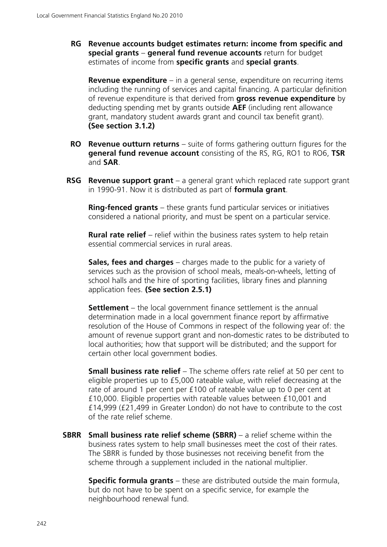**RG Revenue accounts budget estimates return: income from specific and special grants** – **general fund revenue accounts** return for budget estimates of income from **specific grants** and **special grants**.

**Revenue expenditure** – in a general sense, expenditure on recurring items including the running of services and capital financing. A particular definition of revenue expenditure is that derived from **gross revenue expenditure** by deducting spending met by grants outside **AEF** (including rent allowance grant, mandatory student awards grant and council tax benefit grant). **(See section 3.1.2)**

- **RO Revenue outturn returns** suite of forms gathering outturn figures for the **general fund revenue account** consisting of the RS, RG, RO1 to RO6, **TSR** and **SAR**.
- **RSG Revenue support grant** a general grant which replaced rate support grant in 1990-91. Now it is distributed as part of **formula grant**.

**Ring-fenced grants** – these grants fund particular services or initiatives considered a national priority, and must be spent on a particular service.

**Rural rate relief** – relief within the business rates system to help retain essential commercial services in rural areas.

**Sales, fees and charges** – charges made to the public for a variety of services such as the provision of school meals, meals-on-wheels, letting of school halls and the hire of sporting facilities, library fines and planning application fees. **(See section 2.5.1)**

**Settlement** – the local government finance settlement is the annual determination made in a local government finance report by affirmative resolution of the House of Commons in respect of the following year of: the amount of revenue support grant and non-domestic rates to be distributed to local authorities; how that support will be distributed; and the support for certain other local government bodies.

**Small business rate relief** – The scheme offers rate relief at 50 per cent to eligible properties up to £5,000 rateable value, with relief decreasing at the rate of around 1 per cent per £100 of rateable value up to 0 per cent at £10,000. Eligible properties with rateable values between £10,001 and £14,999 (£21,499 in Greater London) do not have to contribute to the cost of the rate relief scheme.

**SBRR Small business rate relief scheme (SBRR)** – a relief scheme within the business rates system to help small businesses meet the cost of their rates. The SBRR is funded by those businesses not receiving benefit from the scheme through a supplement included in the national multiplier.

**Specific formula grants** – these are distributed outside the main formula, but do not have to be spent on a specific service, for example the neighbourhood renewal fund.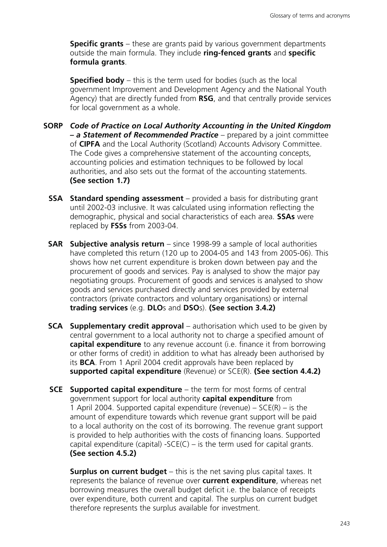**Specific grants** – these are grants paid by various government departments outside the main formula. They include **ring-fenced grants** and **specific formula grants**.

**Specified body** – this is the term used for bodies (such as the local government Improvement and Development Agency and the National Youth Agency) that are directly funded from **RSG**, and that centrally provide services for local government as a whole.

- **SORP** *Code of Practice on Local Authority Accounting in the United Kingdom – a Statement of Recommended Practice* – prepared by a joint committee of **CIPFA** and the Local Authority (Scotland) Accounts Advisory Committee. The Code gives a comprehensive statement of the accounting concepts, accounting policies and estimation techniques to be followed by local authorities, and also sets out the format of the accounting statements. **(See section 1.7)**
	- **SSA Standard spending assessment** provided a basis for distributing grant until 2002-03 inclusive. It was calculated using information reflecting the demographic, physical and social characteristics of each area. **SSAs** were replaced by **FSSs** from 2003-04.
	- **SAR Subjective analysis return** since 1998-99 a sample of local authorities have completed this return (120 up to 2004-05 and 143 from 2005-06). This shows how net current expenditure is broken down between pay and the procurement of goods and services. Pay is analysed to show the major pay negotiating groups. Procurement of goods and services is analysed to show goods and services purchased directly and services provided by external contractors (private contractors and voluntary organisations) or internal **trading services** (e.g. **DLO**s and **DSO**s). **(See section 3.4.2)**
	- **SCA** Supplementary credit approval authorisation which used to be given by central government to a local authority not to charge a specified amount of **capital expenditure** to any revenue account (i.e. finance it from borrowing or other forms of credit) in addition to what has already been authorised by its **BCA**. From 1 April 2004 credit approvals have been replaced by **supported capital expenditure** (Revenue) or SCE(R). **(See section 4.4.2)**
	- **SCE Supported capital expenditure** the term for most forms of central government support for local authority **capital expenditure** from 1 April 2004. Supported capital expenditure (revenue) –  $SCE(R)$  – is the amount of expenditure towards which revenue grant support will be paid to a local authority on the cost of its borrowing. The revenue grant support is provided to help authorities with the costs of financing loans. Supported capital expenditure (capital) -SCE(C) – is the term used for capital grants. **(See section 4.5.2)**

**Surplus on current budget** – this is the net saving plus capital taxes. It represents the balance of revenue over **current expenditure**, whereas net borrowing measures the overall budget deficit i.e. the balance of receipts over expenditure, both current and capital. The surplus on current budget therefore represents the surplus available for investment.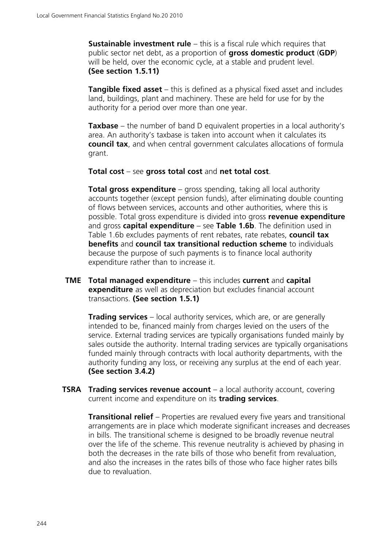**Sustainable investment rule** – this is a fiscal rule which requires that public sector net debt, as a proportion of **gross domestic product** (**GDP**) will be held, over the economic cycle, at a stable and prudent level. **(See section 1.5.11)**

**Tangible fixed asset** – this is defined as a physical fixed asset and includes land, buildings, plant and machinery. These are held for use for by the authority for a period over more than one year.

**Taxbase** – the number of band D equivalent properties in a local authority's area. An authority's taxbase is taken into account when it calculates its **council tax**, and when central government calculates allocations of formula grant.

**Total cost** – see **gross total cost** and **net total cost**.

**Total gross expenditure** – gross spending, taking all local authority accounts together (except pension funds), after eliminating double counting of flows between services, accounts and other authorities, where this is possible. Total gross expenditure is divided into gross **revenue expenditure** and gross **capital expenditure** – see **Table 1.6b**. The definition used in Table 1.6b excludes payments of rent rebates, rate rebates, **council tax benefits** and **council tax transitional reduction scheme** to individuals because the purpose of such payments is to finance local authority expenditure rather than to increase it.

**TME Total managed expenditure** – this includes **current** and **capital expenditure** as well as depreciation but excludes financial account transactions. **(See section 1.5.1)**

**Trading services** – local authority services, which are, or are generally intended to be, financed mainly from charges levied on the users of the service. External trading services are typically organisations funded mainly by sales outside the authority. Internal trading services are typically organisations funded mainly through contracts with local authority departments, with the authority funding any loss, or receiving any surplus at the end of each year. **(See section 3.4.2)**

**TSRA Trading services revenue account** – a local authority account, covering current income and expenditure on its **trading services**.

**Transitional relief** – Properties are revalued every five years and transitional arrangements are in place which moderate significant increases and decreases in bills. The transitional scheme is designed to be broadly revenue neutral over the life of the scheme. This revenue neutrality is achieved by phasing in both the decreases in the rate bills of those who benefit from revaluation, and also the increases in the rates bills of those who face higher rates bills due to revaluation.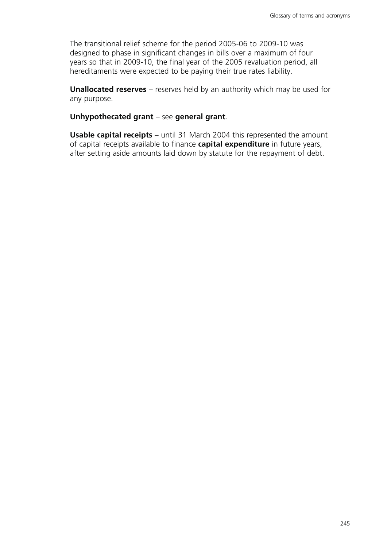The transitional relief scheme for the period 2005-06 to 2009-10 was designed to phase in significant changes in bills over a maximum of four years so that in 2009-10, the final year of the 2005 revaluation period, all hereditaments were expected to be paying their true rates liability.

**Unallocated reserves** – reserves held by an authority which may be used for any purpose.

**Unhypothecated grant** – see **general grant**.

**Usable capital receipts** – until 31 March 2004 this represented the amount of capital receipts available to finance **capital expenditure** in future years, after setting aside amounts laid down by statute for the repayment of debt.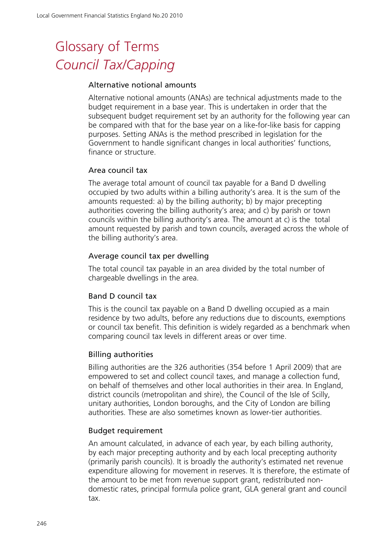# Glossary of Terms *Council Tax/Capping*

#### Alternative notional amounts

Alternative notional amounts (ANAs) are technical adjustments made to the budget requirement in a base year. This is undertaken in order that the subsequent budget requirement set by an authority for the following year can be compared with that for the base year on a like-for-like basis for capping purposes. Setting ANAs is the method prescribed in legislation for the Government to handle significant changes in local authorities' functions, finance or structure.

#### Area council tax

The average total amount of council tax payable for a Band D dwelling occupied by two adults within a billing authority's area. It is the sum of the amounts requested: a) by the billing authority; b) by major precepting authorities covering the billing authority's area; and c) by parish or town councils within the billing authority's area. The amount at c) is the total amount requested by parish and town councils, averaged across the whole of the billing authority's area.

#### Average council tax per dwelling

The total council tax payable in an area divided by the total number of chargeable dwellings in the area.

#### Band D council tax

This is the council tax payable on a Band D dwelling occupied as a main residence by two adults, before any reductions due to discounts, exemptions or council tax benefit. This definition is widely regarded as a benchmark when comparing council tax levels in different areas or over time.

#### Billing authorities

Billing authorities are the 326 authorities (354 before 1 April 2009) that are empowered to set and collect council taxes, and manage a collection fund, on behalf of themselves and other local authorities in their area. In England, district councils (metropolitan and shire), the Council of the Isle of Scilly, unitary authorities, London boroughs, and the City of London are billing authorities. These are also sometimes known as lower-tier authorities.

#### Budget requirement

An amount calculated, in advance of each year, by each billing authority, by each major precepting authority and by each local precepting authority (primarily parish councils). It is broadly the authority's estimated net revenue expenditure allowing for movement in reserves. It is therefore, the estimate of the amount to be met from revenue support grant, redistributed nondomestic rates, principal formula police grant, GLA general grant and council tax.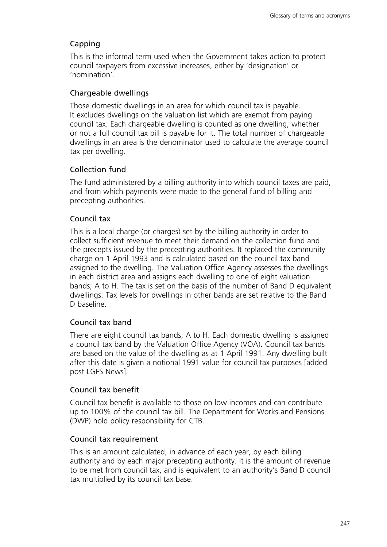# Capping

This is the informal term used when the Government takes action to protect council taxpayers from excessive increases, either by 'designation' or 'nomination'.

## Chargeable dwellings

Those domestic dwellings in an area for which council tax is payable. It excludes dwellings on the valuation list which are exempt from paying council tax. Each chargeable dwelling is counted as one dwelling, whether or not a full council tax bill is payable for it. The total number of chargeable dwellings in an area is the denominator used to calculate the average council tax per dwelling.

### Collection fund

The fund administered by a billing authority into which council taxes are paid, and from which payments were made to the general fund of billing and precepting authorities.

### Council tax

This is a local charge (or charges) set by the billing authority in order to collect sufficient revenue to meet their demand on the collection fund and the precepts issued by the precepting authorities. It replaced the community charge on 1 April 1993 and is calculated based on the council tax band assigned to the dwelling. The Valuation Office Agency assesses the dwellings in each district area and assigns each dwelling to one of eight valuation bands; A to H. The tax is set on the basis of the number of Band D equivalent dwellings. Tax levels for dwellings in other bands are set relative to the Band D baseline.

### Council tax band

There are eight council tax bands, A to H. Each domestic dwelling is assigned a council tax band by the Valuation Office Agency (VOA). Council tax bands are based on the value of the dwelling as at 1 April 1991. Any dwelling built after this date is given a notional 1991 value for council tax purposes [added post LGFS News].

### Council tax benefit

Council tax benefit is available to those on low incomes and can contribute up to 100% of the council tax bill. The Department for Works and Pensions (DWP) hold policy responsibility for CTB.

#### Council tax requirement

This is an amount calculated, in advance of each year, by each billing authority and by each major precepting authority. It is the amount of revenue to be met from council tax, and is equivalent to an authority's Band D council tax multiplied by its council tax base.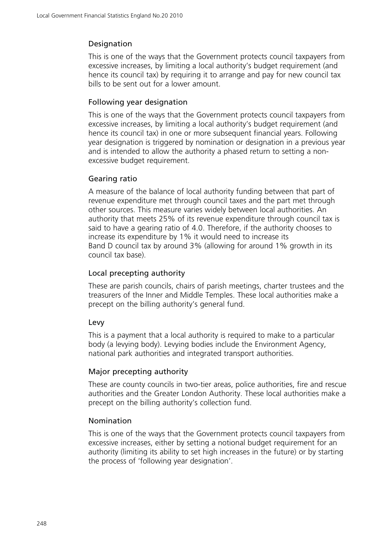## Designation

This is one of the ways that the Government protects council taxpayers from excessive increases, by limiting a local authority's budget requirement (and hence its council tax) by requiring it to arrange and pay for new council tax bills to be sent out for a lower amount.

## Following year designation

This is one of the ways that the Government protects council taxpayers from excessive increases, by limiting a local authority's budget requirement (and hence its council tax) in one or more subsequent financial years. Following year designation is triggered by nomination or designation in a previous year and is intended to allow the authority a phased return to setting a nonexcessive budget requirement.

## Gearing ratio

A measure of the balance of local authority funding between that part of revenue expenditure met through council taxes and the part met through other sources. This measure varies widely between local authorities. An authority that meets 25% of its revenue expenditure through council tax is said to have a gearing ratio of 4.0. Therefore, if the authority chooses to increase its expenditure by 1% it would need to increase its Band D council tax by around 3% (allowing for around 1% growth in its council tax base).

## Local precepting authority

These are parish councils, chairs of parish meetings, charter trustees and the treasurers of the Inner and Middle Temples. These local authorities make a precept on the billing authority's general fund.

## Levy

This is a payment that a local authority is required to make to a particular body (a levying body). Levying bodies include the Environment Agency, national park authorities and integrated transport authorities.

## Major precepting authority

These are county councils in two-tier areas, police authorities, fire and rescue authorities and the Greater London Authority. These local authorities make a precept on the billing authority's collection fund.

## Nomination

This is one of the ways that the Government protects council taxpayers from excessive increases, either by setting a notional budget requirement for an authority (limiting its ability to set high increases in the future) or by starting the process of 'following year designation'.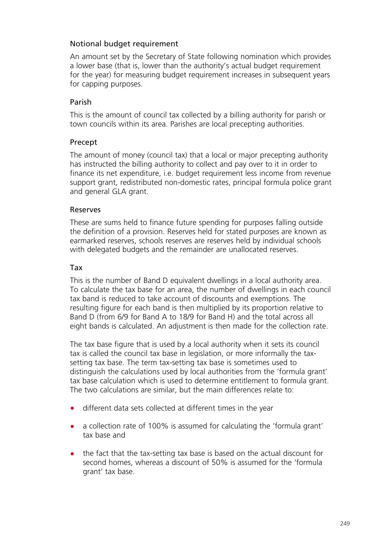## Notional budget requirement

An amount set by the Secretary of State following nomination which provides a lower base (that is, lower than the authority's actual budget requirement for the year) for measuring budget requirement increases in subsequent years for capping purposes.

## Parish

This is the amount of council tax collected by a billing authority for parish or town councils within its area. Parishes are local precepting authorities.

## Precept

The amount of money (council tax) that a local or major precepting authority has instructed the billing authority to collect and pay over to it in order to finance its net expenditure, i.e. budget requirement less income from revenue support grant, redistributed non-domestic rates, principal formula police grant and general GLA grant.

## Reserves

These are sums held to finance future spending for purposes falling outside the definition of a provision. Reserves held for stated purposes are known as earmarked reserves, schools reserves are reserves held by individual schools with delegated budgets and the remainder are unallocated reserves.

## Tax

This is the number of Band D equivalent dwellings in a local authority area. To calculate the tax base for an area, the number of dwellings in each council tax band is reduced to take account of discounts and exemptions. The resulting figure for each band is then multiplied by its proportion relative to Band D (from 6/9 for Band A to 18/9 for Band H) and the total across all eight bands is calculated. An adjustment is then made for the collection rate.

The tax base figure that is used by a local authority when it sets its council tax is called the council tax base in legislation, or more informally the taxsetting tax base. The term tax-setting tax base is sometimes used to distinguish the calculations used by local authorities from the 'formula grant' tax base calculation which is used to determine entitlement to formula grant. The two calculations are similar, but the main differences relate to:

- different data sets collected at different times in the year
- a collection rate of 100% is assumed for calculating the 'formula grant' tax base and
- the fact that the tax-setting tax base is based on the actual discount for second homes, whereas a discount of 50% is assumed for the 'formula grant' tax base.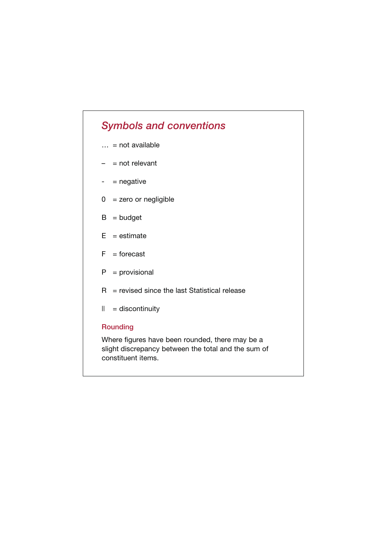# *Symbols and conventions*

- $\ldots$  = not available
- $-$  = not relevant
- $-$  = negative
- $0 =$  zero or negligible
- $B = budget$
- $E =$  estimate
- $F =$  forecast
- $P =$  provisional
- $R$  = revised since the last Statistical release
- $|| =$  discontinuity

#### **Rounding**

Where figures have been rounded, there may be a slight discrepancy between the total and the sum of constituent items.